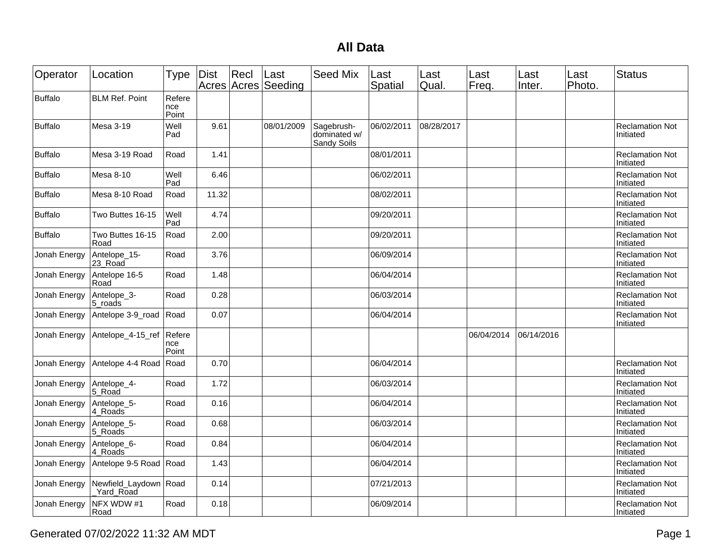## **All Data**

| Operator       | Location                      | Type                   | Dist  | Recl | Last<br>Acres Acres Seeding | <b>Seed Mix</b>                           | Last<br>Spatial | Last<br>Qual. | Last<br>Freq. | Last<br>Inter. | Last<br>Photo. | <b>Status</b>                       |
|----------------|-------------------------------|------------------------|-------|------|-----------------------------|-------------------------------------------|-----------------|---------------|---------------|----------------|----------------|-------------------------------------|
| <b>Buffalo</b> | <b>BLM Ref. Point</b>         | Refere<br>nce<br>Point |       |      |                             |                                           |                 |               |               |                |                |                                     |
| <b>Buffalo</b> | Mesa 3-19                     | Well<br>Pad            | 9.61  |      | 08/01/2009                  | Sagebrush-<br>dominated w/<br>Sandy Soils | 06/02/2011      | 08/28/2017    |               |                |                | <b>Reclamation Not</b><br>Initiated |
| <b>Buffalo</b> | Mesa 3-19 Road                | Road                   | 1.41  |      |                             |                                           | 08/01/2011      |               |               |                |                | <b>Reclamation Not</b><br>Initiated |
| <b>Buffalo</b> | Mesa 8-10                     | Well<br>Pad            | 6.46  |      |                             |                                           | 06/02/2011      |               |               |                |                | <b>Reclamation Not</b><br>Initiated |
| <b>Buffalo</b> | Mesa 8-10 Road                | Road                   | 11.32 |      |                             |                                           | 08/02/2011      |               |               |                |                | <b>Reclamation Not</b><br>Initiated |
| <b>Buffalo</b> | Two Buttes 16-15              | Well<br>Pad            | 4.74  |      |                             |                                           | 09/20/2011      |               |               |                |                | <b>Reclamation Not</b><br>Initiated |
| <b>Buffalo</b> | Two Buttes 16-15<br>Road      | Road                   | 2.00  |      |                             |                                           | 09/20/2011      |               |               |                |                | <b>Reclamation Not</b><br>Initiated |
| Jonah Energy   | Antelope_15-<br>23 Road       | Road                   | 3.76  |      |                             |                                           | 06/09/2014      |               |               |                |                | <b>Reclamation Not</b><br>Initiated |
| Jonah Energy   | Antelope 16-5<br>Road         | Road                   | 1.48  |      |                             |                                           | 06/04/2014      |               |               |                |                | <b>Reclamation Not</b><br>Initiated |
| Jonah Energy   | Antelope_3-<br>5 roads        | Road                   | 0.28  |      |                             |                                           | 06/03/2014      |               |               |                |                | <b>Reclamation Not</b><br>Initiated |
| Jonah Energy   | Antelope 3-9_road             | Road                   | 0.07  |      |                             |                                           | 06/04/2014      |               |               |                |                | <b>Reclamation Not</b><br>Initiated |
| Jonah Energy   | Antelope_4-15_ref             | Refere<br>nce<br>Point |       |      |                             |                                           |                 |               | 06/04/2014    | 06/14/2016     |                |                                     |
| Jonah Energy   | Antelope 4-4 Road             | Road                   | 0.70  |      |                             |                                           | 06/04/2014      |               |               |                |                | <b>Reclamation Not</b><br>Initiated |
| Jonah Energy   | Antelope_4-<br>5 Road         | Road                   | 1.72  |      |                             |                                           | 06/03/2014      |               |               |                |                | <b>Reclamation Not</b><br>Initiated |
| Jonah Energy   | Antelope_5-<br>4 Roads        | Road                   | 0.16  |      |                             |                                           | 06/04/2014      |               |               |                |                | <b>Reclamation Not</b><br>Initiated |
| Jonah Energy   | Antelope_5-<br>5 Roads        | Road                   | 0.68  |      |                             |                                           | 06/03/2014      |               |               |                |                | <b>Reclamation Not</b><br>Initiated |
| Jonah Energy   | Antelope_6-<br>4 Roads        | Road                   | 0.84  |      |                             |                                           | 06/04/2014      |               |               |                |                | <b>Reclamation Not</b><br>Initiated |
| Jonah Energy   | Antelope 9-5 Road Road        |                        | 1.43  |      |                             |                                           | 06/04/2014      |               |               |                |                | <b>Reclamation Not</b><br>Initiated |
| Jonah Energy   | Newfield Laydown<br>Yard Road | Road                   | 0.14  |      |                             |                                           | 07/21/2013      |               |               |                |                | <b>Reclamation Not</b><br>Initiated |
| Jonah Energy   | NFX WDW #1<br>Road            | Road                   | 0.18  |      |                             |                                           | 06/09/2014      |               |               |                |                | <b>Reclamation Not</b><br>Initiated |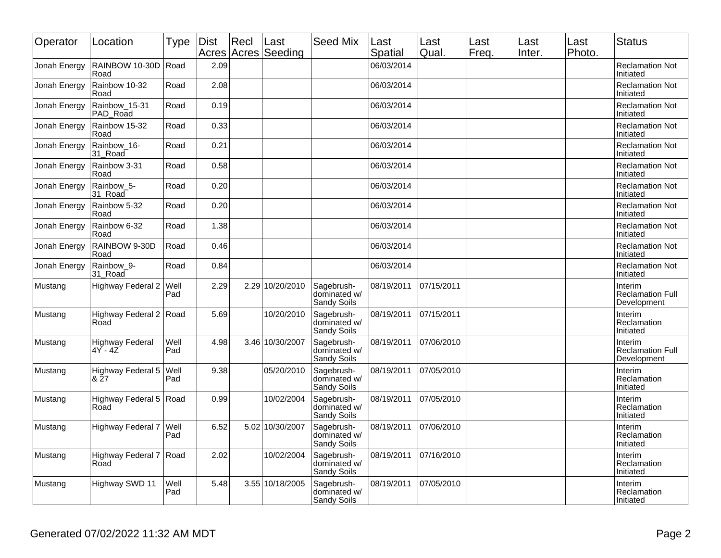| Operator     | Location                          | Type        | Dist | Recl | Last<br>Acres Acres Seeding | <b>Seed Mix</b>                           | Last<br>Spatial | Last<br>Qual | Last<br>Freq. | Last<br>Inter. | Last<br>Photo. | <b>Status</b>                                     |
|--------------|-----------------------------------|-------------|------|------|-----------------------------|-------------------------------------------|-----------------|--------------|---------------|----------------|----------------|---------------------------------------------------|
| Jonah Energy | RAINBOW 10-30D<br>Road            | Road        | 2.09 |      |                             |                                           | 06/03/2014      |              |               |                |                | <b>Reclamation Not</b><br>Initiated               |
| Jonah Energy | Rainbow 10-32<br>Road             | Road        | 2.08 |      |                             |                                           | 06/03/2014      |              |               |                |                | <b>Reclamation Not</b><br>Initiated               |
| Jonah Energy | Rainbow_15-31<br>PAD Road         | Road        | 0.19 |      |                             |                                           | 06/03/2014      |              |               |                |                | <b>Reclamation Not</b><br>Initiated               |
| Jonah Energy | Rainbow 15-32<br>Road             | Road        | 0.33 |      |                             |                                           | 06/03/2014      |              |               |                |                | <b>Reclamation Not</b><br>Initiated               |
| Jonah Energy | Rainbow_16-<br>31_Road            | Road        | 0.21 |      |                             |                                           | 06/03/2014      |              |               |                |                | <b>Reclamation Not</b><br>Initiated               |
| Jonah Energy | Rainbow 3-31<br>Road              | Road        | 0.58 |      |                             |                                           | 06/03/2014      |              |               |                |                | <b>Reclamation Not</b><br>Initiated               |
| Jonah Energy | Rainbow_5-<br>31_Road             | Road        | 0.20 |      |                             |                                           | 06/03/2014      |              |               |                |                | <b>Reclamation Not</b><br>Initiated               |
| Jonah Energy | Rainbow 5-32<br>Road              | Road        | 0.20 |      |                             |                                           | 06/03/2014      |              |               |                |                | <b>Reclamation Not</b><br>Initiated               |
| Jonah Energy | Rainbow 6-32<br>Road              | Road        | 1.38 |      |                             |                                           | 06/03/2014      |              |               |                |                | <b>Reclamation Not</b><br>Initiated               |
| Jonah Energy | RAINBOW 9-30D<br>Road             | Road        | 0.46 |      |                             |                                           | 06/03/2014      |              |               |                |                | <b>Reclamation Not</b><br>Initiated               |
| Jonah Energy | Rainbow <sub>9</sub> -<br>31_Road | Road        | 0.84 |      |                             |                                           | 06/03/2014      |              |               |                |                | <b>Reclamation Not</b><br>Initiated               |
| Mustang      | <b>Highway Federal 2</b>          | Well<br>Pad | 2.29 |      | 2.29 10/20/2010             | Sagebrush-<br>dominated w/<br>Sandy Soils | 08/19/2011      | 07/15/2011   |               |                |                | Interim<br><b>Reclamation Full</b><br>Development |
| Mustang      | Highway Federal 2<br>Road         | Road        | 5.69 |      | 10/20/2010                  | Sagebrush-<br>dominated w/<br>Sandy Soils | 08/19/2011      | 07/15/2011   |               |                |                | Interim<br>Reclamation<br>Initiated               |
| Mustang      | <b>Highway Federal</b><br>4Y - 4Z | Well<br>Pad | 4.98 |      | 3.46 10/30/2007             | Sagebrush-<br>dominated w/<br>Sandy Soils | 08/19/2011      | 07/06/2010   |               |                |                | Interim<br><b>Reclamation Full</b><br>Development |
| Mustang      | Highway Federal 5<br>& 27         | Well<br>Pad | 9.38 |      | 05/20/2010                  | Sagebrush-<br>dominated w/<br>Sandy Soils | 08/19/2011      | 07/05/2010   |               |                |                | Interim<br>Reclamation<br>Initiated               |
| Mustang      | Highway Federal 5<br>Road         | Road        | 0.99 |      | 10/02/2004                  | Sagebrush-<br>dominated w/<br>Sandy Soils | 08/19/2011      | 07/05/2010   |               |                |                | Interim<br>Reclamation<br>Initiated               |
| Mustang      | Highway Federal 7                 | Well<br>Pad | 6.52 | 5.02 | 10/30/2007                  | Sagebrush-<br>dominated w/<br>Sandy Soils | 08/19/2011      | 07/06/2010   |               |                |                | Interim<br>Reclamation<br>Initiated               |
| Mustang      | Highway Federal 7<br>Road         | Road        | 2.02 |      | 10/02/2004                  | Sagebrush-<br>dominated w/<br>Sandy Soils | 08/19/2011      | 07/16/2010   |               |                |                | Interim<br>Reclamation<br>Initiated               |
| Mustang      | Highway SWD 11                    | Well<br>Pad | 5.48 |      | 3.55 10/18/2005             | Sagebrush-<br>dominated w/<br>Sandy Soils | 08/19/2011      | 07/05/2010   |               |                |                | Interim<br>Reclamation<br>Initiated               |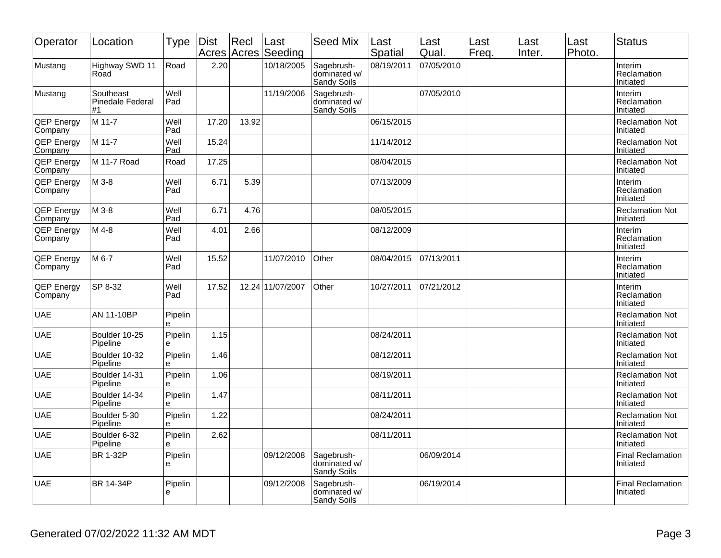| Operator                     | Location                            | Type         | <b>Dist</b> | Recl<br>Acres Acres | Last<br>Seeding  | <b>Seed Mix</b>                           | Last<br><b>Spatial</b> | Last<br>Qual. | Last<br>Freq. | Last<br>Inter. | Last<br>Photo. | <b>Status</b>                         |
|------------------------------|-------------------------------------|--------------|-------------|---------------------|------------------|-------------------------------------------|------------------------|---------------|---------------|----------------|----------------|---------------------------------------|
| Mustang                      | Highway SWD 11<br>Road              | Road         | 2.20        |                     | 10/18/2005       | Sagebrush-<br>dominated w/<br>Sandy Soils | 08/19/2011             | 07/05/2010    |               |                |                | Interim<br>Reclamation<br>Initiated   |
| Mustang                      | Southeast<br>Pinedale Federal<br>#1 | Well<br>Pad  |             |                     | 11/19/2006       | Sagebrush-<br>dominated w/<br>Sandy Soils |                        | 07/05/2010    |               |                |                | Interim<br>Reclamation<br>Initiated   |
| <b>QEP Energy</b><br>Company | M 11-7                              | Well<br>Pad  | 17.20       | 13.92               |                  |                                           | 06/15/2015             |               |               |                |                | <b>Reclamation Not</b><br>Initiated   |
| <b>QEP Energy</b><br>Company | M 11-7                              | Well<br>Pad  | 15.24       |                     |                  |                                           | 11/14/2012             |               |               |                |                | <b>Reclamation Not</b><br>Initiated   |
| <b>QEP Energy</b><br>Company | M 11-7 Road                         | Road         | 17.25       |                     |                  |                                           | 08/04/2015             |               |               |                |                | <b>Reclamation Not</b><br>Initiated   |
| <b>QEP Energy</b><br>Company | M 3-8                               | Well<br>Pad  | 6.71        | 5.39                |                  |                                           | 07/13/2009             |               |               |                |                | Interim<br>Reclamation<br>Initiated   |
| <b>QEP Energy</b><br>Company | M 3-8                               | Well<br>Pad  | 6.71        | 4.76                |                  |                                           | 08/05/2015             |               |               |                |                | <b>Reclamation Not</b><br>Initiated   |
| <b>QEP Energy</b><br>Company | M 4-8                               | Well<br>Pad  | 4.01        | 2.66                |                  |                                           | 08/12/2009             |               |               |                |                | Interim<br>Reclamation<br>Initiated   |
| <b>QEP Energy</b><br>Company | M 6-7                               | Well<br>Pad  | 15.52       |                     | 11/07/2010       | Other                                     | 08/04/2015             | 07/13/2011    |               |                |                | Interim<br>Reclamation<br>Initiated   |
| <b>QEP Energy</b><br>Company | SP 8-32                             | Well<br>Pad  | 17.52       |                     | 12.24 11/07/2007 | Other                                     | 10/27/2011             | 07/21/2012    |               |                |                | Interim<br>Reclamation<br>Initiated   |
| <b>UAE</b>                   | AN 11-10BP                          | Pipelin<br>e |             |                     |                  |                                           |                        |               |               |                |                | <b>Reclamation Not</b><br>Initiated   |
| <b>UAE</b>                   | Boulder 10-25<br>Pipeline           | Pipelin<br>e | 1.15        |                     |                  |                                           | 08/24/2011             |               |               |                |                | <b>Reclamation Not</b><br>Initiated   |
| <b>UAE</b>                   | Boulder 10-32<br>Pipeline           | Pipelin<br>e | 1.46        |                     |                  |                                           | 08/12/2011             |               |               |                |                | <b>Reclamation Not</b><br>Initiated   |
| <b>UAE</b>                   | Boulder 14-31<br>Pipeline           | Pipelin<br>e | 1.06        |                     |                  |                                           | 08/19/2011             |               |               |                |                | <b>Reclamation Not</b><br>Initiated   |
| UAE                          | Boulder 14-34<br>Pipeline           | Pipelin<br>e | 1.47        |                     |                  |                                           | 08/11/2011             |               |               |                |                | <b>Reclamation Not</b><br>Initiated   |
| <b>UAE</b>                   | Boulder 5-30<br>Pipeline            | Pipelin<br>е | 1.22        |                     |                  |                                           | 08/24/2011             |               |               |                |                | <b>Reclamation Not</b><br>Initiated   |
| <b>UAE</b>                   | Boulder 6-32<br>Pipeline            | Pipelin<br>e | 2.62        |                     |                  |                                           | 08/11/2011             |               |               |                |                | <b>Reclamation Not</b><br>Initiated   |
| <b>UAE</b>                   | <b>BR 1-32P</b>                     | Pipelin<br>e |             |                     | 09/12/2008       | Sagebrush-<br>dominated w/<br>Sandy Soils |                        | 06/09/2014    |               |                |                | <b>Final Reclamation</b><br>Initiated |
| <b>UAE</b>                   | BR 14-34P                           | Pipelin<br>e |             |                     | 09/12/2008       | Sagebrush-<br>dominated w/<br>Sandy Soils |                        | 06/19/2014    |               |                |                | <b>Final Reclamation</b><br>Initiated |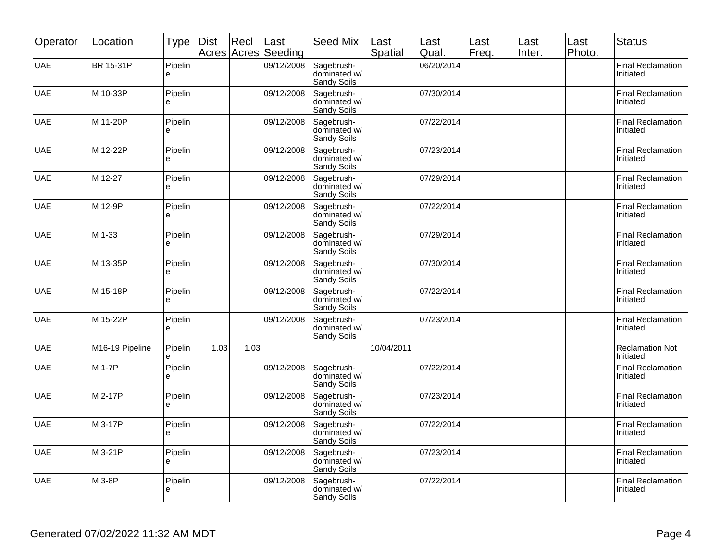| Operator   | Location        | Type         | <b>Dist</b> | Recl<br>Acres Acres | Last<br>Seeding | <b>Seed Mix</b>                           | Last<br>Spatial | Last<br>Qual. | Last<br>Freq. | Last<br>Inter. | Last<br>Photo. | <b>Status</b>                         |
|------------|-----------------|--------------|-------------|---------------------|-----------------|-------------------------------------------|-----------------|---------------|---------------|----------------|----------------|---------------------------------------|
| <b>UAE</b> | BR 15-31P       | Pipelin<br>e |             |                     | 09/12/2008      | Sagebrush-<br>dominated w/<br>Sandy Soils |                 | 06/20/2014    |               |                |                | <b>Final Reclamation</b><br>Initiated |
| <b>UAE</b> | M 10-33P        | Pipelin<br>e |             |                     | 09/12/2008      | Sagebrush-<br>dominated w/<br>Sandy Soils |                 | 07/30/2014    |               |                |                | Final Reclamation<br>Initiated        |
| <b>UAE</b> | M 11-20P        | Pipelin<br>è |             |                     | 09/12/2008      | Sagebrush-<br>dominated w/<br>Sandy Soils |                 | 07/22/2014    |               |                |                | <b>Final Reclamation</b><br>Initiated |
| <b>UAE</b> | M 12-22P        | Pipelin<br>e |             |                     | 09/12/2008      | Sagebrush-<br>dominated w/<br>Sandy Soils |                 | 07/23/2014    |               |                |                | Final Reclamation<br>Initiated        |
| <b>UAE</b> | M 12-27         | Pipelin<br>è |             |                     | 09/12/2008      | Sagebrush-<br>dominated w/<br>Sandy Soils |                 | 07/29/2014    |               |                |                | Final Reclamation<br>Initiated        |
| <b>UAE</b> | M 12-9P         | Pipelin<br>e |             |                     | 09/12/2008      | Sagebrush-<br>dominated w/<br>Sandy Soils |                 | 07/22/2014    |               |                |                | Final Reclamation<br>Initiated        |
| <b>UAE</b> | M 1-33          | Pipelin<br>ė |             |                     | 09/12/2008      | Sagebrush-<br>dominated w/<br>Sandy Soils |                 | 07/29/2014    |               |                |                | Final Reclamation<br>Initiated        |
| <b>UAE</b> | M 13-35P        | Pipelin<br>e |             |                     | 09/12/2008      | Sagebrush-<br>dominated w/<br>Sandy Soils |                 | 07/30/2014    |               |                |                | Final Reclamation<br>Initiated        |
| <b>UAE</b> | M 15-18P        | Pipelin<br>è |             |                     | 09/12/2008      | Sagebrush-<br>dominated w/<br>Sandy Soils |                 | 07/22/2014    |               |                |                | <b>Final Reclamation</b><br>Initiated |
| <b>UAE</b> | M 15-22P        | Pipelin<br>e |             |                     | 09/12/2008      | Sagebrush-<br>dominated w/<br>Sandy Soils |                 | 07/23/2014    |               |                |                | <b>Final Reclamation</b><br>Initiated |
| <b>UAE</b> | M16-19 Pipeline | Pipelin<br>è | 1.03        | 1.03                |                 |                                           | 10/04/2011      |               |               |                |                | <b>Reclamation Not</b><br>Initiated   |
| <b>UAE</b> | M 1-7P          | Pipelin<br>e |             |                     | 09/12/2008      | Sagebrush-<br>dominated w/<br>Sandy Soils |                 | 07/22/2014    |               |                |                | <b>Final Reclamation</b><br>Initiated |
| <b>UAE</b> | M 2-17P         | Pipelin<br>e |             |                     | 09/12/2008      | Sagebrush-<br>dominated w/<br>Sandy Soils |                 | 07/23/2014    |               |                |                | Final Reclamation<br>Initiated        |
| <b>UAE</b> | M 3-17P         | Pipelin<br>е |             |                     | 09/12/2008      | Sagebrush-<br>dominated w/<br>Sandy Soils |                 | 07/22/2014    |               |                |                | Final Reclamation<br>Initiated        |
| <b>UAE</b> | M 3-21P         | Pipelin<br>e |             |                     | 09/12/2008      | Sagebrush-<br>dominated w/<br>Sandy Soils |                 | 07/23/2014    |               |                |                | Final Reclamation<br>Initiated        |
| <b>UAE</b> | M 3-8P          | Pipelin<br>e |             |                     | 09/12/2008      | Sagebrush-<br>dominated w/<br>Sandy Soils |                 | 07/22/2014    |               |                |                | Final Reclamation<br>Initiated        |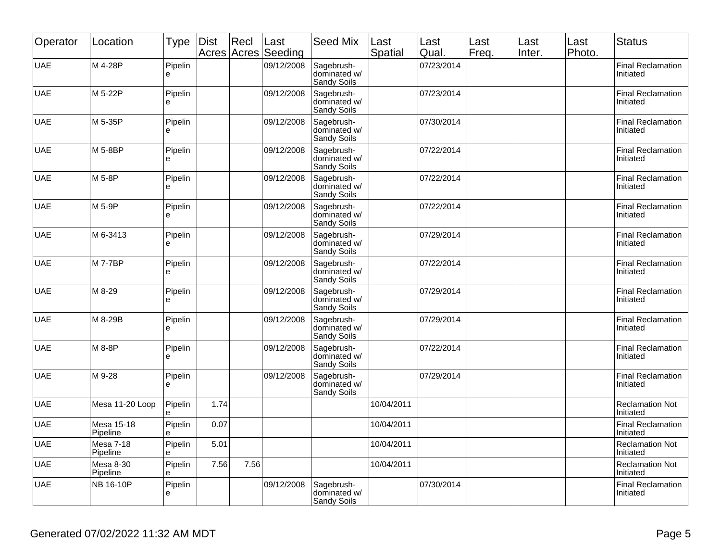| Operator   | Location                     | Type         | <b>Dist</b> | Recl<br>Acres Acres | Last<br>Seeding | <b>Seed Mix</b>                           | Last<br>Spatial | Last<br>Qual. | Last<br>Freq. | Last<br>Inter. | Last<br>Photo. | <b>Status</b>                         |
|------------|------------------------------|--------------|-------------|---------------------|-----------------|-------------------------------------------|-----------------|---------------|---------------|----------------|----------------|---------------------------------------|
| <b>UAE</b> | M 4-28P                      | Pipelin<br>è |             |                     | 09/12/2008      | Sagebrush-<br>dominated w/<br>Sandy Soils |                 | 07/23/2014    |               |                |                | Final Reclamation<br>Initiated        |
| <b>UAE</b> | M 5-22P                      | Pipelin<br>e |             |                     | 09/12/2008      | Sagebrush-<br>dominated w/<br>Sandy Soils |                 | 07/23/2014    |               |                |                | Final Reclamation<br>Initiated        |
| <b>UAE</b> | M 5-35P                      | Pipelin<br>e |             |                     | 09/12/2008      | Sagebrush-<br>dominated w/<br>Sandy Soils |                 | 07/30/2014    |               |                |                | Final Reclamation<br>Initiated        |
| <b>UAE</b> | M 5-8BP                      | Pipelin<br>e |             |                     | 09/12/2008      | Sagebrush-<br>dominated w/<br>Sandy Soils |                 | 07/22/2014    |               |                |                | <b>Final Reclamation</b><br>Initiated |
| <b>UAE</b> | M 5-8P                       | Pipelin<br>ė |             |                     | 09/12/2008      | Sagebrush-<br>dominated w/<br>Sandy Soils |                 | 07/22/2014    |               |                |                | Final Reclamation<br>Initiated        |
| <b>UAE</b> | M 5-9P                       | Pipelin<br>è |             |                     | 09/12/2008      | Sagebrush-<br>dominated w/<br>Sandy Soils |                 | 07/22/2014    |               |                |                | Final Reclamation<br>Initiated        |
| <b>UAE</b> | M 6-3413                     | Pipelin<br>e |             |                     | 09/12/2008      | Sagebrush-<br>dominated w/<br>Sandy Soils |                 | 07/29/2014    |               |                |                | Final Reclamation<br>Initiated        |
| <b>UAE</b> | <b>M7-7BP</b>                | Pipelin<br>e |             |                     | 09/12/2008      | Sagebrush-<br>dominated w/<br>Sandy Soils |                 | 07/22/2014    |               |                |                | Final Reclamation<br>Initiated        |
| <b>UAE</b> | M 8-29                       | Pipelin<br>e |             |                     | 09/12/2008      | Sagebrush-<br>dominated w/<br>Sandy Soils |                 | 07/29/2014    |               |                |                | Final Reclamation<br>Initiated        |
| <b>UAE</b> | M 8-29B                      | Pipelin<br>è |             |                     | 09/12/2008      | Sagebrush-<br>dominated w/<br>Sandy Soils |                 | 07/29/2014    |               |                |                | Final Reclamation<br>Initiated        |
| <b>UAE</b> | M 8-8P                       | Pipelin<br>e |             |                     | 09/12/2008      | Sagebrush-<br>dominated w/<br>Sandy Soils |                 | 07/22/2014    |               |                |                | <b>Final Reclamation</b><br>Initiated |
| <b>UAE</b> | M 9-28                       | Pipelin<br>è |             |                     | 09/12/2008      | Sagebrush-<br>dominated w/<br>Sandy Soils |                 | 07/29/2014    |               |                |                | <b>Final Reclamation</b><br>Initiated |
| <b>UAE</b> | Mesa 11-20 Loop              | Pipelin<br>е | 1.74        |                     |                 |                                           | 10/04/2011      |               |               |                |                | <b>Reclamation Not</b><br>Initiated   |
| <b>UAE</b> | Mesa 15-18<br>Pipeline       | Pipelin<br>e | 0.07        |                     |                 |                                           | 10/04/2011      |               |               |                |                | <b>Final Reclamation</b><br>Initiated |
| <b>UAE</b> | <b>Mesa 7-18</b><br>Pipeline | Pipelin<br>è | 5.01        |                     |                 |                                           | 10/04/2011      |               |               |                |                | <b>Reclamation Not</b><br>Initiated   |
| <b>UAE</b> | Mesa 8-30<br>Pipeline        | Pipelin<br>ė | 7.56        | 7.56                |                 |                                           | 10/04/2011      |               |               |                |                | <b>Reclamation Not</b><br>Initiated   |
| <b>UAE</b> | NB 16-10P                    | Pipelin<br>è |             |                     | 09/12/2008      | Sagebrush-<br>dominated w/<br>Sandy Soils |                 | 07/30/2014    |               |                |                | <b>Final Reclamation</b><br>Initiated |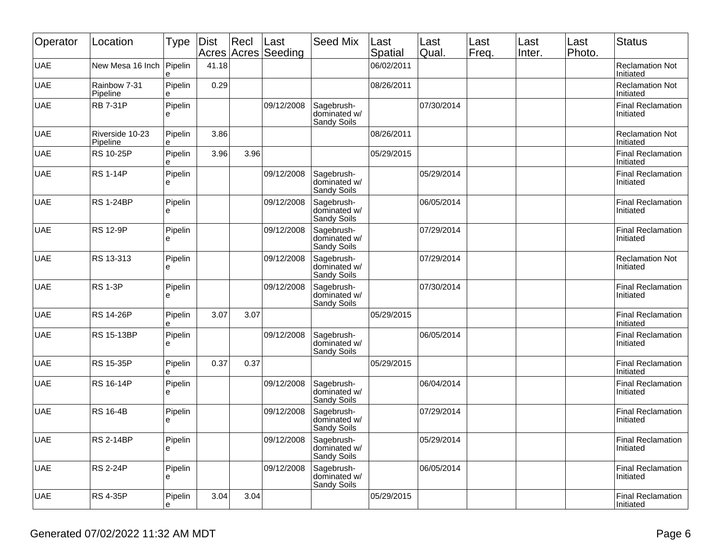| Operator   | Location                    | Type         | <b>Dist</b><br>Acres | Recl | Last<br>Acres Seeding | <b>Seed Mix</b>                           | Last<br>Spatial | Last<br>Qual. | Last<br>Freq. | Last<br>Inter. | Last<br>Photo. | <b>Status</b>                         |
|------------|-----------------------------|--------------|----------------------|------|-----------------------|-------------------------------------------|-----------------|---------------|---------------|----------------|----------------|---------------------------------------|
| <b>UAE</b> | New Mesa 16 Inch            | Pipelin<br>e | 41.18                |      |                       |                                           | 06/02/2011      |               |               |                |                | <b>Reclamation Not</b><br>Initiated   |
| <b>UAE</b> | Rainbow 7-31<br>Pipeline    | Pipelin<br>è | 0.29                 |      |                       |                                           | 08/26/2011      |               |               |                |                | <b>Reclamation Not</b><br>Initiated   |
| <b>UAE</b> | <b>RB 7-31P</b>             | Pipelin<br>e |                      |      | 09/12/2008            | Sagebrush-<br>dominated w/<br>Sandy Soils |                 | 07/30/2014    |               |                |                | <b>Final Reclamation</b><br>Initiated |
| <b>UAE</b> | Riverside 10-23<br>Pipeline | Pipelin<br>e | 3.86                 |      |                       |                                           | 08/26/2011      |               |               |                |                | <b>Reclamation Not</b><br>Initiated   |
| <b>UAE</b> | <b>RS 10-25P</b>            | Pipelin<br>ė | 3.96                 | 3.96 |                       |                                           | 05/29/2015      |               |               |                |                | <b>Final Reclamation</b><br>Initiated |
| <b>UAE</b> | <b>RS 1-14P</b>             | Pipelin<br>è |                      |      | 09/12/2008            | Sagebrush-<br>dominated w/<br>Sandy Soils |                 | 05/29/2014    |               |                |                | <b>Final Reclamation</b><br>Initiated |
| <b>UAE</b> | <b>RS 1-24BP</b>            | Pipelin<br>e |                      |      | 09/12/2008            | Sagebrush-<br>dominated w/<br>Sandy Soils |                 | 06/05/2014    |               |                |                | <b>Final Reclamation</b><br>Initiated |
| <b>UAE</b> | <b>RS 12-9P</b>             | Pipelin<br>ė |                      |      | 09/12/2008            | Sagebrush-<br>dominated w/<br>Sandy Soils |                 | 07/29/2014    |               |                |                | <b>Final Reclamation</b><br>Initiated |
| <b>UAE</b> | RS 13-313                   | Pipelin<br>è |                      |      | 09/12/2008            | Sagebrush-<br>dominated w/<br>Sandy Soils |                 | 07/29/2014    |               |                |                | <b>Reclamation Not</b><br>Initiated   |
| <b>UAE</b> | <b>RS 1-3P</b>              | Pipelin<br>e |                      |      | 09/12/2008            | Sagebrush-<br>dominated w/<br>Sandy Soils |                 | 07/30/2014    |               |                |                | <b>Final Reclamation</b><br>Initiated |
| <b>UAE</b> | <b>RS 14-26P</b>            | Pipelin<br>e | 3.07                 | 3.07 |                       |                                           | 05/29/2015      |               |               |                |                | <b>Final Reclamation</b><br>Initiated |
| <b>UAE</b> | RS 15-13BP                  | Pipelin<br>è |                      |      | 09/12/2008            | Sagebrush-<br>dominated w/<br>Sandy Soils |                 | 06/05/2014    |               |                |                | <b>Final Reclamation</b><br>Initiated |
| <b>UAE</b> | <b>RS 15-35P</b>            | Pipelin<br>è | 0.37                 | 0.37 |                       |                                           | 05/29/2015      |               |               |                |                | <b>Final Reclamation</b><br>Initiated |
| <b>UAE</b> | RS 16-14P                   | Pipelin<br>è |                      |      | 09/12/2008            | Sagebrush-<br>dominated w/<br>Sandy Soils |                 | 06/04/2014    |               |                |                | <b>Final Reclamation</b><br>Initiated |
| <b>UAE</b> | <b>RS 16-4B</b>             | Pipelin<br>e |                      |      | 09/12/2008            | Sagebrush-<br>dominated w/<br>Sandy Soils |                 | 07/29/2014    |               |                |                | <b>Final Reclamation</b><br>Initiated |
| <b>UAE</b> | <b>RS 2-14BP</b>            | Pipelin<br>e |                      |      | 09/12/2008            | Sagebrush-<br>dominated w/<br>Sandy Soils |                 | 05/29/2014    |               |                |                | <b>Final Reclamation</b><br>Initiated |
| <b>UAE</b> | <b>RS 2-24P</b>             | Pipelin<br>e |                      |      | 09/12/2008            | Sagebrush-<br>dominated w/<br>Sandy Soils |                 | 06/05/2014    |               |                |                | <b>Final Reclamation</b><br>Initiated |
| <b>UAE</b> | <b>RS 4-35P</b>             | Pipelin<br>е | 3.04                 | 3.04 |                       |                                           | 05/29/2015      |               |               |                |                | <b>Final Reclamation</b><br>Initiated |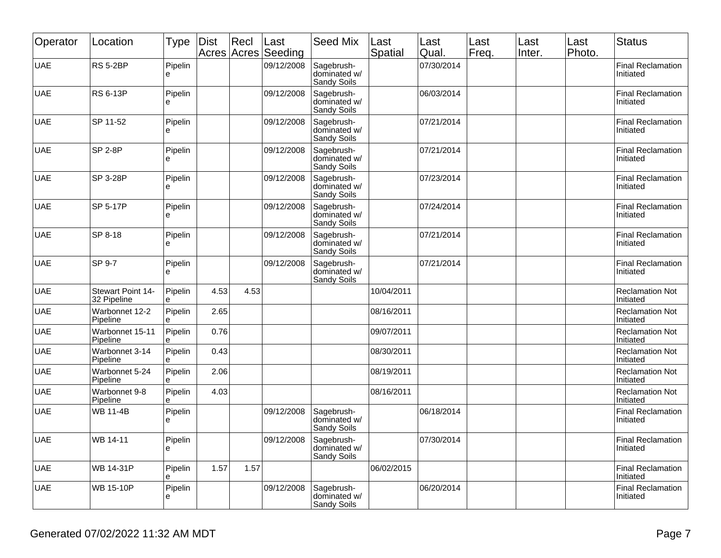| Operator   | Location                         | Type         | Dist<br>Acres | Recl<br>Acres | Last<br>Seeding | <b>Seed Mix</b>                                  | Last<br><b>Spatial</b> | Last<br>Qual. | Last<br>Freq. | Last<br>Inter. | Last<br>Photo. | <b>Status</b>                         |
|------------|----------------------------------|--------------|---------------|---------------|-----------------|--------------------------------------------------|------------------------|---------------|---------------|----------------|----------------|---------------------------------------|
| <b>UAE</b> | <b>RS 5-2BP</b>                  | Pipelin<br>e |               |               | 09/12/2008      | Sagebrush-<br>dominated w/<br>Sandy Soils        |                        | 07/30/2014    |               |                |                | <b>Final Reclamation</b><br>Initiated |
| <b>UAE</b> | <b>RS 6-13P</b>                  | Pipelin<br>e |               |               | 09/12/2008      | Sagebrush-<br>dominated w/<br>Sandy Soils        |                        | 06/03/2014    |               |                |                | <b>Final Reclamation</b><br>Initiated |
| <b>UAE</b> | SP 11-52                         | Pipelin<br>e |               |               | 09/12/2008      | Sagebrush-<br>dominated w/<br>Sandy Soils        |                        | 07/21/2014    |               |                |                | <b>Final Reclamation</b><br>Initiated |
| <b>UAE</b> | <b>SP 2-8P</b>                   | Pipelin<br>е |               |               | 09/12/2008      | Sagebrush-<br>dominated w/<br>Sandy Soils        |                        | 07/21/2014    |               |                |                | <b>Final Reclamation</b><br>Initiated |
| <b>UAE</b> | SP 3-28P                         | Pipelin<br>e |               |               | 09/12/2008      | Sagebrush-<br>dominated w/<br>Sandy Soils        |                        | 07/23/2014    |               |                |                | <b>Final Reclamation</b><br>Initiated |
| <b>UAE</b> | SP 5-17P                         | Pipelin<br>e |               |               | 09/12/2008      | Sagebrush-<br>dominated w/<br>Sandy Soils        |                        | 07/24/2014    |               |                |                | <b>Final Reclamation</b><br>Initiated |
| <b>UAE</b> | SP 8-18                          | Pipelin<br>e |               |               | 09/12/2008      | Sagebrush-<br>dominated w/<br>Sandy Soils        |                        | 07/21/2014    |               |                |                | <b>Final Reclamation</b><br>Initiated |
| <b>UAE</b> | SP 9-7                           | Pipelin<br>e |               |               | 09/12/2008      | Sagebrush-<br>dominated w/<br>Sandy Soils        |                        | 07/21/2014    |               |                |                | <b>Final Reclamation</b><br>Initiated |
| <b>UAE</b> | Stewart Point 14-<br>32 Pipeline | Pipelin<br>e | 4.53          | 4.53          |                 |                                                  | 10/04/2011             |               |               |                |                | <b>Reclamation Not</b><br>Initiated   |
| <b>UAE</b> | Warbonnet 12-2<br>Pipeline       | Pipelin<br>e | 2.65          |               |                 |                                                  | 08/16/2011             |               |               |                |                | <b>Reclamation Not</b><br>Initiated   |
| <b>UAE</b> | Warbonnet 15-11<br>Pipeline      | Pipelin<br>è | 0.76          |               |                 |                                                  | 09/07/2011             |               |               |                |                | <b>Reclamation Not</b><br>Initiated   |
| <b>UAE</b> | Warbonnet 3-14<br>Pipeline       | Pipelin<br>e | 0.43          |               |                 |                                                  | 08/30/2011             |               |               |                |                | <b>Reclamation Not</b><br>Initiated   |
| <b>UAE</b> | Warbonnet 5-24<br>Pipeline       | Pipelin<br>e | 2.06          |               |                 |                                                  | 08/19/2011             |               |               |                |                | <b>Reclamation Not</b><br>Initiated   |
| <b>UAE</b> | Warbonnet 9-8<br>Pipeline        | Pipelin<br>è | 4.03          |               |                 |                                                  | 08/16/2011             |               |               |                |                | <b>Reclamation Not</b><br>Initiated   |
| <b>UAE</b> | <b>WB 11-4B</b>                  | Pipelin<br>e |               |               | 09/12/2008      | Sagebrush-<br>dominated w/<br>Sandy Soils        |                        | 06/18/2014    |               |                |                | <b>Final Reclamation</b><br>Initiated |
| <b>UAE</b> | WB 14-11                         | Pipelin<br>е |               |               | 09/12/2008      | Sagebrush-<br>dominated w/<br><b>Sandy Soils</b> |                        | 07/30/2014    |               |                |                | Final Reclamation<br>Initiated        |
| <b>UAE</b> | WB 14-31P                        | Pipelin<br>е | 1.57          | 1.57          |                 |                                                  | 06/02/2015             |               |               |                |                | <b>Final Reclamation</b><br>Initiated |
| <b>UAE</b> | <b>WB 15-10P</b>                 | Pipelin<br>e |               |               | 09/12/2008      | Sagebrush-<br>dominated w/<br>Sandy Soils        |                        | 06/20/2014    |               |                |                | <b>Final Reclamation</b><br>Initiated |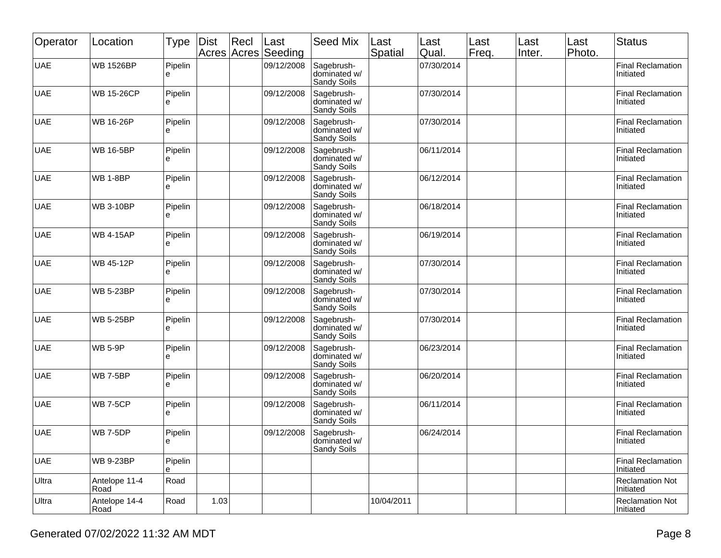| Operator   | Location              | Type         | Dist | Recl<br>Acres Acres | Last<br>Seeding | <b>Seed Mix</b>                           | Last<br>Spatial | Last<br>Qual. | Last<br>Freq. | Last<br>Inter. | Last<br>Photo. | <b>Status</b>                         |
|------------|-----------------------|--------------|------|---------------------|-----------------|-------------------------------------------|-----------------|---------------|---------------|----------------|----------------|---------------------------------------|
| <b>UAE</b> | <b>WB 1526BP</b>      | Pipelin<br>e |      |                     | 09/12/2008      | Sagebrush-<br>dominated w/<br>Sandy Soils |                 | 07/30/2014    |               |                |                | <b>Final Reclamation</b><br>Initiated |
| <b>UAE</b> | <b>WB 15-26CP</b>     | Pipelin<br>e |      |                     | 09/12/2008      | Sagebrush-<br>dominated w/<br>Sandy Soils |                 | 07/30/2014    |               |                |                | <b>Final Reclamation</b><br>Initiated |
| <b>UAE</b> | <b>WB 16-26P</b>      | Pipelin<br>e |      |                     | 09/12/2008      | Sagebrush-<br>dominated w/<br>Sandy Soils |                 | 07/30/2014    |               |                |                | <b>Final Reclamation</b><br>Initiated |
| <b>UAE</b> | <b>WB 16-5BP</b>      | Pipelin<br>е |      |                     | 09/12/2008      | Sagebrush-<br>dominated w/<br>Sandy Soils |                 | 06/11/2014    |               |                |                | <b>Final Reclamation</b><br>Initiated |
| <b>UAE</b> | <b>WB 1-8BP</b>       | Pipelin<br>e |      |                     | 09/12/2008      | Sagebrush-<br>dominated w/<br>Sandy Soils |                 | 06/12/2014    |               |                |                | <b>Final Reclamation</b><br>Initiated |
| <b>UAE</b> | <b>WB 3-10BP</b>      | Pipelin<br>e |      |                     | 09/12/2008      | Sagebrush-<br>dominated w/<br>Sandy Soils |                 | 06/18/2014    |               |                |                | <b>Final Reclamation</b><br>Initiated |
| <b>UAE</b> | <b>WB 4-15AP</b>      | Pipelin<br>е |      |                     | 09/12/2008      | Sagebrush-<br>dominated w/<br>Sandy Soils |                 | 06/19/2014    |               |                |                | <b>Final Reclamation</b><br>Initiated |
| <b>UAE</b> | <b>WB 45-12P</b>      | Pipelin<br>e |      |                     | 09/12/2008      | Sagebrush-<br>dominated w/<br>Sandy Soils |                 | 07/30/2014    |               |                |                | <b>Final Reclamation</b><br>Initiated |
| <b>UAE</b> | <b>WB 5-23BP</b>      | Pipelin<br>е |      |                     | 09/12/2008      | Sagebrush-<br>dominated w/<br>Sandy Soils |                 | 07/30/2014    |               |                |                | <b>Final Reclamation</b><br>Initiated |
| <b>UAE</b> | <b>WB 5-25BP</b>      | Pipelin<br>e |      |                     | 09/12/2008      | Sagebrush-<br>dominated w/<br>Sandy Soils |                 | 07/30/2014    |               |                |                | <b>Final Reclamation</b><br>Initiated |
| <b>UAE</b> | <b>WB 5-9P</b>        | Pipelin<br>e |      |                     | 09/12/2008      | Sagebrush-<br>dominated w/<br>Sandy Soils |                 | 06/23/2014    |               |                |                | <b>Final Reclamation</b><br>Initiated |
| <b>UAE</b> | <b>WB 7-5BP</b>       | Pipelin<br>е |      |                     | 09/12/2008      | Sagebrush-<br>dominated w/<br>Sandy Soils |                 | 06/20/2014    |               |                |                | <b>Final Reclamation</b><br>Initiated |
| <b>UAE</b> | <b>WB 7-5CP</b>       | Pipelin<br>e |      |                     | 09/12/2008      | Sagebrush-<br>dominated w/<br>Sandy Soils |                 | 06/11/2014    |               |                |                | <b>Final Reclamation</b><br>Initiated |
| <b>UAE</b> | <b>WB 7-5DP</b>       | Pipelin<br>႕ |      |                     | 09/12/2008      | Sagebrush-<br>dominated w/<br>Sandy Soils |                 | 06/24/2014    |               |                |                | <b>Final Reclamation</b><br>Initiated |
| <b>UAE</b> | <b>WB 9-23BP</b>      | Pipelin<br>е |      |                     |                 |                                           |                 |               |               |                |                | <b>Final Reclamation</b><br>Initiated |
| Ultra      | Antelope 11-4<br>Road | Road         |      |                     |                 |                                           |                 |               |               |                |                | <b>Reclamation Not</b><br>Initiated   |
| Ultra      | Antelope 14-4<br>Road | Road         | 1.03 |                     |                 |                                           | 10/04/2011      |               |               |                |                | <b>Reclamation Not</b><br>Initiated   |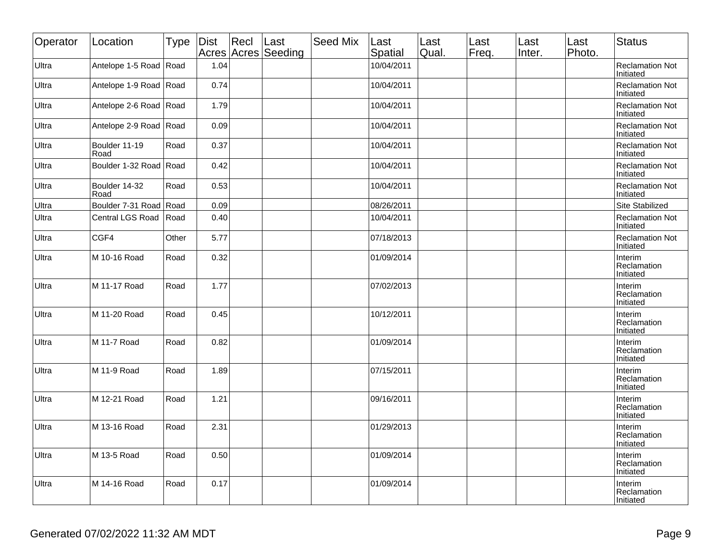| Operator | Location               | Type  | Dist | Recl | Last<br>Acres Acres Seeding | Seed Mix | Last<br>Spatial | Last<br>Qual. | Last<br>Freq. | Last<br>Inter. | Last<br>Photo. | <b>Status</b>                              |
|----------|------------------------|-------|------|------|-----------------------------|----------|-----------------|---------------|---------------|----------------|----------------|--------------------------------------------|
| Ultra    | Antelope 1-5 Road Road |       | 1.04 |      |                             |          | 10/04/2011      |               |               |                |                | <b>Reclamation Not</b><br>Initiated        |
| Ultra    | Antelope 1-9 Road Road |       | 0.74 |      |                             |          | 10/04/2011      |               |               |                |                | <b>Reclamation Not</b><br>Initiated        |
| Ultra    | Antelope 2-6 Road Road |       | 1.79 |      |                             |          | 10/04/2011      |               |               |                |                | <b>Reclamation Not</b><br>Initiated        |
| Ultra    | Antelope 2-9 Road Road |       | 0.09 |      |                             |          | 10/04/2011      |               |               |                |                | <b>Reclamation Not</b><br>Initiated        |
| Ultra    | Boulder 11-19<br>Road  | Road  | 0.37 |      |                             |          | 10/04/2011      |               |               |                |                | <b>Reclamation Not</b><br>Initiated        |
| Ultra    | Boulder 1-32 Road Road |       | 0.42 |      |                             |          | 10/04/2011      |               |               |                |                | <b>Reclamation Not</b><br>Initiated        |
| Ultra    | Boulder 14-32<br>Road  | Road  | 0.53 |      |                             |          | 10/04/2011      |               |               |                |                | <b>Reclamation Not</b><br>Initiated        |
| Ultra    | Boulder 7-31 Road Road |       | 0.09 |      |                             |          | 08/26/2011      |               |               |                |                | Site Stabilized                            |
| Ultra    | Central LGS Road       | Road  | 0.40 |      |                             |          | 10/04/2011      |               |               |                |                | <b>Reclamation Not</b><br>Initiated        |
| Ultra    | CGF4                   | Other | 5.77 |      |                             |          | 07/18/2013      |               |               |                |                | <b>Reclamation Not</b><br>Initiated        |
| Ultra    | M 10-16 Road           | Road  | 0.32 |      |                             |          | 01/09/2014      |               |               |                |                | Interim<br>Reclamation<br>Initiated        |
| Ultra    | M 11-17 Road           | Road  | 1.77 |      |                             |          | 07/02/2013      |               |               |                |                | Interim<br>Reclamation<br>Initiated        |
| Ultra    | M 11-20 Road           | Road  | 0.45 |      |                             |          | 10/12/2011      |               |               |                |                | <b>Interim</b><br>Reclamation<br>Initiated |
| Ultra    | M 11-7 Road            | Road  | 0.82 |      |                             |          | 01/09/2014      |               |               |                |                | Interim<br>Reclamation<br>Initiated        |
| Ultra    | M 11-9 Road            | Road  | 1.89 |      |                             |          | 07/15/2011      |               |               |                |                | Interim<br>Reclamation<br>Initiated        |
| Ultra    | M 12-21 Road           | Road  | 1.21 |      |                             |          | 09/16/2011      |               |               |                |                | Interim<br>Reclamation<br>Initiated        |
| Ultra    | M 13-16 Road           | Road  | 2.31 |      |                             |          | 01/29/2013      |               |               |                |                | Interim<br>Reclamation<br>Initiated        |
| Ultra    | M 13-5 Road            | Road  | 0.50 |      |                             |          | 01/09/2014      |               |               |                |                | Interim<br>Reclamation<br>Initiated        |
| Ultra    | M 14-16 Road           | Road  | 0.17 |      |                             |          | 01/09/2014      |               |               |                |                | Interim<br>Reclamation<br>Initiated        |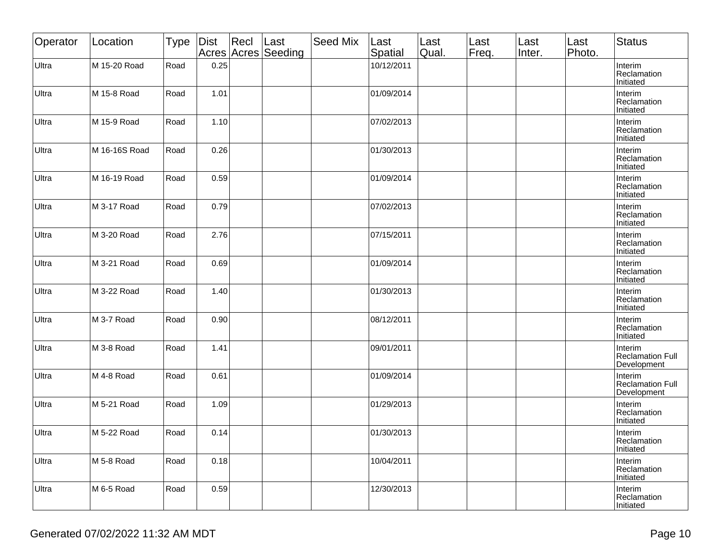| Operator | Location      | <b>Type</b> | Dist | Recl | Last<br>Acres Acres Seeding | <b>Seed Mix</b> | Last<br>Spatial | Last<br>Qual. | Last<br>Freq. | Last<br>Inter. | Last<br>Photo. | <b>Status</b>                                     |
|----------|---------------|-------------|------|------|-----------------------------|-----------------|-----------------|---------------|---------------|----------------|----------------|---------------------------------------------------|
| Ultra    | M 15-20 Road  | Road        | 0.25 |      |                             |                 | 10/12/2011      |               |               |                |                | Interim<br>Reclamation<br>Initiated               |
| Ultra    | M 15-8 Road   | Road        | 1.01 |      |                             |                 | 01/09/2014      |               |               |                |                | Interim<br>Reclamation<br>Initiated               |
| Ultra    | M 15-9 Road   | Road        | 1.10 |      |                             |                 | 07/02/2013      |               |               |                |                | Interim<br>Reclamation<br>Initiated               |
| Ultra    | M 16-16S Road | Road        | 0.26 |      |                             |                 | 01/30/2013      |               |               |                |                | Interim<br>Reclamation<br>Initiated               |
| Ultra    | M 16-19 Road  | Road        | 0.59 |      |                             |                 | 01/09/2014      |               |               |                |                | Interim<br>Reclamation<br>Initiated               |
| Ultra    | M 3-17 Road   | Road        | 0.79 |      |                             |                 | 07/02/2013      |               |               |                |                | Interim<br>Reclamation<br>Initiated               |
| Ultra    | M 3-20 Road   | Road        | 2.76 |      |                             |                 | 07/15/2011      |               |               |                |                | Interim<br>Reclamation<br>Initiated               |
| Ultra    | M 3-21 Road   | Road        | 0.69 |      |                             |                 | 01/09/2014      |               |               |                |                | Interim<br>Reclamation<br>Initiated               |
| Ultra    | M 3-22 Road   | Road        | 1.40 |      |                             |                 | 01/30/2013      |               |               |                |                | Interim<br>Reclamation<br>Initiated               |
| Ultra    | M 3-7 Road    | Road        | 0.90 |      |                             |                 | 08/12/2011      |               |               |                |                | Interim<br>Reclamation<br>Initiated               |
| Ultra    | M 3-8 Road    | Road        | 1.41 |      |                             |                 | 09/01/2011      |               |               |                |                | Interim<br>Reclamation Full<br>Development        |
| Ultra    | M 4-8 Road    | Road        | 0.61 |      |                             |                 | 01/09/2014      |               |               |                |                | Interim<br><b>Reclamation Full</b><br>Development |
| Ultra    | M 5-21 Road   | Road        | 1.09 |      |                             |                 | 01/29/2013      |               |               |                |                | Interim<br>Reclamation<br>Initiated               |
| Ultra    | M 5-22 Road   | Road        | 0.14 |      |                             |                 | 01/30/2013      |               |               |                |                | Interim<br>Reclamation<br>Initiated               |
| Ultra    | M 5-8 Road    | Road        | 0.18 |      |                             |                 | 10/04/2011      |               |               |                |                | Interim<br>Reclamation<br>Initiated               |
| Ultra    | M 6-5 Road    | Road        | 0.59 |      |                             |                 | 12/30/2013      |               |               |                |                | Interim<br>Reclamation<br>Initiated               |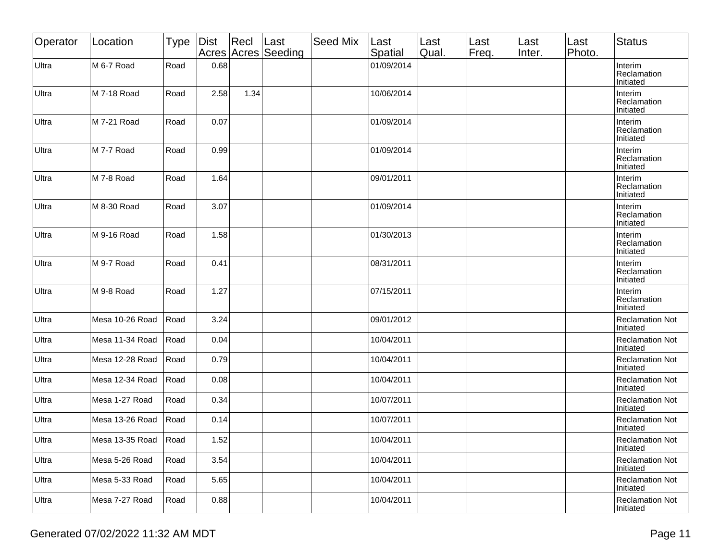| Operator | Location             | <b>Type</b> | Dist | Recl | Last<br>Acres Acres Seeding | Seed Mix | Last<br>Spatial | Last<br>Qual. | Last<br>Freq. | Last<br>Inter. | Last<br>Photo. | <b>Status</b>                       |
|----------|----------------------|-------------|------|------|-----------------------------|----------|-----------------|---------------|---------------|----------------|----------------|-------------------------------------|
| Ultra    | M 6-7 Road           | Road        | 0.68 |      |                             |          | 01/09/2014      |               |               |                |                | Interim<br>Reclamation<br>Initiated |
| Ultra    | M 7-18 Road          | Road        | 2.58 | 1.34 |                             |          | 10/06/2014      |               |               |                |                | Interim<br>Reclamation<br>Initiated |
| Ultra    | M 7-21 Road          | Road        | 0.07 |      |                             |          | 01/09/2014      |               |               |                |                | Interim<br>Reclamation<br>Initiated |
| Ultra    | M 7-7 Road           | Road        | 0.99 |      |                             |          | 01/09/2014      |               |               |                |                | Interim<br>Reclamation<br>Initiated |
| Ultra    | M 7-8 Road           | Road        | 1.64 |      |                             |          | 09/01/2011      |               |               |                |                | Interim<br>Reclamation<br>Initiated |
| Ultra    | M 8-30 Road          | Road        | 3.07 |      |                             |          | 01/09/2014      |               |               |                |                | Interim<br>Reclamation<br>Initiated |
| Ultra    | M 9-16 Road          | Road        | 1.58 |      |                             |          | 01/30/2013      |               |               |                |                | Interim<br>Reclamation<br>Initiated |
| Ultra    | M 9-7 Road           | Road        | 0.41 |      |                             |          | 08/31/2011      |               |               |                |                | Interim<br>Reclamation<br>Initiated |
| Ultra    | M 9-8 Road           | Road        | 1.27 |      |                             |          | 07/15/2011      |               |               |                |                | Interim<br>Reclamation<br>Initiated |
| Ultra    | Mesa 10-26 Road      | Road        | 3.24 |      |                             |          | 09/01/2012      |               |               |                |                | <b>Reclamation Not</b><br>Initiated |
| Ultra    | Mesa 11-34 Road      | Road        | 0.04 |      |                             |          | 10/04/2011      |               |               |                |                | <b>Reclamation Not</b><br>Initiated |
| Ultra    | Mesa 12-28 Road      | Road        | 0.79 |      |                             |          | 10/04/2011      |               |               |                |                | <b>Reclamation Not</b><br>Initiated |
| Ultra    | Mesa 12-34 Road      | Road        | 0.08 |      |                             |          | 10/04/2011      |               |               |                |                | <b>Reclamation Not</b><br>Initiated |
| Ultra    | Mesa 1-27 Road       | Road        | 0.34 |      |                             |          | 10/07/2011      |               |               |                |                | <b>Reclamation Not</b><br>Initiated |
| Ultra    | Mesa 13-26 Road      | Road        | 0.14 |      |                             |          | 10/07/2011      |               |               |                |                | <b>Reclamation Not</b><br>Initiated |
| Ultra    | Mesa 13-35 Road Road |             | 1.52 |      |                             |          | 10/04/2011      |               |               |                |                | <b>Reclamation Not</b><br>Initiated |
| Ultra    | Mesa 5-26 Road       | Road        | 3.54 |      |                             |          | 10/04/2011      |               |               |                |                | <b>Reclamation Not</b><br>Initiated |
| Ultra    | Mesa 5-33 Road       | Road        | 5.65 |      |                             |          | 10/04/2011      |               |               |                |                | <b>Reclamation Not</b><br>Initiated |
| Ultra    | Mesa 7-27 Road       | Road        | 0.88 |      |                             |          | 10/04/2011      |               |               |                |                | <b>Reclamation Not</b><br>Initiated |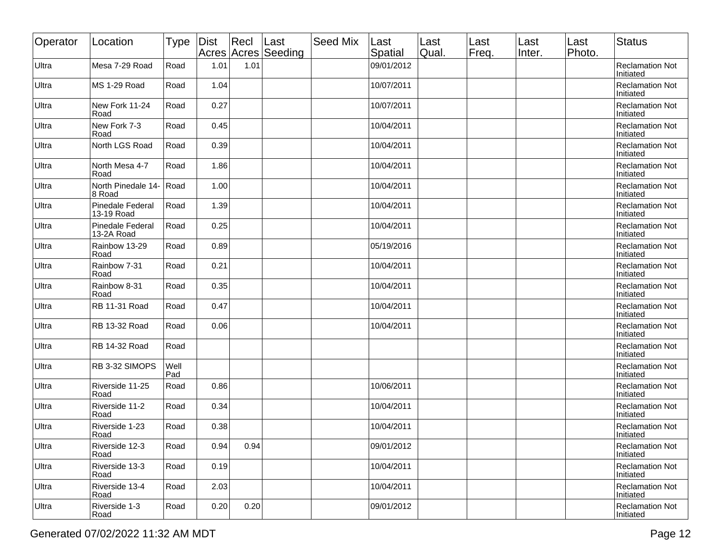| Operator | Location                              | <b>Type</b> | Dist | Rec  | ∣Last<br>Acres Acres Seeding | Seed Mix | Last<br>Spatial | Last<br>Qual. | Last<br>Freq. | Last<br>Inter. | Last<br>Photo. | <b>Status</b>                       |
|----------|---------------------------------------|-------------|------|------|------------------------------|----------|-----------------|---------------|---------------|----------------|----------------|-------------------------------------|
| Ultra    | Mesa 7-29 Road                        | Road        | 1.01 | 1.01 |                              |          | 09/01/2012      |               |               |                |                | <b>Reclamation Not</b><br>Initiated |
| Ultra    | <b>MS 1-29 Road</b>                   | Road        | 1.04 |      |                              |          | 10/07/2011      |               |               |                |                | <b>Reclamation Not</b><br>Initiated |
| Ultra    | New Fork 11-24<br>Road                | Road        | 0.27 |      |                              |          | 10/07/2011      |               |               |                |                | <b>Reclamation Not</b><br>Initiated |
| Ultra    | New Fork 7-3<br>Road                  | Road        | 0.45 |      |                              |          | 10/04/2011      |               |               |                |                | <b>Reclamation Not</b><br>Initiated |
| Ultra    | North LGS Road                        | Road        | 0.39 |      |                              |          | 10/04/2011      |               |               |                |                | <b>Reclamation Not</b><br>Initiated |
| Ultra    | North Mesa 4-7<br>Road                | Road        | 1.86 |      |                              |          | 10/04/2011      |               |               |                |                | <b>Reclamation Not</b><br>Initiated |
| Ultra    | North Pinedale 14-<br>8 Road          | Road        | 1.00 |      |                              |          | 10/04/2011      |               |               |                |                | <b>Reclamation Not</b><br>Initiated |
| Ultra    | <b>Pinedale Federal</b><br>13-19 Road | Road        | 1.39 |      |                              |          | 10/04/2011      |               |               |                |                | <b>Reclamation Not</b><br>Initiated |
| Ultra    | <b>Pinedale Federal</b><br>13-2A Road | Road        | 0.25 |      |                              |          | 10/04/2011      |               |               |                |                | <b>Reclamation Not</b><br>Initiated |
| Ultra    | Rainbow 13-29<br>Road                 | Road        | 0.89 |      |                              |          | 05/19/2016      |               |               |                |                | <b>Reclamation Not</b><br>Initiated |
| Ultra    | Rainbow 7-31<br>Road                  | Road        | 0.21 |      |                              |          | 10/04/2011      |               |               |                |                | <b>Reclamation Not</b><br>Initiated |
| Ultra    | Rainbow 8-31<br>Road                  | Road        | 0.35 |      |                              |          | 10/04/2011      |               |               |                |                | <b>Reclamation Not</b><br>Initiated |
| Ultra    | RB 11-31 Road                         | Road        | 0.47 |      |                              |          | 10/04/2011      |               |               |                |                | <b>Reclamation Not</b><br>Initiated |
| Ultra    | RB 13-32 Road                         | Road        | 0.06 |      |                              |          | 10/04/2011      |               |               |                |                | <b>Reclamation Not</b><br>Initiated |
| Ultra    | RB 14-32 Road                         | Road        |      |      |                              |          |                 |               |               |                |                | <b>Reclamation Not</b><br>Initiated |
| Ultra    | RB 3-32 SIMOPS                        | Well<br>Pad |      |      |                              |          |                 |               |               |                |                | <b>Reclamation Not</b><br>Initiated |
| Ultra    | Riverside 11-25<br>Road               | Road        | 0.86 |      |                              |          | 10/06/2011      |               |               |                |                | <b>Reclamation Not</b><br>Initiated |
| Ultra    | Riverside 11-2<br>Road                | Road        | 0.34 |      |                              |          | 10/04/2011      |               |               |                |                | <b>Reclamation Not</b><br>Initiated |
| Ultra    | Riverside 1-23<br>Road                | Road        | 0.38 |      |                              |          | 10/04/2011      |               |               |                |                | <b>Reclamation Not</b><br>Initiated |
| Ultra    | Riverside 12-3<br>Road                | Road        | 0.94 | 0.94 |                              |          | 09/01/2012      |               |               |                |                | <b>Reclamation Not</b><br>Initiated |
| Ultra    | Riverside 13-3<br>Road                | Road        | 0.19 |      |                              |          | 10/04/2011      |               |               |                |                | <b>Reclamation Not</b><br>Initiated |
| Ultra    | Riverside 13-4<br>Road                | Road        | 2.03 |      |                              |          | 10/04/2011      |               |               |                |                | <b>Reclamation Not</b><br>Initiated |
| Ultra    | Riverside 1-3<br>Road                 | Road        | 0.20 | 0.20 |                              |          | 09/01/2012      |               |               |                |                | <b>Reclamation Not</b><br>Initiated |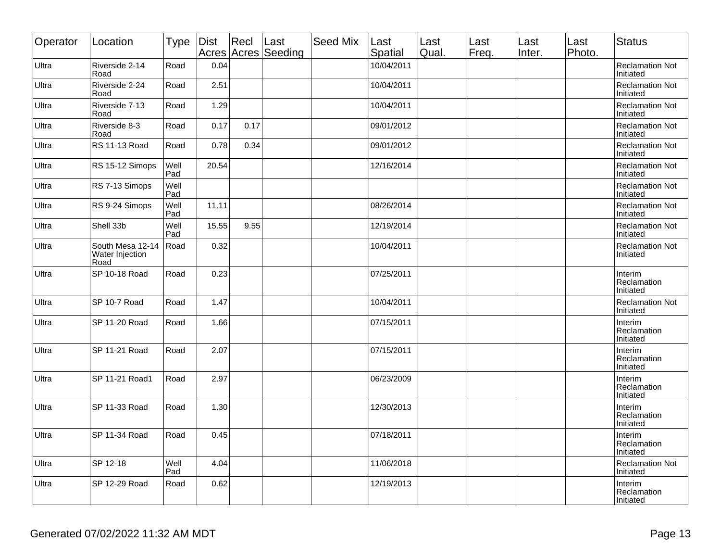| Operator | Location                                         | <b>Type</b> | Dist  | Recl | Last<br>Acres Acres Seeding | Seed Mix | Last<br>Spatial | Last<br>Qual. | Last<br>Freq. | Last<br>Inter. | Last<br>Photo. | <b>Status</b>                       |
|----------|--------------------------------------------------|-------------|-------|------|-----------------------------|----------|-----------------|---------------|---------------|----------------|----------------|-------------------------------------|
| Ultra    | Riverside 2-14<br>Road                           | Road        | 0.04  |      |                             |          | 10/04/2011      |               |               |                |                | <b>Reclamation Not</b><br>Initiated |
| Ultra    | Riverside 2-24<br>Road                           | Road        | 2.51  |      |                             |          | 10/04/2011      |               |               |                |                | <b>Reclamation Not</b><br>Initiated |
| Ultra    | Riverside 7-13<br>Road                           | Road        | 1.29  |      |                             |          | 10/04/2011      |               |               |                |                | <b>Reclamation Not</b><br>Initiated |
| Ultra    | Riverside 8-3<br>Road                            | Road        | 0.17  | 0.17 |                             |          | 09/01/2012      |               |               |                |                | <b>Reclamation Not</b><br>Initiated |
| Ultra    | RS 11-13 Road                                    | Road        | 0.78  | 0.34 |                             |          | 09/01/2012      |               |               |                |                | <b>Reclamation Not</b><br>Initiated |
| Ultra    | RS 15-12 Simops                                  | Well<br>Pad | 20.54 |      |                             |          | 12/16/2014      |               |               |                |                | <b>Reclamation Not</b><br>Initiated |
| Ultra    | RS 7-13 Simops                                   | Well<br>Pad |       |      |                             |          |                 |               |               |                |                | <b>Reclamation Not</b><br>Initiated |
| Ultra    | RS 9-24 Simops                                   | Well<br>Pad | 11.11 |      |                             |          | 08/26/2014      |               |               |                |                | <b>Reclamation Not</b><br>Initiated |
| Ultra    | Shell 33b                                        | Well<br>Pad | 15.55 | 9.55 |                             |          | 12/19/2014      |               |               |                |                | <b>Reclamation Not</b><br>Initiated |
| Ultra    | South Mesa 12-14 Road<br>Water Injection<br>Road |             | 0.32  |      |                             |          | 10/04/2011      |               |               |                |                | <b>Reclamation Not</b><br>Initiated |
| Ultra    | SP 10-18 Road                                    | Road        | 0.23  |      |                             |          | 07/25/2011      |               |               |                |                | Interim<br>Reclamation<br>Initiated |
| Ultra    | SP 10-7 Road                                     | Road        | 1.47  |      |                             |          | 10/04/2011      |               |               |                |                | <b>Reclamation Not</b><br>Initiated |
| Ultra    | SP 11-20 Road                                    | Road        | 1.66  |      |                             |          | 07/15/2011      |               |               |                |                | Interim<br>Reclamation<br>Initiated |
| Ultra    | SP 11-21 Road                                    | Road        | 2.07  |      |                             |          | 07/15/2011      |               |               |                |                | Interim<br>Reclamation<br>Initiated |
| Ultra    | SP 11-21 Road1                                   | Road        | 2.97  |      |                             |          | 06/23/2009      |               |               |                |                | Interim<br>Reclamation<br>Initiated |
| Ultra    | SP 11-33 Road                                    | Road        | 1.30  |      |                             |          | 12/30/2013      |               |               |                |                | Interim<br>Reclamation<br>Initiated |
| Ultra    | SP 11-34 Road                                    | Road        | 0.45  |      |                             |          | 07/18/2011      |               |               |                |                | Interim<br>Reclamation<br>Initiated |
| Ultra    | SP 12-18                                         | Well<br>Pad | 4.04  |      |                             |          | 11/06/2018      |               |               |                |                | <b>Reclamation Not</b><br>Initiated |
| Ultra    | SP 12-29 Road                                    | Road        | 0.62  |      |                             |          | 12/19/2013      |               |               |                |                | Interim<br>Reclamation<br>Initiated |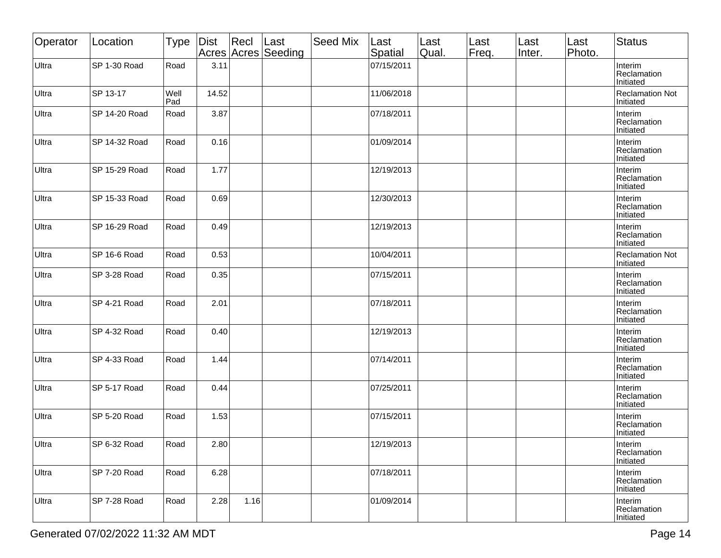| Operator | Location      | <b>Type</b> | Dist  | Recl | Last<br>Acres Acres Seeding | Seed Mix | Last<br>Spatial | Last<br>Qual. | Last<br>Freq. | Last<br>Inter. | Last<br>Photo. | <b>Status</b>                       |
|----------|---------------|-------------|-------|------|-----------------------------|----------|-----------------|---------------|---------------|----------------|----------------|-------------------------------------|
| Ultra    | SP 1-30 Road  | Road        | 3.11  |      |                             |          | 07/15/2011      |               |               |                |                | Interim<br>Reclamation<br>Initiated |
| Ultra    | SP 13-17      | Well<br>Pad | 14.52 |      |                             |          | 11/06/2018      |               |               |                |                | <b>Reclamation Not</b><br>Initiated |
| Ultra    | SP 14-20 Road | Road        | 3.87  |      |                             |          | 07/18/2011      |               |               |                |                | Interim<br>Reclamation<br>Initiated |
| Ultra    | SP 14-32 Road | Road        | 0.16  |      |                             |          | 01/09/2014      |               |               |                |                | Interim<br>Reclamation<br>Initiated |
| Ultra    | SP 15-29 Road | Road        | 1.77  |      |                             |          | 12/19/2013      |               |               |                |                | Interim<br>Reclamation<br>Initiated |
| Ultra    | SP 15-33 Road | Road        | 0.69  |      |                             |          | 12/30/2013      |               |               |                |                | Interim<br>Reclamation<br>Initiated |
| Ultra    | SP 16-29 Road | Road        | 0.49  |      |                             |          | 12/19/2013      |               |               |                |                | Interim<br>Reclamation<br>Initiated |
| Ultra    | SP 16-6 Road  | Road        | 0.53  |      |                             |          | 10/04/2011      |               |               |                |                | <b>Reclamation Not</b><br>Initiated |
| Ultra    | SP 3-28 Road  | Road        | 0.35  |      |                             |          | 07/15/2011      |               |               |                |                | Interim<br>Reclamation<br>Initiated |
| Ultra    | SP 4-21 Road  | Road        | 2.01  |      |                             |          | 07/18/2011      |               |               |                |                | Interim<br>Reclamation<br>Initiated |
| Ultra    | SP 4-32 Road  | Road        | 0.40  |      |                             |          | 12/19/2013      |               |               |                |                | Interim<br>Reclamation<br>Initiated |
| Ultra    | SP 4-33 Road  | Road        | 1.44  |      |                             |          | 07/14/2011      |               |               |                |                | Interim<br>Reclamation<br>Initiated |
| Ultra    | SP 5-17 Road  | Road        | 0.44  |      |                             |          | 07/25/2011      |               |               |                |                | Interim<br>Reclamation<br>Initiated |
| Ultra    | SP 5-20 Road  | Road        | 1.53  |      |                             |          | 07/15/2011      |               |               |                |                | Interim<br>Reclamation<br>Initiated |
| Ultra    | SP 6-32 Road  | Road        | 2.80  |      |                             |          | 12/19/2013      |               |               |                |                | Interim<br>Reclamation<br>Initiated |
| Ultra    | SP 7-20 Road  | Road        | 6.28  |      |                             |          | 07/18/2011      |               |               |                |                | Interim<br>Reclamation<br>Initiated |
| Ultra    | SP 7-28 Road  | Road        | 2.28  | 1.16 |                             |          | 01/09/2014      |               |               |                |                | Interim<br>Reclamation<br>Initiated |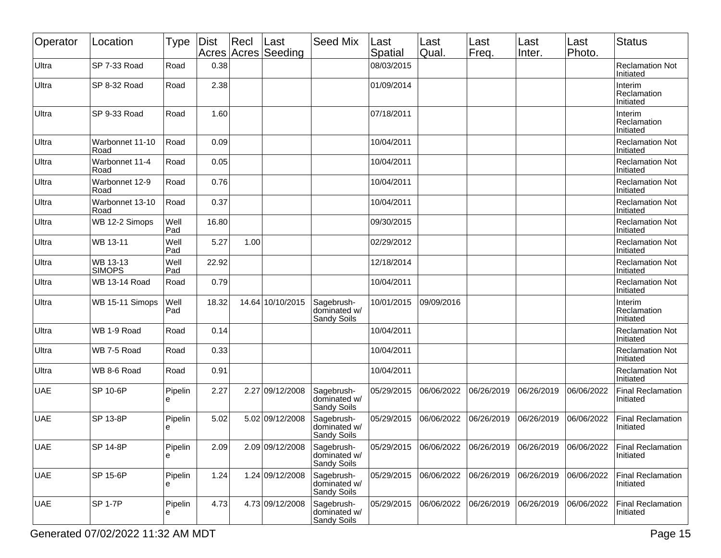| Operator   | Location                  | Type         | <b>Dist</b> | Recl | Last<br>Acres Acres Seeding | <b>Seed Mix</b>                                  | Last<br>Spatial | Last<br>Qual. | Last<br>Freq. | Last<br>Inter. | Last<br>Photo. | Status                                |
|------------|---------------------------|--------------|-------------|------|-----------------------------|--------------------------------------------------|-----------------|---------------|---------------|----------------|----------------|---------------------------------------|
| Ultra      | SP 7-33 Road              | Road         | 0.38        |      |                             |                                                  | 08/03/2015      |               |               |                |                | <b>Reclamation Not</b><br>Initiated   |
| Ultra      | SP 8-32 Road              | Road         | 2.38        |      |                             |                                                  | 01/09/2014      |               |               |                |                | Interim<br>Reclamation<br>Initiated   |
| Ultra      | SP 9-33 Road              | Road         | 1.60        |      |                             |                                                  | 07/18/2011      |               |               |                |                | Interim<br>Reclamation<br>Initiated   |
| Ultra      | Warbonnet 11-10<br>Road   | Road         | 0.09        |      |                             |                                                  | 10/04/2011      |               |               |                |                | <b>Reclamation Not</b><br>Initiated   |
| Ultra      | Warbonnet 11-4<br>Road    | Road         | 0.05        |      |                             |                                                  | 10/04/2011      |               |               |                |                | <b>Reclamation Not</b><br>Initiated   |
| Ultra      | Warbonnet 12-9<br>Road    | Road         | 0.76        |      |                             |                                                  | 10/04/2011      |               |               |                |                | <b>Reclamation Not</b><br>Initiated   |
| Ultra      | Warbonnet 13-10<br>Road   | Road         | 0.37        |      |                             |                                                  | 10/04/2011      |               |               |                |                | <b>Reclamation Not</b><br>Initiated   |
| Ultra      | WB 12-2 Simops            | Well<br>Pad  | 16.80       |      |                             |                                                  | 09/30/2015      |               |               |                |                | <b>Reclamation Not</b><br>Initiated   |
| Ultra      | WB 13-11                  | Well<br>Pad  | 5.27        | 1.00 |                             |                                                  | 02/29/2012      |               |               |                |                | <b>Reclamation Not</b><br>Initiated   |
| Ultra      | WB 13-13<br><b>SIMOPS</b> | Well<br>Pad  | 22.92       |      |                             |                                                  | 12/18/2014      |               |               |                |                | <b>Reclamation Not</b><br>Initiated   |
| Ultra      | WB 13-14 Road             | Road         | 0.79        |      |                             |                                                  | 10/04/2011      |               |               |                |                | <b>Reclamation Not</b><br>Initiated   |
| Ultra      | WB 15-11 Simops           | Well<br>Pad  | 18.32       |      | 14.64 10/10/2015            | Sagebrush-<br>dominated w/<br>Sandy Soils        | 10/01/2015      | 09/09/2016    |               |                |                | Interim<br>Reclamation<br>Initiated   |
| Ultra      | WB 1-9 Road               | Road         | 0.14        |      |                             |                                                  | 10/04/2011      |               |               |                |                | <b>Reclamation Not</b><br>Initiated   |
| Ultra      | WB 7-5 Road               | Road         | 0.33        |      |                             |                                                  | 10/04/2011      |               |               |                |                | <b>Reclamation Not</b><br>Initiated   |
| Ultra      | WB 8-6 Road               | Road         | 0.91        |      |                             |                                                  | 10/04/2011      |               |               |                |                | <b>Reclamation Not</b><br>Initiated   |
| <b>UAE</b> | SP 10-6P                  | Pipelin<br>е | 2.27        |      | 2.27 09/12/2008             | Sagebrush-<br>dominated w/<br><b>Sandy Soils</b> | 05/29/2015      | 06/06/2022    | 06/26/2019    | 06/26/2019     | 06/06/2022     | <b>Final Reclamation</b><br>Initiated |
| <b>UAE</b> | SP 13-8P                  | Pipelin<br>е | 5.02        |      | 5.02 09/12/2008             | Sagebrush-<br>dominated w/<br><b>Sandy Soils</b> | 05/29/2015      | 06/06/2022    | 06/26/2019    | 06/26/2019     | 06/06/2022     | <b>Final Reclamation</b><br>Initiated |
| <b>UAE</b> | SP 14-8P                  | Pipelin<br>e | 2.09        |      | 2.09 09/12/2008             | Sagebrush-<br>dominated w/<br>Sandy Soils        | 05/29/2015      | 06/06/2022    | 06/26/2019    | 06/26/2019     | 06/06/2022     | <b>Final Reclamation</b><br>Initiated |
| <b>UAE</b> | SP 15-6P                  | Pipelin<br>e | 1.24        |      | 1.24 09/12/2008             | Sagebrush-<br>dominated w/<br><b>Sandy Soils</b> | 05/29/2015      | 06/06/2022    | 06/26/2019    | 06/26/2019     | 06/06/2022     | <b>Final Reclamation</b><br>Initiated |
| <b>UAE</b> | <b>SP 1-7P</b>            | Pipelin<br>е | 4.73        |      | 4.73 09/12/2008             | Sagebrush-<br>dominated w/<br>Sandy Soils        | 05/29/2015      | 06/06/2022    | 06/26/2019    | 06/26/2019     | 06/06/2022     | <b>Final Reclamation</b><br>Initiated |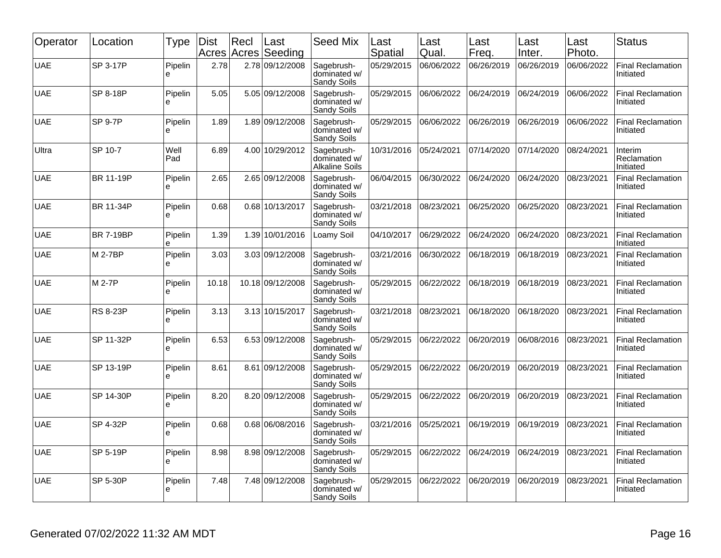| Operator   | Location         | <b>Type</b>   | <b>Dist</b><br>Acres | Recl | Last<br>Acres Seeding | <b>Seed Mix</b>                                     | Last<br>Spatial | Last<br>Qual. | Last<br>Freq. | Last<br>Inter. | Last<br>Photo. | <b>Status</b>                         |
|------------|------------------|---------------|----------------------|------|-----------------------|-----------------------------------------------------|-----------------|---------------|---------------|----------------|----------------|---------------------------------------|
| <b>UAE</b> | SP 3-17P         | Pipelin<br>e  | 2.78                 |      | 2.78 09/12/2008       | Sagebrush-<br>dominated w/<br>Sandy Soils           | 05/29/2015      | 06/06/2022    | 06/26/2019    | 06/26/2019     | 06/06/2022     | <b>Final Reclamation</b><br>Initiated |
| <b>UAE</b> | SP 8-18P         | Pipelin<br>e  | 5.05                 |      | 5.05 09/12/2008       | Sagebrush-<br>dominated w/<br>Sandy Soils           | 05/29/2015      | 06/06/2022    | 06/24/2019    | 06/24/2019     | 06/06/2022     | <b>Final Reclamation</b><br>Initiated |
| <b>UAE</b> | <b>SP 9-7P</b>   | Pipelin<br>e  | 1.89                 |      | 1.89 09/12/2008       | Sagebrush-<br>dominated w/<br>Sandy Soils           | 05/29/2015      | 06/06/2022    | 06/26/2019    | 06/26/2019     | 06/06/2022     | <b>Final Reclamation</b><br>Initiated |
| Ultra      | SP 10-7          | Well<br>Pad   | 6.89                 |      | 4.00 10/29/2012       | Sagebrush-<br>dominated w/<br><b>Alkaline Soils</b> | 10/31/2016      | 05/24/2021    | 07/14/2020    | 07/14/2020     | 08/24/2021     | Interim<br>Reclamation<br>Initiated   |
| <b>UAE</b> | BR 11-19P        | Pipelin<br>le | 2.65                 |      | 2.65 09/12/2008       | Sagebrush-<br>dominated w/<br>Sandy Soils           | 06/04/2015      | 06/30/2022    | 06/24/2020    | 06/24/2020     | 08/23/2021     | <b>Final Reclamation</b><br>Initiated |
| <b>UAE</b> | BR 11-34P        | Pipelin<br>e  | 0.68                 |      | 0.68 10/13/2017       | Sagebrush-<br>dominated w/<br>Sandy Soils           | 03/21/2018      | 08/23/2021    | 06/25/2020    | 06/25/2020     | 08/23/2021     | <b>Final Reclamation</b><br>Initiated |
| <b>UAE</b> | <b>BR 7-19BP</b> | Pipelin<br>e  | 1.39                 |      | 1.39 10/01/2016       | Loamy Soil                                          | 04/10/2017      | 06/29/2022    | 06/24/2020    | 06/24/2020     | 08/23/2021     | <b>Final Reclamation</b><br>Initiated |
| <b>UAE</b> | M 2-7BP          | Pipelin<br>e  | 3.03                 |      | 3.03 09/12/2008       | Sagebrush-<br>dominated w/<br>Sandy Soils           | 03/21/2016      | 06/30/2022    | 06/18/2019    | 06/18/2019     | 08/23/2021     | <b>Final Reclamation</b><br>Initiated |
| <b>UAE</b> | M 2-7P           | Pipelin<br>e  | 10.18                |      | 10.18 09/12/2008      | Sagebrush-<br>dominated w/<br>Sandy Soils           | 05/29/2015      | 06/22/2022    | 06/18/2019    | 06/18/2019     | 08/23/2021     | <b>Final Reclamation</b><br>Initiated |
| <b>UAE</b> | <b>RS 8-23P</b>  | Pipelin<br>le | 3.13                 |      | 3.13 10/15/2017       | Sagebrush-<br>dominated w/<br>Sandy Soils           | 03/21/2018      | 08/23/2021    | 06/18/2020    | 06/18/2020     | 08/23/2021     | <b>Final Reclamation</b><br>Initiated |
| <b>UAE</b> | SP 11-32P        | Pipelin<br>le | 6.53                 |      | 6.53 09/12/2008       | Sagebrush-<br>dominated w/<br>Sandy Soils           | 05/29/2015      | 06/22/2022    | 06/20/2019    | 06/08/2016     | 08/23/2021     | <b>Final Reclamation</b><br>Initiated |
| <b>UAE</b> | SP 13-19P        | Pipelin<br>le | 8.61                 |      | 8.61 09/12/2008       | Sagebrush-<br>dominated w/<br>Sandy Soils           | 05/29/2015      | 06/22/2022    | 06/20/2019    | 06/20/2019     | 08/23/2021     | <b>Final Reclamation</b><br>Initiated |
| <b>UAE</b> | SP 14-30P        | Pipelin<br>le | 8.20                 |      | 8.20 09/12/2008       | Sagebrush-<br>dominated w/<br>Sandy Soils           | 05/29/2015      | 06/22/2022    | 06/20/2019    | 06/20/2019     | 08/23/2021     | <b>Final Reclamation</b><br>Initiated |
| <b>UAE</b> | SP 4-32P         | Pipelin<br>le | 0.68                 |      | 0.68 06/08/2016       | Sagebrush-<br>dominated w/<br>Sandy Soils           | 03/21/2016      | 05/25/2021    | 06/19/2019    | 06/19/2019     | 08/23/2021     | <b>Final Reclamation</b><br>Initiated |
| <b>UAE</b> | SP 5-19P         | Pipelin<br>le | 8.98                 |      | 8.98 09/12/2008       | Sagebrush-<br>dominated w/<br>Sandy Soils           | 05/29/2015      | 06/22/2022    | 06/24/2019    | 06/24/2019     | 08/23/2021     | <b>Final Reclamation</b><br>Initiated |
| <b>UAE</b> | <b>SP 5-30P</b>  | Pipelin<br>e  | 7.48                 |      | 7.48 09/12/2008       | Sagebrush-<br>dominated w/<br>Sandy Soils           | 05/29/2015      | 06/22/2022    | 06/20/2019    | 06/20/2019     | 08/23/2021     | Final Reclamation<br>Initiated        |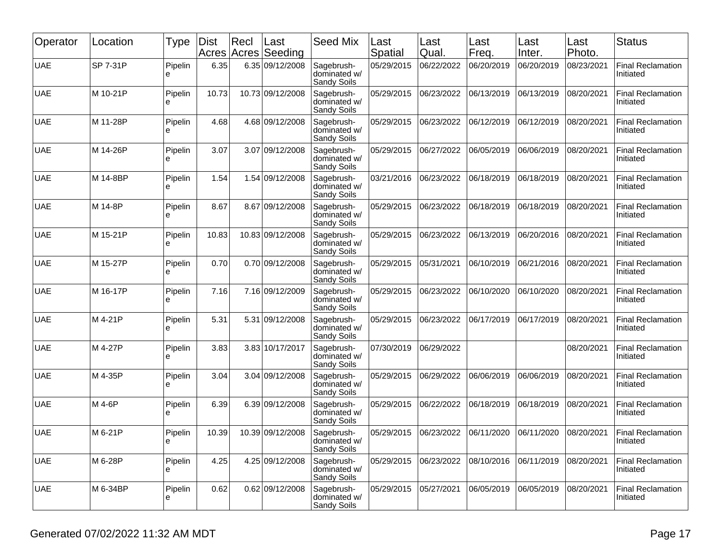| Operator   | Location | Type         | Dist<br>Acres | Recl | Last<br>Acres Seeding | <b>Seed Mix</b>                           | Last<br>Spatial | Last<br>Qual. | Last<br>Freq. | Last<br>Inter. | Last<br>Photo. | <b>Status</b>                         |
|------------|----------|--------------|---------------|------|-----------------------|-------------------------------------------|-----------------|---------------|---------------|----------------|----------------|---------------------------------------|
| <b>UAE</b> | SP 7-31P | Pipelin<br>ė | 6.35          |      | 6.35 09/12/2008       | Sagebrush-<br>dominated w/<br>Sandy Soils | 05/29/2015      | 06/22/2022    | 06/20/2019    | 06/20/2019     | 08/23/2021     | <b>Final Reclamation</b><br>Initiated |
| <b>UAE</b> | M 10-21P | Pipelin<br>e | 10.73         |      | 10.73 09/12/2008      | Sagebrush-<br>dominated w/<br>Sandy Soils | 05/29/2015      | 06/23/2022    | 06/13/2019    | 06/13/2019     | 08/20/2021     | <b>Final Reclamation</b><br>Initiated |
| <b>UAE</b> | M 11-28P | Pipelin<br>e | 4.68          |      | 4.68 09/12/2008       | Sagebrush-<br>dominated w/<br>Sandy Soils | 05/29/2015      | 06/23/2022    | 06/12/2019    | 06/12/2019     | 08/20/2021     | <b>Final Reclamation</b><br>Initiated |
| <b>UAE</b> | M 14-26P | Pipelin<br>е | 3.07          |      | 3.07 09/12/2008       | Sagebrush-<br>dominated w/<br>Sandy Soils | 05/29/2015      | 06/27/2022    | 06/05/2019    | 06/06/2019     | 08/20/2021     | <b>Final Reclamation</b><br>Initiated |
| <b>UAE</b> | M 14-8BP | Pipelin<br>e | 1.54          |      | 1.54 09/12/2008       | Sagebrush-<br>dominated w/<br>Sandy Soils | 03/21/2016      | 06/23/2022    | 06/18/2019    | 06/18/2019     | 08/20/2021     | <b>Final Reclamation</b><br>Initiated |
| <b>UAE</b> | M 14-8P  | Pipelin<br>e | 8.67          |      | 8.67 09/12/2008       | Sagebrush-<br>dominated w/<br>Sandy Soils | 05/29/2015      | 06/23/2022    | 06/18/2019    | 06/18/2019     | 08/20/2021     | <b>Final Reclamation</b><br>Initiated |
| <b>UAE</b> | M 15-21P | Pipelin<br>e | 10.83         |      | 10.83 09/12/2008      | Sagebrush-<br>dominated w/<br>Sandy Soils | 05/29/2015      | 06/23/2022    | 06/13/2019    | 06/20/2016     | 08/20/2021     | <b>Final Reclamation</b><br>Initiated |
| <b>UAE</b> | M 15-27P | Pipelin<br>e | 0.70          |      | 0.70 09/12/2008       | Sagebrush-<br>dominated w/<br>Sandy Soils | 05/29/2015      | 05/31/2021    | 06/10/2019    | 06/21/2016     | 08/20/2021     | <b>Final Reclamation</b><br>Initiated |
| <b>UAE</b> | M 16-17P | Pipelin<br>е | 7.16          |      | 7.16 09/12/2009       | Sagebrush-<br>dominated w/<br>Sandy Soils | 05/29/2015      | 06/23/2022    | 06/10/2020    | 06/10/2020     | 08/20/2021     | <b>Final Reclamation</b><br>Initiated |
| <b>UAE</b> | M 4-21P  | Pipelin<br>е | 5.31          | 5.31 | 09/12/2008            | Sagebrush-<br>dominated w/<br>Sandy Soils | 05/29/2015      | 06/23/2022    | 06/17/2019    | 06/17/2019     | 08/20/2021     | <b>Final Reclamation</b><br>Initiated |
| <b>UAE</b> | M 4-27P  | Pipelin<br>e | 3.83          |      | 3.83 10/17/2017       | Sagebrush-<br>dominated w/<br>Sandy Soils | 07/30/2019      | 06/29/2022    |               |                | 08/20/2021     | <b>Final Reclamation</b><br>Initiated |
| <b>UAE</b> | M 4-35P  | Pipelin<br>e | 3.04          |      | 3.04 09/12/2008       | Sagebrush-<br>dominated w/<br>Sandy Soils | 05/29/2015      | 06/29/2022    | 06/06/2019    | 06/06/2019     | 08/20/2021     | <b>Final Reclamation</b><br>Initiated |
| <b>UAE</b> | M 4-6P   | Pipelin<br>e | 6.39          |      | 6.39 09/12/2008       | Sagebrush-<br>dominated w/<br>Sandy Soils | 05/29/2015      | 06/22/2022    | 06/18/2019    | 06/18/2019     | 08/20/2021     | <b>Final Reclamation</b><br>Initiated |
| <b>UAE</b> | M 6-21P  | Pipelin<br>႕ | 10.39         |      | 10.39 09/12/2008      | Sagebrush-<br>dominated w/<br>Sandy Soils | 05/29/2015      | 06/23/2022    | 06/11/2020    | 06/11/2020     | 08/20/2021     | <b>Final Reclamation</b><br>Initiated |
| <b>UAE</b> | M 6-28P  | Pipelin<br>e | 4.25          |      | 4.25 09/12/2008       | Sagebrush-<br>dominated w/<br>Sandy Soils | 05/29/2015      | 06/23/2022    | 08/10/2016    | 06/11/2019     | 08/20/2021     | <b>Final Reclamation</b><br>Initiated |
| <b>UAE</b> | M 6-34BP | Pipelin<br>е | 0.62          |      | 0.62 09/12/2008       | Sagebrush-<br>dominated w/<br>Sandy Soils | 05/29/2015      | 05/27/2021    | 06/05/2019    | 06/05/2019     | 08/20/2021     | <b>Final Reclamation</b><br>Initiated |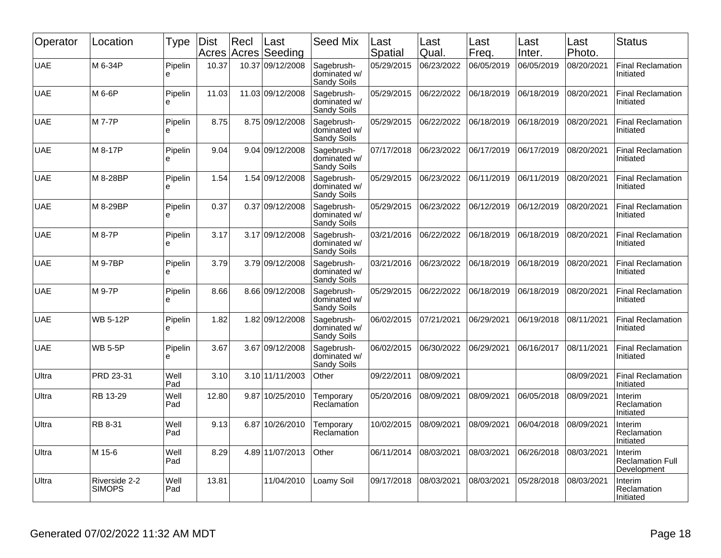| Operator   | Location                       | Type         | <b>Dist</b> | Recl  | Last<br>Acres Acres Seeding | <b>Seed Mix</b>                           | Last<br>Spatial | Last<br>Qual. | Last<br>Freq. | Last<br>Inter. | Last<br>Photo. | <b>Status</b>                                     |
|------------|--------------------------------|--------------|-------------|-------|-----------------------------|-------------------------------------------|-----------------|---------------|---------------|----------------|----------------|---------------------------------------------------|
| <b>UAE</b> | M 6-34P                        | Pipelin<br>e | 10.37       | 10.37 | 09/12/2008                  | Sagebrush-<br>dominated w/<br>Sandy Soils | 05/29/2015      | 06/23/2022    | 06/05/2019    | 06/05/2019     | 08/20/2021     | <b>Final Reclamation</b><br>Initiated             |
| <b>UAE</b> | M 6-6P                         | Pipelin<br>e | 11.03       |       | 11.03 09/12/2008            | Sagebrush-<br>dominated w/<br>Sandy Soils | 05/29/2015      | 06/22/2022    | 06/18/2019    | 06/18/2019     | 08/20/2021     | Final Reclamation<br>Initiated                    |
| UAE        | M 7-7P                         | Pipelin<br>e | 8.75        |       | 8.75 09/12/2008             | Sagebrush-<br>dominated w/<br>Sandy Soils | 05/29/2015      | 06/22/2022    | 06/18/2019    | 06/18/2019     | 08/20/2021     | <b>Final Reclamation</b><br>Initiated             |
| <b>UAE</b> | M 8-17P                        | Pipelin<br>e | 9.04        |       | 9.04 09/12/2008             | Sagebrush-<br>dominated w/<br>Sandy Soils | 07/17/2018      | 06/23/2022    | 06/17/2019    | 06/17/2019     | 08/20/2021     | Final Reclamation<br>Initiated                    |
| UAE        | M 8-28BP                       | Pipelin<br>e | 1.54        |       | 1.54 09/12/2008             | Sagebrush-<br>dominated w/<br>Sandy Soils | 05/29/2015      | 06/23/2022    | 06/11/2019    | 06/11/2019     | 08/20/2021     | <b>Final Reclamation</b><br>Initiated             |
| <b>UAE</b> | M 8-29BP                       | Pipelin<br>e | 0.37        | 0.37  | 09/12/2008                  | Sagebrush-<br>dominated w/<br>Sandy Soils | 05/29/2015      | 06/23/2022    | 06/12/2019    | 06/12/2019     | 08/20/2021     | Final Reclamation<br>Initiated                    |
| <b>UAE</b> | M 8-7P                         | Pipelin<br>e | 3.17        |       | 3.17 09/12/2008             | Sagebrush-<br>dominated w/<br>Sandy Soils | 03/21/2016      | 06/22/2022    | 06/18/2019    | 06/18/2019     | 08/20/2021     | <b>Final Reclamation</b><br>Initiated             |
| <b>UAE</b> | M 9-7BP                        | Pipelin<br>e | 3.79        |       | 3.79 09/12/2008             | Sagebrush-<br>dominated w/<br>Sandy Soils | 03/21/2016      | 06/23/2022    | 06/18/2019    | 06/18/2019     | 08/20/2021     | <b>Final Reclamation</b><br>Initiated             |
| <b>UAE</b> | M 9-7P                         | Pipelin<br>e | 8.66        |       | 8.66 09/12/2008             | Sagebrush-<br>dominated w/<br>Sandy Soils | 05/29/2015      | 06/22/2022    | 06/18/2019    | 06/18/2019     | 08/20/2021     | <b>Final Reclamation</b><br>Initiated             |
| <b>UAE</b> | <b>WB 5-12P</b>                | Pipelin<br>e | 1.82        | 1.82  | 09/12/2008                  | Sagebrush-<br>dominated w/<br>Sandy Soils | 06/02/2015      | 07/21/2021    | 06/29/2021    | 06/19/2018     | 08/11/2021     | <b>Final Reclamation</b><br>Initiated             |
| <b>UAE</b> | <b>WB 5-5P</b>                 | Pipelin<br>e | 3.67        | 3.67  | 09/12/2008                  | Sagebrush-<br>dominated w/<br>Sandy Soils | 06/02/2015      | 06/30/2022    | 06/29/2021    | 06/16/2017     | 08/11/2021     | <b>Final Reclamation</b><br>Initiated             |
| Ultra      | PRD 23-31                      | Well<br>Pad  | 3.10        |       | 3.10 11/11/2003             | Other                                     | 09/22/2011      | 08/09/2021    |               |                | 08/09/2021     | <b>Final Reclamation</b><br>Initiated             |
| Ultra      | RB 13-29                       | Well<br>Pad  | 12.80       | 9.87  | 10/25/2010                  | Temporary<br>Reclamation                  | 05/20/2016      | 08/09/2021    | 08/09/2021    | 06/05/2018     | 08/09/2021     | Interim<br>Reclamation<br>Initiated               |
| Ultra      | RB 8-31                        | Well<br>Pad  | 9.13        | 6.87  | 10/26/2010                  | Temporary<br>Reclamation                  | 10/02/2015      | 08/09/2021    | 08/09/2021    | 06/04/2018     | 08/09/2021     | Interim<br>Reclamation<br>Initiated               |
| Ultra      | M 15-6                         | Well<br>Pad  | 8.29        |       | 4.89 11/07/2013             | Other                                     | 06/11/2014      | 08/03/2021    | 08/03/2021    | 06/26/2018     | 08/03/2021     | Interim<br><b>Reclamation Full</b><br>Development |
| Ultra      | Riverside 2-2<br><b>SIMOPS</b> | Well<br>Pad  | 13.81       |       | 11/04/2010                  | Loamy Soil                                | 09/17/2018      | 08/03/2021    | 08/03/2021    | 05/28/2018     | 08/03/2021     | Interim<br>Reclamation<br>Initiated               |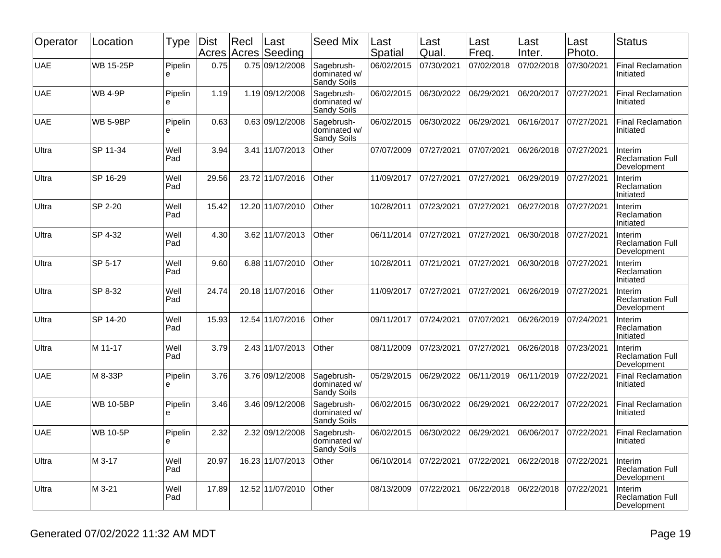| Operator   | Location         | <b>Type</b>   | Dist<br>Acres | Recl | Last<br>Acres Seeding | <b>Seed Mix</b>                           | Last<br>Spatial | Last<br>Qual. | Last<br>Freq. | Last<br>Inter. | Last<br>Photo. | <b>Status</b>                                     |
|------------|------------------|---------------|---------------|------|-----------------------|-------------------------------------------|-----------------|---------------|---------------|----------------|----------------|---------------------------------------------------|
| <b>UAE</b> | <b>WB 15-25P</b> | Pipelin<br>e  | 0.75          |      | 0.75 09/12/2008       | Sagebrush-<br>dominated w/<br>Sandy Soils | 06/02/2015      | 07/30/2021    | 07/02/2018    | 07/02/2018     | 07/30/2021     | <b>Final Reclamation</b><br>Initiated             |
| <b>UAE</b> | <b>WB 4-9P</b>   | Pipelin<br>е  | 1.19          |      | 1.19 09/12/2008       | Sagebrush-<br>dominated w/<br>Sandy Soils | 06/02/2015      | 06/30/2022    | 06/29/2021    | 06/20/2017     | 07/27/2021     | <b>Final Reclamation</b><br>Initiated             |
| <b>UAE</b> | <b>WB 5-9BP</b>  | Pipelin<br>e  | 0.63          |      | 0.63 09/12/2008       | Sagebrush-<br>dominated w/<br>Sandy Soils | 06/02/2015      | 06/30/2022    | 06/29/2021    | 06/16/2017     | 07/27/2021     | <b>Final Reclamation</b><br>Initiated             |
| Ultra      | SP 11-34         | Well<br>Pad   | 3.94          |      | 3.41 11/07/2013       | Other                                     | 07/07/2009      | 07/27/2021    | 07/07/2021    | 06/26/2018     | 07/27/2021     | Interim<br><b>Reclamation Full</b><br>Development |
| Ultra      | SP 16-29         | Well<br>Pad   | 29.56         |      | 23.72 11/07/2016      | Other                                     | 11/09/2017      | 07/27/2021    | 07/27/2021    | 06/29/2019     | 07/27/2021     | Interim<br>Reclamation<br>Initiated               |
| Ultra      | SP 2-20          | Well<br>Pad   | 15.42         |      | 12.20 11/07/2010      | Other                                     | 10/28/2011      | 07/23/2021    | 07/27/2021    | 06/27/2018     | 07/27/2021     | Interim<br>Reclamation<br>Initiated               |
| Ultra      | SP 4-32          | Well<br>Pad   | 4.30          |      | 3.62 11/07/2013       | Other                                     | 06/11/2014      | 07/27/2021    | 07/27/2021    | 06/30/2018     | 07/27/2021     | Interim<br><b>Reclamation Full</b><br>Development |
| Ultra      | SP 5-17          | Well<br>Pad   | 9.60          |      | 6.88 11/07/2010       | Other                                     | 10/28/2011      | 07/21/2021    | 07/27/2021    | 06/30/2018     | 07/27/2021     | Interim<br>Reclamation<br>Initiated               |
| Ultra      | SP 8-32          | Well<br>Pad   | 24.74         |      | 20.18 11/07/2016      | Other                                     | 11/09/2017      | 07/27/2021    | 07/27/2021    | 06/26/2019     | 07/27/2021     | Interim<br><b>Reclamation Full</b><br>Development |
| Ultra      | SP 14-20         | Well<br>Pad   | 15.93         |      | 12.54 11/07/2016      | Other                                     | 09/11/2017      | 07/24/2021    | 07/07/2021    | 06/26/2019     | 07/24/2021     | Interim<br>Reclamation<br>Initiated               |
| Ultra      | M 11-17          | Well<br>Pad   | 3.79          |      | 2.43 11/07/2013       | Other                                     | 08/11/2009      | 07/23/2021    | 07/27/2021    | 06/26/2018     | 07/23/2021     | Interim<br><b>Reclamation Full</b><br>Development |
| <b>UAE</b> | M 8-33P          | Pipelin<br>e  | 3.76          |      | 3.76 09/12/2008       | Sagebrush-<br>dominated w/<br>Sandy Soils | 05/29/2015      | 06/29/2022    | 06/11/2019    | 06/11/2019     | 07/22/2021     | <b>Final Reclamation</b><br>Initiated             |
| <b>UAE</b> | <b>WB 10-5BP</b> | Pipelin<br>le | 3.46          |      | 3.46 09/12/2008       | Sagebrush-<br>dominated w/<br>Sandy Soils | 06/02/2015      | 06/30/2022    | 06/29/2021    | 06/22/2017     | 07/22/2021     | <b>Final Reclamation</b><br>Initiated             |
| <b>UAE</b> | <b>WB 10-5P</b>  | Pipelin<br>႕  | 2.32          |      | 2.32 09/12/2008       | Sagebrush-<br>dominated w/<br>Sandy Soils | 06/02/2015      | 06/30/2022    | 06/29/2021    | 06/06/2017     | 07/22/2021     | <b>Final Reclamation</b><br>Initiated             |
| Ultra      | M 3-17           | Well<br>Pad   | 20.97         |      | 16.23 11/07/2013      | Other                                     | 06/10/2014      | 07/22/2021    | 07/22/2021    | 06/22/2018     | 07/22/2021     | Interim<br><b>Reclamation Full</b><br>Development |
| Ultra      | M 3-21           | Well<br>Pad   | 17.89         |      | 12.52 11/07/2010      | Other                                     | 08/13/2009      | 07/22/2021    | 06/22/2018    | 06/22/2018     | 07/22/2021     | Interim<br><b>Reclamation Full</b><br>Development |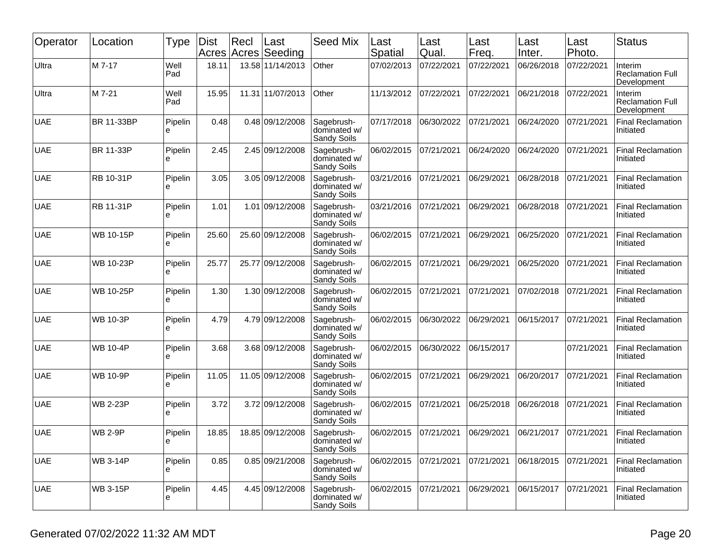| Operator   | Location         | Type         | Dist  | Recl  | Last<br>Acres Acres Seeding | <b>Seed Mix</b>                           | Last<br>Spatial | Last<br>Qual. | Last<br>Freq. | Last<br>Inter. | Last<br>Photo. | <b>Status</b>                                     |
|------------|------------------|--------------|-------|-------|-----------------------------|-------------------------------------------|-----------------|---------------|---------------|----------------|----------------|---------------------------------------------------|
| Ultra      | M 7-17           | Well<br>Pad  | 18.11 |       | 13.58 11/14/2013            | Other                                     | 07/02/2013      | 07/22/2021    | 07/22/2021    | 06/26/2018     | 07/22/2021     | Interim<br><b>Reclamation Full</b><br>Development |
| Ultra      | M 7-21           | Well<br>Pad  | 15.95 |       | 11.31 11/07/2013            | Other                                     | 11/13/2012      | 07/22/2021    | 07/22/2021    | 06/21/2018     | 07/22/2021     | Interim<br><b>Reclamation Full</b><br>Development |
| <b>UAE</b> | BR 11-33BP       | Pipelin<br>e | 0.48  |       | 0.48 09/12/2008             | Sagebrush-<br>dominated w/<br>Sandy Soils | 07/17/2018      | 06/30/2022    | 07/21/2021    | 06/24/2020     | 07/21/2021     | <b>Final Reclamation</b><br>Initiated             |
| <b>UAE</b> | BR 11-33P        | Pipelin<br>e | 2.45  |       | 2.45 09/12/2008             | Sagebrush-<br>dominated w/<br>Sandy Soils | 06/02/2015      | 07/21/2021    | 06/24/2020    | 06/24/2020     | 07/21/2021     | <b>Final Reclamation</b><br>Initiated             |
| <b>UAE</b> | RB 10-31P        | Pipelin<br>е | 3.05  |       | 3.05 09/12/2008             | Sagebrush-<br>dominated w/<br>Sandy Soils | 03/21/2016      | 07/21/2021    | 06/29/2021    | 06/28/2018     | 07/21/2021     | <b>Final Reclamation</b><br>Initiated             |
| <b>UAE</b> | <b>RB 11-31P</b> | Pipelin<br>è | 1.01  |       | 1.01 09/12/2008             | Sagebrush-<br>dominated w/<br>Sandy Soils | 03/21/2016      | 07/21/2021    | 06/29/2021    | 06/28/2018     | 07/21/2021     | <b>Final Reclamation</b><br>Initiated             |
| <b>UAE</b> | <b>WB 10-15P</b> | Pipelin<br>è | 25.60 |       | 25.60 09/12/2008            | Sagebrush-<br>dominated w/<br>Sandy Soils | 06/02/2015      | 07/21/2021    | 06/29/2021    | 06/25/2020     | 07/21/2021     | <b>Final Reclamation</b><br>Initiated             |
| <b>UAE</b> | <b>WB 10-23P</b> | Pipelin<br>e | 25.77 | 25.77 | 09/12/2008                  | Sagebrush-<br>dominated w/<br>Sandy Soils | 06/02/2015      | 07/21/2021    | 06/29/2021    | 06/25/2020     | 07/21/2021     | <b>Final Reclamation</b><br>Initiated             |
| <b>UAE</b> | <b>WB 10-25P</b> | Pipelin<br>e | 1.30  |       | 1.30 09/12/2008             | Sagebrush-<br>dominated w/<br>Sandy Soils | 06/02/2015      | 07/21/2021    | 07/21/2021    | 07/02/2018     | 07/21/2021     | <b>Final Reclamation</b><br>Initiated             |
| <b>UAE</b> | <b>WB 10-3P</b>  | Pipelin<br>e | 4.79  |       | 4.79 09/12/2008             | Sagebrush-<br>dominated w/<br>Sandy Soils | 06/02/2015      | 06/30/2022    | 06/29/2021    | 06/15/2017     | 07/21/2021     | <b>Final Reclamation</b><br>Initiated             |
| <b>UAE</b> | <b>WB 10-4P</b>  | Pipelin<br>е | 3.68  |       | 3.68 09/12/2008             | Sagebrush-<br>dominated w/<br>Sandy Soils | 06/02/2015      | 06/30/2022    | 06/15/2017    |                | 07/21/2021     | <b>Final Reclamation</b><br>Initiated             |
| <b>UAE</b> | <b>WB 10-9P</b>  | Pipelin<br>ė | 11.05 |       | 11.05 09/12/2008            | Sagebrush-<br>dominated w/<br>Sandy Soils | 06/02/2015      | 07/21/2021    | 06/29/2021    | 06/20/2017     | 07/21/2021     | <b>Final Reclamation</b><br>Initiated             |
| <b>UAE</b> | <b>WB 2-23P</b>  | Pipelin<br>e | 3.72  |       | 3.72 09/12/2008             | Sagebrush-<br>dominated w/<br>Sandy Soils | 06/02/2015      | 07/21/2021    | 06/25/2018    | 06/26/2018     | 07/21/2021     | <b>Final Reclamation</b><br>Initiated             |
| <b>UAE</b> | <b>WB 2-9P</b>   | Pipelin<br>ᡄ | 18.85 |       | 18.85 09/12/2008            | Sagebrush-<br>dominated w/<br>Sandy Soils | 06/02/2015      | 07/21/2021    | 06/29/2021    | 06/21/2017     | 07/21/2021     | <b>Final Reclamation</b><br>Initiated             |
| <b>UAE</b> | <b>WB 3-14P</b>  | Pipelin<br>e | 0.85  |       | 0.85 09/21/2008             | Sagebrush-<br>dominated w/<br>Sandy Soils | 06/02/2015      | 07/21/2021    | 07/21/2021    | 06/18/2015     | 07/21/2021     | <b>Final Reclamation</b><br>Initiated             |
| <b>UAE</b> | <b>WB 3-15P</b>  | Pipelin<br>е | 4.45  |       | 4.45 09/12/2008             | Sagebrush-<br>dominated w/<br>Sandy Soils | 06/02/2015      | 07/21/2021    | 06/29/2021    | 06/15/2017     | 07/21/2021     | <b>Final Reclamation</b><br>Initiated             |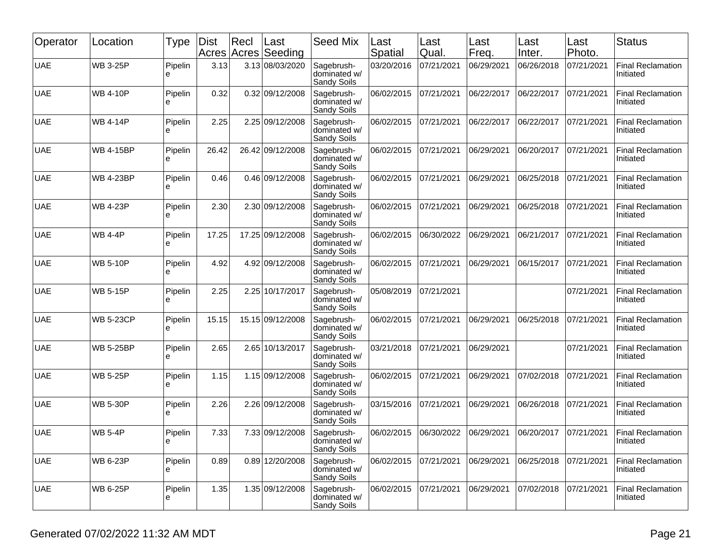| Operator   | Location         | Type         | Dist<br>Acres | Recl | Last<br>Acres Seeding | <b>Seed Mix</b>                           | Last<br>Spatial | Last<br>Qual. | Last<br>Freq. | Last<br>Inter. | Last<br>Photo. | <b>Status</b>                         |
|------------|------------------|--------------|---------------|------|-----------------------|-------------------------------------------|-----------------|---------------|---------------|----------------|----------------|---------------------------------------|
| <b>UAE</b> | <b>WB 3-25P</b>  | Pipelin<br>e | 3.13          |      | 3.13 08/03/2020       | Sagebrush-<br>dominated w/<br>Sandy Soils | 03/20/2016      | 07/21/2021    | 06/29/2021    | 06/26/2018     | 07/21/2021     | <b>Final Reclamation</b><br>Initiated |
| <b>UAE</b> | <b>WB 4-10P</b>  | Pipelin<br>e | 0.32          |      | 0.32 09/12/2008       | Sagebrush-<br>dominated w/<br>Sandy Soils | 06/02/2015      | 07/21/2021    | 06/22/2017    | 06/22/2017     | 07/21/2021     | <b>Final Reclamation</b><br>Initiated |
| <b>UAE</b> | <b>WB 4-14P</b>  | Pipelin<br>e | 2.25          |      | 2.25 09/12/2008       | Sagebrush-<br>dominated w/<br>Sandy Soils | 06/02/2015      | 07/21/2021    | 06/22/2017    | 06/22/2017     | 07/21/2021     | <b>Final Reclamation</b><br>Initiated |
| <b>UAE</b> | <b>WB 4-15BP</b> | Pipelin<br>e | 26.42         |      | 26.42 09/12/2008      | Sagebrush-<br>dominated w/<br>Sandy Soils | 06/02/2015      | 07/21/2021    | 06/29/2021    | 06/20/2017     | 07/21/2021     | <b>Final Reclamation</b><br>Initiated |
| <b>UAE</b> | <b>WB 4-23BP</b> | Pipelin<br>e | 0.46          |      | 0.46 09/12/2008       | Sagebrush-<br>dominated w/<br>Sandy Soils | 06/02/2015      | 07/21/2021    | 06/29/2021    | 06/25/2018     | 07/21/2021     | <b>Final Reclamation</b><br>Initiated |
| <b>UAE</b> | <b>WB 4-23P</b>  | Pipelin<br>e | 2.30          |      | 2.30 09/12/2008       | Sagebrush-<br>dominated w/<br>Sandy Soils | 06/02/2015      | 07/21/2021    | 06/29/2021    | 06/25/2018     | 07/21/2021     | <b>Final Reclamation</b><br>Initiated |
| <b>UAE</b> | <b>WB 4-4P</b>   | Pipelin<br>e | 17.25         |      | 17.25 09/12/2008      | Sagebrush-<br>dominated w/<br>Sandy Soils | 06/02/2015      | 06/30/2022    | 06/29/2021    | 06/21/2017     | 07/21/2021     | <b>Final Reclamation</b><br>Initiated |
| <b>UAE</b> | <b>WB 5-10P</b>  | Pipelin<br>e | 4.92          |      | 4.92 09/12/2008       | Sagebrush-<br>dominated w/<br>Sandy Soils | 06/02/2015      | 07/21/2021    | 06/29/2021    | 06/15/2017     | 07/21/2021     | <b>Final Reclamation</b><br>Initiated |
| <b>UAE</b> | <b>WB 5-15P</b>  | Pipelin<br>е | 2.25          |      | 2.25 10/17/2017       | Sagebrush-<br>dominated w/<br>Sandy Soils | 05/08/2019      | 07/21/2021    |               |                | 07/21/2021     | <b>Final Reclamation</b><br>Initiated |
| <b>UAE</b> | <b>WB 5-23CP</b> | Pipelin<br>e | 15.15         |      | 15.15 09/12/2008      | Sagebrush-<br>dominated w/<br>Sandy Soils | 06/02/2015      | 07/21/2021    | 06/29/2021    | 06/25/2018     | 07/21/2021     | <b>Final Reclamation</b><br>Initiated |
| <b>UAE</b> | <b>WB 5-25BP</b> | Pipelin<br>e | 2.65          |      | 2.65 10/13/2017       | Sagebrush-<br>dominated w/<br>Sandy Soils | 03/21/2018      | 07/21/2021    | 06/29/2021    |                | 07/21/2021     | <b>Final Reclamation</b><br>Initiated |
| <b>UAE</b> | <b>WB 5-25P</b>  | Pipelin<br>e | 1.15          |      | 1.15 09/12/2008       | Sagebrush-<br>dominated w/<br>Sandy Soils | 06/02/2015      | 07/21/2021    | 06/29/2021    | 07/02/2018     | 07/21/2021     | <b>Final Reclamation</b><br>Initiated |
| <b>UAE</b> | <b>WB 5-30P</b>  | Pipelin<br>e | 2.26          |      | 2.26 09/12/2008       | Sagebrush-<br>dominated w/<br>Sandy Soils | 03/15/2016      | 07/21/2021    | 06/29/2021    | 06/26/2018     | 07/21/2021     | <b>Final Reclamation</b><br>Initiated |
| <b>UAE</b> | <b>WB 5-4P</b>   | Pipelin<br>႕ | 7.33          |      | 7.33 09/12/2008       | Sagebrush-<br>dominated w/<br>Sandy Soils | 06/02/2015      | 06/30/2022    | 06/29/2021    | 06/20/2017     | 07/21/2021     | <b>Final Reclamation</b><br>Initiated |
| <b>UAE</b> | <b>WB 6-23P</b>  | Pipelin<br>e | 0.89          |      | 0.89 12/20/2008       | Sagebrush-<br>dominated w/<br>Sandy Soils | 06/02/2015      | 07/21/2021    | 06/29/2021    | 06/25/2018     | 07/21/2021     | <b>Final Reclamation</b><br>Initiated |
| <b>UAE</b> | <b>WB 6-25P</b>  | Pipelin<br>е | 1.35          |      | 1.35 09/12/2008       | Sagebrush-<br>dominated w/<br>Sandy Soils | 06/02/2015      | 07/21/2021    | 06/29/2021    | 07/02/2018     | 07/21/2021     | <b>Final Reclamation</b><br>Initiated |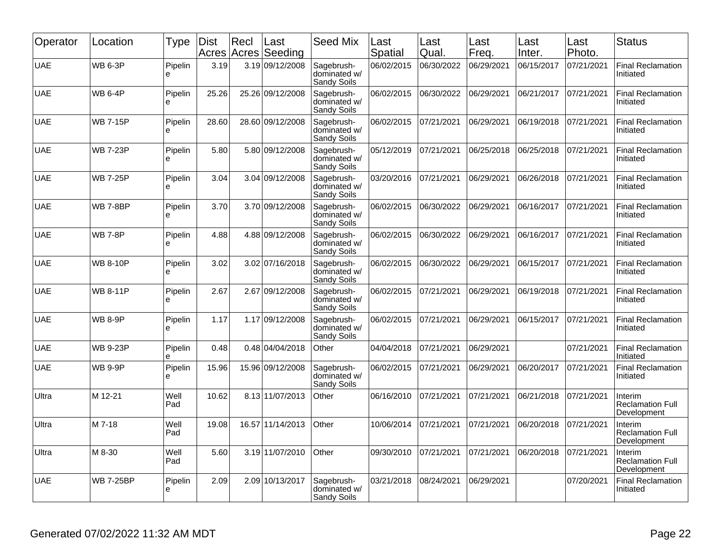| Operator   | Location         | Type         | Dist<br>Acres | Recl<br>Acres | Last<br>Seeding  | <b>Seed Mix</b>                                  | Last<br><b>Spatial</b> | Last<br>Qual. | Last<br>Freq. | Last<br>Inter. | Last<br>Photo. | <b>Status</b>                                     |
|------------|------------------|--------------|---------------|---------------|------------------|--------------------------------------------------|------------------------|---------------|---------------|----------------|----------------|---------------------------------------------------|
| <b>UAE</b> | <b>WB 6-3P</b>   | Pipelin<br>e | 3.19          |               | 3.19 09/12/2008  | Sagebrush-<br>dominated w/<br>Sandy Soils        | 06/02/2015             | 06/30/2022    | 06/29/2021    | 06/15/2017     | 07/21/2021     | <b>Final Reclamation</b><br>Initiated             |
| <b>UAE</b> | <b>WB 6-4P</b>   | Pipelin<br>e | 25.26         |               | 25.26 09/12/2008 | Sagebrush-<br>dominated w/<br>Sandy Soils        | 06/02/2015             | 06/30/2022    | 06/29/2021    | 06/21/2017     | 07/21/2021     | <b>Final Reclamation</b><br>Initiated             |
| <b>UAE</b> | <b>WB 7-15P</b>  | Pipelin<br>ė | 28.60         | 28.60         | 09/12/2008       | Sagebrush-<br>dominated w/<br>Sandy Soils        | 06/02/2015             | 07/21/2021    | 06/29/2021    | 06/19/2018     | 07/21/2021     | <b>Final Reclamation</b><br>Initiated             |
| <b>UAE</b> | <b>WB 7-23P</b>  | Pipelin<br>e | 5.80          | 5.80          | 09/12/2008       | Sagebrush-<br>dominated w/<br>Sandy Soils        | 05/12/2019             | 07/21/2021    | 06/25/2018    | 06/25/2018     | 07/21/2021     | Final Reclamation<br>Initiated                    |
| <b>UAE</b> | <b>WB 7-25P</b>  | Pipelin<br>e | 3.04          |               | 3.04 09/12/2008  | Sagebrush-<br>dominated w/<br>Sandy Soils        | 03/20/2016             | 07/21/2021    | 06/29/2021    | 06/26/2018     | 07/21/2021     | Final Reclamation<br>Initiated                    |
| <b>UAE</b> | <b>WB 7-8BP</b>  | Pipelin<br>e | 3.70          |               | 3.70 09/12/2008  | Sagebrush-<br>dominated w/<br>Sandy Soils        | 06/02/2015             | 06/30/2022    | 06/29/2021    | 06/16/2017     | 07/21/2021     | Final Reclamation<br>Initiated                    |
| <b>UAE</b> | <b>WB 7-8P</b>   | Pipelin<br>e | 4.88          |               | 4.88 09/12/2008  | Sagebrush-<br>dominated w/<br>Sandy Soils        | 06/02/2015             | 06/30/2022    | 06/29/2021    | 06/16/2017     | 07/21/2021     | Final Reclamation<br>Initiated                    |
| <b>UAE</b> | <b>WB 8-10P</b>  | Pipelin<br>e | 3.02          |               | 3.02 07/16/2018  | Sagebrush-<br>dominated w/<br>Sandy Soils        | 06/02/2015             | 06/30/2022    | 06/29/2021    | 06/15/2017     | 07/21/2021     | Final Reclamation<br>Initiated                    |
| <b>UAE</b> | <b>WB 8-11P</b>  | Pipelin<br>e | 2.67          | 2.67          | 09/12/2008       | Sagebrush-<br>dominated w/<br>Sandy Soils        | 06/02/2015             | 07/21/2021    | 06/29/2021    | 06/19/2018     | 07/21/2021     | <b>Final Reclamation</b><br>Initiated             |
| <b>UAE</b> | <b>WB 8-9P</b>   | Pipelin<br>e | 1.17          | 1.17          | 09/12/2008       | Sagebrush-<br>dominated w/<br>Sandy Soils        | 06/02/2015             | 07/21/2021    | 06/29/2021    | 06/15/2017     | 07/21/2021     | Final Reclamation<br>Initiated                    |
| <b>UAE</b> | <b>WB 9-23P</b>  | Pipelin<br>e | 0.48          |               | 0.48 04/04/2018  | Other                                            | 04/04/2018             | 07/21/2021    | 06/29/2021    |                | 07/21/2021     | <b>Final Reclamation</b><br>Initiated             |
| <b>UAE</b> | <b>WB 9-9P</b>   | Pipelin<br>e | 15.96         |               | 15.96 09/12/2008 | Sagebrush-<br>dominated w/<br>Sandy Soils        | 06/02/2015             | 07/21/2021    | 06/29/2021    | 06/20/2017     | 07/21/2021     | Final Reclamation<br>Initiated                    |
| Ultra      | M 12-21          | Well<br>Pad  | 10.62         |               | 8.13 11/07/2013  | Other                                            | 06/16/2010             | 07/21/2021    | 07/21/2021    | 06/21/2018     | 07/21/2021     | Interim<br><b>Reclamation Full</b><br>Development |
| Ultra      | M 7-18           | Well<br>Pad  | 19.08         | 16.57         | 11/14/2013       | Other                                            | 10/06/2014             | 07/21/2021    | 07/21/2021    | 06/20/2018     | 07/21/2021     | Interim<br><b>Reclamation Full</b><br>Development |
| Ultra      | M 8-30           | Well<br>Pad  | 5.60          |               | 3.19 11/07/2010  | Other                                            | 09/30/2010             | 07/21/2021    | 07/21/2021    | 06/20/2018     | 07/21/2021     | Interim<br><b>Reclamation Full</b><br>Development |
| <b>UAE</b> | <b>WB 7-25BP</b> | Pipelin<br>e | 2.09          |               | 2.09 10/13/2017  | Sagebrush-<br>dominated w/<br><b>Sandy Soils</b> | 03/21/2018             | 08/24/2021    | 06/29/2021    |                | 07/20/2021     | Final Reclamation<br>Initiated                    |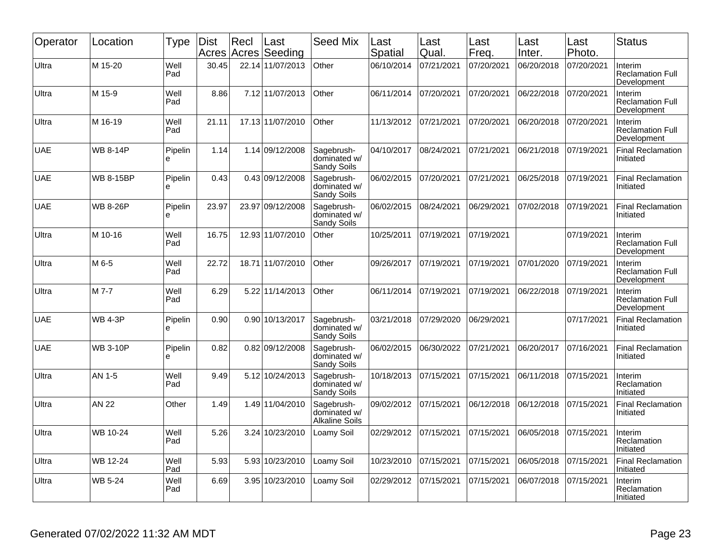| Operator   | Location         | Type         | <b>Dist</b> | Recl<br>Acres Acres | Last<br>Seeding  | <b>Seed Mix</b>                                     | Last<br><b>Spatial</b> | Last<br>Qual. | Last<br>Freq. | Last<br>Inter. | Last<br>Photo. | <b>Status</b>                                     |
|------------|------------------|--------------|-------------|---------------------|------------------|-----------------------------------------------------|------------------------|---------------|---------------|----------------|----------------|---------------------------------------------------|
| Ultra      | M 15-20          | Well<br>Pad  | 30.45       | 22.14               | 11/07/2013       | Other                                               | 06/10/2014             | 07/21/2021    | 07/20/2021    | 06/20/2018     | 07/20/2021     | Interim<br><b>Reclamation Full</b><br>Development |
| Ultra      | M 15-9           | Well<br>Pad  | 8.86        |                     | 7.12 11/07/2013  | Other                                               | 06/11/2014             | 07/20/2021    | 07/20/2021    | 06/22/2018     | 07/20/2021     | Interim<br><b>Reclamation Full</b><br>Development |
| Ultra      | M 16-19          | Well<br>Pad  | 21.11       |                     | 17.13 11/07/2010 | Other                                               | 11/13/2012             | 07/21/2021    | 07/20/2021    | 06/20/2018     | 07/20/2021     | Interim<br><b>Reclamation Full</b><br>Development |
| <b>UAE</b> | <b>WB 8-14P</b>  | Pipelin<br>e | 1.14        |                     | 1.14 09/12/2008  | Sagebrush-<br>dominated w/<br>Sandy Soils           | 04/10/2017             | 08/24/2021    | 07/21/2021    | 06/21/2018     | 07/19/2021     | <b>Final Reclamation</b><br>Initiated             |
| <b>UAE</b> | <b>WB 8-15BP</b> | Pipelin<br>e | 0.43        |                     | 0.43 09/12/2008  | Sagebrush-<br>dominated w/<br>Sandy Soils           | 06/02/2015             | 07/20/2021    | 07/21/2021    | 06/25/2018     | 07/19/2021     | <b>Final Reclamation</b><br>Initiated             |
| <b>UAE</b> | <b>WB 8-26P</b>  | Pipelin<br>e | 23.97       | 23.97               | 09/12/2008       | Sagebrush-<br>dominated w/<br>Sandy Soils           | 06/02/2015             | 08/24/2021    | 06/29/2021    | 07/02/2018     | 07/19/2021     | <b>Final Reclamation</b><br>Initiated             |
| Ultra      | M 10-16          | Well<br>Pad  | 16.75       |                     | 12.93 11/07/2010 | Other                                               | 10/25/2011             | 07/19/2021    | 07/19/2021    |                | 07/19/2021     | Interim<br><b>Reclamation Full</b><br>Development |
| Ultra      | M 6-5            | Well<br>Pad  | 22.72       | 18.71               | 11/07/2010       | Other                                               | 09/26/2017             | 07/19/2021    | 07/19/2021    | 07/01/2020     | 07/19/2021     | Interim<br><b>Reclamation Full</b><br>Development |
| Ultra      | M 7-7            | Well<br>Pad  | 6.29        |                     | 5.22 11/14/2013  | Other                                               | 06/11/2014             | 07/19/2021    | 07/19/2021    | 06/22/2018     | 07/19/2021     | Interim<br><b>Reclamation Full</b><br>Development |
| <b>UAE</b> | <b>WB 4-3P</b>   | Pipelin<br>е | 0.90        |                     | 0.90 10/13/2017  | Sagebrush-<br>dominated w/<br>Sandy Soils           | 03/21/2018             | 07/29/2020    | 06/29/2021    |                | 07/17/2021     | <b>Final Reclamation</b><br>Initiated             |
| UAE        | <b>WB 3-10P</b>  | Pipelin<br>e | 0.82        |                     | 0.82 09/12/2008  | Sagebrush-<br>dominated w/<br>Sandy Soils           | 06/02/2015             | 06/30/2022    | 07/21/2021    | 06/20/2017     | 07/16/2021     | <b>Final Reclamation</b><br>Initiated             |
| Ultra      | AN 1-5           | Well<br>Pad  | 9.49        | 5.12                | 10/24/2013       | Sagebrush-<br>dominated w/<br>Sandy Soils           | 10/18/2013             | 07/15/2021    | 07/15/2021    | 06/11/2018     | 07/15/2021     | Interim<br>Reclamation<br>Initiated               |
| Ultra      | AN 22            | Other        | 1.49        |                     | 1.49 11/04/2010  | Sagebrush-<br>dominated w/<br><b>Alkaline Soils</b> | 09/02/2012             | 07/15/2021    | 06/12/2018    | 06/12/2018     | 07/15/2021     | <b>Final Reclamation</b><br>Initiated             |
| Ultra      | WB 10-24         | Well<br>Pad  | 5.26        |                     | 3.24 10/23/2010  | Loamy Soil                                          | 02/29/2012             | 07/15/2021    | 07/15/2021    | 06/05/2018     | 07/15/2021     | Interim<br>Reclamation<br>Initiated               |
| Ultra      | WB 12-24         | Well<br>Pad  | 5.93        |                     | 5.93 10/23/2010  | Loamy Soil                                          | 10/23/2010             | 07/15/2021    | 07/15/2021    | 06/05/2018     | 07/15/2021     | <b>Final Reclamation</b><br>Initiated             |
| Ultra      | <b>WB 5-24</b>   | Well<br>Pad  | 6.69        |                     | 3.95 10/23/2010  | Loamy Soil                                          | 02/29/2012             | 07/15/2021    | 07/15/2021    | 06/07/2018     | 07/15/2021     | Interim<br>Reclamation<br>Initiated               |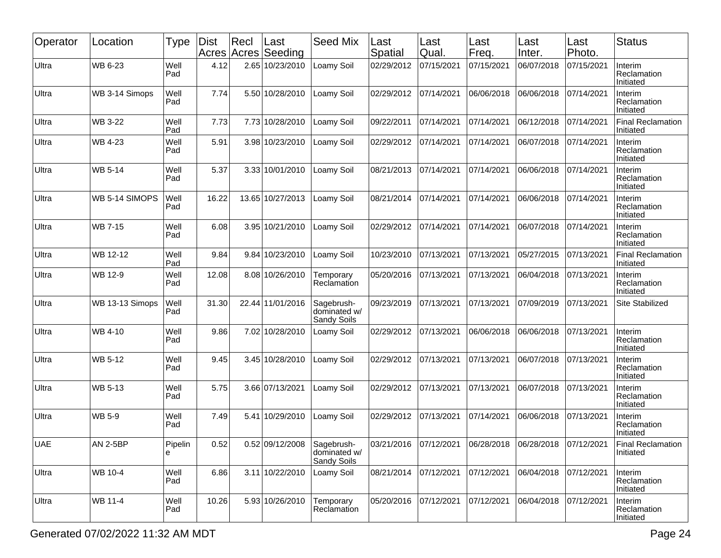| Operator   | Location        | <b>Type</b>   | <b>Dist</b><br>Acres | Recl | Last<br>Acres Seeding | <b>Seed Mix</b>                           | Last<br>Spatial       | Last<br>Qual. | Last<br>Freq. | Last<br>Inter. | Last<br>Photo. | <b>Status</b>                         |
|------------|-----------------|---------------|----------------------|------|-----------------------|-------------------------------------------|-----------------------|---------------|---------------|----------------|----------------|---------------------------------------|
| Ultra      | WB 6-23         | Well<br>Pad   | 4.12                 |      | 2.65 10/23/2010       | Loamy Soil                                | 02/29/2012            | 07/15/2021    | 07/15/2021    | 06/07/2018     | 07/15/2021     | Interim<br>Reclamation<br>Initiated   |
| Ultra      | WB 3-14 Simops  | Well<br>Pad   | 7.74                 |      | 5.50 10/28/2010       | Loamy Soil                                | 02/29/2012            | 07/14/2021    | 06/06/2018    | 06/06/2018     | 07/14/2021     | Interim<br>Reclamation<br>Initiated   |
| Ultra      | WB 3-22         | Well<br>Pad   | 7.73                 |      | 7.73 10/28/2010       | Loamy Soil                                | 09/22/2011            | 07/14/2021    | 07/14/2021    | 06/12/2018     | 07/14/2021     | <b>Final Reclamation</b><br>Initiated |
| Ultra      | WB 4-23         | Well<br>Pad   | 5.91                 |      | 3.98 10/23/2010       | Loamy Soil                                | 02/29/2012            | 07/14/2021    | 07/14/2021    | 06/07/2018     | 07/14/2021     | Interim<br>Reclamation<br>Initiated   |
| Ultra      | <b>WB 5-14</b>  | Well<br>Pad   | 5.37                 |      | 3.33 10/01/2010       | Loamy Soil                                | 08/21/2013            | 07/14/2021    | 07/14/2021    | 06/06/2018     | 07/14/2021     | Interim<br>Reclamation<br>Initiated   |
| Ultra      | WB 5-14 SIMOPS  | Well<br>Pad   | 16.22                |      | 13.65 10/27/2013      | _oamy Soil                                | 08/21/2014            | 07/14/2021    | 07/14/2021    | 06/06/2018     | 07/14/2021     | Interim<br>Reclamation<br>Initiated   |
| Ultra      | <b>WB 7-15</b>  | Well<br>Pad   | 6.08                 |      | 3.95 10/21/2010       | Loamy Soil                                | 02/29/2012            | 07/14/2021    | 07/14/2021    | 06/07/2018     | 07/14/2021     | Interim<br>Reclamation<br>Initiated   |
| Ultra      | WB 12-12        | Well<br>Pad   | 9.84                 |      | 9.84 10/23/2010       | Loamy Soil                                | 10/23/2010            | 07/13/2021    | 07/13/2021    | 05/27/2015     | 07/13/2021     | <b>Final Reclamation</b><br>Initiated |
| Ultra      | WB 12-9         | Well<br>Pad   | 12.08                |      | 8.08 10/26/2010       | Temporary<br>Reclamation                  | 05/20/2016            | 07/13/2021    | 07/13/2021    | 06/04/2018     | 07/13/2021     | Interim<br>Reclamation<br>Initiated   |
| Ultra      | WB 13-13 Simops | Well<br>Pad   | 31.30                |      | 22.44 11/01/2016      | Sagebrush-<br>dominated w/<br>Sandy Soils | 09/23/2019            | 07/13/2021    | 07/13/2021    | 07/09/2019     | 07/13/2021     | Site Stabilized                       |
| Ultra      | WB 4-10         | Well<br>Pad   | 9.86                 |      | 7.02 10/28/2010       | Loamy Soil                                | 02/29/2012            | 07/13/2021    | 06/06/2018    | 06/06/2018     | 07/13/2021     | Interim<br>Reclamation<br>Initiated   |
| Ultra      | WB 5-12         | Well<br>Pad   | 9.45                 |      | 3.45 10/28/2010       | Loamy Soil                                | 02/29/2012            | 07/13/2021    | 07/13/2021    | 06/07/2018     | 07/13/2021     | Interim<br>Reclamation<br>Initiated   |
| Ultra      | <b>WB 5-13</b>  | Well<br>Pad   | 5.75                 |      | 3.66 07/13/2021       | Loamy Soil                                | 02/29/2012            | 07/13/2021    | 07/13/2021    | 06/07/2018     | 07/13/2021     | Interim<br>Reclamation<br>Initiated   |
| Ultra      | <b>WB 5-9</b>   | Well<br>Pad   | 7.49                 | 5.41 | 10/29/2010            | Loamy Soil                                | 02/29/2012            | 07/13/2021    | 07/14/2021    | 06/06/2018     | 07/13/2021     | Interim<br>Reclamation<br>Initiated   |
| <b>UAE</b> | <b>AN 2-5BP</b> | Pipelin<br>le | 0.52                 |      | 0.52 09/12/2008       | Sagebrush-<br>dominated w/<br>Sandy Soils | 03/21/2016 07/12/2021 |               | 06/28/2018    | 06/28/2018     | 07/12/2021     | <b>Final Reclamation</b><br>Initiated |
| Ultra      | WB 10-4         | Well<br>Pad   | 6.86                 |      | 3.11 10/22/2010       | Loamy Soil                                | 08/21/2014            | 07/12/2021    | 07/12/2021    | 06/04/2018     | 07/12/2021     | Interim<br>Reclamation<br>Initiated   |
| Ultra      | WB 11-4         | Well<br>Pad   | 10.26                |      | 5.93 10/26/2010       | Temporary<br>Reclamation                  | 05/20/2016            | 07/12/2021    | 07/12/2021    | 06/04/2018     | 07/12/2021     | Interim<br>Reclamation<br>Initiated   |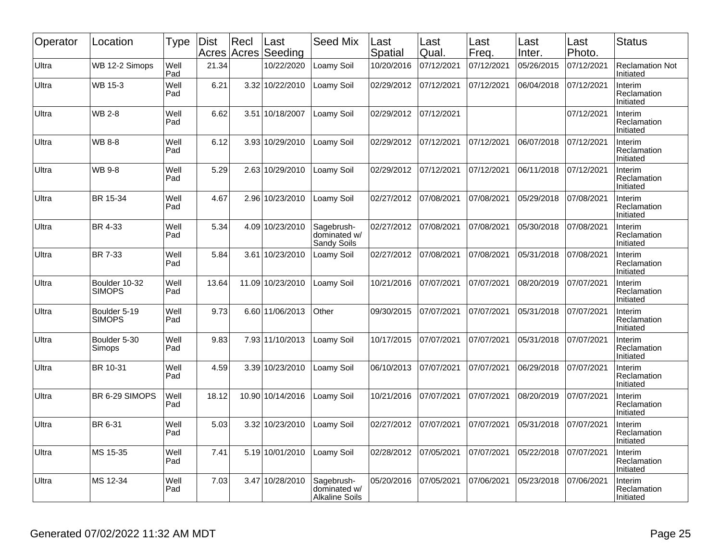| Operator | Location                       | Type        | <b>Dist</b><br>Acres | Recl<br>Acres | Last<br>Seeding  | <b>Seed Mix</b>                                     | Last<br>Spatial | Last<br>Qual. | Last<br>Freq. | Last<br>Inter. | Last<br>Photo. | <b>Status</b>                       |
|----------|--------------------------------|-------------|----------------------|---------------|------------------|-----------------------------------------------------|-----------------|---------------|---------------|----------------|----------------|-------------------------------------|
| Ultra    | WB 12-2 Simops                 | Well<br>Pad | 21.34                |               | 10/22/2020       | Loamy Soil                                          | 10/20/2016      | 07/12/2021    | 07/12/2021    | 05/26/2015     | 07/12/2021     | <b>Reclamation Not</b><br>Initiated |
| Ultra    | WB 15-3                        | Well<br>Pad | 6.21                 |               | 3.32 10/22/2010  | Loamy Soil                                          | 02/29/2012      | 07/12/2021    | 07/12/2021    | 06/04/2018     | 07/12/2021     | Interim<br>Reclamation<br>Initiated |
| Ultra    | <b>WB 2-8</b>                  | Well<br>Pad | 6.62                 |               | 3.51 10/18/2007  | Loamy Soil                                          | 02/29/2012      | 07/12/2021    |               |                | 07/12/2021     | Interim<br>Reclamation<br>Initiated |
| Ultra    | <b>WB 8-8</b>                  | Well<br>Pad | 6.12                 |               | 3.93 10/29/2010  | Loamy Soil                                          | 02/29/2012      | 07/12/2021    | 07/12/2021    | 06/07/2018     | 07/12/2021     | Interim<br>Reclamation<br>Initiated |
| Ultra    | <b>WB 9-8</b>                  | Well<br>Pad | 5.29                 |               | 2.63 10/29/2010  | Loamy Soil                                          | 02/29/2012      | 07/12/2021    | 07/12/2021    | 06/11/2018     | 07/12/2021     | Interim<br>Reclamation<br>Initiated |
| Ultra    | BR 15-34                       | Well<br>Pad | 4.67                 |               | 2.96 10/23/2010  | Loamy Soil                                          | 02/27/2012      | 07/08/2021    | 07/08/2021    | 05/29/2018     | 07/08/2021     | Interim<br>Reclamation<br>Initiated |
| Ultra    | <b>BR 4-33</b>                 | Well<br>Pad | 5.34                 |               | 4.09 10/23/2010  | Sagebrush-<br>dominated w/<br>Sandy Soils           | 02/27/2012      | 07/08/2021    | 07/08/2021    | 05/30/2018     | 07/08/2021     | Interim<br>Reclamation<br>Initiated |
| Ultra    | BR 7-33                        | Well<br>Pad | 5.84                 | 3.61          | 10/23/2010       | Loamy Soil                                          | 02/27/2012      | 07/08/2021    | 07/08/2021    | 05/31/2018     | 07/08/2021     | Interim<br>Reclamation<br>Initiated |
| Ultra    | Boulder 10-32<br><b>SIMOPS</b> | Well<br>Pad | 13.64                |               | 11.09 10/23/2010 | Loamy Soil                                          | 10/21/2016      | 07/07/2021    | 07/07/2021    | 08/20/2019     | 07/07/2021     | Interim<br>Reclamation<br>Initiated |
| Ultra    | Boulder 5-19<br><b>SIMOPS</b>  | Well<br>Pad | 9.73                 |               | 6.60 11/06/2013  | Other                                               | 09/30/2015      | 07/07/2021    | 07/07/2021    | 05/31/2018     | 07/07/2021     | Interim<br>Reclamation<br>Initiated |
| Ultra    | Boulder 5-30<br>Simops         | Well<br>Pad | 9.83                 |               | 7.93 11/10/2013  | Loamy Soil                                          | 10/17/2015      | 07/07/2021    | 07/07/2021    | 05/31/2018     | 07/07/2021     | Interim<br>Reclamation<br>Initiated |
| Ultra    | BR 10-31                       | Well<br>Pad | 4.59                 |               | 3.39 10/23/2010  | Loamy Soil                                          | 06/10/2013      | 07/07/2021    | 07/07/2021    | 06/29/2018     | 07/07/2021     | Interim<br>Reclamation<br>Initiated |
| Ultra    | BR 6-29 SIMOPS                 | Well<br>Pad | 18.12                |               | 10.90 10/14/2016 | Loamy Soil                                          | 10/21/2016      | 07/07/2021    | 07/07/2021    | 08/20/2019     | 07/07/2021     | Interim<br>Reclamation<br>Initiated |
| Ultra    | BR 6-31                        | Well<br>Pad | 5.03                 |               | 3.32 10/23/2010  | _oamy Soil                                          | 02/27/2012      | 07/07/2021    | 07/07/2021    | 05/31/2018     | 07/07/2021     | Interim<br>Reclamation<br>Initiated |
| Ultra    | MS 15-35                       | Well<br>Pad | 7.41                 |               | 5.19 10/01/2010  | Loamy Soil                                          | 02/28/2012      | 07/05/2021    | 07/07/2021    | 05/22/2018     | 07/07/2021     | Interim<br>Reclamation<br>Initiated |
| Ultra    | MS 12-34                       | Well<br>Pad | 7.03                 |               | 3.47 10/28/2010  | Sagebrush-<br>dominated w/<br><b>Alkaline Soils</b> | 05/20/2016      | 07/05/2021    | 07/06/2021    | 05/23/2018     | 07/06/2021     | Interim<br>Reclamation<br>Initiated |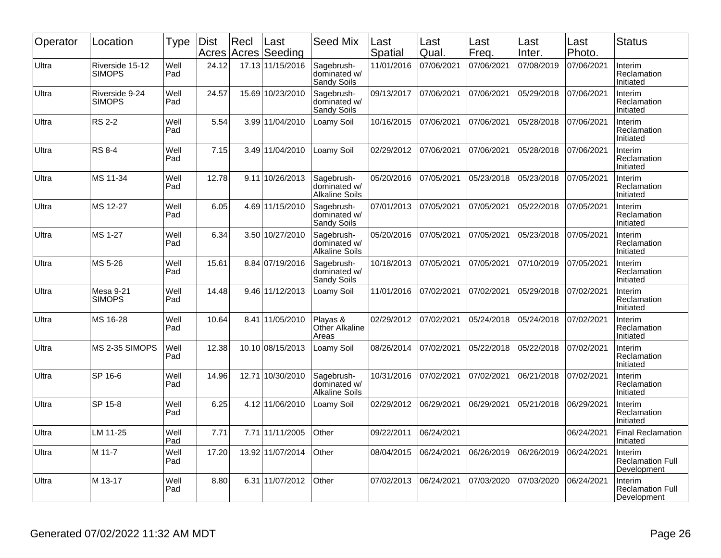| Operator | Location                          | <b>Type</b> | <b>Dist</b> | Recl  | Last<br>Acres Acres Seeding | <b>Seed Mix</b>                                     | Last<br>Spatial | Last<br>Qual. | Last<br>Freq. | Last<br>Inter. | Last<br>Photo. | <b>Status</b>                                     |
|----------|-----------------------------------|-------------|-------------|-------|-----------------------------|-----------------------------------------------------|-----------------|---------------|---------------|----------------|----------------|---------------------------------------------------|
| Ultra    | Riverside 15-12<br><b>SIMOPS</b>  | Well<br>Pad | 24.12       |       | 17.13 11/15/2016            | Sagebrush-<br>dominated w/<br>Sandy Soils           | 11/01/2016      | 07/06/2021    | 07/06/2021    | 07/08/2019     | 07/06/2021     | Interim<br>Reclamation<br>Initiated               |
| Ultra    | Riverside 9-24<br><b>SIMOPS</b>   | Well<br>Pad | 24.57       |       | 15.69 10/23/2010            | Sagebrush-<br>dominated w/<br>Sandy Soils           | 09/13/2017      | 07/06/2021    | 07/06/2021    | 05/29/2018     | 07/06/2021     | Interim<br>Reclamation<br>Initiated               |
| Ultra    | <b>RS 2-2</b>                     | Well<br>Pad | 5.54        |       | 3.99 11/04/2010             | Loamy Soil                                          | 10/16/2015      | 07/06/2021    | 07/06/2021    | 05/28/2018     | 07/06/2021     | Interim<br>Reclamation<br>Initiated               |
| Ultra    | <b>RS 8-4</b>                     | Well<br>Pad | 7.15        |       | 3.49 11/04/2010             | Loamy Soil                                          | 02/29/2012      | 07/06/2021    | 07/06/2021    | 05/28/2018     | 07/06/2021     | Interim<br>Reclamation<br>Initiated               |
| Ultra    | MS 11-34                          | Well<br>Pad | 12.78       |       | 9.11 10/26/2013             | Sagebrush-<br>dominated w/<br>Alkaline Soils        | 05/20/2016      | 07/05/2021    | 05/23/2018    | 05/23/2018     | 07/05/2021     | Interim<br>Reclamation<br>Initiated               |
| Ultra    | MS 12-27                          | Well<br>Pad | 6.05        |       | 4.69 11/15/2010             | Sagebrush-<br>dominated w/<br>Sandy Soils           | 07/01/2013      | 07/05/2021    | 07/05/2021    | 05/22/2018     | 07/05/2021     | Interim<br>Reclamation<br>Initiated               |
| Ultra    | MS 1-27                           | Well<br>Pad | 6.34        |       | 3.50 10/27/2010             | Sagebrush-<br>dominated w/<br><b>Alkaline Soils</b> | 05/20/2016      | 07/05/2021    | 07/05/2021    | 05/23/2018     | 07/05/2021     | Interim<br>Reclamation<br>Initiated               |
| Ultra    | MS 5-26                           | Well<br>Pad | 15.61       |       | 8.84 07/19/2016             | Sagebrush-<br>dominated w/<br>Sandy Soils           | 10/18/2013      | 07/05/2021    | 07/05/2021    | 07/10/2019     | 07/05/2021     | Interim<br>Reclamation<br>Initiated               |
| Ultra    | <b>Mesa 9-21</b><br><b>SIMOPS</b> | Well<br>Pad | 14.48       |       | 9.46 11/12/2013             | Loamy Soil                                          | 11/01/2016      | 07/02/2021    | 07/02/2021    | 05/29/2018     | 07/02/2021     | Interim<br>Reclamation<br>Initiated               |
| Ultra    | MS 16-28                          | Well<br>Pad | 10.64       |       | 8.41 11/05/2010             | Playas &<br>Other Alkaline<br>Areas                 | 02/29/2012      | 07/02/2021    | 05/24/2018    | 05/24/2018     | 07/02/2021     | Interim<br>Reclamation<br>Initiated               |
| Ultra    | MS 2-35 SIMOPS                    | Well<br>Pad | 12.38       |       | 10.10 08/15/2013            | Loamy Soil                                          | 08/26/2014      | 07/02/2021    | 05/22/2018    | 05/22/2018     | 07/02/2021     | Interim<br>Reclamation<br>Initiated               |
| Ultra    | SP 16-6                           | Well<br>Pad | 14.96       | 12.71 | 10/30/2010                  | Sagebrush-<br>dominated w/<br><b>Alkaline Soils</b> | 10/31/2016      | 07/02/2021    | 07/02/2021    | 06/21/2018     | 07/02/2021     | Interim<br>Reclamation<br>Initiated               |
| Ultra    | SP 15-8                           | Well<br>Pad | 6.25        |       | 4.12 11/06/2010             | Loamy Soil                                          | 02/29/2012      | 06/29/2021    | 06/29/2021    | 05/21/2018     | 06/29/2021     | Interim<br>Reclamation<br>Initiated               |
| Ultra    | LM 11-25                          | Well<br>Pad | 7.71        | 7.71  | 11/11/2005                  | Other                                               | 09/22/2011      | 06/24/2021    |               |                | 06/24/2021     | <b>Final Reclamation</b><br>Initiated             |
| Ultra    | M 11-7                            | Well<br>Pad | 17.20       |       | 13.92 11/07/2014            | Other                                               | 08/04/2015      | 06/24/2021    | 06/26/2019    | 06/26/2019     | 06/24/2021     | Interim<br><b>Reclamation Full</b><br>Development |
| Ultra    | M 13-17                           | Well<br>Pad | 8.80        |       | 6.31 11/07/2012             | Other                                               | 07/02/2013      | 06/24/2021    | 07/03/2020    | 07/03/2020     | 06/24/2021     | Interim<br><b>Reclamation Full</b><br>Development |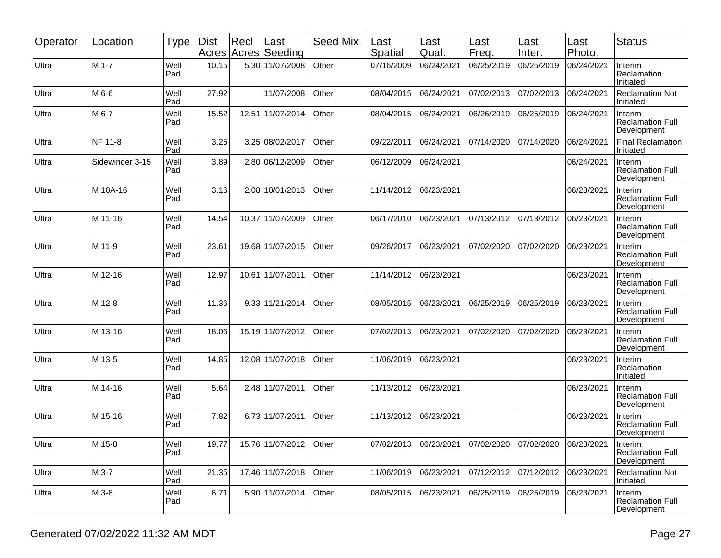| Operator | Location        | Type        | <b>Dist</b> | $ $ Recl | Last<br>Acres Acres Seeding | <b>Seed Mix</b> | Last<br>Spatial        | Last<br>Qual. | Last<br>Freq. | Last<br>Inter. | Last<br>Photo. | <b>Status</b>                                            |
|----------|-----------------|-------------|-------------|----------|-----------------------------|-----------------|------------------------|---------------|---------------|----------------|----------------|----------------------------------------------------------|
| Ultra    | M 1-7           | Well<br>Pad | 10.15       |          | 5.30 11/07/2008             | Other           | 07/16/2009             | 06/24/2021    | 06/25/2019    | 06/25/2019     | 06/24/2021     | Interim<br>Reclamation<br>Initiated                      |
| Ultra    | M 6-6           | Well<br>Pad | 27.92       |          | 11/07/2008                  | Other           | 08/04/2015             | 06/24/2021    | 07/02/2013    | 07/02/2013     | 06/24/2021     | <b>Reclamation Not</b><br>Initiated                      |
| Ultra    | M 6-7           | Well<br>Pad | 15.52       |          | 12.51 11/07/2014            | Other           | 08/04/2015             | 06/24/2021    | 06/26/2019    | 06/25/2019     | 06/24/2021     | Interim<br><b>Reclamation Full</b><br>Development        |
| Ultra    | NF 11-8         | Well<br>Pad | 3.25        |          | 3.25 08/02/2017             | Other           | 09/22/2011             | 06/24/2021    | 07/14/2020    | 07/14/2020     | 06/24/2021     | <b>Final Reclamation</b><br>Initiated                    |
| Ultra    | Sidewinder 3-15 | Well<br>Pad | 3.89        |          | 2.80 06/12/2009             | Other           | 06/12/2009             | 06/24/2021    |               |                | 06/24/2021     | Interim<br><b>Reclamation Full</b><br>Development        |
| Ultra    | M 10A-16        | Well<br>Pad | 3.16        |          | 2.08 10/01/2013             | Other           | 11/14/2012             | 06/23/2021    |               |                | 06/23/2021     | Interim<br><b>Reclamation Full</b><br>Development        |
| Ultra    | M 11-16         | Well<br>Pad | 14.54       |          | 10.37 11/07/2009            | Other           | 06/17/2010             | 06/23/2021    | 07/13/2012    | 07/13/2012     | 06/23/2021     | Interim<br><b>Reclamation Full</b><br>Development        |
| Ultra    | M 11-9          | Well<br>Pad | 23.61       |          | 19.68 11/07/2015            | Other           | 09/26/2017             | 06/23/2021    | 07/02/2020    | 07/02/2020     | 06/23/2021     | Interim<br><b>Reclamation Full</b><br>Development        |
| Ultra    | M 12-16         | Well<br>Pad | 12.97       |          | 10.61 11/07/2011            | Other           | 11/14/2012             | 06/23/2021    |               |                | 06/23/2021     | Interim<br><b>Reclamation Full</b><br>Development        |
| Ultra    | M 12-8          | Well<br>Pad | 11.36       |          | 9.33 11/21/2014             | Other           | 08/05/2015             | 06/23/2021    | 06/25/2019    | 06/25/2019     | 06/23/2021     | Interim<br><b>Reclamation Full</b><br>Development        |
| Ultra    | M 13-16         | Well<br>Pad | 18.06       |          | 15.19 11/07/2012            | Other           | 07/02/2013             | 06/23/2021    | 07/02/2020    | 07/02/2020     | 06/23/2021     | Interim<br><b>Reclamation Full</b><br>Development        |
| Ultra    | M 13-5          | Well<br>Pad | 14.85       |          | 12.08 11/07/2018            | Other           | 11/06/2019             | 06/23/2021    |               |                | 06/23/2021     | Interim<br>Reclamation<br>Initiated                      |
| Ultra    | M 14-16         | Well<br>Pad | 5.64        |          | 2.48 11/07/2011             | Other           | 11/13/2012             | 06/23/2021    |               |                | 06/23/2021     | <b>Interim</b><br><b>Reclamation Full</b><br>Development |
| Ultra    | M 15-16         | Well<br>Pad | 7.82        |          | 6.73 11/07/2011             | Other           | 11/13/2012             | 06/23/2021    |               |                | 06/23/2021     | Interim<br><b>Reclamation Full</b><br>Development        |
| Ultra    | M 15-8          | Well<br>Pad | 19.77       |          | 15.76 11/07/2012            | Other           | 07/02/2013  06/23/2021 |               | 07/02/2020    | 07/02/2020     | 06/23/2021     | Interim<br>Reclamation Full<br>Development               |
| Ultra    | M 3-7           | Well<br>Pad | 21.35       |          | 17.46 11/07/2018            | Other           | 11/06/2019             | 06/23/2021    | 07/12/2012    | 07/12/2012     | 06/23/2021     | <b>Reclamation Not</b><br>Initiated                      |
| Ultra    | M 3-8           | Well<br>Pad | 6.71        |          | 5.90 11/07/2014             | Other           | 08/05/2015             | 06/23/2021    | 06/25/2019    | 06/25/2019     | 06/23/2021     | Interim<br><b>Reclamation Full</b><br>Development        |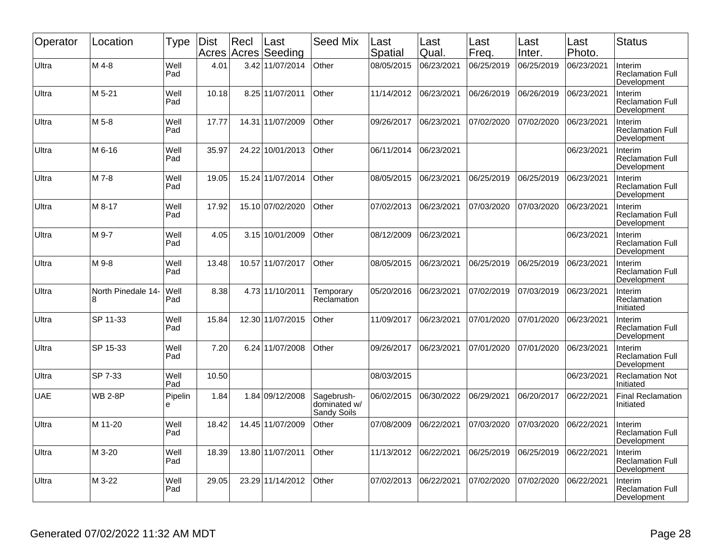| Operator | Location                 | <b>Type</b>  | <b>Dist</b><br>Acres | Recl | Last<br>Acres Seeding | <b>Seed Mix</b>                           | Last<br>Spatial | Last<br>Qual. | Last<br>Freq. | Last<br>Inter. | Last<br>Photo. | <b>Status</b>                                     |
|----------|--------------------------|--------------|----------------------|------|-----------------------|-------------------------------------------|-----------------|---------------|---------------|----------------|----------------|---------------------------------------------------|
| Ultra    | M 4-8                    | Well<br>Pad  | 4.01                 |      | 3.42 11/07/2014       | Other                                     | 08/05/2015      | 06/23/2021    | 06/25/2019    | 06/25/2019     | 06/23/2021     | Interim<br><b>Reclamation Full</b><br>Development |
| Ultra    | M 5-21                   | Well<br>Pad  | 10.18                |      | 8.25 11/07/2011       | Other                                     | 11/14/2012      | 06/23/2021    | 06/26/2019    | 06/26/2019     | 06/23/2021     | Interim<br><b>Reclamation Full</b><br>Development |
| Ultra    | M 5-8                    | Well<br>Pad  | 17.77                |      | 14.31 11/07/2009      | Other                                     | 09/26/2017      | 06/23/2021    | 07/02/2020    | 07/02/2020     | 06/23/2021     | Interim<br><b>Reclamation Full</b><br>Development |
| Ultra    | M 6-16                   | Well<br>Pad  | 35.97                |      | 24.22 10/01/2013      | Other                                     | 06/11/2014      | 06/23/2021    |               |                | 06/23/2021     | Interim<br><b>Reclamation Full</b><br>Development |
| Ultra    | M 7-8                    | Well<br>Pad  | 19.05                |      | 15.24 11/07/2014      | Other                                     | 08/05/2015      | 06/23/2021    | 06/25/2019    | 06/25/2019     | 06/23/2021     | Interim<br><b>Reclamation Full</b><br>Development |
| Ultra    | M 8-17                   | Well<br>Pad  | 17.92                |      | 15.10 07/02/2020      | Other                                     | 07/02/2013      | 06/23/2021    | 07/03/2020    | 07/03/2020     | 06/23/2021     | Interim<br><b>Reclamation Full</b><br>Development |
| Ultra    | M 9-7                    | Well<br>Pad  | 4.05                 |      | 3.15 10/01/2009       | Other                                     | 08/12/2009      | 06/23/2021    |               |                | 06/23/2021     | Interim<br><b>Reclamation Full</b><br>Development |
| Ultra    | M 9-8                    | Well<br>Pad  | 13.48                |      | 10.57 11/07/2017      | Other                                     | 08/05/2015      | 06/23/2021    | 06/25/2019    | 06/25/2019     | 06/23/2021     | Interim<br><b>Reclamation Full</b><br>Development |
| Ultra    | North Pinedale 14-<br>R. | Well<br>Pad  | 8.38                 |      | 4.73 11/10/2011       | Temporary<br>Reclamation                  | 05/20/2016      | 06/23/2021    | 07/02/2019    | 07/03/2019     | 06/23/2021     | Interim<br>Reclamation<br>Initiated               |
| Ultra    | SP 11-33                 | Well<br>Pad  | 15.84                |      | 12.30 11/07/2015      | Other                                     | 11/09/2017      | 06/23/2021    | 07/01/2020    | 07/01/2020     | 06/23/2021     | Interim<br><b>Reclamation Full</b><br>Development |
| Ultra    | SP 15-33                 | Well<br>Pad  | 7.20                 |      | 6.24 11/07/2008       | Other                                     | 09/26/2017      | 06/23/2021    | 07/01/2020    | 07/01/2020     | 06/23/2021     | Interim<br><b>Reclamation Full</b><br>Development |
| Ultra    | SP 7-33                  | Well<br>Pad  | 10.50                |      |                       |                                           | 08/03/2015      |               |               |                | 06/23/2021     | <b>Reclamation Not</b><br>Initiated               |
| UAE      | <b>WB 2-8P</b>           | Pipelin<br>е | 1.84                 |      | 1.84 09/12/2008       | Sagebrush-<br>dominated w/<br>Sandy Soils | 06/02/2015      | 06/30/2022    | 06/29/2021    | 06/20/2017     | 06/22/2021     | <b>Final Reclamation</b><br>Initiated             |
| Ultra    | M 11-20                  | Well<br>Pad  | 18.42                |      | 14.45 11/07/2009      | Other                                     | 07/08/2009      | 06/22/2021    | 07/03/2020    | 07/03/2020     | 06/22/2021     | Interim<br><b>Reclamation Full</b><br>Development |
| Ultra    | M 3-20                   | Well<br>Pad  | 18.39                |      | 13.80 11/07/2011      | Other                                     | 11/13/2012      | 06/22/2021    | 06/25/2019    | 06/25/2019     | 06/22/2021     | Interim<br><b>Reclamation Full</b><br>Development |
| Ultra    | M 3-22                   | Well<br>Pad  | 29.05                |      | 23.29 11/14/2012      | Other                                     | 07/02/2013      | 06/22/2021    | 07/02/2020    | 07/02/2020     | 06/22/2021     | Interim<br><b>Reclamation Full</b><br>Development |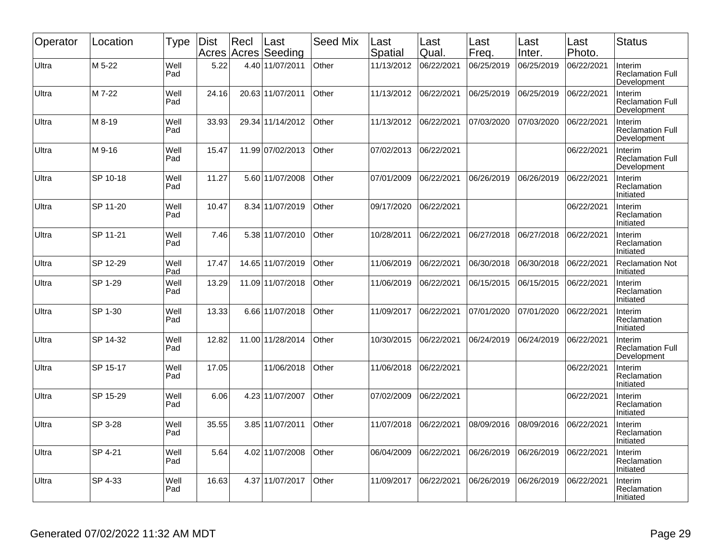| Operator | Location | Type        | <b>Dist</b> | Recl<br>Acres Acres | Last<br>Seeding  | Seed Mix | Last<br>Spatial | Last<br>Qual. | Last<br>Freq. | Last<br>Inter. | Last<br>Photo. | <b>Status</b>                                     |
|----------|----------|-------------|-------------|---------------------|------------------|----------|-----------------|---------------|---------------|----------------|----------------|---------------------------------------------------|
| Ultra    | M 5-22   | Well<br>Pad | 5.22        |                     | 4.40 11/07/2011  | Other    | 11/13/2012      | 06/22/2021    | 06/25/2019    | 06/25/2019     | 06/22/2021     | Interim<br><b>Reclamation Full</b><br>Development |
| Ultra    | M 7-22   | Well<br>Pad | 24.16       |                     | 20.63 11/07/2011 | Other    | 11/13/2012      | 06/22/2021    | 06/25/2019    | 06/25/2019     | 06/22/2021     | Interim<br><b>Reclamation Full</b><br>Development |
| Ultra    | M 8-19   | Well<br>Pad | 33.93       |                     | 29.34 11/14/2012 | Other    | 11/13/2012      | 06/22/2021    | 07/03/2020    | 07/03/2020     | 06/22/2021     | Interim<br><b>Reclamation Full</b><br>Development |
| Ultra    | M 9-16   | Well<br>Pad | 15.47       |                     | 11.99 07/02/2013 | Other    | 07/02/2013      | 06/22/2021    |               |                | 06/22/2021     | Interim<br><b>Reclamation Full</b><br>Development |
| Ultra    | SP 10-18 | Well<br>Pad | 11.27       |                     | 5.60 11/07/2008  | Other    | 07/01/2009      | 06/22/2021    | 06/26/2019    | 06/26/2019     | 06/22/2021     | Interim<br>Reclamation<br>Initiated               |
| Ultra    | SP 11-20 | Well<br>Pad | 10.47       |                     | 8.34 11/07/2019  | Other    | 09/17/2020      | 06/22/2021    |               |                | 06/22/2021     | Interim<br>Reclamation<br>Initiated               |
| Ultra    | SP 11-21 | Well<br>Pad | 7.46        |                     | 5.38 11/07/2010  | Other    | 10/28/2011      | 06/22/2021    | 06/27/2018    | 06/27/2018     | 06/22/2021     | Interim<br>Reclamation<br>Initiated               |
| Ultra    | SP 12-29 | Well<br>Pad | 17.47       |                     | 14.65 11/07/2019 | Other    | 11/06/2019      | 06/22/2021    | 06/30/2018    | 06/30/2018     | 06/22/2021     | <b>Reclamation Not</b><br>Initiated               |
| Ultra    | SP 1-29  | Well<br>Pad | 13.29       |                     | 11.09 11/07/2018 | Other    | 11/06/2019      | 06/22/2021    | 06/15/2015    | 06/15/2015     | 06/22/2021     | <b>Interim</b><br>Reclamation<br>Initiated        |
| Ultra    | SP 1-30  | Well<br>Pad | 13.33       |                     | 6.66 11/07/2018  | Other    | 11/09/2017      | 06/22/2021    | 07/01/2020    | 07/01/2020     | 06/22/2021     | Interim<br>Reclamation<br>Initiated               |
| Ultra    | SP 14-32 | Well<br>Pad | 12.82       |                     | 11.00 11/28/2014 | Other    | 10/30/2015      | 06/22/2021    | 06/24/2019    | 06/24/2019     | 06/22/2021     | Interim<br><b>Reclamation Full</b><br>Development |
| Ultra    | SP 15-17 | Well<br>Pad | 17.05       |                     | 11/06/2018       | Other    | 11/06/2018      | 06/22/2021    |               |                | 06/22/2021     | Interim<br>Reclamation<br>Initiated               |
| Ultra    | SP 15-29 | Well<br>Pad | 6.06        |                     | 4.23 11/07/2007  | Other    | 07/02/2009      | 06/22/2021    |               |                | 06/22/2021     | Interim<br>Reclamation<br>Initiated               |
| Ultra    | SP 3-28  | Well<br>Pad | 35.55       |                     | 3.85 11/07/2011  | Other    | 11/07/2018      | 06/22/2021    | 08/09/2016    | 08/09/2016     | 06/22/2021     | Interim<br>Reclamation<br>Initiated               |
| Ultra    | SP 4-21  | Well<br>Pad | 5.64        |                     | 4.02 11/07/2008  | Other    | 06/04/2009      | 06/22/2021    | 06/26/2019    | 06/26/2019     | 06/22/2021     | Interim<br>Reclamation<br>Initiated               |
| Ultra    | SP 4-33  | Well<br>Pad | 16.63       |                     | 4.37 11/07/2017  | Other    | 11/09/2017      | 06/22/2021    | 06/26/2019    | 06/26/2019     | 06/22/2021     | Interim<br>Reclamation<br>Initiated               |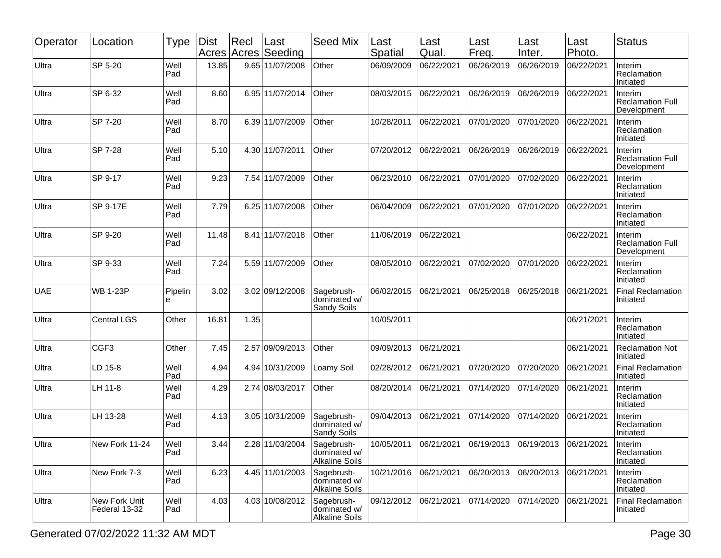| Operator   | Location                       | Type         | Dist<br>Acres | Recl<br>Acres | Last<br>Seeding | <b>Seed Mix</b>                                     | Last<br>Spatial | Last<br>Qual. | Last<br>Freq.         | Last<br>Inter. | Last<br>Photo. | <b>Status</b>                                     |
|------------|--------------------------------|--------------|---------------|---------------|-----------------|-----------------------------------------------------|-----------------|---------------|-----------------------|----------------|----------------|---------------------------------------------------|
| Ultra      | SP 5-20                        | Well<br>Pad  | 13.85         |               | 9.65 11/07/2008 | Other                                               | 06/09/2009      | 06/22/2021    | 06/26/2019            | 06/26/2019     | 06/22/2021     | Interim<br>Reclamation<br>Initiated               |
| Ultra      | SP 6-32                        | Well<br>Pad  | 8.60          |               | 6.95 11/07/2014 | Other                                               | 08/03/2015      | 06/22/2021    | 06/26/2019            | 06/26/2019     | 06/22/2021     | Interim<br><b>Reclamation Full</b><br>Development |
| Ultra      | SP 7-20                        | Well<br>Pad  | 8.70          |               | 6.39 11/07/2009 | Other                                               | 10/28/2011      | 06/22/2021    | 07/01/2020            | 07/01/2020     | 06/22/2021     | Interim<br>Reclamation<br>Initiated               |
| Ultra      | SP 7-28                        | Well<br>Pad  | 5.10          |               | 4.30 11/07/2011 | Other                                               | 07/20/2012      | 06/22/2021    | 06/26/2019            | 06/26/2019     | 06/22/2021     | Interim<br><b>Reclamation Full</b><br>Development |
| Ultra      | SP 9-17                        | Well<br>Pad  | 9.23          |               | 7.54 11/07/2009 | Other                                               | 06/23/2010      | 06/22/2021    | 07/01/2020            | 07/02/2020     | 06/22/2021     | Interim<br>Reclamation<br>Initiated               |
| Ultra      | SP 9-17E                       | Well<br>Pad  | 7.79          |               | 6.25 11/07/2008 | Other                                               | 06/04/2009      | 06/22/2021    | 07/01/2020            | 07/01/2020     | 06/22/2021     | Interim<br>Reclamation<br>Initiated               |
| Ultra      | SP 9-20                        | Well<br>Pad  | 11.48         |               | 8.41 11/07/2018 | Other                                               | 11/06/2019      | 06/22/2021    |                       |                | 06/22/2021     | Interim<br><b>Reclamation Full</b><br>Development |
| Ultra      | SP 9-33                        | Well<br>Pad  | 7.24          |               | 5.59 11/07/2009 | Other                                               | 08/05/2010      | 06/22/2021    | 07/02/2020            | 07/01/2020     | 06/22/2021     | Interim<br>Reclamation<br>Initiated               |
| <b>UAE</b> | <b>WB 1-23P</b>                | Pipelin<br>е | 3.02          |               | 3.02 09/12/2008 | Sagebrush-<br>dominated w/<br>Sandy Soils           | 06/02/2015      | 06/21/2021    | 06/25/2018            | 06/25/2018     | 06/21/2021     | <b>Final Reclamation</b><br>Initiated             |
| Ultra      | <b>Central LGS</b>             | Other        | 16.81         | 1.35          |                 |                                                     | 10/05/2011      |               |                       |                | 06/21/2021     | Interim<br>Reclamation<br>Initiated               |
| Ultra      | CGF <sub>3</sub>               | Other        | 7.45          |               | 2.57 09/09/2013 | Other                                               | 09/09/2013      | 06/21/2021    |                       |                | 06/21/2021     | <b>Reclamation Not</b><br>Initiated               |
| Ultra      | LD 15-8                        | Well<br>Pad  | 4.94          |               | 4.94 10/31/2009 | Loamy Soil                                          | 02/28/2012      | 06/21/2021    | 07/20/2020            | 07/20/2020     | 06/21/2021     | <b>Final Reclamation</b><br>Initiated             |
| Ultra      | LH 11-8                        | Well<br>Pad  | 4.29          |               | 2.74 08/03/2017 | Other                                               | 08/20/2014      | 06/21/2021    | 07/14/2020            | 07/14/2020     | 06/21/2021     | Interim<br>Reclamation<br>Initiated               |
| Ultra      | LH 13-28                       | Well<br>Pad  | 4.13          |               | 3.05 10/31/2009 | Sagebrush-<br>dominated w/<br>Sandy Soils           | 09/04/2013      | 06/21/2021    | 07/14/2020            | 07/14/2020     | 06/21/2021     | Interim<br>Reclamation<br>Initiated               |
| Ultra      | New Fork 11-24                 | Well<br>Pad  | 3.44          |               | 2.28 11/03/2004 | Sagebrush-<br>dominated w/<br><b>Alkaline Soils</b> | 10/05/2011      | 06/21/2021    | 06/19/2013 06/19/2013 |                | 06/21/2021     | Interim<br>Reclamation<br>Initiated               |
| Ultra      | New Fork 7-3                   | Well<br>Pad  | 6.23          |               | 4.45 11/01/2003 | Sagebrush-<br>dominated w/<br><b>Alkaline Soils</b> | 10/21/2016      | 06/21/2021    | 06/20/2013            | 06/20/2013     | 06/21/2021     | Interim<br>Reclamation<br>Initiated               |
| Ultra      | New Fork Unit<br>Federal 13-32 | Well<br>Pad  | 4.03          |               | 4.03 10/08/2012 | Sagebrush-<br>dominated w/<br><b>Alkaline Soils</b> | 09/12/2012      | 06/21/2021    | 07/14/2020            | 07/14/2020     | 06/21/2021     | Final Reclamation<br>Initiated                    |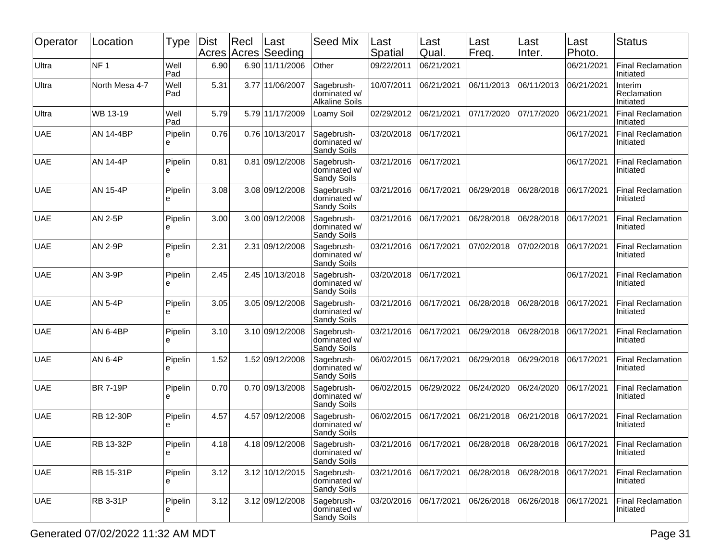| Operator   | Location         | <b>Type</b>   | <b>Dist</b> | Recl | Last<br>Acres Acres Seeding | <b>Seed Mix</b>                                     | Last<br>Spatial        | Last<br>Qual. | Last<br>Freq. | Last<br>Inter. | Last<br>Photo. | <b>Status</b>                         |
|------------|------------------|---------------|-------------|------|-----------------------------|-----------------------------------------------------|------------------------|---------------|---------------|----------------|----------------|---------------------------------------|
| Ultra      | NF <sub>1</sub>  | Well<br>Pad   | 6.90        |      | 6.90 11/11/2006             | Other                                               | 09/22/2011             | 06/21/2021    |               |                | 06/21/2021     | <b>Final Reclamation</b><br>Initiated |
| Ultra      | North Mesa 4-7   | Well<br>l Pad | 5.31        |      | 3.77 11/06/2007             | Sagebrush-<br>dominated w/<br><b>Alkaline Soils</b> | 10/07/2011             | 06/21/2021    | 06/11/2013    | 06/11/2013     | 06/21/2021     | Interim<br>Reclamation<br>Initiated   |
| Ultra      | WB 13-19         | Well<br>Pad   | 5.79        |      | 5.79 11/17/2009             | Loamy Soil                                          | 02/29/2012             | 06/21/2021    | 07/17/2020    | 07/17/2020     | 06/21/2021     | <b>Final Reclamation</b><br>Initiated |
| <b>UAE</b> | <b>AN 14-4BP</b> | Pipelin<br>е  | 0.76        |      | 0.76 10/13/2017             | Sagebrush-<br>dominated w/<br>Sandy Soils           | 03/20/2018             | 06/17/2021    |               |                | 06/17/2021     | <b>Final Reclamation</b><br>Initiated |
| <b>UAE</b> | AN 14-4P         | Pipelin<br>e  | 0.81        |      | 0.81 09/12/2008             | Sagebrush-<br>dominated w/<br>Sandy Soils           | 03/21/2016             | 06/17/2021    |               |                | 06/17/2021     | <b>Final Reclamation</b><br>Initiated |
| <b>UAE</b> | AN 15-4P         | Pipelin<br>e  | 3.08        |      | 3.08 09/12/2008             | Sagebrush-<br>dominated w/<br>Sandy Soils           | 03/21/2016             | 06/17/2021    | 06/29/2018    | 06/28/2018     | 06/17/2021     | <b>Final Reclamation</b><br>Initiated |
| <b>UAE</b> | <b>AN 2-5P</b>   | Pipelin<br>e  | 3.00        |      | 3.00 09/12/2008             | Sagebrush-<br>dominated w/<br>Sandy Soils           | 03/21/2016             | 06/17/2021    | 06/28/2018    | 06/28/2018     | 06/17/2021     | <b>Final Reclamation</b><br>Initiated |
| <b>UAE</b> | <b>AN 2-9P</b>   | Pipelin<br>е  | 2.31        |      | 2.31 09/12/2008             | Sagebrush-<br>dominated w/<br>Sandy Soils           | 03/21/2016             | 06/17/2021    | 07/02/2018    | 07/02/2018     | 06/17/2021     | <b>Final Reclamation</b><br>Initiated |
| <b>UAE</b> | AN 3-9P          | Pipelin<br>е  | 2.45        |      | 2.45 10/13/2018             | Sagebrush-<br>dominated w/<br><b>Sandy Soils</b>    | 03/20/2018             | 06/17/2021    |               |                | 06/17/2021     | <b>Final Reclamation</b><br>Initiated |
| <b>UAE</b> | <b>AN 5-4P</b>   | Pipelin<br>е  | 3.05        |      | 3.05 09/12/2008             | Sagebrush-<br>dominated w/<br>Sandy Soils           | 03/21/2016             | 06/17/2021    | 06/28/2018    | 06/28/2018     | 06/17/2021     | <b>Final Reclamation</b><br>Initiated |
| <b>UAE</b> | <b>AN 6-4BP</b>  | Pipelin<br>e  | 3.10        |      | 3.10 09/12/2008             | Sagebrush-<br>dominated w/<br>Sandy Soils           | 03/21/2016             | 06/17/2021    | 06/29/2018    | 06/28/2018     | 06/17/2021     | <b>Final Reclamation</b><br>Initiated |
| <b>UAE</b> | AN 6-4P          | Pipelin<br>e  | 1.52        |      | 1.52 09/12/2008             | Sagebrush-<br>dominated w/<br><b>Sandy Soils</b>    | 06/02/2015             | 06/17/2021    | 06/29/2018    | 06/29/2018     | 06/17/2021     | <b>Final Reclamation</b><br>Initiated |
| <b>UAE</b> | <b>BR 7-19P</b>  | Pipelin<br>e  | 0.70        |      | 0.70 09/13/2008             | Sagebrush-<br>dominated w/<br><b>Sandy Soils</b>    | 06/02/2015             | 06/29/2022    | 06/24/2020    | 06/24/2020     | 06/17/2021     | <b>Final Reclamation</b><br>Initiated |
| <b>UAE</b> | RB 12-30P        | Pipelin<br>e  | 4.57        |      | 4.57 09/12/2008             | Sagebrush-<br>dominated w/<br>Sandy Soils           | 06/02/2015             | 06/17/2021    | 06/21/2018    | 06/21/2018     | 06/17/2021     | <b>Final Reclamation</b><br>Initiated |
| <b>UAE</b> | RB 13-32P        | Pipelin<br>e  | 4.18        |      | 4.18 09/12/2008             | Sagebrush-<br>dominated w/<br>Sandy Soils           |                        |               | 06/28/2018    | 06/28/2018     | 06/17/2021     | Final Reclamation<br>Initiated        |
| <b>UAE</b> | RB 15-31P        | Pipelin<br>e  | 3.12        |      | 3.12 10/12/2015             | Sagebrush-<br>dominated w/<br>Sandy Soils           | 03/21/2016  06/17/2021 |               | 06/28/2018    | 06/28/2018     | 06/17/2021     | <b>Final Reclamation</b><br>Initiated |
| <b>UAE</b> | RB 3-31P         | Pipelin<br>е  | 3.12        |      | 3.12 09/12/2008             | Sagebrush-<br>dominated w/<br><b>Sandy Soils</b>    | 03/20/2016             | 06/17/2021    | 06/26/2018    | 06/26/2018     | 06/17/2021     | <b>Final Reclamation</b><br>Initiated |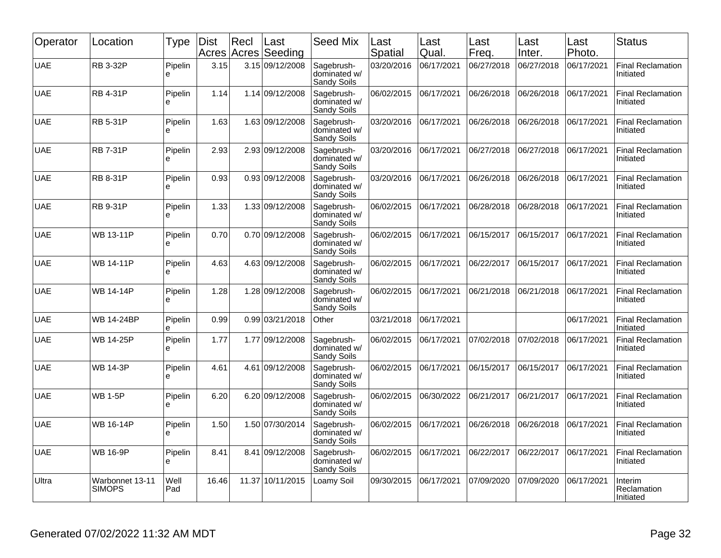| Operator   | Location                         | <b>Type</b>   | Dist<br>Acres | Recl<br>Acres | Last<br>Seeding | Seed Mix                                  | Last<br>Spatial | Last<br>Qual. | Last<br>Freq. | Last<br>Inter. | Last<br>Photo. | <b>Status</b>                         |
|------------|----------------------------------|---------------|---------------|---------------|-----------------|-------------------------------------------|-----------------|---------------|---------------|----------------|----------------|---------------------------------------|
| <b>UAE</b> | <b>RB 3-32P</b>                  | Pipelin<br>e  | 3.15          |               | 3.15 09/12/2008 | Sagebrush-<br>dominated w/<br>Sandy Soils | 03/20/2016      | 06/17/2021    | 06/27/2018    | 06/27/2018     | 06/17/2021     | <b>Final Reclamation</b><br>Initiated |
| <b>UAE</b> | <b>RB 4-31P</b>                  | Pipelin<br>e  | 1.14          |               | 1.14 09/12/2008 | Sagebrush-<br>dominated w/<br>Sandy Soils | 06/02/2015      | 06/17/2021    | 06/26/2018    | 06/26/2018     | 06/17/2021     | <b>Final Reclamation</b><br>Initiated |
| <b>UAE</b> | <b>RB 5-31P</b>                  | Pipelin<br>e  | 1.63          |               | 1.63 09/12/2008 | Sagebrush-<br>dominated w/<br>Sandy Soils | 03/20/2016      | 06/17/2021    | 06/26/2018    | 06/26/2018     | 06/17/2021     | <b>Final Reclamation</b><br>Initiated |
| <b>UAE</b> | <b>RB 7-31P</b>                  | Pipelin<br>e  | 2.93          |               | 2.93 09/12/2008 | Sagebrush-<br>dominated w/<br>Sandy Soils | 03/20/2016      | 06/17/2021    | 06/27/2018    | 06/27/2018     | 06/17/2021     | <b>Final Reclamation</b><br>Initiated |
| <b>UAE</b> | <b>RB 8-31P</b>                  | Pipelin<br>e  | 0.93          |               | 0.93 09/12/2008 | Sagebrush-<br>dominated w/<br>Sandy Soils | 03/20/2016      | 06/17/2021    | 06/26/2018    | 06/26/2018     | 06/17/2021     | <b>Final Reclamation</b><br>Initiated |
| <b>UAE</b> | <b>RB 9-31P</b>                  | Pipelin<br>e  | 1.33          |               | 1.33 09/12/2008 | Sagebrush-<br>dominated w/<br>Sandy Soils | 06/02/2015      | 06/17/2021    | 06/28/2018    | 06/28/2018     | 06/17/2021     | <b>Final Reclamation</b><br>Initiated |
| <b>UAE</b> | WB 13-11P                        | Pipelin<br>e  | 0.70          |               | 0.70 09/12/2008 | Sagebrush-<br>dominated w/<br>Sandy Soils | 06/02/2015      | 06/17/2021    | 06/15/2017    | 06/15/2017     | 06/17/2021     | <b>Final Reclamation</b><br>Initiated |
| <b>UAE</b> | WB 14-11P                        | Pipelin<br>e  | 4.63          |               | 4.63 09/12/2008 | Sagebrush-<br>dominated w/<br>Sandy Soils | 06/02/2015      | 06/17/2021    | 06/22/2017    | 06/15/2017     | 06/17/2021     | Final Reclamation<br>Initiated        |
| <b>UAE</b> | <b>WB 14-14P</b>                 | Pipelin<br>e  | 1.28          |               | 1.28 09/12/2008 | Sagebrush-<br>dominated w/<br>Sandy Soils | 06/02/2015      | 06/17/2021    | 06/21/2018    | 06/21/2018     | 06/17/2021     | <b>Final Reclamation</b><br>Initiated |
| <b>UAE</b> | WB 14-24BP                       | Pipelin<br>e  | 0.99          |               | 0.99 03/21/2018 | Other                                     | 03/21/2018      | 06/17/2021    |               |                | 06/17/2021     | <b>Final Reclamation</b><br>Initiated |
| <b>UAE</b> | <b>WB 14-25P</b>                 | Pipelin<br>le | 1.77          |               | 1.77 09/12/2008 | Sagebrush-<br>dominated w/<br>Sandy Soils | 06/02/2015      | 06/17/2021    | 07/02/2018    | 07/02/2018     | 06/17/2021     | <b>Final Reclamation</b><br>Initiated |
| <b>UAE</b> | <b>WB 14-3P</b>                  | Pipelin<br>e  | 4.61          |               | 4.61 09/12/2008 | Sagebrush-<br>dominated w/<br>Sandy Soils | 06/02/2015      | 06/17/2021    | 06/15/2017    | 06/15/2017     | 06/17/2021     | <b>Final Reclamation</b><br>Initiated |
| <b>UAE</b> | <b>WB 1-5P</b>                   | Pipelin<br>e  | 6.20          |               | 6.20 09/12/2008 | Sagebrush-<br>dominated w/<br>Sandy Soils | 06/02/2015      | 06/30/2022    | 06/21/2017    | 06/21/2017     | 06/17/2021     | <b>Final Reclamation</b><br>Initiated |
| <b>UAE</b> | WB 16-14P                        | Pipelin<br>le | 1.50          |               | 1.50 07/30/2014 | Sagebrush-<br>dominated w/<br>Sandy Soils | 06/02/2015      | 06/17/2021    | 06/26/2018    | 06/26/2018     | 06/17/2021     | <b>Final Reclamation</b><br>Initiated |
| <b>UAE</b> | <b>WB 16-9P</b>                  | Pipelin<br>le | 8.41          |               | 8.41 09/12/2008 | Sagebrush-<br>dominated w/<br>Sandy Soils | 06/02/2015      | 06/17/2021    | 06/22/2017    | 06/22/2017     | 06/17/2021     | <b>Final Reclamation</b><br>Initiated |
| Ultra      | Warbonnet 13-11<br><b>SIMOPS</b> | Well<br>Pad   | 16.46         | 11.37         | 10/11/2015      | Loamy Soil                                | 09/30/2015      | 06/17/2021    | 07/09/2020    | 07/09/2020     | 06/17/2021     | Interim<br>Reclamation<br>Initiated   |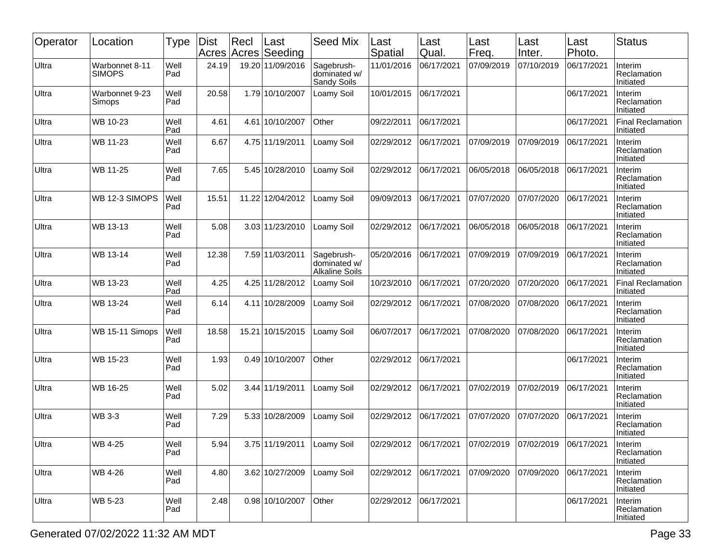| Operator | Location                        | <b>Type</b> | <b>Dist</b><br>Acres | Recl | Last<br>Acres Seeding        | <b>Seed Mix</b>                                     | Last<br>Spatial       | Last<br>Qual. | Last<br>Freq.         | Last<br>Inter. | Last<br>Photo. | <b>Status</b>                         |
|----------|---------------------------------|-------------|----------------------|------|------------------------------|-----------------------------------------------------|-----------------------|---------------|-----------------------|----------------|----------------|---------------------------------------|
| Ultra    | Warbonnet 8-11<br><b>SIMOPS</b> | Well<br>Pad | 24.19                |      | 19.20 11/09/2016             | Sagebrush-<br>dominated w/<br>Sandy Soils           | 11/01/2016            | 06/17/2021    | 07/09/2019            | 07/10/2019     | 06/17/2021     | Interim<br>Reclamation<br>Initiated   |
| Ultra    | Warbonnet 9-23<br>Simops        | Well<br>Pad | 20.58                |      | 1.79 10/10/2007              | Loamy Soil                                          | 10/01/2015            | 06/17/2021    |                       |                | 06/17/2021     | Interim<br>Reclamation<br>Initiated   |
| Ultra    | WB 10-23                        | Well<br>Pad | 4.61                 | 4.61 | 10/10/2007                   | Other                                               | 09/22/2011            | 06/17/2021    |                       |                | 06/17/2021     | <b>Final Reclamation</b><br>Initiated |
| Ultra    | WB 11-23                        | Well<br>Pad | 6.67                 |      | 4.75 11/19/2011              | Loamy Soil                                          | 02/29/2012            | 06/17/2021    | 07/09/2019            | 07/09/2019     | 06/17/2021     | Interim<br>Reclamation<br>Initiated   |
| Ultra    | WB 11-25                        | Well<br>Pad | 7.65                 |      | 5.45 10/28/2010              | Loamy Soil                                          | 02/29/2012            | 06/17/2021    | 06/05/2018            | 06/05/2018     | 06/17/2021     | Interim<br>Reclamation<br>Initiated   |
| Ultra    | WB 12-3 SIMOPS                  | Well<br>Pad | 15.51                |      | 11.22 12/04/2012             | Loamy Soil                                          | 09/09/2013            | 06/17/2021    | 07/07/2020            | 07/07/2020     | 06/17/2021     | Interim<br>Reclamation<br>Initiated   |
| Ultra    | WB 13-13                        | Well<br>Pad | 5.08                 |      | 3.03 11/23/2010              | Loamy Soil                                          | 02/29/2012            | 06/17/2021    | 06/05/2018            | 06/05/2018     | 06/17/2021     | Interim<br>Reclamation<br>Initiated   |
| Ultra    | WB 13-14                        | Well<br>Pad | 12.38                |      | 7.59 11/03/2011              | Sagebrush-<br>dominated w/<br><b>Alkaline Soils</b> | 05/20/2016            | 06/17/2021    | 07/09/2019            | 07/09/2019     | 06/17/2021     | Interim<br>Reclamation<br>Initiated   |
| Ultra    | WB 13-23                        | Well<br>Pad | 4.25                 |      | 4.25 11/28/2012              | Loamy Soil                                          | 10/23/2010            | 06/17/2021    | 07/20/2020            | 07/20/2020     | 06/17/2021     | Final Reclamation<br>Initiated        |
| Ultra    | WB 13-24                        | Well<br>Pad | 6.14                 |      | 4.11 10/28/2009              | Loamy Soil                                          | 02/29/2012            | 06/17/2021    | 07/08/2020            | 07/08/2020     | 06/17/2021     | Interim<br>Reclamation<br>Initiated   |
| Ultra    | WB 15-11 Simops                 | Well<br>Pad | 18.58                |      | 15.21 10/15/2015             | Loamy Soil                                          | 06/07/2017            | 06/17/2021    | 07/08/2020            | 07/08/2020     | 06/17/2021     | Interim<br>Reclamation<br>Initiated   |
| Ultra    | WB 15-23                        | Well<br>Pad | 1.93                 |      | 0.49 10/10/2007              | Other                                               | 02/29/2012            | 06/17/2021    |                       |                | 06/17/2021     | Interim<br>Reclamation<br>Initiated   |
| Ultra    | WB 16-25                        | Well<br>Pad | 5.02                 |      | 3.44 11/19/2011              | Loamy Soil                                          | 02/29/2012            | 06/17/2021    | 07/02/2019            | 07/02/2019     | 06/17/2021     | Interim<br>Reclamation<br>Initiated   |
| Ultra    | <b>WB 3-3</b>                   | Well<br>Pad | 7.29                 |      | 5.33 10/28/2009              | Loamy Soil                                          | 02/29/2012            | 06/17/2021    | 07/07/2020            | 07/07/2020     | 06/17/2021     | Interim<br>Reclamation<br>Initiated   |
| Ultra    | WB 4-25                         | Well<br>Pad | 5.94                 |      | 3.75 11/19/2011   Loamy Soil |                                                     | 02/29/2012 06/17/2021 |               | 07/02/2019 07/02/2019 |                | 06/17/2021     | Interim<br>Reclamation<br>Initiated   |
| Ultra    | WB 4-26                         | Well<br>Pad | 4.80                 |      | 3.62 10/27/2009              | Loamy Soil                                          | 02/29/2012 06/17/2021 |               | 07/09/2020            | 07/09/2020     | 06/17/2021     | Interim<br>Reclamation<br>Initiated   |
| Ultra    | WB 5-23                         | Well<br>Pad | 2.48                 |      | 0.98 10/10/2007              | Other                                               | 02/29/2012 06/17/2021 |               |                       |                | 06/17/2021     | Interim<br>Reclamation<br>Initiated   |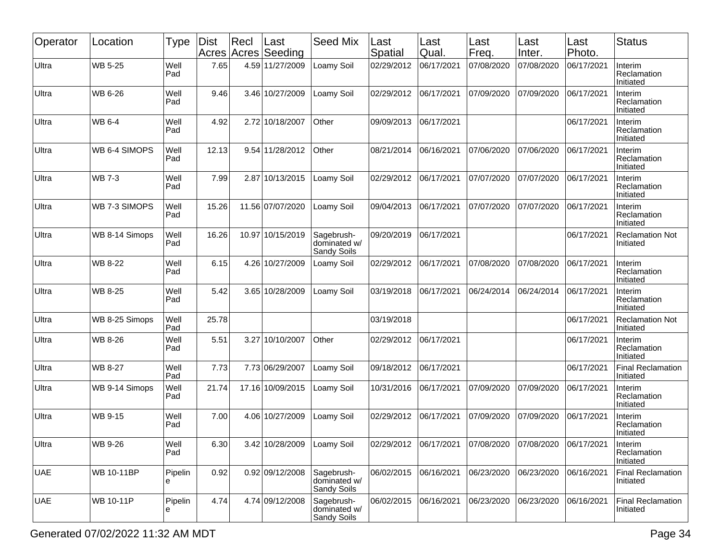| Operator   | Location          | Type         | <b>Dist</b> | Recl | Last<br>Acres Acres Seeding | <b>Seed Mix</b>                           | Last<br>Spatial | Last<br>Qual. | Last<br>Freq. | Last<br>Inter. | Last<br>Photo. | <b>Status</b>                         |
|------------|-------------------|--------------|-------------|------|-----------------------------|-------------------------------------------|-----------------|---------------|---------------|----------------|----------------|---------------------------------------|
| Ultra      | <b>WB 5-25</b>    | Well<br>Pad  | 7.65        |      | 4.59 11/27/2009             | Loamy Soil                                | 02/29/2012      | 06/17/2021    | 07/08/2020    | 07/08/2020     | 06/17/2021     | Interim<br>Reclamation<br>Initiated   |
| Ultra      | WB 6-26           | Well<br>Pad  | 9.46        |      | 3.46 10/27/2009             | _oamy Soil                                | 02/29/2012      | 06/17/2021    | 07/09/2020    | 07/09/2020     | 06/17/2021     | Interim<br>Reclamation<br>Initiated   |
| Ultra      | WB 6-4            | Well<br>Pad  | 4.92        |      | 2.72 10/18/2007             | Other                                     | 09/09/2013      | 06/17/2021    |               |                | 06/17/2021     | Interim<br>Reclamation<br>Initiated   |
| Ultra      | WB 6-4 SIMOPS     | Well<br>Pad  | 12.13       |      | 9.54 11/28/2012             | Other                                     | 08/21/2014      | 06/16/2021    | 07/06/2020    | 07/06/2020     | 06/17/2021     | Interim<br>Reclamation<br>Initiated   |
| Ultra      | <b>WB 7-3</b>     | Well<br>Pad  | 7.99        |      | 2.87 10/13/2015             | Loamy Soil                                | 02/29/2012      | 06/17/2021    | 07/07/2020    | 07/07/2020     | 06/17/2021     | Interim<br>Reclamation<br>Initiated   |
| Ultra      | WB 7-3 SIMOPS     | Well<br>Pad  | 15.26       |      | 11.56 07/07/2020            | Loamy Soil                                | 09/04/2013      | 06/17/2021    | 07/07/2020    | 07/07/2020     | 06/17/2021     | Interim<br>Reclamation<br>Initiated   |
| Ultra      | WB 8-14 Simops    | Well<br>Pad  | 16.26       |      | 10.97 10/15/2019            | Sagebrush-<br>dominated w/<br>Sandy Soils | 09/20/2019      | 06/17/2021    |               |                | 06/17/2021     | <b>Reclamation Not</b><br>Initiated   |
| Ultra      | <b>WB 8-22</b>    | Well<br>Pad  | 6.15        |      | 4.26 10/27/2009             | Loamy Soil                                | 02/29/2012      | 06/17/2021    | 07/08/2020    | 07/08/2020     | 06/17/2021     | Interim<br>Reclamation<br>Initiated   |
| Ultra      | WB 8-25           | Well<br>Pad  | 5.42        |      | 3.65 10/28/2009             | Loamy Soil                                | 03/19/2018      | 06/17/2021    | 06/24/2014    | 06/24/2014     | 06/17/2021     | Interim<br>Reclamation<br>Initiated   |
| Ultra      | WB 8-25 Simops    | Well<br>Pad  | 25.78       |      |                             |                                           | 03/19/2018      |               |               |                | 06/17/2021     | <b>Reclamation Not</b><br>Initiated   |
| Ultra      | WB 8-26           | Well<br>Pad  | 5.51        |      | 3.27 10/10/2007             | Other                                     | 02/29/2012      | 06/17/2021    |               |                | 06/17/2021     | Interim<br>Reclamation<br>Initiated   |
| Ultra      | <b>WB 8-27</b>    | Well<br>Pad  | 7.73        |      | 7.73 06/29/2007             | Loamy Soil                                | 09/18/2012      | 06/17/2021    |               |                | 06/17/2021     | <b>Final Reclamation</b><br>Initiated |
| Ultra      | WB 9-14 Simops    | Well<br>Pad  | 21.74       |      | 17.16 10/09/2015            | Loamy Soil                                | 10/31/2016      | 06/17/2021    | 07/09/2020    | 07/09/2020     | 06/17/2021     | Interim<br>Reclamation<br>Initiated   |
| Ultra      | WB 9-15           | Well<br>Pad  | 7.00        |      | 4.06 10/27/2009             | _oamy Soil                                | 02/29/2012      | 06/17/2021    | 07/09/2020    | 07/09/2020     | 06/17/2021     | Interim<br>Reclamation<br>Initiated   |
| Ultra      | WB 9-26           | Well<br>Pad  | 6.30        |      | 3.42 10/28/2009             | Loamy Soil                                | 02/29/2012      | 06/17/2021    | 07/08/2020    | 07/08/2020     | 06/17/2021     | Interim<br>Reclamation<br>Initiated   |
| <b>UAE</b> | <b>WB 10-11BP</b> | Pipelin<br>е | 0.92        |      | 0.92 09/12/2008             | Sagebrush-<br>dominated w/<br>Sandy Soils | 06/02/2015      | 06/16/2021    | 06/23/2020    | 06/23/2020     | 06/16/2021     | <b>Final Reclamation</b><br>Initiated |
| <b>UAE</b> | WB 10-11P         | Pipelin<br>e | 4.74        |      | 4.74 09/12/2008             | Sagebrush-<br>dominated w/<br>Sandy Soils | 06/02/2015      | 06/16/2021    | 06/23/2020    | 06/23/2020     | 06/16/2021     | <b>Final Reclamation</b><br>Initiated |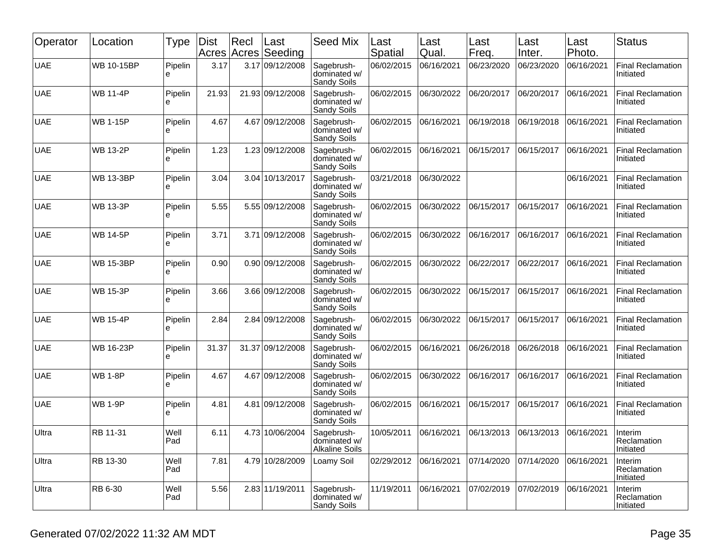| Operator   | Location          | Type         | Dist<br>Acres | Recl | Last<br>Acres Seeding | <b>Seed Mix</b>                                     | Last<br>Spatial | Last<br>Qual. | Last<br>Freq. | Last<br>Inter. | Last<br>Photo. | <b>Status</b>                         |
|------------|-------------------|--------------|---------------|------|-----------------------|-----------------------------------------------------|-----------------|---------------|---------------|----------------|----------------|---------------------------------------|
| <b>UAE</b> | <b>WB 10-15BP</b> | Pipelin<br>e | 3.17          |      | 3.17 09/12/2008       | Sagebrush-<br>dominated w/<br>Sandy Soils           | 06/02/2015      | 06/16/2021    | 06/23/2020    | 06/23/2020     | 06/16/2021     | <b>Final Reclamation</b><br>Initiated |
| <b>UAE</b> | <b>WB 11-4P</b>   | Pipelin<br>e | 21.93         |      | 21.93 09/12/2008      | Sagebrush-<br>dominated w/<br>Sandy Soils           | 06/02/2015      | 06/30/2022    | 06/20/2017    | 06/20/2017     | 06/16/2021     | <b>Final Reclamation</b><br>Initiated |
| <b>UAE</b> | <b>WB 1-15P</b>   | Pipelin<br>e | 4.67          |      | 4.67 09/12/2008       | Sagebrush-<br>dominated w/<br>Sandy Soils           | 06/02/2015      | 06/16/2021    | 06/19/2018    | 06/19/2018     | 06/16/2021     | <b>Final Reclamation</b><br>Initiated |
| <b>UAE</b> | <b>WB 13-2P</b>   | Pipelin<br>е | 1.23          |      | 1.23 09/12/2008       | Sagebrush-<br>dominated w/<br>Sandy Soils           | 06/02/2015      | 06/16/2021    | 06/15/2017    | 06/15/2017     | 06/16/2021     | <b>Final Reclamation</b><br>Initiated |
| <b>UAE</b> | <b>WB 13-3BP</b>  | Pipelin<br>e | 3.04          |      | 3.04 10/13/2017       | Sagebrush-<br>dominated w/<br>Sandy Soils           | 03/21/2018      | 06/30/2022    |               |                | 06/16/2021     | <b>Final Reclamation</b><br>Initiated |
| <b>UAE</b> | <b>WB 13-3P</b>   | Pipelin<br>e | 5.55          |      | 5.55 09/12/2008       | Sagebrush-<br>dominated w/<br>Sandy Soils           | 06/02/2015      | 06/30/2022    | 06/15/2017    | 06/15/2017     | 06/16/2021     | <b>Final Reclamation</b><br>Initiated |
| <b>UAE</b> | <b>WB 14-5P</b>   | Pipelin<br>e | 3.71          |      | 3.71 09/12/2008       | Sagebrush-<br>dominated w/<br>Sandy Soils           | 06/02/2015      | 06/30/2022    | 06/16/2017    | 06/16/2017     | 06/16/2021     | <b>Final Reclamation</b><br>Initiated |
| <b>UAE</b> | <b>WB 15-3BP</b>  | Pipelin<br>e | 0.90          |      | 0.90 09/12/2008       | Sagebrush-<br>dominated w/<br>Sandy Soils           | 06/02/2015      | 06/30/2022    | 06/22/2017    | 06/22/2017     | 06/16/2021     | <b>Final Reclamation</b><br>Initiated |
| <b>UAE</b> | <b>WB 15-3P</b>   | Pipelin<br>е | 3.66          |      | 3.66 09/12/2008       | Sagebrush-<br>dominated w/<br>Sandy Soils           | 06/02/2015      | 06/30/2022    | 06/15/2017    | 06/15/2017     | 06/16/2021     | <b>Final Reclamation</b><br>Initiated |
| <b>UAE</b> | <b>WB 15-4P</b>   | Pipelin<br>е | 2.84          |      | 2.84 09/12/2008       | Sagebrush-<br>dominated w/<br>Sandy Soils           | 06/02/2015      | 06/30/2022    | 06/15/2017    | 06/15/2017     | 06/16/2021     | <b>Final Reclamation</b><br>Initiated |
| <b>UAE</b> | <b>WB 16-23P</b>  | Pipelin<br>e | 31.37         |      | 31.37 09/12/2008      | Sagebrush-<br>dominated w/<br>Sandy Soils           | 06/02/2015      | 06/16/2021    | 06/26/2018    | 06/26/2018     | 06/16/2021     | <b>Final Reclamation</b><br>Initiated |
| <b>UAE</b> | <b>WB 1-8P</b>    | Pipelin<br>e | 4.67          |      | 4.67 09/12/2008       | Sagebrush-<br>dominated w/<br>Sandy Soils           | 06/02/2015      | 06/30/2022    | 06/16/2017    | 06/16/2017     | 06/16/2021     | <b>Final Reclamation</b><br>Initiated |
| <b>UAE</b> | <b>WB 1-9P</b>    | Pipelin<br>e | 4.81          | 4.81 | 09/12/2008            | Sagebrush-<br>dominated w/<br>Sandy Soils           | 06/02/2015      | 06/16/2021    | 06/15/2017    | 06/15/2017     | 06/16/2021     | <b>Final Reclamation</b><br>Initiated |
| Ultra      | RB 11-31          | Well<br>Pad  | 6.11          |      | 4.73 10/06/2004       | Sagebrush-<br>dominated w/<br><b>Alkaline Soils</b> | 10/05/2011      | 06/16/2021    | 06/13/2013    | 06/13/2013     | 06/16/2021     | Interim<br>Reclamation<br>Initiated   |
| Ultra      | RB 13-30          | Well<br>Pad  | 7.81          |      | 4.79 10/28/2009       | Loamy Soil                                          | 02/29/2012      | 06/16/2021    | 07/14/2020    | 07/14/2020     | 06/16/2021     | Interim<br>Reclamation<br>Initiated   |
| Ultra      | RB 6-30           | Well<br>Pad  | 5.56          |      | 2.83 11/19/2011       | Sagebrush-<br>dominated w/<br>Sandy Soils           | 11/19/2011      | 06/16/2021    | 07/02/2019    | 07/02/2019     | 06/16/2021     | Interim<br>Reclamation<br>Initiated   |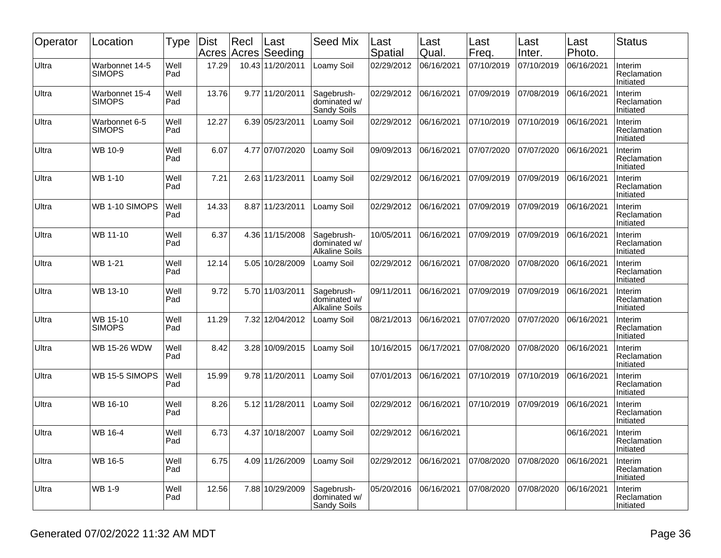| Operator | Location                        | Type        | <b>Dist</b><br>Acres | Recl | Last<br>Acres Seeding | <b>Seed Mix</b>                                     | Last<br>Spatial | Last<br>Qual. | Last<br>Freq. | Last<br>Inter. | Last<br>Photo. | <b>Status</b>                       |
|----------|---------------------------------|-------------|----------------------|------|-----------------------|-----------------------------------------------------|-----------------|---------------|---------------|----------------|----------------|-------------------------------------|
| Ultra    | Warbonnet 14-5<br><b>SIMOPS</b> | Well<br>Pad | 17.29                |      | 10.43 11/20/2011      | Loamy Soil                                          | 02/29/2012      | 06/16/2021    | 07/10/2019    | 07/10/2019     | 06/16/2021     | Interim<br>Reclamation<br>Initiated |
| Ultra    | Warbonnet 15-4<br><b>SIMOPS</b> | Well<br>Pad | 13.76                |      | 9.77 11/20/2011       | Sagebrush-<br>dominated w/<br>Sandy Soils           | 02/29/2012      | 06/16/2021    | 07/09/2019    | 07/08/2019     | 06/16/2021     | Interim<br>Reclamation<br>Initiated |
| Ultra    | Warbonnet 6-5<br><b>SIMOPS</b>  | Well<br>Pad | 12.27                |      | 6.39 05/23/2011       | Loamy Soil                                          | 02/29/2012      | 06/16/2021    | 07/10/2019    | 07/10/2019     | 06/16/2021     | Interim<br>Reclamation<br>Initiated |
| Ultra    | WB 10-9                         | Well<br>Pad | 6.07                 |      | 4.77 07/07/2020       | Loamy Soil                                          | 09/09/2013      | 06/16/2021    | 07/07/2020    | 07/07/2020     | 06/16/2021     | Interim<br>Reclamation<br>Initiated |
| Ultra    | <b>WB 1-10</b>                  | Well<br>Pad | 7.21                 |      | 2.63 11/23/2011       | Loamy Soil                                          | 02/29/2012      | 06/16/2021    | 07/09/2019    | 07/09/2019     | 06/16/2021     | Interim<br>Reclamation<br>Initiated |
| Ultra    | WB 1-10 SIMOPS                  | Well<br>Pad | 14.33                |      | 8.87 11/23/2011       | Loamy Soil                                          | 02/29/2012      | 06/16/2021    | 07/09/2019    | 07/09/2019     | 06/16/2021     | Interim<br>Reclamation<br>Initiated |
| Ultra    | WB 11-10                        | Well<br>Pad | 6.37                 |      | 4.36 11/15/2008       | Sagebrush-<br>dominated w/<br><b>Alkaline Soils</b> | 10/05/2011      | 06/16/2021    | 07/09/2019    | 07/09/2019     | 06/16/2021     | Interim<br>Reclamation<br>Initiated |
| Ultra    | <b>WB 1-21</b>                  | Well<br>Pad | 12.14                |      | 5.05 10/28/2009       | Loamy Soil                                          | 02/29/2012      | 06/16/2021    | 07/08/2020    | 07/08/2020     | 06/16/2021     | Interim<br>Reclamation<br>Initiated |
| Ultra    | WB 13-10                        | Well<br>Pad | 9.72                 |      | 5.70 11/03/2011       | Sagebrush-<br>dominated w/<br><b>Alkaline Soils</b> | 09/11/2011      | 06/16/2021    | 07/09/2019    | 07/09/2019     | 06/16/2021     | Interim<br>Reclamation<br>Initiated |
| Ultra    | WB 15-10<br><b>SIMOPS</b>       | Well<br>Pad | 11.29                |      | 7.32 12/04/2012       | Loamy Soil                                          | 08/21/2013      | 06/16/2021    | 07/07/2020    | 07/07/2020     | 06/16/2021     | Interim<br>Reclamation<br>Initiated |
| Ultra    | <b>WB 15-26 WDW</b>             | Well<br>Pad | 8.42                 |      | 3.28 10/09/2015       | _oamy Soil                                          | 10/16/2015      | 06/17/2021    | 07/08/2020    | 07/08/2020     | 06/16/2021     | Interim<br>Reclamation<br>Initiated |
| Ultra    | WB 15-5 SIMOPS                  | Well<br>Pad | 15.99                |      | 9.78 11/20/2011       | Loamy Soil                                          | 07/01/2013      | 06/16/2021    | 07/10/2019    | 07/10/2019     | 06/16/2021     | Interim<br>Reclamation<br>Initiated |
| Ultra    | WB 16-10                        | Well<br>Pad | 8.26                 |      | 5.12 11/28/2011       | Loamy Soil                                          | 02/29/2012      | 06/16/2021    | 07/10/2019    | 07/09/2019     | 06/16/2021     | Interim<br>Reclamation<br>Initiated |
| Ultra    | WB 16-4                         | Well<br>Pad | 6.73                 |      | 4.37 10/18/2007       | Loamy Soil                                          | 02/29/2012      | 06/16/2021    |               |                | 06/16/2021     | Interim<br>Reclamation<br>Initiated |
| Ultra    | WB 16-5                         | Well<br>Pad | 6.75                 |      | 4.09 11/26/2009       | Loamy Soil                                          | 02/29/2012      | 06/16/2021    | 07/08/2020    | 07/08/2020     | 06/16/2021     | Interim<br>Reclamation<br>Initiated |
| Ultra    | <b>WB 1-9</b>                   | Well<br>Pad | 12.56                |      | 7.88 10/29/2009       | Sagebrush-<br>dominated w/<br>Sandy Soils           | 05/20/2016      | 06/16/2021    | 07/08/2020    | 07/08/2020     | 06/16/2021     | Interim<br>Reclamation<br>Initiated |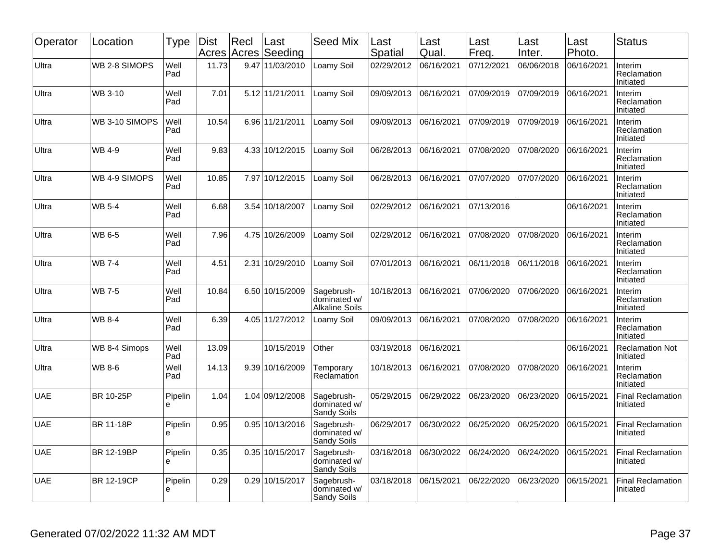| Operator   | Location          | <b>Type</b>  | <b>Dist</b> | Recl<br>Acres Acres | Last<br>Seeding | <b>Seed Mix</b>                                     | Last<br>Spatial | Last<br>Qual. | Last<br>Freq. | Last<br>Inter. | Last<br>Photo. | <b>Status</b>                         |
|------------|-------------------|--------------|-------------|---------------------|-----------------|-----------------------------------------------------|-----------------|---------------|---------------|----------------|----------------|---------------------------------------|
| Ultra      | WB 2-8 SIMOPS     | Well<br>Pad  | 11.73       |                     | 9.47 11/03/2010 | Loamy Soil                                          | 02/29/2012      | 06/16/2021    | 07/12/2021    | 06/06/2018     | 06/16/2021     | Interim<br>Reclamation<br>Initiated   |
| Ultra      | WB 3-10           | Well<br>Pad  | 7.01        |                     | 5.12 11/21/2011 | Loamy Soil                                          | 09/09/2013      | 06/16/2021    | 07/09/2019    | 07/09/2019     | 06/16/2021     | Interim<br>Reclamation<br>Initiated   |
| Ultra      | WB 3-10 SIMOPS    | Well<br>Pad  | 10.54       |                     | 6.96 11/21/2011 | Loamy Soil                                          | 09/09/2013      | 06/16/2021    | 07/09/2019    | 07/09/2019     | 06/16/2021     | Interim<br>Reclamation<br>Initiated   |
| Ultra      | WB 4-9            | Well<br>Pad  | 9.83        |                     | 4.33 10/12/2015 | Loamy Soil                                          | 06/28/2013      | 06/16/2021    | 07/08/2020    | 07/08/2020     | 06/16/2021     | Interim<br>Reclamation<br>Initiated   |
| Ultra      | WB 4-9 SIMOPS     | Well<br>Pad  | 10.85       |                     | 7.97 10/12/2015 | Loamy Soil                                          | 06/28/2013      | 06/16/2021    | 07/07/2020    | 07/07/2020     | 06/16/2021     | Interim<br>Reclamation<br>Initiated   |
| Ultra      | <b>WB 5-4</b>     | Well<br>Pad  | 6.68        |                     | 3.54 10/18/2007 | Loamy Soil                                          | 02/29/2012      | 06/16/2021    | 07/13/2016    |                | 06/16/2021     | Interim<br>Reclamation<br>Initiated   |
| Ultra      | WB 6-5            | Well<br>Pad  | 7.96        |                     | 4.75 10/26/2009 | Loamy Soil                                          | 02/29/2012      | 06/16/2021    | 07/08/2020    | 07/08/2020     | 06/16/2021     | Interim<br>Reclamation<br>Initiated   |
| Ultra      | <b>WB 7-4</b>     | Well<br>Pad  | 4.51        | 2.31                | 10/29/2010      | Loamv Soil                                          | 07/01/2013      | 06/16/2021    | 06/11/2018    | 06/11/2018     | 06/16/2021     | Interim<br>Reclamation<br>Initiated   |
| Ultra      | <b>WB 7-5</b>     | Well<br>Pad  | 10.84       |                     | 6.50 10/15/2009 | Sagebrush-<br>dominated w/<br><b>Alkaline Soils</b> | 10/18/2013      | 06/16/2021    | 07/06/2020    | 07/06/2020     | 06/16/2021     | Interim<br>Reclamation<br>Initiated   |
| Ultra      | <b>WB 8-4</b>     | Well<br>Pad  | 6.39        |                     | 4.05 11/27/2012 | Loamy Soil                                          | 09/09/2013      | 06/16/2021    | 07/08/2020    | 07/08/2020     | 06/16/2021     | Interim<br>Reclamation<br>Initiated   |
| Ultra      | WB 8-4 Simops     | Well<br>Pad  | 13.09       |                     | 10/15/2019      | Other                                               | 03/19/2018      | 06/16/2021    |               |                | 06/16/2021     | <b>Reclamation Not</b><br>Initiated   |
| Ultra      | WB 8-6            | Well<br>Pad  | 14.13       |                     | 9.39 10/16/2009 | Temporarv<br>Reclamation                            | 10/18/2013      | 06/16/2021    | 07/08/2020    | 07/08/2020     | 06/16/2021     | Interim<br>Reclamation<br>Initiated   |
| <b>UAE</b> | BR 10-25P         | Pipelin<br>e | 1.04        |                     | 1.04 09/12/2008 | Sagebrush-<br>dominated w/<br>Sandy Soils           | 05/29/2015      | 06/29/2022    | 06/23/2020    | 06/23/2020     | 06/15/2021     | <b>Final Reclamation</b><br>Initiated |
| <b>UAE</b> | <b>BR 11-18P</b>  | Pipelin<br>e | 0.95        |                     | 0.95 10/13/2016 | Sagebrush-<br>dominated w/<br>Sandy Soils           | 06/29/2017      | 06/30/2022    | 06/25/2020    | 06/25/2020     | 06/15/2021     | <b>Final Reclamation</b><br>Initiated |
| <b>UAE</b> | BR 12-19BP        | Pipelin<br>e | 0.35        |                     | 0.35 10/15/2017 | Sagebrush-<br>dominated w/<br>Sandy Soils           | 03/18/2018      | 06/30/2022    | 06/24/2020    | 06/24/2020     | 06/15/2021     | <b>Final Reclamation</b><br>Initiated |
| <b>UAE</b> | <b>BR 12-19CP</b> | Pipelin<br>e | 0.29        |                     | 0.29 10/15/2017 | Sagebrush-<br>dominated w/<br>Sandy Soils           | 03/18/2018      | 06/15/2021    | 06/22/2020    | 06/23/2020     | 06/15/2021     | <b>Final Reclamation</b><br>Initiated |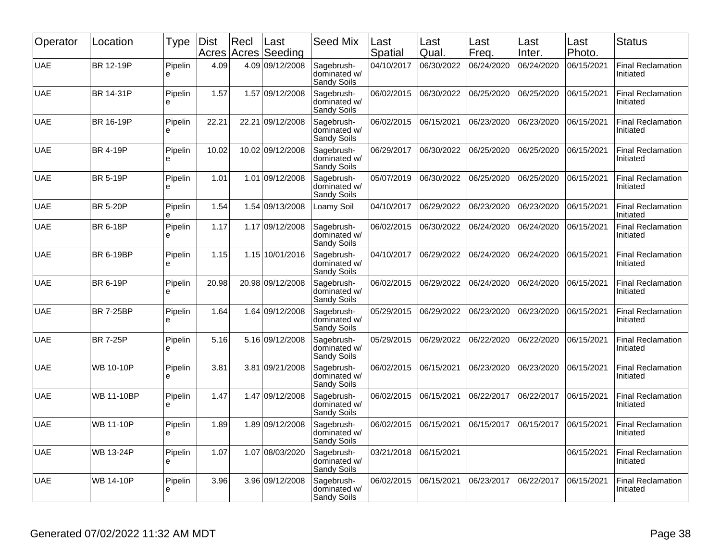| Operator   | Location          | <b>Type</b>  | <b>Dist</b><br>Acres | Recl  | Last<br>Acres Seeding | <b>Seed Mix</b>                           | Last<br>Spatial | Last<br>Qual. | Last<br>Freq. | Last<br>Inter. | Last<br>Photo. | <b>Status</b>                         |
|------------|-------------------|--------------|----------------------|-------|-----------------------|-------------------------------------------|-----------------|---------------|---------------|----------------|----------------|---------------------------------------|
| <b>UAE</b> | BR 12-19P         | Pipelin<br>è | 4.09                 |       | 4.09 09/12/2008       | Sagebrush-<br>dominated w/<br>Sandy Soils | 04/10/2017      | 06/30/2022    | 06/24/2020    | 06/24/2020     | 06/15/2021     | <b>Final Reclamation</b><br>Initiated |
| <b>UAE</b> | BR 14-31P         | Pipelin<br>e | 1.57                 |       | 1.57 09/12/2008       | Sagebrush-<br>dominated w/<br>Sandy Soils | 06/02/2015      | 06/30/2022    | 06/25/2020    | 06/25/2020     | 06/15/2021     | <b>Final Reclamation</b><br>Initiated |
| <b>UAE</b> | BR 16-19P         | Pipelin<br>e | 22.21                | 22.21 | 09/12/2008            | Sagebrush-<br>dominated w/<br>Sandy Soils | 06/02/2015      | 06/15/2021    | 06/23/2020    | 06/23/2020     | 06/15/2021     | <b>Final Reclamation</b><br>Initiated |
| <b>UAE</b> | <b>BR 4-19P</b>   | Pipelin<br>e | 10.02                |       | 10.02 09/12/2008      | Sagebrush-<br>dominated w/<br>Sandy Soils | 06/29/2017      | 06/30/2022    | 06/25/2020    | 06/25/2020     | 06/15/2021     | <b>Final Reclamation</b><br>Initiated |
| <b>UAE</b> | <b>BR 5-19P</b>   | Pipelin<br>è | 1.01                 | 1.01  | 09/12/2008            | Sagebrush-<br>dominated w/<br>Sandy Soils | 05/07/2019      | 06/30/2022    | 06/25/2020    | 06/25/2020     | 06/15/2021     | <b>Final Reclamation</b><br>Initiated |
| <b>UAE</b> | <b>BR 5-20P</b>   | Pipelin<br>ė | 1.54                 |       | 1.54 09/13/2008       | Loamy Soil                                | 04/10/2017      | 06/29/2022    | 06/23/2020    | 06/23/2020     | 06/15/2021     | <b>Final Reclamation</b><br>Initiated |
| <b>UAE</b> | <b>BR 6-18P</b>   | Pipelin<br>e | 1.17                 |       | 1.17 09/12/2008       | Sagebrush-<br>dominated w/<br>Sandy Soils | 06/02/2015      | 06/30/2022    | 06/24/2020    | 06/24/2020     | 06/15/2021     | <b>Final Reclamation</b><br>Initiated |
| <b>UAE</b> | <b>BR 6-19BP</b>  | Pipelin<br>è | 1.15                 |       | 1.15 10/01/2016       | Sagebrush-<br>dominated w/<br>Sandy Soils | 04/10/2017      | 06/29/2022    | 06/24/2020    | 06/24/2020     | 06/15/2021     | <b>Final Reclamation</b><br>Initiated |
| <b>UAE</b> | <b>BR 6-19P</b>   | Pipelin<br>e | 20.98                |       | 20.98 09/12/2008      | Sagebrush-<br>dominated w/<br>Sandy Soils | 06/02/2015      | 06/29/2022    | 06/24/2020    | 06/24/2020     | 06/15/2021     | <b>Final Reclamation</b><br>Initiated |
| <b>UAE</b> | <b>BR 7-25BP</b>  | Pipelin<br>e | 1.64                 |       | 1.64 09/12/2008       | Sagebrush-<br>dominated w/<br>Sandy Soils | 05/29/2015      | 06/29/2022    | 06/23/2020    | 06/23/2020     | 06/15/2021     | <b>Final Reclamation</b><br>Initiated |
| <b>UAE</b> | <b>BR 7-25P</b>   | Pipelin<br>e | 5.16                 |       | 5.16 09/12/2008       | Sagebrush-<br>dominated w/<br>Sandy Soils | 05/29/2015      | 06/29/2022    | 06/22/2020    | 06/22/2020     | 06/15/2021     | <b>Final Reclamation</b><br>Initiated |
| <b>UAE</b> | <b>WB 10-10P</b>  | Pipelin<br>e | 3.81                 | 3.81  | 09/21/2008            | Sagebrush-<br>dominated w/<br>Sandy Soils | 06/02/2015      | 06/15/2021    | 06/23/2020    | 06/23/2020     | 06/15/2021     | <b>Final Reclamation</b><br>Initiated |
| <b>UAE</b> | <b>WB 11-10BP</b> | Pipelin<br>e | 1.47                 |       | 1.47 09/12/2008       | Sagebrush-<br>dominated w/<br>Sandy Soils | 06/02/2015      | 06/15/2021    | 06/22/2017    | 06/22/2017     | 06/15/2021     | <b>Final Reclamation</b><br>Initiated |
| <b>UAE</b> | WB 11-10P         | Pipelin<br>e | 1.89                 |       | 1.89 09/12/2008       | Sagebrush-<br>dominated w/<br>Sandy Soils | 06/02/2015      | 06/15/2021    | 06/15/2017    | 06/15/2017     | 06/15/2021     | <b>Final Reclamation</b><br>Initiated |
| <b>UAE</b> | <b>WB 13-24P</b>  | Pipelin<br>e | 1.07                 |       | 1.07 08/03/2020       | Sagebrush-<br>dominated w/<br>Sandy Soils | 03/21/2018      | 06/15/2021    |               |                | 06/15/2021     | <b>Final Reclamation</b><br>Initiated |
| <b>UAE</b> | <b>WB 14-10P</b>  | Pipelin<br>e | 3.96                 |       | 3.96 09/12/2008       | Sagebrush-<br>dominated w/<br>Sandy Soils | 06/02/2015      | 06/15/2021    | 06/23/2017    | 06/22/2017     | 06/15/2021     | <b>Final Reclamation</b><br>Initiated |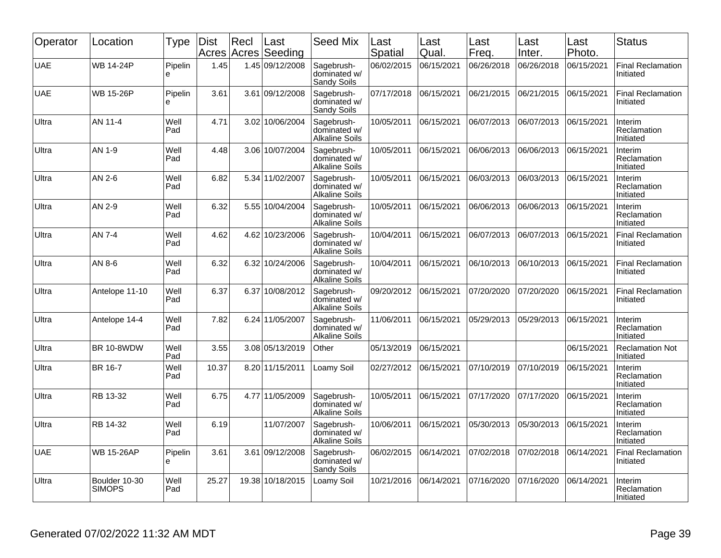| Operator   | Location                       | Type         | <b>Dist</b><br>Acres | Recl<br>Acres | Last<br>Seeding  | <b>Seed Mix</b>                                     | Last<br>Spatial | Last<br>Qual. | Last<br>Freq. | Last<br>Inter. | Last<br>Photo. | <b>Status</b>                         |
|------------|--------------------------------|--------------|----------------------|---------------|------------------|-----------------------------------------------------|-----------------|---------------|---------------|----------------|----------------|---------------------------------------|
| <b>UAE</b> | <b>WB 14-24P</b>               | Pipelin<br>e | 1.45                 |               | 1.45 09/12/2008  | Sagebrush-<br>dominated w/<br>Sandy Soils           | 06/02/2015      | 06/15/2021    | 06/26/2018    | 06/26/2018     | 06/15/2021     | <b>Final Reclamation</b><br>Initiated |
| <b>UAE</b> | <b>WB 15-26P</b>               | Pipelin<br>e | 3.61                 |               | 3.61 09/12/2008  | Sagebrush-<br>dominated w/<br>Sandy Soils           | 07/17/2018      | 06/15/2021    | 06/21/2015    | 06/21/2015     | 06/15/2021     | <b>Final Reclamation</b><br>Initiated |
| Ultra      | AN 11-4                        | Well<br>Pad  | 4.71                 |               | 3.02 10/06/2004  | Sagebrush-<br>dominated w/<br><b>Alkaline Soils</b> | 10/05/2011      | 06/15/2021    | 06/07/2013    | 06/07/2013     | 06/15/2021     | Interim<br>Reclamation<br>Initiated   |
| Ultra      | AN 1-9                         | Well<br>Pad  | 4.48                 |               | 3.06 10/07/2004  | Sagebrush-<br>dominated w/<br><b>Alkaline Soils</b> | 10/05/2011      | 06/15/2021    | 06/06/2013    | 06/06/2013     | 06/15/2021     | Interim<br>Reclamation<br>Initiated   |
| Ultra      | AN 2-6                         | Well<br>Pad  | 6.82                 |               | 5.34 11/02/2007  | Sagebrush-<br>dominated w/<br><b>Alkaline Soils</b> | 10/05/2011      | 06/15/2021    | 06/03/2013    | 06/03/2013     | 06/15/2021     | Interim<br>Reclamation<br>Initiated   |
| Ultra      | AN 2-9                         | Well<br>Pad  | 6.32                 |               | 5.55 10/04/2004  | Sagebrush-<br>dominated w/<br><b>Alkaline Soils</b> | 10/05/2011      | 06/15/2021    | 06/06/2013    | 06/06/2013     | 06/15/2021     | Interim<br>Reclamation<br>Initiated   |
| Ultra      | AN 7-4                         | Well<br>Pad  | 4.62                 |               | 4.62 10/23/2006  | Sagebrush-<br>dominated w/<br><b>Alkaline Soils</b> | 10/04/2011      | 06/15/2021    | 06/07/2013    | 06/07/2013     | 06/15/2021     | <b>Final Reclamation</b><br>Initiated |
| Ultra      | AN 8-6                         | Well<br>Pad  | 6.32                 |               | 6.32 10/24/2006  | Sagebrush-<br>dominated w/<br><b>Alkaline Soils</b> | 10/04/2011      | 06/15/2021    | 06/10/2013    | 06/10/2013     | 06/15/2021     | <b>Final Reclamation</b><br>Initiated |
| Ultra      | Antelope 11-10                 | Well<br>Pad  | 6.37                 | 6.37          | 10/08/2012       | Sagebrush-<br>dominated w/<br><b>Alkaline Soils</b> | 09/20/2012      | 06/15/2021    | 07/20/2020    | 07/20/2020     | 06/15/2021     | <b>Final Reclamation</b><br>Initiated |
| Ultra      | Antelope 14-4                  | Well<br>Pad  | 7.82                 |               | 6.24 11/05/2007  | Sagebrush-<br>dominated w/<br><b>Alkaline Soils</b> | 11/06/2011      | 06/15/2021    | 05/29/2013    | 05/29/2013     | 06/15/2021     | Interim<br>Reclamation<br>Initiated   |
| Ultra      | <b>BR 10-8WDW</b>              | Well<br>Pad  | 3.55                 |               | 3.08 05/13/2019  | Other                                               | 05/13/2019      | 06/15/2021    |               |                | 06/15/2021     | <b>Reclamation Not</b><br>Initiated   |
| Ultra      | BR 16-7                        | Well<br>Pad  | 10.37                |               | 8.20 11/15/2011  | Loamy Soil                                          | 02/27/2012      | 06/15/2021    | 07/10/2019    | 07/10/2019     | 06/15/2021     | Interim<br>Reclamation<br>Initiated   |
| Ultra      | RB 13-32                       | Well<br>Pad  | 6.75                 |               | 4.77 11/05/2009  | Sagebrush-<br>dominated w/<br><b>Alkaline Soils</b> | 10/05/2011      | 06/15/2021    | 07/17/2020    | 07/17/2020     | 06/15/2021     | Interim<br>Reclamation<br>Initiated   |
| Ultra      | RB 14-32                       | Well<br>Pad  | 6.19                 |               | 11/07/2007       | Sagebrush-<br>dominated w/<br><b>Alkaline Soils</b> | 10/06/2011      | 06/15/2021    | 05/30/2013    | 05/30/2013     | 06/15/2021     | Interim<br>Reclamation<br>Initiated   |
| <b>UAE</b> | <b>WB 15-26AP</b>              | Pipelin<br>e | 3.61                 | 3.61          | 09/12/2008       | Sagebrush-<br>dominated w/<br>Sandy Soils           | 06/02/2015      | 06/14/2021    | 07/02/2018    | 07/02/2018     | 06/14/2021     | <b>Final Reclamation</b><br>Initiated |
| Ultra      | Boulder 10-30<br><b>SIMOPS</b> | Well<br>Pad  | 25.27                |               | 19.38 10/18/2015 | Loamy Soil                                          | 10/21/2016      | 06/14/2021    | 07/16/2020    | 07/16/2020     | 06/14/2021     | Interim<br>Reclamation<br>Initiated   |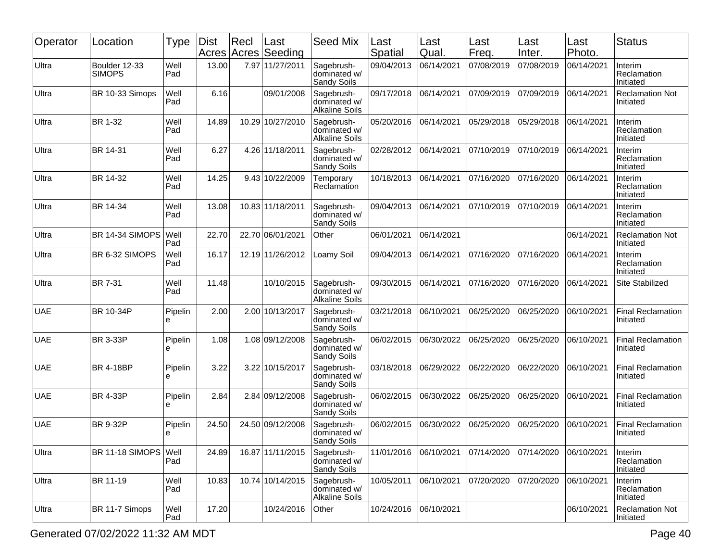| Operator   | Location                       | Type         | Dist<br>Acres | Recl  | Last<br>Acres Seeding | <b>Seed Mix</b>                                     | Last<br>Spatial | Last<br>Qual. | Last<br>Freq. | Last<br>Inter. | Last<br>Photo. | <b>Status</b>                         |
|------------|--------------------------------|--------------|---------------|-------|-----------------------|-----------------------------------------------------|-----------------|---------------|---------------|----------------|----------------|---------------------------------------|
| Ultra      | Boulder 12-33<br><b>SIMOPS</b> | Well<br>Pad  | 13.00         |       | 7.97 11/27/2011       | Sagebrush-<br>dominated w/<br>Sandy Soils           | 09/04/2013      | 06/14/2021    | 07/08/2019    | 07/08/2019     | 06/14/2021     | Interim<br>Reclamation<br>Initiated   |
| Ultra      | BR 10-33 Simops                | Well<br>Pad  | 6.16          |       | 09/01/2008            | Sagebrush-<br>dominated w/<br><b>Alkaline Soils</b> | 09/17/2018      | 06/14/2021    | 07/09/2019    | 07/09/2019     | 06/14/2021     | <b>Reclamation Not</b><br>Initiated   |
| Ultra      | BR 1-32                        | Well<br>Pad  | 14.89         | 10.29 | 10/27/2010            | Sagebrush-<br>dominated w/<br><b>Alkaline Soils</b> | 05/20/2016      | 06/14/2021    | 05/29/2018    | 05/29/2018     | 06/14/2021     | Interim<br>Reclamation<br>Initiated   |
| Ultra      | BR 14-31                       | Well<br>Pad  | 6.27          |       | 4.26 11/18/2011       | Sagebrush-<br>dominated w/<br>Sandy Soils           | 02/28/2012      | 06/14/2021    | 07/10/2019    | 07/10/2019     | 06/14/2021     | Interim<br>Reclamation<br>Initiated   |
| Ultra      | BR 14-32                       | Well<br>Pad  | 14.25         |       | 9.43 10/22/2009       | Temporary<br>Reclamation                            | 10/18/2013      | 06/14/2021    | 07/16/2020    | 07/16/2020     | 06/14/2021     | Interim<br>Reclamation<br>Initiated   |
| Ultra      | BR 14-34                       | Well<br>Pad  | 13.08         |       | 10.83 11/18/2011      | Sagebrush-<br>dominated w/<br>Sandy Soils           | 09/04/2013      | 06/14/2021    | 07/10/2019    | 07/10/2019     | 06/14/2021     | Interim<br>Reclamation<br>Initiated   |
| Ultra      | BR 14-34 SIMOPS                | Well<br>Pad  | 22.70         |       | 22.70 06/01/2021      | Other                                               | 06/01/2021      | 06/14/2021    |               |                | 06/14/2021     | <b>Reclamation Not</b><br>Initiated   |
| Ultra      | BR 6-32 SIMOPS                 | Well<br>Pad  | 16.17         |       | 12.19 11/26/2012      | Loamy Soil                                          | 09/04/2013      | 06/14/2021    | 07/16/2020    | 07/16/2020     | 06/14/2021     | Interim<br>Reclamation<br>Initiated   |
| Ultra      | BR 7-31                        | Well<br>Pad  | 11.48         |       | 10/10/2015            | Sagebrush-<br>dominated w/<br><b>Alkaline Soils</b> | 09/30/2015      | 06/14/2021    | 07/16/2020    | 07/16/2020     | 06/14/2021     | Site Stabilized                       |
| <b>UAE</b> | BR 10-34P                      | Pipelin<br>e | 2.00          |       | 2.00 10/13/2017       | Sagebrush-<br>dominated w/<br>Sandy Soils           | 03/21/2018      | 06/10/2021    | 06/25/2020    | 06/25/2020     | 06/10/2021     | <b>Final Reclamation</b><br>Initiated |
| <b>UAE</b> | <b>BR 3-33P</b>                | Pipelin<br>е | 1.08          |       | 1.08 09/12/2008       | Sagebrush-<br>dominated w/<br>Sandy Soils           | 06/02/2015      | 06/30/2022    | 06/25/2020    | 06/25/2020     | 06/10/2021     | <b>Final Reclamation</b><br>Initiated |
| <b>UAE</b> | <b>BR 4-18BP</b>               | Pipelin<br>e | 3.22          |       | 3.22 10/15/2017       | Sagebrush-<br>dominated w/<br>Sandy Soils           | 03/18/2018      | 06/29/2022    | 06/22/2020    | 06/22/2020     | 06/10/2021     | <b>Final Reclamation</b><br>Initiated |
| <b>UAE</b> | <b>BR 4-33P</b>                | Pipelin<br>e | 2.84          |       | 2.84 09/12/2008       | Sagebrush-<br>dominated w/<br>Sandy Soils           | 06/02/2015      | 06/30/2022    | 06/25/2020    | 06/25/2020     | 06/10/2021     | <b>Final Reclamation</b><br>Initiated |
| <b>UAE</b> | <b>BR 9-32P</b>                | Pipelin<br>e | 24.50         |       | 24.50 09/12/2008      | Sagebrush-<br>dominated w/<br><b>Sandy Soils</b>    | 06/02/2015      | 06/30/2022    | 06/25/2020    | 06/25/2020     | 06/10/2021     | <b>Final Reclamation</b><br>Initiated |
| Ultra      | BR 11-18 SIMOPS                | Well<br>Pad  | 24.89         |       | 16.87 11/11/2015      | Sagebrush-<br>dominated w/<br>Sandy Soils           | 11/01/2016      | 06/10/2021    | 07/14/2020    | 07/14/2020     | 06/10/2021     | Interim<br>Reclamation<br>Initiated   |
| Ultra      | BR 11-19                       | Well<br>Pad  | 10.83         |       | 10.74 10/14/2015      | Sagebrush-<br>dominated w/<br><b>Alkaline Soils</b> | 10/05/2011      | 06/10/2021    | 07/20/2020    | 07/20/2020     | 06/10/2021     | Interim<br>Reclamation<br>Initiated   |
| Ultra      | BR 11-7 Simops                 | Well<br>Pad  | 17.20         |       | 10/24/2016            | Other                                               | 10/24/2016      | 06/10/2021    |               |                | 06/10/2021     | <b>Reclamation Not</b><br>Initiated   |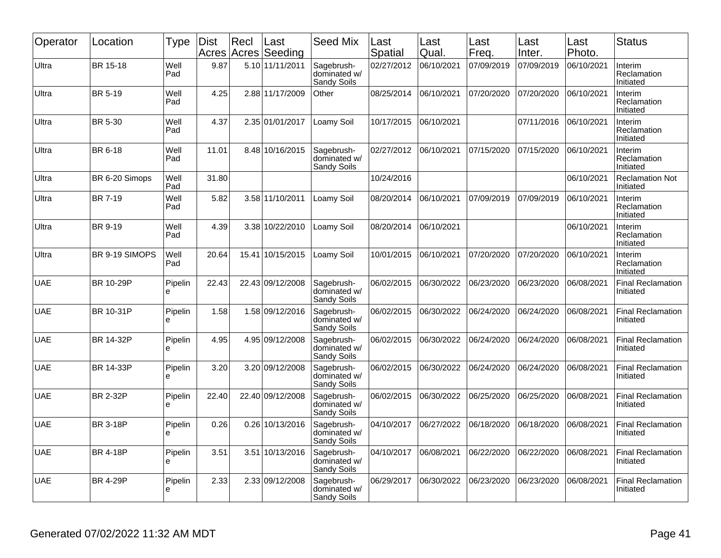| Operator   | Location         | <b>Type</b>   | <b>Dist</b><br>Acres | Recl  | Last<br>Acres Seeding | <b>Seed Mix</b>                           | Last<br>Spatial | Last<br>Qual. | Last<br>Freq. | Last<br>Inter. | Last<br>Photo. | <b>Status</b>                         |
|------------|------------------|---------------|----------------------|-------|-----------------------|-------------------------------------------|-----------------|---------------|---------------|----------------|----------------|---------------------------------------|
| Ultra      | BR 15-18         | Well<br>Pad   | 9.87                 |       | 5.10 11/11/2011       | Sagebrush-<br>dominated w/<br>Sandy Soils | 02/27/2012      | 06/10/2021    | 07/09/2019    | 07/09/2019     | 06/10/2021     | Interim<br>Reclamation<br>Initiated   |
| Ultra      | BR 5-19          | Well<br>Pad   | 4.25                 |       | 2.88 11/17/2009       | Other                                     | 08/25/2014      | 06/10/2021    | 07/20/2020    | 07/20/2020     | 06/10/2021     | Interim<br>Reclamation<br>Initiated   |
| Ultra      | BR 5-30          | Well<br>Pad   | 4.37                 |       | 2.35 01/01/2017       | Loamy Soil                                | 10/17/2015      | 06/10/2021    |               | 07/11/2016     | 06/10/2021     | Interim<br>Reclamation<br>Initiated   |
| Ultra      | BR 6-18          | Well<br>Pad   | 11.01                |       | 8.48 10/16/2015       | Sagebrush-<br>dominated w/<br>Sandy Soils | 02/27/2012      | 06/10/2021    | 07/15/2020    | 07/15/2020     | 06/10/2021     | Interim<br>Reclamation<br>Initiated   |
| Ultra      | BR 6-20 Simops   | Well<br>Pad   | 31.80                |       |                       |                                           | 10/24/2016      |               |               |                | 06/10/2021     | <b>Reclamation Not</b><br>Initiated   |
| Ultra      | <b>BR 7-19</b>   | Well<br>Pad   | 5.82                 |       | 3.58 11/10/2011       | Loamy Soil                                | 08/20/2014      | 06/10/2021    | 07/09/2019    | 07/09/2019     | 06/10/2021     | Interim<br>Reclamation<br>Initiated   |
| Ultra      | BR 9-19          | Well<br>Pad   | 4.39                 |       | 3.38 10/22/2010       | Loamy Soil                                | 08/20/2014      | 06/10/2021    |               |                | 06/10/2021     | Interim<br>Reclamation<br>Initiated   |
| Ultra      | BR 9-19 SIMOPS   | Well<br>Pad   | 20.64                | 15.41 | 10/15/2015            | Loamy Soil                                | 10/01/2015      | 06/10/2021    | 07/20/2020    | 07/20/2020     | 06/10/2021     | Interim<br>Reclamation<br>Initiated   |
| <b>UAE</b> | <b>BR 10-29P</b> | Pipelin<br>e  | 22.43                |       | 22.43 09/12/2008      | Sagebrush-<br>dominated w/<br>Sandy Soils | 06/02/2015      | 06/30/2022    | 06/23/2020    | 06/23/2020     | 06/08/2021     | <b>Final Reclamation</b><br>Initiated |
| <b>UAE</b> | BR 10-31P        | Pipelin<br>e  | 1.58                 |       | 1.58 09/12/2016       | Sagebrush-<br>dominated w/<br>Sandy Soils | 06/02/2015      | 06/30/2022    | 06/24/2020    | 06/24/2020     | 06/08/2021     | Final Reclamation<br>Initiated        |
| <b>UAE</b> | BR 14-32P        | Pipelin<br>e  | 4.95                 |       | 4.95 09/12/2008       | Sagebrush-<br>dominated w/<br>Sandy Soils | 06/02/2015      | 06/30/2022    | 06/24/2020    | 06/24/2020     | 06/08/2021     | <b>Final Reclamation</b><br>Initiated |
| <b>UAE</b> | BR 14-33P        | Pipelin<br>e  | 3.20                 |       | 3.20 09/12/2008       | Sagebrush-<br>dominated w/<br>Sandy Soils | 06/02/2015      | 06/30/2022    | 06/24/2020    | 06/24/2020     | 06/08/2021     | <b>Final Reclamation</b><br>Initiated |
| <b>UAE</b> | <b>BR 2-32P</b>  | Pipelin<br>e  | 22.40                |       | 22.40 09/12/2008      | Sagebrush-<br>dominated w/<br>Sandy Soils | 06/02/2015      | 06/30/2022    | 06/25/2020    | 06/25/2020     | 06/08/2021     | <b>Final Reclamation</b><br>Initiated |
| <b>UAE</b> | <b>BR 3-18P</b>  | Pipelin<br>e  | 0.26                 |       | 0.26 10/13/2016       | Sagebrush-<br>dominated w/<br>Sandy Soils | 04/10/2017      | 06/27/2022    | 06/18/2020    | 06/18/2020     | 06/08/2021     | <b>Final Reclamation</b><br>Initiated |
| <b>UAE</b> | <b>BR 4-18P</b>  | Pipelin<br>le | 3.51                 | 3.51  | 10/13/2016            | Sagebrush-<br>dominated w/<br>Sandy Soils | 04/10/2017      | 06/08/2021    | 06/22/2020    | 06/22/2020     | 06/08/2021     | <b>Final Reclamation</b><br>Initiated |
| <b>UAE</b> | <b>BR 4-29P</b>  | Pipelin<br>e  | 2.33                 |       | 2.33 09/12/2008       | Sagebrush-<br>dominated w/<br>Sandy Soils | 06/29/2017      | 06/30/2022    | 06/23/2020    | 06/23/2020     | 06/08/2021     | Final Reclamation<br>Initiated        |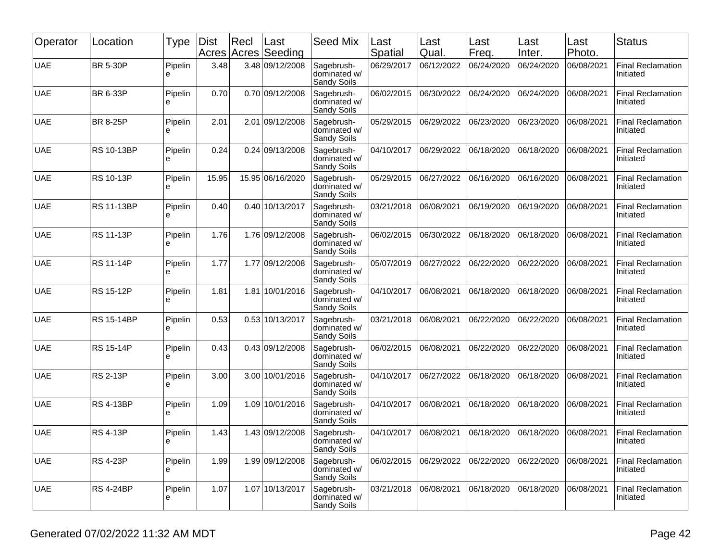| Operator   | Location          | Type         | Dist<br>Acres | Recl | Last<br>Acres Seeding | <b>Seed Mix</b>                           | Last<br>Spatial | Last<br>Qual. | Last<br>Freq. | Last<br>Inter. | Last<br>Photo. | <b>Status</b>                         |
|------------|-------------------|--------------|---------------|------|-----------------------|-------------------------------------------|-----------------|---------------|---------------|----------------|----------------|---------------------------------------|
| <b>UAE</b> | <b>BR 5-30P</b>   | Pipelin<br>è | 3.48          |      | 3.48 09/12/2008       | Sagebrush-<br>dominated w/<br>Sandy Soils | 06/29/2017      | 06/12/2022    | 06/24/2020    | 06/24/2020     | 06/08/2021     | <b>Final Reclamation</b><br>Initiated |
| <b>UAE</b> | BR 6-33P          | Pipelin<br>e | 0.70          |      | 0.70 09/12/2008       | Sagebrush-<br>dominated w/<br>Sandy Soils | 06/02/2015      | 06/30/2022    | 06/24/2020    | 06/24/2020     | 06/08/2021     | <b>Final Reclamation</b><br>Initiated |
| <b>UAE</b> | <b>BR 8-25P</b>   | Pipelin<br>e | 2.01          | 2.01 | 09/12/2008            | Sagebrush-<br>dominated w/<br>Sandy Soils | 05/29/2015      | 06/29/2022    | 06/23/2020    | 06/23/2020     | 06/08/2021     | <b>Final Reclamation</b><br>Initiated |
| <b>UAE</b> | <b>RS 10-13BP</b> | Pipelin<br>е | 0.24          |      | 0.24 09/13/2008       | Sagebrush-<br>dominated w/<br>Sandy Soils | 04/10/2017      | 06/29/2022    | 06/18/2020    | 06/18/2020     | 06/08/2021     | <b>Final Reclamation</b><br>Initiated |
| <b>UAE</b> | <b>RS 10-13P</b>  | Pipelin<br>e | 15.95         |      | 15.95 06/16/2020      | Sagebrush-<br>dominated w/<br>Sandy Soils | 05/29/2015      | 06/27/2022    | 06/16/2020    | 06/16/2020     | 06/08/2021     | <b>Final Reclamation</b><br>Initiated |
| <b>UAE</b> | <b>RS 11-13BP</b> | Pipelin<br>e | 0.40          |      | 0.40 10/13/2017       | Sagebrush-<br>dominated w/<br>Sandy Soils | 03/21/2018      | 06/08/2021    | 06/19/2020    | 06/19/2020     | 06/08/2021     | <b>Final Reclamation</b><br>Initiated |
| <b>UAE</b> | <b>RS 11-13P</b>  | Pipelin<br>e | 1.76          |      | 1.76 09/12/2008       | Sagebrush-<br>dominated w/<br>Sandy Soils | 06/02/2015      | 06/30/2022    | 06/18/2020    | 06/18/2020     | 06/08/2021     | <b>Final Reclamation</b><br>Initiated |
| <b>UAE</b> | <b>RS 11-14P</b>  | Pipelin<br>e | 1.77          |      | 1.77 09/12/2008       | Sagebrush-<br>dominated w/<br>Sandy Soils | 05/07/2019      | 06/27/2022    | 06/22/2020    | 06/22/2020     | 06/08/2021     | <b>Final Reclamation</b><br>Initiated |
| <b>UAE</b> | RS 15-12P         | Pipelin<br>e | 1.81          | 1.81 | 10/01/2016            | Sagebrush-<br>dominated w/<br>Sandy Soils | 04/10/2017      | 06/08/2021    | 06/18/2020    | 06/18/2020     | 06/08/2021     | <b>Final Reclamation</b><br>Initiated |
| <b>UAE</b> | <b>RS 15-14BP</b> | Pipelin<br>е | 0.53          |      | 0.53 10/13/2017       | Sagebrush-<br>dominated w/<br>Sandy Soils | 03/21/2018      | 06/08/2021    | 06/22/2020    | 06/22/2020     | 06/08/2021     | <b>Final Reclamation</b><br>Initiated |
| <b>UAE</b> | <b>RS 15-14P</b>  | Pipelin<br>e | 0.43          |      | 0.43 09/12/2008       | Sagebrush-<br>dominated w/<br>Sandy Soils | 06/02/2015      | 06/08/2021    | 06/22/2020    | 06/22/2020     | 06/08/2021     | <b>Final Reclamation</b><br>Initiated |
| <b>UAE</b> | <b>RS 2-13P</b>   | Pipelin<br>e | 3.00          |      | 3.00 10/01/2016       | Sagebrush-<br>dominated w/<br>Sandy Soils | 04/10/2017      | 06/27/2022    | 06/18/2020    | 06/18/2020     | 06/08/2021     | <b>Final Reclamation</b><br>Initiated |
| <b>UAE</b> | <b>RS 4-13BP</b>  | Pipelin<br>e | 1.09          |      | 1.09 10/01/2016       | Sagebrush-<br>dominated w/<br>Sandy Soils | 04/10/2017      | 06/08/2021    | 06/18/2020    | 06/18/2020     | 06/08/2021     | <b>Final Reclamation</b><br>Initiated |
| <b>UAE</b> | <b>RS 4-13P</b>   | Pipelin<br>႕ | 1.43          |      | 1.43 09/12/2008       | Sagebrush-<br>dominated w/<br>Sandy Soils | 04/10/2017      | 06/08/2021    | 06/18/2020    | 06/18/2020     | 06/08/2021     | <b>Final Reclamation</b><br>Initiated |
| <b>UAE</b> | <b>RS 4-23P</b>   | Pipelin<br>e | 1.99          |      | 1.99 09/12/2008       | Sagebrush-<br>dominated w/<br>Sandy Soils | 06/02/2015      | 06/29/2022    | 06/22/2020    | 06/22/2020     | 06/08/2021     | <b>Final Reclamation</b><br>Initiated |
| <b>UAE</b> | <b>RS 4-24BP</b>  | Pipelin<br>е | 1.07          |      | 1.07 10/13/2017       | Sagebrush-<br>dominated w/<br>Sandy Soils | 03/21/2018      | 06/08/2021    | 06/18/2020    | 06/18/2020     | 06/08/2021     | <b>Final Reclamation</b><br>Initiated |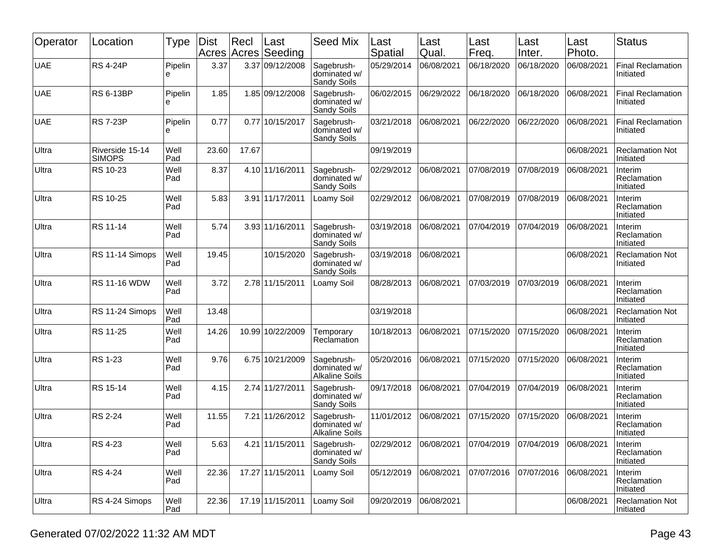| Operator   | Location                         | Type         | <b>Dist</b><br>Acres | Recl  | Last<br>Acres Seeding | <b>Seed Mix</b>                                     | Last<br>Spatial | Last<br>Qual.          | Last<br>Freq.         | Last<br>Inter. | Last<br>Photo. | <b>Status</b>                         |
|------------|----------------------------------|--------------|----------------------|-------|-----------------------|-----------------------------------------------------|-----------------|------------------------|-----------------------|----------------|----------------|---------------------------------------|
| <b>UAE</b> | <b>RS 4-24P</b>                  | Pipelin<br>e | 3.37                 |       | 3.37 09/12/2008       | Sagebrush-<br>dominated w/<br>Sandy Soils           | 05/29/2014      | 06/08/2021             | 06/18/2020            | 06/18/2020     | 06/08/2021     | <b>Final Reclamation</b><br>Initiated |
| <b>UAE</b> | <b>RS 6-13BP</b>                 | Pipelin<br>e | 1.85                 |       | 1.85 09/12/2008       | Sagebrush-<br>dominated w/<br>Sandy Soils           | 06/02/2015      | 06/29/2022             | 06/18/2020            | 06/18/2020     | 06/08/2021     | <b>Final Reclamation</b><br>Initiated |
| <b>UAE</b> | <b>RS 7-23P</b>                  | Pipelin<br>e | 0.77                 | 0.77  | 10/15/2017            | Sagebrush-<br>dominated w/<br>Sandy Soils           | 03/21/2018      | 06/08/2021             | 06/22/2020            | 06/22/2020     | 06/08/2021     | <b>Final Reclamation</b><br>Initiated |
| Ultra      | Riverside 15-14<br><b>SIMOPS</b> | Well<br>Pad  | 23.60                | 17.67 |                       |                                                     | 09/19/2019      |                        |                       |                | 06/08/2021     | <b>Reclamation Not</b><br>Initiated   |
| Ultra      | RS 10-23                         | Well<br>Pad  | 8.37                 |       | 4.10 11/16/2011       | Sagebrush-<br>dominated w/<br>Sandy Soils           | 02/29/2012      | 06/08/2021             | 07/08/2019            | 07/08/2019     | 06/08/2021     | Interim<br>Reclamation<br>Initiated   |
| Ultra      | RS 10-25                         | Well<br>Pad  | 5.83                 |       | 3.91 11/17/2011       | Loamy Soil                                          | 02/29/2012      | 06/08/2021             | 07/08/2019            | 07/08/2019     | 06/08/2021     | Interim<br>Reclamation<br>Initiated   |
| Ultra      | RS 11-14                         | Well<br>Pad  | 5.74                 |       | 3.93 11/16/2011       | Sagebrush-<br>dominated w/<br>Sandy Soils           | 03/19/2018      | 06/08/2021             | 07/04/2019            | 07/04/2019     | 06/08/2021     | Interim<br>Reclamation<br>Initiated   |
| Ultra      | RS 11-14 Simops                  | Well<br>Pad  | 19.45                |       | 10/15/2020            | Sagebrush-<br>dominated w/<br>Sandy Soils           | 03/19/2018      | 06/08/2021             |                       |                | 06/08/2021     | <b>Reclamation Not</b><br>Initiated   |
| Ultra      | <b>RS 11-16 WDW</b>              | Well<br>Pad  | 3.72                 |       | 2.78 11/15/2011       | Loamy Soil                                          | 08/28/2013      | 06/08/2021             | 07/03/2019            | 07/03/2019     | 06/08/2021     | Interim<br>Reclamation<br>Initiated   |
| Ultra      | RS 11-24 Simops                  | Well<br>Pad  | 13.48                |       |                       |                                                     | 03/19/2018      |                        |                       |                | 06/08/2021     | <b>Reclamation Not</b><br>Initiated   |
| Ultra      | RS 11-25                         | Well<br>Pad  | 14.26                |       | 10.99 10/22/2009      | Temporary<br>Reclamation                            | 10/18/2013      | 06/08/2021             | 07/15/2020            | 07/15/2020     | 06/08/2021     | Interim<br>Reclamation<br>Initiated   |
| Ultra      | RS 1-23                          | Well<br>Pad  | 9.76                 |       | 6.75 10/21/2009       | Sagebrush-<br>dominated w/<br><b>Alkaline Soils</b> | 05/20/2016      | 06/08/2021             | 07/15/2020            | 07/15/2020     | 06/08/2021     | Interim<br>Reclamation<br>Initiated   |
| Ultra      | RS 15-14                         | Well<br>Pad  | 4.15                 |       | 2.74 11/27/2011       | Sagebrush-<br>dominated w/<br>Sandy Soils           | 09/17/2018      | 06/08/2021             | 07/04/2019            | 07/04/2019     | 06/08/2021     | Interim<br>Reclamation<br>Initiated   |
| Ultra      | <b>RS 2-24</b>                   | Well<br>Pad  | 11.55                | 7.21  | 11/26/2012            | Sagebrush-<br>dominated w/<br><b>Alkaline Soils</b> | 11/01/2012      | 06/08/2021             | 07/15/2020            | 07/15/2020     | 06/08/2021     | Interim<br>Reclamation<br>Initiated   |
| Ultra      | RS 4-23                          | Well<br>Pad  | 5.63                 |       | 4.21 11/15/2011       | Sagebrush-<br>dominated w/<br>Sandy Soils           |                 | 02/29/2012  06/08/2021 | 07/04/2019 07/04/2019 |                | 06/08/2021     | Interim<br>Reclamation<br>Initiated   |
| Ultra      | RS 4-24                          | Well<br>Pad  | 22.36                |       | 17.27 11/15/2011      | Loamy Soil                                          | 05/12/2019      | 06/08/2021             | 07/07/2016            | 07/07/2016     | 06/08/2021     | Interim<br>Reclamation<br>Initiated   |
| Ultra      | RS 4-24 Simops                   | Well<br>Pad  | 22.36                |       | 17.19 11/15/2011      | Loamy Soil                                          | 09/20/2019      | 06/08/2021             |                       |                | 06/08/2021     | <b>Reclamation Not</b><br>Initiated   |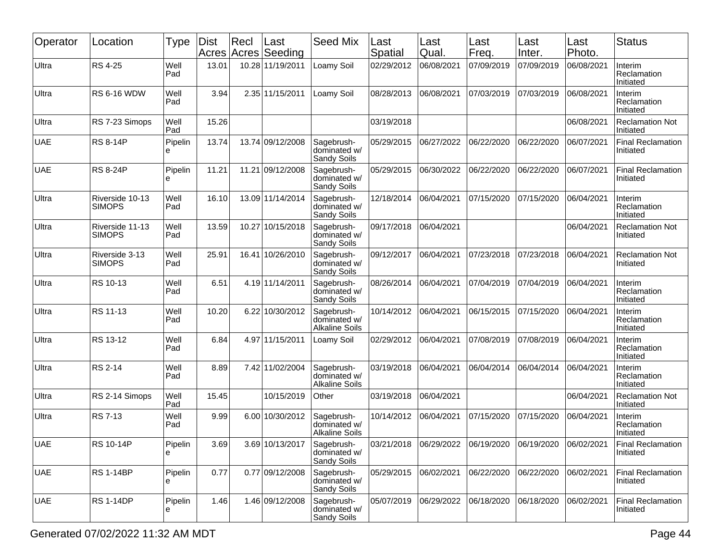| Operator   | Location                         | Type         | <b>Dist</b><br>Acres | Recl<br>Acres | Last<br>Seeding  | <b>Seed Mix</b>                                     | Last<br>Spatial | Last<br>Qual.         | Last<br>Freq. | Last<br>Inter. | Last<br>Photo. | <b>Status</b>                         |
|------------|----------------------------------|--------------|----------------------|---------------|------------------|-----------------------------------------------------|-----------------|-----------------------|---------------|----------------|----------------|---------------------------------------|
| Ultra      | RS 4-25                          | Well<br>Pad  | 13.01                |               | 10.28 11/19/2011 | Loamy Soil                                          | 02/29/2012      | 06/08/2021            | 07/09/2019    | 07/09/2019     | 06/08/2021     | Interim<br>Reclamation<br>Initiated   |
| Ultra      | <b>RS 6-16 WDW</b>               | Well<br>Pad  | 3.94                 |               | 2.35 11/15/2011  | Loamy Soil                                          | 08/28/2013      | 06/08/2021            | 07/03/2019    | 07/03/2019     | 06/08/2021     | Interim<br>Reclamation<br>Initiated   |
| Ultra      | RS 7-23 Simops                   | Well<br>Pad  | 15.26                |               |                  |                                                     | 03/19/2018      |                       |               |                | 06/08/2021     | <b>Reclamation Not</b><br>Initiated   |
| <b>UAE</b> | <b>RS 8-14P</b>                  | Pipelin<br>e | 13.74                |               | 13.74 09/12/2008 | Sagebrush-<br>dominated w/<br>Sandy Soils           | 05/29/2015      | 06/27/2022            | 06/22/2020    | 06/22/2020     | 06/07/2021     | <b>Final Reclamation</b><br>Initiated |
| <b>UAE</b> | <b>RS 8-24P</b>                  | Pipelin<br>e | 11.21                |               | 11.21 09/12/2008 | Sagebrush-<br>dominated w/<br>Sandy Soils           | 05/29/2015      | 06/30/2022            | 06/22/2020    | 06/22/2020     | 06/07/2021     | <b>Final Reclamation</b><br>Initiated |
| Ultra      | Riverside 10-13<br><b>SIMOPS</b> | Well<br>Pad  | 16.10                |               | 13.09 11/14/2014 | Sagebrush-<br>dominated w/<br><b>Sandy Soils</b>    | 12/18/2014      | 06/04/2021            | 07/15/2020    | 07/15/2020     | 06/04/2021     | Interim<br>Reclamation<br>Initiated   |
| Ultra      | Riverside 11-13<br><b>SIMOPS</b> | Well<br>Pad  | 13.59                | 10.27         | 10/15/2018       | Sagebrush-<br>dominated w/<br>Sandy Soils           | 09/17/2018      | 06/04/2021            |               |                | 06/04/2021     | <b>Reclamation Not</b><br>Initiated   |
| Ultra      | Riverside 3-13<br><b>SIMOPS</b>  | Well<br>Pad  | 25.91                |               | 16.41 10/26/2010 | Sagebrush-<br>dominated w/<br>Sandy Soils           | 09/12/2017      | 06/04/2021            | 07/23/2018    | 07/23/2018     | 06/04/2021     | <b>Reclamation Not</b><br>Initiated   |
| Ultra      | RS 10-13                         | Well<br>Pad  | 6.51                 |               | 4.19 11/14/2011  | Sagebrush-<br>dominated w/<br>Sandy Soils           | 08/26/2014      | 06/04/2021            | 07/04/2019    | 07/04/2019     | 06/04/2021     | Interim<br>Reclamation<br>Initiated   |
| Ultra      | RS 11-13                         | Well<br>Pad  | 10.20                |               | 6.22 10/30/2012  | Sagebrush-<br>dominated w/<br><b>Alkaline Soils</b> | 10/14/2012      | 06/04/2021            | 06/15/2015    | 07/15/2020     | 06/04/2021     | Interim<br>Reclamation<br>Initiated   |
| Ultra      | RS 13-12                         | Well<br>Pad  | 6.84                 |               | 4.97 11/15/2011  | Loamy Soil                                          | 02/29/2012      | 06/04/2021            | 07/08/2019    | 07/08/2019     | 06/04/2021     | Interim<br>Reclamation<br>Initiated   |
| Ultra      | RS 2-14                          | Well<br>Pad  | 8.89                 |               | 7.42 11/02/2004  | Sagebrush-<br>dominated w/<br><b>Alkaline Soils</b> | 03/19/2018      | 06/04/2021            | 06/04/2014    | 06/04/2014     | 06/04/2021     | Interim<br>Reclamation<br>Initiated   |
| Ultra      | RS 2-14 Simops                   | Well<br>Pad  | 15.45                |               | 10/15/2019       | Other                                               | 03/19/2018      | 06/04/2021            |               |                | 06/04/2021     | <b>Reclamation Not</b><br>Initiated   |
| Ultra      | <b>RS 7-13</b>                   | Well<br>Pad  | 9.99                 |               | 6.00 10/30/2012  | Sagebrush-<br>dominated w/<br><b>Alkaline Soils</b> | 10/14/2012      | 06/04/2021            | 07/15/2020    | 07/15/2020     | 06/04/2021     | Interim<br>Reclamation<br>Initiated   |
| <b>UAE</b> | RS 10-14P                        | Pipelin<br>e | 3.69                 |               | 3.69 10/13/2017  | Sagebrush-<br>dominated w/<br>Sandy Soils           | 03/21/2018      | 06/29/2022 06/19/2020 |               | 06/19/2020     | 06/02/2021     | <b>Final Reclamation</b><br>Initiated |
| <b>UAE</b> | <b>RS 1-14BP</b>                 | Pipelin<br>e | 0.77                 |               | 0.77 09/12/2008  | Sagebrush-<br>dominated w/<br>Sandy Soils           | 05/29/2015      | 06/02/2021            | 06/22/2020    | 06/22/2020     | 06/02/2021     | <b>Final Reclamation</b><br>Initiated |
| <b>UAE</b> | <b>RS 1-14DP</b>                 | Pipelin<br>е | 1.46                 |               | 1.46 09/12/2008  | Sagebrush-<br>dominated w/<br>Sandy Soils           | 05/07/2019      | 06/29/2022            | 06/18/2020    | 06/18/2020     | 06/02/2021     | <b>Final Reclamation</b><br>Initiated |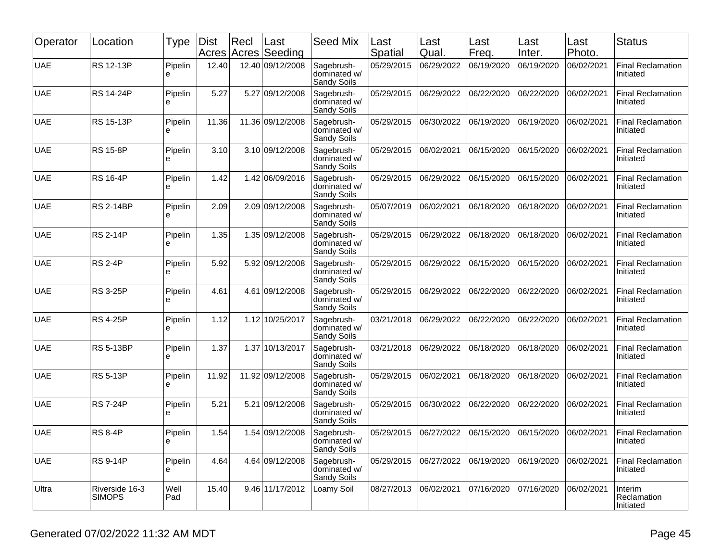| Operator   | Location                        | Type         | Dist<br>Acres | Recl | Last<br>Acres Seeding | <b>Seed Mix</b>                           | Last<br>Spatial | Last<br>Qual. | Last<br>Freq. | Last<br>Inter. | Last<br>Photo. | <b>Status</b>                         |
|------------|---------------------------------|--------------|---------------|------|-----------------------|-------------------------------------------|-----------------|---------------|---------------|----------------|----------------|---------------------------------------|
| <b>UAE</b> | RS 12-13P                       | Pipelin<br>e | 12.40         |      | 12.40 09/12/2008      | Sagebrush-<br>dominated w/<br>Sandy Soils | 05/29/2015      | 06/29/2022    | 06/19/2020    | 06/19/2020     | 06/02/2021     | <b>Final Reclamation</b><br>Initiated |
| <b>UAE</b> | <b>RS 14-24P</b>                | Pipelin<br>e | 5.27          |      | 5.27 09/12/2008       | Sagebrush-<br>dominated w/<br>Sandy Soils | 05/29/2015      | 06/29/2022    | 06/22/2020    | 06/22/2020     | 06/02/2021     | <b>Final Reclamation</b><br>Initiated |
| <b>UAE</b> | <b>RS 15-13P</b>                | Pipelin<br>е | 11.36         |      | 11.36 09/12/2008      | Sagebrush-<br>dominated w/<br>Sandy Soils | 05/29/2015      | 06/30/2022    | 06/19/2020    | 06/19/2020     | 06/02/2021     | <b>Final Reclamation</b><br>Initiated |
| <b>UAE</b> | <b>RS 15-8P</b>                 | Pipelin<br>е | 3.10          |      | 3.10 09/12/2008       | Sagebrush-<br>dominated w/<br>Sandy Soils | 05/29/2015      | 06/02/2021    | 06/15/2020    | 06/15/2020     | 06/02/2021     | <b>Final Reclamation</b><br>Initiated |
| <b>UAE</b> | <b>RS 16-4P</b>                 | Pipelin<br>e | 1.42          |      | 1.42 06/09/2016       | Sagebrush-<br>dominated w/<br>Sandy Soils | 05/29/2015      | 06/29/2022    | 06/15/2020    | 06/15/2020     | 06/02/2021     | <b>Final Reclamation</b><br>Initiated |
| <b>UAE</b> | <b>RS 2-14BP</b>                | Pipelin<br>e | 2.09          |      | 2.09 09/12/2008       | Sagebrush-<br>dominated w/<br>Sandy Soils | 05/07/2019      | 06/02/2021    | 06/18/2020    | 06/18/2020     | 06/02/2021     | <b>Final Reclamation</b><br>Initiated |
| <b>UAE</b> | <b>RS 2-14P</b>                 | Pipelin<br>e | 1.35          |      | 1.35 09/12/2008       | Sagebrush-<br>dominated w/<br>Sandy Soils | 05/29/2015      | 06/29/2022    | 06/18/2020    | 06/18/2020     | 06/02/2021     | <b>Final Reclamation</b><br>Initiated |
| <b>UAE</b> | <b>RS 2-4P</b>                  | Pipelin<br>e | 5.92          |      | 5.92 09/12/2008       | Sagebrush-<br>dominated w/<br>Sandy Soils | 05/29/2015      | 06/29/2022    | 06/15/2020    | 06/15/2020     | 06/02/2021     | <b>Final Reclamation</b><br>Initiated |
| <b>UAE</b> | <b>RS 3-25P</b>                 | Pipelin<br>е | 4.61          | 4.61 | 09/12/2008            | Sagebrush-<br>dominated w/<br>Sandy Soils | 05/29/2015      | 06/29/2022    | 06/22/2020    | 06/22/2020     | 06/02/2021     | <b>Final Reclamation</b><br>Initiated |
| <b>UAE</b> | <b>RS 4-25P</b>                 | Pipelin<br>е | 1.12          |      | 1.12 10/25/2017       | Sagebrush-<br>dominated w/<br>Sandy Soils | 03/21/2018      | 06/29/2022    | 06/22/2020    | 06/22/2020     | 06/02/2021     | <b>Final Reclamation</b><br>Initiated |
| <b>UAE</b> | <b>RS 5-13BP</b>                | Pipelin<br>e | 1.37          |      | 1.37 10/13/2017       | Sagebrush-<br>dominated w/<br>Sandy Soils | 03/21/2018      | 06/29/2022    | 06/18/2020    | 06/18/2020     | 06/02/2021     | <b>Final Reclamation</b><br>Initiated |
| <b>UAE</b> | <b>RS 5-13P</b>                 | Pipelin<br>e | 11.92         |      | 11.92 09/12/2008      | Sagebrush-<br>dominated w/<br>Sandy Soils | 05/29/2015      | 06/02/2021    | 06/18/2020    | 06/18/2020     | 06/02/2021     | <b>Final Reclamation</b><br>Initiated |
| <b>UAE</b> | <b>RS 7-24P</b>                 | Pipelin<br>e | 5.21          | 5.21 | 09/12/2008            | Sagebrush-<br>dominated w/<br>Sandy Soils | 05/29/2015      | 06/30/2022    | 06/22/2020    | 06/22/2020     | 06/02/2021     | <b>Final Reclamation</b><br>Initiated |
| <b>UAE</b> | <b>RS 8-4P</b>                  | Pipelin<br>႕ | 1.54          |      | 1.54 09/12/2008       | Sagebrush-<br>dominated w/<br>Sandy Soils | 05/29/2015      | 06/27/2022    | 06/15/2020    | 06/15/2020     | 06/02/2021     | <b>Final Reclamation</b><br>Initiated |
| <b>UAE</b> | <b>RS 9-14P</b>                 | Pipelin<br>e | 4.64          |      | 4.64 09/12/2008       | Sagebrush-<br>dominated w/<br>Sandy Soils | 05/29/2015      | 06/27/2022    | 06/19/2020    | 06/19/2020     | 06/02/2021     | <b>Final Reclamation</b><br>Initiated |
| Ultra      | Riverside 16-3<br><b>SIMOPS</b> | Well<br>Pad  | 15.40         |      | 9.46 11/17/2012       | Loamy Soil                                | 08/27/2013      | 06/02/2021    | 07/16/2020    | 07/16/2020     | 06/02/2021     | Interim<br>Reclamation<br>Initiated   |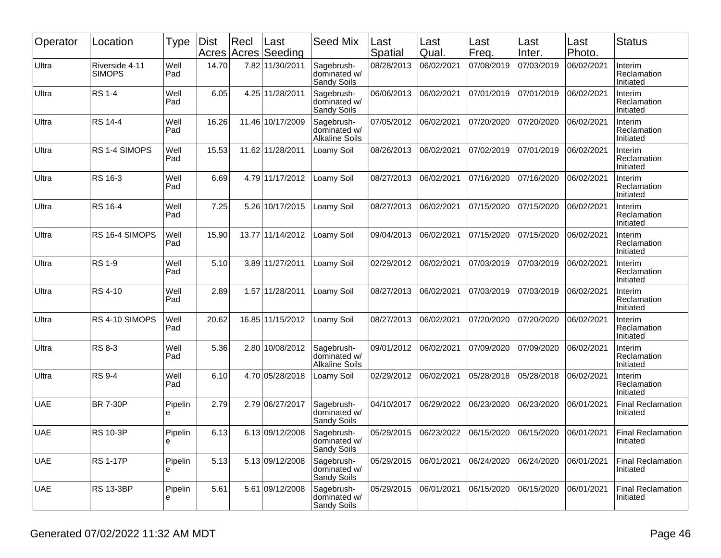| Operator   | Location                        | Type         | Dist<br>Acres | Recl<br>Acres | Last<br>Seeding  | <b>Seed Mix</b>                                     | Last<br>Spatial | Last<br>Qual. | Last<br>Freq. | Last<br>Inter. | Last<br>Photo. | <b>Status</b>                         |
|------------|---------------------------------|--------------|---------------|---------------|------------------|-----------------------------------------------------|-----------------|---------------|---------------|----------------|----------------|---------------------------------------|
| Ultra      | Riverside 4-11<br><b>SIMOPS</b> | Well<br>Pad  | 14.70         |               | 7.82 11/30/2011  | Sagebrush-<br>dominated w/<br>Sandy Soils           | 08/28/2013      | 06/02/2021    | 07/08/2019    | 07/03/2019     | 06/02/2021     | Interim<br>Reclamation<br>Initiated   |
| Ultra      | <b>RS 1-4</b>                   | Well<br>Pad  | 6.05          |               | 4.25 11/28/2011  | Sagebrush-<br>dominated w/<br>Sandy Soils           | 06/06/2013      | 06/02/2021    | 07/01/2019    | 07/01/2019     | 06/02/2021     | Interim<br>Reclamation<br>Initiated   |
| Ultra      | RS 14-4                         | Well<br>Pad  | 16.26         |               | 11.46 10/17/2009 | Sagebrush-<br>dominated w/<br><b>Alkaline Soils</b> | 07/05/2012      | 06/02/2021    | 07/20/2020    | 07/20/2020     | 06/02/2021     | Interim<br>Reclamation<br>Initiated   |
| Ultra      | RS 1-4 SIMOPS                   | Well<br>Pad  | 15.53         |               | 11.62 11/28/2011 | Loamy Soil                                          | 08/26/2013      | 06/02/2021    | 07/02/2019    | 07/01/2019     | 06/02/2021     | Interim<br>Reclamation<br>Initiated   |
| Ultra      | RS 16-3                         | Well<br>Pad  | 6.69          |               | 4.79 11/17/2012  | Loamy Soil                                          | 08/27/2013      | 06/02/2021    | 07/16/2020    | 07/16/2020     | 06/02/2021     | Interim<br>Reclamation<br>Initiated   |
| Ultra      | RS 16-4                         | Well<br>Pad  | 7.25          |               | 5.26 10/17/2015  | Loamy Soil                                          | 08/27/2013      | 06/02/2021    | 07/15/2020    | 07/15/2020     | 06/02/2021     | Interim<br>Reclamation<br>Initiated   |
| Ultra      | RS 16-4 SIMOPS                  | Well<br>Pad  | 15.90         |               | 13.77 11/14/2012 | Loamy Soil                                          | 09/04/2013      | 06/02/2021    | 07/15/2020    | 07/15/2020     | 06/02/2021     | Interim<br>Reclamation<br>Initiated   |
| Ultra      | <b>RS 1-9</b>                   | Well<br>Pad  | 5.10          |               | 3.89 11/27/2011  | Loamy Soil                                          | 02/29/2012      | 06/02/2021    | 07/03/2019    | 07/03/2019     | 06/02/2021     | Interim<br>Reclamation<br>Initiated   |
| Ultra      | RS 4-10                         | Well<br>Pad  | 2.89          |               | 1.57 11/28/2011  | Loamy Soil                                          | 08/27/2013      | 06/02/2021    | 07/03/2019    | 07/03/2019     | 06/02/2021     | Interim<br>Reclamation<br>Initiated   |
| Ultra      | RS 4-10 SIMOPS                  | Well<br>Pad  | 20.62         |               | 16.85 11/15/2012 | Loamy Soil                                          | 08/27/2013      | 06/02/2021    | 07/20/2020    | 07/20/2020     | 06/02/2021     | Interim<br>Reclamation<br>Initiated   |
| Ultra      | <b>RS 8-3</b>                   | Well<br>Pad  | 5.36          |               | 2.80 10/08/2012  | Sagebrush-<br>dominated w/<br><b>Alkaline Soils</b> | 09/01/2012      | 06/02/2021    | 07/09/2020    | 07/09/2020     | 06/02/2021     | Interim<br>Reclamation<br>Initiated   |
| Ultra      | <b>RS 9-4</b>                   | Well<br>Pad  | 6.10          |               | 4.70 05/28/2018  | Loamy Soil                                          | 02/29/2012      | 06/02/2021    | 05/28/2018    | 05/28/2018     | 06/02/2021     | Interim<br>Reclamation<br>Initiated   |
| <b>UAE</b> | <b>BR 7-30P</b>                 | Pipelin<br>е | 2.79          |               | 2.79 06/27/2017  | Sagebrush-<br>dominated w/<br>Sandy Soils           | 04/10/2017      | 06/29/2022    | 06/23/2020    | 06/23/2020     | 06/01/2021     | <b>Final Reclamation</b><br>Initiated |
| <b>UAE</b> | <b>RS 10-3P</b>                 | Pipelin<br>e | 6.13          |               | 6.13 09/12/2008  | Sagebrush-<br>dominated w/<br>Sandy Soils           | 05/29/2015      | 06/23/2022    | 06/15/2020    | 06/15/2020     | 06/01/2021     | <b>Final Reclamation</b><br>Initiated |
| <b>UAE</b> | <b>RS 1-17P</b>                 | Pipelin<br>е | 5.13          |               | 5.13 09/12/2008  | Sagebrush-<br>dominated w/<br>Sandy Soils           | 05/29/2015      | 06/01/2021    | 06/24/2020    | 06/24/2020     | 06/01/2021     | <b>Final Reclamation</b><br>Initiated |
| <b>UAE</b> | <b>RS 13-3BP</b>                | Pipelin<br>e | 5.61          |               | 5.61 09/12/2008  | Sagebrush-<br>dominated w/<br>Sandy Soils           | 05/29/2015      | 06/01/2021    | 06/15/2020    | 06/15/2020     | 06/01/2021     | <b>Final Reclamation</b><br>Initiated |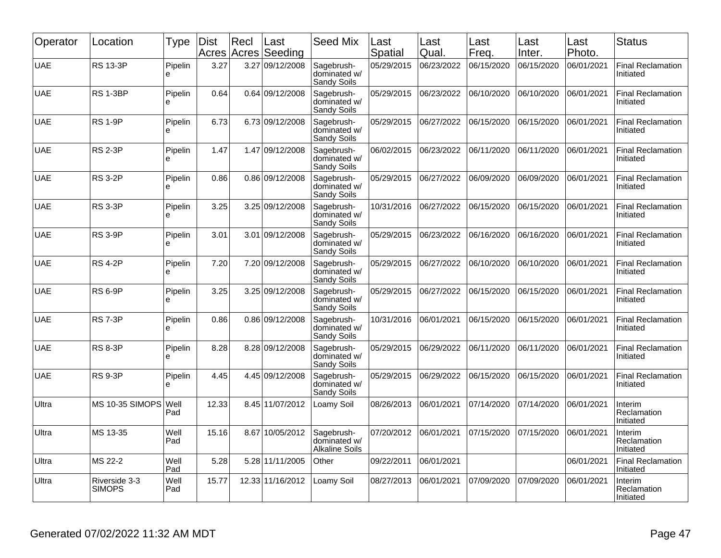| Operator   | Location                       | Type               | <b>Dist</b><br>Acres | Recl | Last<br>Acres Seeding | <b>Seed Mix</b>                              | Last<br>Spatial | Last<br>Qual. | Last<br>Freq. | Last<br>Inter. | Last<br>Photo. | <b>Status</b>                         |
|------------|--------------------------------|--------------------|----------------------|------|-----------------------|----------------------------------------------|-----------------|---------------|---------------|----------------|----------------|---------------------------------------|
| <b>UAE</b> | <b>RS 13-3P</b>                | Pipelin<br>e       | 3.27                 |      | 3.27 09/12/2008       | Sagebrush-<br>dominated w/<br>Sandy Soils    | 05/29/2015      | 06/23/2022    | 06/15/2020    | 06/15/2020     | 06/01/2021     | <b>Final Reclamation</b><br>Initiated |
| <b>UAE</b> | <b>RS 1-3BP</b>                | Pipelin<br>e       | 0.64                 |      | 0.64 09/12/2008       | Sagebrush-<br>dominated w/<br>Sandy Soils    | 05/29/2015      | 06/23/2022    | 06/10/2020    | 06/10/2020     | 06/01/2021     | <b>Final Reclamation</b><br>Initiated |
| <b>UAE</b> | <b>RS 1-9P</b>                 | Pipelin<br>e       | 6.73                 |      | 6.73 09/12/2008       | Sagebrush-<br>dominated w/<br>Sandy Soils    | 05/29/2015      | 06/27/2022    | 06/15/2020    | 06/15/2020     | 06/01/2021     | <b>Final Reclamation</b><br>Initiated |
| <b>UAE</b> | <b>RS 2-3P</b>                 | Pipelin<br>e       | 1.47                 |      | 1.47 09/12/2008       | Sagebrush-<br>dominated w/<br>Sandy Soils    | 06/02/2015      | 06/23/2022    | 06/11/2020    | 06/11/2020     | 06/01/2021     | <b>Final Reclamation</b><br>Initiated |
| <b>UAE</b> | <b>RS 3-2P</b>                 | Pipelin<br>e       | 0.86                 |      | 0.86 09/12/2008       | Sagebrush-<br>dominated w/<br>Sandy Soils    | 05/29/2015      | 06/27/2022    | 06/09/2020    | 06/09/2020     | 06/01/2021     | <b>Final Reclamation</b><br>Initiated |
| <b>UAE</b> | <b>RS 3-3P</b>                 | Pipelin<br>e       | 3.25                 |      | 3.25 09/12/2008       | Sagebrush-<br>dominated w/<br>Sandy Soils    | 10/31/2016      | 06/27/2022    | 06/15/2020    | 06/15/2020     | 06/01/2021     | <b>Final Reclamation</b><br>Initiated |
| <b>UAE</b> | <b>RS 3-9P</b>                 | Pipelin<br>e       | 3.01                 | 3.01 | 09/12/2008            | Sagebrush-<br>dominated w/<br>Sandy Soils    | 05/29/2015      | 06/23/2022    | 06/16/2020    | 06/16/2020     | 06/01/2021     | <b>Final Reclamation</b><br>Initiated |
| <b>UAE</b> | <b>RS 4-2P</b>                 | Pipelin<br>e       | 7.20                 |      | 7.20 09/12/2008       | Sagebrush-<br>dominated w/<br>Sandy Soils    | 05/29/2015      | 06/27/2022    | 06/10/2020    | 06/10/2020     | 06/01/2021     | <b>Final Reclamation</b><br>Initiated |
| <b>UAE</b> | <b>RS 6-9P</b>                 | Pipelin<br>e       | 3.25                 |      | 3.25 09/12/2008       | Sagebrush-<br>dominated w/<br>Sandy Soils    | 05/29/2015      | 06/27/2022    | 06/15/2020    | 06/15/2020     | 06/01/2021     | <b>Final Reclamation</b><br>Initiated |
| <b>UAE</b> | <b>RS 7-3P</b>                 | Pipelin<br>e       | 0.86                 |      | 0.86 09/12/2008       | Sagebrush-<br>dominated w/<br>Sandy Soils    | 10/31/2016      | 06/01/2021    | 06/15/2020    | 06/15/2020     | 06/01/2021     | <b>Final Reclamation</b><br>Initiated |
| <b>UAE</b> | <b>RS 8-3P</b>                 | Pipelin<br>e       | 8.28                 |      | 8.28 09/12/2008       | Sagebrush-<br>dominated w/<br>Sandy Soils    | 05/29/2015      | 06/29/2022    | 06/11/2020    | 06/11/2020     | 06/01/2021     | <b>Final Reclamation</b><br>Initiated |
| <b>UAE</b> | <b>RS 9-3P</b>                 | Pipelin<br>e       | 4.45                 |      | 4.45 09/12/2008       | Sagebrush-<br>dominated w/<br>Sandy Soils    | 05/29/2015      | 06/29/2022    | 06/15/2020    | 06/15/2020     | 06/01/2021     | <b>Final Reclamation</b><br>Initiated |
| Ultra      | <b>MS 10-35 SIMOPS</b>         | <b>Well</b><br>Pad | 12.33                |      | 8.45 11/07/2012       | Loamy Soil                                   | 08/26/2013      | 06/01/2021    | 07/14/2020    | 07/14/2020     | 06/01/2021     | Interim<br>Reclamation<br>Initiated   |
| Ultra      | MS 13-35                       | Well<br>Pad        | 15.16                |      | 8.67 10/05/2012       | Sagebrush-<br>dominated w/<br>Alkaline Soils | 07/20/2012      | 06/01/2021    | 07/15/2020    | 07/15/2020     | 06/01/2021     | Interim<br>Reclamation<br>Initiated   |
| Ultra      | MS 22-2                        | Well<br>Pad        | 5.28                 |      | 5.28 11/11/2005       | Other                                        | 09/22/2011      | 06/01/2021    |               |                | 06/01/2021     | <b>Final Reclamation</b><br>Initiated |
| Ultra      | Riverside 3-3<br><b>SIMOPS</b> | Well<br>Pad        | 15.77                |      | 12.33 11/16/2012      | _oamy Soil                                   | 08/27/2013      | 06/01/2021    | 07/09/2020    | 07/09/2020     | 06/01/2021     | Interim<br>Reclamation<br>Initiated   |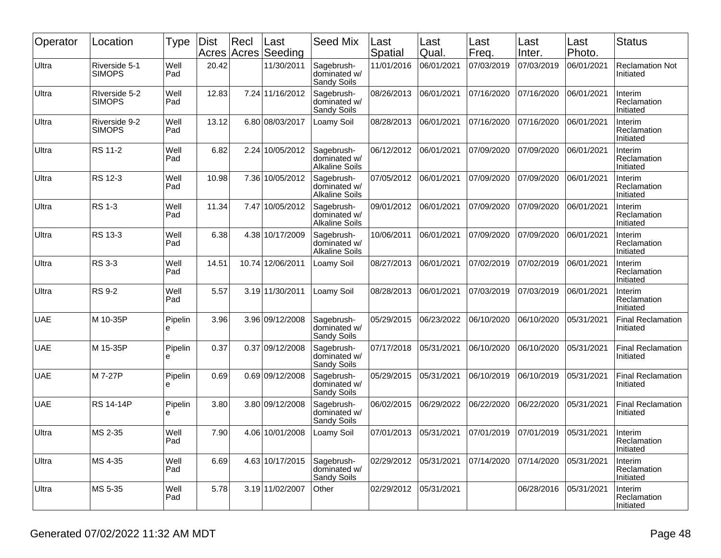| Operator   | Location                       | <b>Type</b>  | Dist<br>Acres | Recl<br>Acres | Last<br>Seeding  | <b>Seed Mix</b>                                     | Last<br>Spatial | Last<br>Qual. | Last<br>Freq. | Last<br>Inter. | Last<br>Photo. | <b>Status</b>                         |
|------------|--------------------------------|--------------|---------------|---------------|------------------|-----------------------------------------------------|-----------------|---------------|---------------|----------------|----------------|---------------------------------------|
| Ultra      | Riverside 5-1<br><b>SIMOPS</b> | Well<br>Pad  | 20.42         |               | 11/30/2011       | Sagebrush-<br>dominated w/<br>Sandy Soils           | 11/01/2016      | 06/01/2021    | 07/03/2019    | 07/03/2019     | 06/01/2021     | <b>Reclamation Not</b><br>Initiated   |
| Ultra      | RIverside 5-2<br><b>SIMOPS</b> | Well<br>Pad  | 12.83         |               | 7.24 11/16/2012  | Sagebrush-<br>dominated w/<br>Sandy Soils           | 08/26/2013      | 06/01/2021    | 07/16/2020    | 07/16/2020     | 06/01/2021     | Interim<br>Reclamation<br>Initiated   |
| Ultra      | Riverside 9-2<br><b>SIMOPS</b> | Well<br>Pad  | 13.12         |               | 6.80 08/03/2017  | Loamy Soil                                          | 08/28/2013      | 06/01/2021    | 07/16/2020    | 07/16/2020     | 06/01/2021     | Interim<br>Reclamation<br>Initiated   |
| Ultra      | RS 11-2                        | Well<br>Pad  | 6.82          |               | 2.24 10/05/2012  | Sagebrush-<br>dominated w/<br><b>Alkaline Soils</b> | 06/12/2012      | 06/01/2021    | 07/09/2020    | 07/09/2020     | 06/01/2021     | Interim<br>Reclamation<br>Initiated   |
| Ultra      | RS 12-3                        | Well<br>Pad  | 10.98         |               | 7.36 10/05/2012  | Sagebrush-<br>dominated w/<br><b>Alkaline Soils</b> | 07/05/2012      | 06/01/2021    | 07/09/2020    | 07/09/2020     | 06/01/2021     | Interim<br>Reclamation<br>Initiated   |
| Ultra      | <b>RS 1-3</b>                  | Well<br>Pad  | 11.34         |               | 7.47 10/05/2012  | Sagebrush-<br>dominated w/<br><b>Alkaline Soils</b> | 09/01/2012      | 06/01/2021    | 07/09/2020    | 07/09/2020     | 06/01/2021     | Interim<br>Reclamation<br>Initiated   |
| Ultra      | RS 13-3                        | Well<br>Pad  | 6.38          |               | 4.38 10/17/2009  | Sagebrush-<br>dominated w/<br><b>Alkaline Soils</b> | 10/06/2011      | 06/01/2021    | 07/09/2020    | 07/09/2020     | 06/01/2021     | Interim<br>Reclamation<br>Initiated   |
| Ultra      | <b>RS 3-3</b>                  | Well<br>Pad  | 14.51         |               | 10.74 12/06/2011 | Loamy Soil                                          | 08/27/2013      | 06/01/2021    | 07/02/2019    | 07/02/2019     | 06/01/2021     | Interim<br>Reclamation<br>Initiated   |
| Ultra      | <b>RS 9-2</b>                  | Well<br>Pad  | 5.57          |               | 3.19 11/30/2011  | Loamy Soil                                          | 08/28/2013      | 06/01/2021    | 07/03/2019    | 07/03/2019     | 06/01/2021     | Interim<br>Reclamation<br>Initiated   |
| <b>UAE</b> | M 10-35P                       | Pipelin<br>е | 3.96          |               | 3.96 09/12/2008  | Sagebrush-<br>dominated w/<br>Sandy Soils           | 05/29/2015      | 06/23/2022    | 06/10/2020    | 06/10/2020     | 05/31/2021     | <b>Final Reclamation</b><br>Initiated |
| <b>UAE</b> | M 15-35P                       | Pipelin<br>e | 0.37          |               | 0.37 09/12/2008  | Sagebrush-<br>dominated w/<br>Sandy Soils           | 07/17/2018      | 05/31/2021    | 06/10/2020    | 06/10/2020     | 05/31/2021     | <b>Final Reclamation</b><br>Initiated |
| <b>UAE</b> | M 7-27P                        | Pipelin<br>e | 0.69          |               | 0.69 09/12/2008  | Sagebrush-<br>dominated w/<br>Sandy Soils           | 05/29/2015      | 05/31/2021    | 06/10/2019    | 06/10/2019     | 05/31/2021     | <b>Final Reclamation</b><br>Initiated |
| <b>UAE</b> | <b>RS 14-14P</b>               | Pipelin<br>е | 3.80          |               | 3.80 09/12/2008  | Sagebrush-<br>dominated w/<br>Sandy Soils           | 06/02/2015      | 06/29/2022    | 06/22/2020    | 06/22/2020     | 05/31/2021     | <b>Final Reclamation</b><br>Initiated |
| Ultra      | MS 2-35                        | Well<br>Pad  | 7.90          |               | 4.06 10/01/2008  | Loamy Soil                                          | 07/01/2013      | 05/31/2021    | 07/01/2019    | 07/01/2019     | 05/31/2021     | Interim<br>Reclamation<br>Initiated   |
| Ultra      | MS 4-35                        | Well<br>Pad  | 6.69          |               | 4.63 10/17/2015  | Sagebrush-<br>dominated w/<br>Sandy Soils           | 02/29/2012      | 05/31/2021    | 07/14/2020    | 07/14/2020     | 05/31/2021     | Interim<br>Reclamation<br>Initiated   |
| Ultra      | MS 5-35                        | Well<br>Pad  | 5.78          |               | 3.19 11/02/2007  | Other                                               | 02/29/2012      | 05/31/2021    |               | 06/28/2016     | 05/31/2021     | Interim<br>Reclamation<br>Initiated   |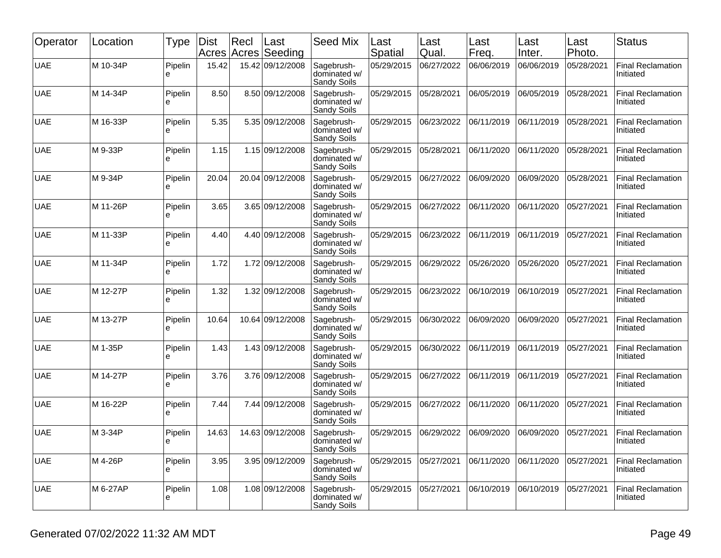| Operator   | Location | <b>Type</b>   | Dist<br>Acres | Recl<br>Acres | Last<br>Seeding  | <b>Seed Mix</b>                                  | Last<br>Spatial | Last<br>Qual. | Last<br>Freq. | Last<br>Inter. | Last<br>Photo. | <b>Status</b>                         |
|------------|----------|---------------|---------------|---------------|------------------|--------------------------------------------------|-----------------|---------------|---------------|----------------|----------------|---------------------------------------|
| <b>UAE</b> | M 10-34P | Pipelin<br>e  | 15.42         |               | 15.42 09/12/2008 | Sagebrush-<br>dominated w/<br><b>Sandy Soils</b> | 05/29/2015      | 06/27/2022    | 06/06/2019    | 06/06/2019     | 05/28/2021     | <b>Final Reclamation</b><br>Initiated |
| <b>UAE</b> | M 14-34P | Pipelin<br>е  | 8.50          |               | 8.50 09/12/2008  | Sagebrush-<br>dominated w/<br>Sandy Soils        | 05/29/2015      | 05/28/2021    | 06/05/2019    | 06/05/2019     | 05/28/2021     | <b>Final Reclamation</b><br>Initiated |
| <b>UAE</b> | M 16-33P | Pipelin<br>e  | 5.35          |               | 5.35 09/12/2008  | Sagebrush-<br>dominated w/<br>Sandy Soils        | 05/29/2015      | 06/23/2022    | 06/11/2019    | 06/11/2019     | 05/28/2021     | <b>Final Reclamation</b><br>Initiated |
| <b>UAE</b> | M 9-33P  | Pipelin<br>e  | 1.15          |               | 1.15 09/12/2008  | Sagebrush-<br>dominated w/<br>Sandy Soils        | 05/29/2015      | 05/28/2021    | 06/11/2020    | 06/11/2020     | 05/28/2021     | <b>Final Reclamation</b><br>Initiated |
| <b>UAE</b> | M 9-34P  | Pipelin<br>e  | 20.04         |               | 20.04 09/12/2008 | Sagebrush-<br>dominated w/<br>Sandy Soils        | 05/29/2015      | 06/27/2022    | 06/09/2020    | 06/09/2020     | 05/28/2021     | <b>Final Reclamation</b><br>Initiated |
| <b>UAE</b> | M 11-26P | Pipelin<br>e  | 3.65          |               | 3.65 09/12/2008  | Sagebrush-<br>dominated w/<br>Sandy Soils        | 05/29/2015      | 06/27/2022    | 06/11/2020    | 06/11/2020     | 05/27/2021     | <b>Final Reclamation</b><br>Initiated |
| <b>UAE</b> | M 11-33P | Pipelin<br>e  | 4.40          |               | 4.40 09/12/2008  | Sagebrush-<br>dominated w/<br>Sandy Soils        | 05/29/2015      | 06/23/2022    | 06/11/2019    | 06/11/2019     | 05/27/2021     | <b>Final Reclamation</b><br>Initiated |
| <b>UAE</b> | M 11-34P | Pipelin<br>e  | 1.72          |               | 1.72 09/12/2008  | Sagebrush-<br>dominated w/<br>Sandy Soils        | 05/29/2015      | 06/29/2022    | 05/26/2020    | 05/26/2020     | 05/27/2021     | <b>Final Reclamation</b><br>Initiated |
| <b>UAE</b> | M 12-27P | Pipelin<br>е  | 1.32          |               | 1.32 09/12/2008  | Sagebrush-<br>dominated w/<br>Sandy Soils        | 05/29/2015      | 06/23/2022    | 06/10/2019    | 06/10/2019     | 05/27/2021     | <b>Final Reclamation</b><br>Initiated |
| <b>UAE</b> | M 13-27P | Pipelin<br>e  | 10.64         |               | 10.64 09/12/2008 | Sagebrush-<br>dominated w/<br>Sandy Soils        | 05/29/2015      | 06/30/2022    | 06/09/2020    | 06/09/2020     | 05/27/2021     | <b>Final Reclamation</b><br>Initiated |
| <b>UAE</b> | M 1-35P  | Pipelin<br>e  | 1.43          |               | 1.43 09/12/2008  | Sagebrush-<br>dominated w/<br>Sandy Soils        | 05/29/2015      | 06/30/2022    | 06/11/2019    | 06/11/2019     | 05/27/2021     | <b>Final Reclamation</b><br>Initiated |
| <b>UAE</b> | M 14-27P | Pipelin<br>e  | 3.76          |               | 3.76 09/12/2008  | Sagebrush-<br>dominated w/<br>Sandy Soils        | 05/29/2015      | 06/27/2022    | 06/11/2019    | 06/11/2019     | 05/27/2021     | <b>Final Reclamation</b><br>Initiated |
| <b>UAE</b> | M 16-22P | Pipelin<br>le | 7.44          |               | 7.44 09/12/2008  | Sagebrush-<br>dominated w/<br>Sandy Soils        | 05/29/2015      | 06/27/2022    | 06/11/2020    | 06/11/2020     | 05/27/2021     | <b>Final Reclamation</b><br>Initiated |
| <b>UAE</b> | M 3-34P  | Pipelin<br>႕  | 14.63         |               | 14.63 09/12/2008 | Sagebrush-<br>dominated w/<br>Sandy Soils        | 05/29/2015      | 06/29/2022    | 06/09/2020    | 06/09/2020     | 05/27/2021     | <b>Final Reclamation</b><br>Initiated |
| <b>UAE</b> | M 4-26P  | Pipelin<br>e  | 3.95          |               | 3.95 09/12/2009  | Sagebrush-<br>dominated w/<br>Sandy Soils        | 05/29/2015      | 05/27/2021    | 06/11/2020    | 06/11/2020     | 05/27/2021     | <b>Final Reclamation</b><br>Initiated |
| <b>UAE</b> | M 6-27AP | Pipelin<br>le | 1.08          |               | 1.08 09/12/2008  | Sagebrush-<br>dominated w/<br>Sandy Soils        | 05/29/2015      | 05/27/2021    | 06/10/2019    | 06/10/2019     | 05/27/2021     | <b>Final Reclamation</b><br>Initiated |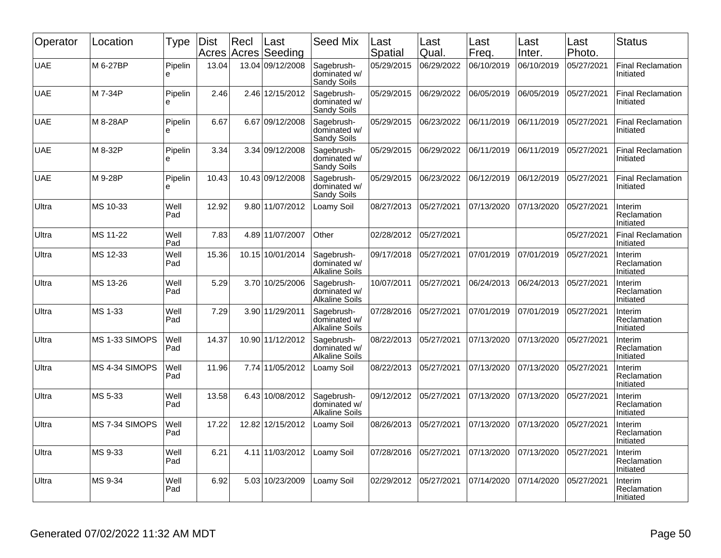| Operator   | Location       | Type         | <b>Dist</b><br>Acres | Recl | Last<br>Acres Seeding | <b>Seed Mix</b>                                     | Last<br>Spatial | Last<br>Qual. | Last<br>Freq. | Last<br>Inter. | Last<br>Photo. | <b>Status</b>                         |
|------------|----------------|--------------|----------------------|------|-----------------------|-----------------------------------------------------|-----------------|---------------|---------------|----------------|----------------|---------------------------------------|
| <b>UAE</b> | M 6-27BP       | Pipelin<br>e | 13.04                |      | 13.04 09/12/2008      | Sagebrush-<br>dominated w/<br>Sandy Soils           | 05/29/2015      | 06/29/2022    | 06/10/2019    | 06/10/2019     | 05/27/2021     | <b>Final Reclamation</b><br>Initiated |
| <b>UAE</b> | M 7-34P        | Pipelin<br>e | 2.46                 |      | 2.46 12/15/2012       | Sagebrush-<br>dominated w/<br>Sandy Soils           | 05/29/2015      | 06/29/2022    | 06/05/2019    | 06/05/2019     | 05/27/2021     | <b>Final Reclamation</b><br>Initiated |
| <b>UAE</b> | M 8-28AP       | Pipelin<br>e | 6.67                 |      | 6.67 09/12/2008       | Sagebrush-<br>dominated w/<br>Sandy Soils           | 05/29/2015      | 06/23/2022    | 06/11/2019    | 06/11/2019     | 05/27/2021     | <b>Final Reclamation</b><br>Initiated |
| <b>UAE</b> | M 8-32P        | Pipelin<br>e | 3.34                 |      | 3.34 09/12/2008       | Sagebrush-<br>dominated w/<br>Sandy Soils           | 05/29/2015      | 06/29/2022    | 06/11/2019    | 06/11/2019     | 05/27/2021     | <b>Final Reclamation</b><br>Initiated |
| <b>UAE</b> | M 9-28P        | Pipelin<br>è | 10.43                |      | 10.43 09/12/2008      | Sagebrush-<br>dominated w/<br>Sandy Soils           | 05/29/2015      | 06/23/2022    | 06/12/2019    | 06/12/2019     | 05/27/2021     | <b>Final Reclamation</b><br>Initiated |
| Ultra      | MS 10-33       | Well<br>Pad  | 12.92                |      | 9.80 11/07/2012       | Loamy Soil                                          | 08/27/2013      | 05/27/2021    | 07/13/2020    | 07/13/2020     | 05/27/2021     | Interim<br>Reclamation<br>Initiated   |
| Ultra      | MS 11-22       | Well<br>Pad  | 7.83                 |      | 4.89 11/07/2007       | Other                                               | 02/28/2012      | 05/27/2021    |               |                | 05/27/2021     | <b>Final Reclamation</b><br>Initiated |
| Ultra      | MS 12-33       | Well<br>Pad  | 15.36                |      | 10.15 10/01/2014      | Sagebrush-<br>dominated w/<br><b>Alkaline Soils</b> | 09/17/2018      | 05/27/2021    | 07/01/2019    | 07/01/2019     | 05/27/2021     | Interim<br>Reclamation<br>Initiated   |
| Ultra      | MS 13-26       | Well<br>Pad  | 5.29                 |      | 3.70 10/25/2006       | Sagebrush-<br>dominated w/<br><b>Alkaline Soils</b> | 10/07/2011      | 05/27/2021    | 06/24/2013    | 06/24/2013     | 05/27/2021     | Interim<br>Reclamation<br>Initiated   |
| Ultra      | MS 1-33        | Well<br>Pad  | 7.29                 |      | 3.90 11/29/2011       | Sagebrush-<br>dominated w/<br><b>Alkaline Soils</b> | 07/28/2016      | 05/27/2021    | 07/01/2019    | 07/01/2019     | 05/27/2021     | Interim<br>Reclamation<br>Initiated   |
| Ultra      | MS 1-33 SIMOPS | Well<br>Pad  | 14.37                |      | 10.90 11/12/2012      | Sagebrush-<br>dominated w/<br><b>Alkaline Soils</b> | 08/22/2013      | 05/27/2021    | 07/13/2020    | 07/13/2020     | 05/27/2021     | Interim<br>Reclamation<br>Initiated   |
| Ultra      | MS 4-34 SIMOPS | Well<br>Pad  | 11.96                |      | 7.74 11/05/2012       | Loamy Soil                                          | 08/22/2013      | 05/27/2021    | 07/13/2020    | 07/13/2020     | 05/27/2021     | Interim<br>Reclamation<br>Initiated   |
| Ultra      | MS 5-33        | Well<br>Pad  | 13.58                |      | 6.43 10/08/2012       | Sagebrush-<br>dominated w/<br><b>Alkaline Soils</b> | 09/12/2012      | 05/27/2021    | 07/13/2020    | 07/13/2020     | 05/27/2021     | Interim<br>Reclamation<br>Initiated   |
| Ultra      | MS 7-34 SIMOPS | Well<br>Pad  | 17.22                |      | 12.82 12/15/2012      | Loamy Soil                                          | 08/26/2013      | 05/27/2021    | 07/13/2020    | 07/13/2020     | 05/27/2021     | Interim<br>Reclamation<br>Initiated   |
| Ultra      | MS 9-33        | Well<br>Pad  | 6.21                 |      | 4.11 11/03/2012       | Loamy Soil                                          | 07/28/2016      | 05/27/2021    | 07/13/2020    | 07/13/2020     | 05/27/2021     | Interim<br>Reclamation<br>Initiated   |
| Ultra      | MS 9-34        | Well<br>Pad  | 6.92                 |      | 5.03 10/23/2009       | Loamy Soil                                          | 02/29/2012      | 05/27/2021    | 07/14/2020    | 07/14/2020     | 05/27/2021     | Interim<br>Reclamation<br>Initiated   |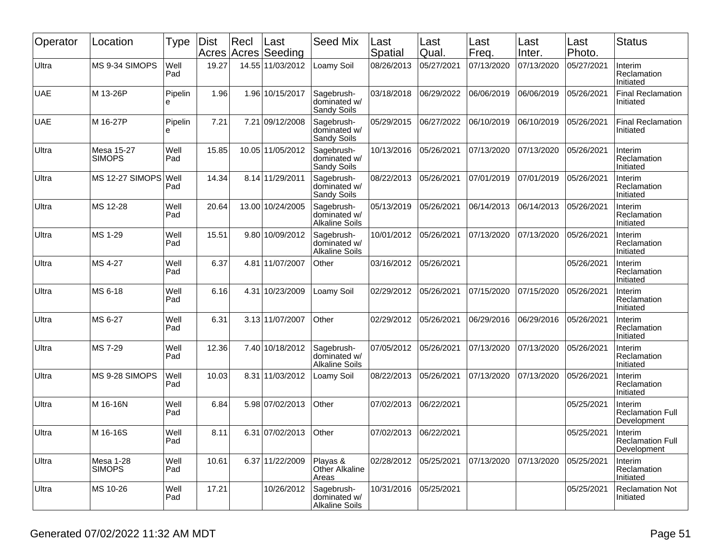| Operator   | Location                          | Type         | <b>Dist</b><br>Acres | Rec  | Last<br>Acres Seeding | Seed Mix                                            | Last<br>Spatial | Last<br>Qual. | Last<br>Freq. | Last<br>Inter. | Last<br>Photo. | <b>Status</b>                                     |
|------------|-----------------------------------|--------------|----------------------|------|-----------------------|-----------------------------------------------------|-----------------|---------------|---------------|----------------|----------------|---------------------------------------------------|
| Ultra      | MS 9-34 SIMOPS                    | Well<br>Pad  | 19.27                |      | 14.55 11/03/2012      | Loamy Soil                                          | 08/26/2013      | 05/27/2021    | 07/13/2020    | 07/13/2020     | 05/27/2021     | Interim<br>Reclamation<br>Initiated               |
| <b>UAE</b> | M 13-26P                          | Pipelin<br>è | 1.96                 |      | 1.96 10/15/2017       | Sagebrush-<br>dominated w/<br>Sandy Soils           | 03/18/2018      | 06/29/2022    | 06/06/2019    | 06/06/2019     | 05/26/2021     | <b>Final Reclamation</b><br>Initiated             |
| <b>UAE</b> | M 16-27P                          | Pipelin<br>е | 7.21                 |      | 7.21 09/12/2008       | Sagebrush-<br>dominated w/<br><b>Sandy Soils</b>    | 05/29/2015      | 06/27/2022    | 06/10/2019    | 06/10/2019     | 05/26/2021     | <b>Final Reclamation</b><br>Initiated             |
| Ultra      | Mesa 15-27<br><b>SIMOPS</b>       | Well<br>Pad  | 15.85                |      | 10.05 11/05/2012      | Sagebrush-<br>dominated w/<br>Sandy Soils           | 10/13/2016      | 05/26/2021    | 07/13/2020    | 07/13/2020     | 05/26/2021     | Interim<br>Reclamation<br>Initiated               |
| Ultra      | <b>MS 12-27 SIMOPS</b>            | Well<br>Pad  | 14.34                |      | 8.14 11/29/2011       | Sagebrush-<br>dominated w/<br>Sandy Soils           | 08/22/2013      | 05/26/2021    | 07/01/2019    | 07/01/2019     | 05/26/2021     | Interim<br>Reclamation<br>Initiated               |
| Ultra      | MS 12-28                          | Well<br>Pad  | 20.64                |      | 13.00 10/24/2005      | Sagebrush-<br>dominated w/<br><b>Alkaline Soils</b> | 05/13/2019      | 05/26/2021    | 06/14/2013    | 06/14/2013     | 05/26/2021     | Interim<br>Reclamation<br>Initiated               |
| Ultra      | MS 1-29                           | Well<br>Pad  | 15.51                |      | 9.80 10/09/2012       | Sagebrush-<br>dominated w/<br><b>Alkaline Soils</b> | 10/01/2012      | 05/26/2021    | 07/13/2020    | 07/13/2020     | 05/26/2021     | Interim<br>Reclamation<br>Initiated               |
| Ultra      | MS 4-27                           | Well<br>Pad  | 6.37                 | 4.81 | 11/07/2007            | Other                                               | 03/16/2012      | 05/26/2021    |               |                | 05/26/2021     | Interim<br>Reclamation<br>Initiated               |
| Ultra      | MS 6-18                           | Well<br>Pad  | 6.16                 | 4.31 | 10/23/2009            | Loamy Soil                                          | 02/29/2012      | 05/26/2021    | 07/15/2020    | 07/15/2020     | 05/26/2021     | Interim<br>Reclamation<br>Initiated               |
| Ultra      | MS 6-27                           | Well<br>Pad  | 6.31                 |      | 3.13 11/07/2007       | Other                                               | 02/29/2012      | 05/26/2021    | 06/29/2016    | 06/29/2016     | 05/26/2021     | Interim<br>Reclamation<br>Initiated               |
| Ultra      | MS 7-29                           | Well<br>Pad  | 12.36                |      | 7.40 10/18/2012       | Sagebrush-<br>dominated w/<br><b>Alkaline Soils</b> | 07/05/2012      | 05/26/2021    | 07/13/2020    | 07/13/2020     | 05/26/2021     | Interim<br>Reclamation<br>Initiated               |
| Ultra      | MS 9-28 SIMOPS                    | Well<br>Pad  | 10.03                |      | 8.31 11/03/2012       | Loamy Soil                                          | 08/22/2013      | 05/26/2021    | 07/13/2020    | 07/13/2020     | 05/26/2021     | Interim<br>Reclamation<br>Initiated               |
| Ultra      | M 16-16N                          | Well<br>Pad  | 6.84                 |      | 5.98 07/02/2013       | Other                                               | 07/02/2013      | 06/22/2021    |               |                | 05/25/2021     | Interim<br><b>Reclamation Full</b><br>Development |
| Ultra      | M 16-16S                          | Well<br>Pad  | 8.11                 |      | 6.31 07/02/2013       | Other                                               | 07/02/2013      | 06/22/2021    |               |                | 05/25/2021     | Interim<br><b>Reclamation Full</b><br>Development |
| Ultra      | <b>Mesa 1-28</b><br><b>SIMOPS</b> | Well<br>Pad  | 10.61                |      | 6.37 11/22/2009       | Playas &<br>Other Alkaline<br>Areas                 | 02/28/2012      | 05/25/2021    | 07/13/2020    | 07/13/2020     | 05/25/2021     | Interim<br>Reclamation<br>Initiated               |
| Ultra      | MS 10-26                          | Well<br>Pad  | 17.21                |      | 10/26/2012            | Sagebrush-<br>dominated w/<br><b>Alkaline Soils</b> | 10/31/2016      | 05/25/2021    |               |                | 05/25/2021     | <b>Reclamation Not</b><br>Initiated               |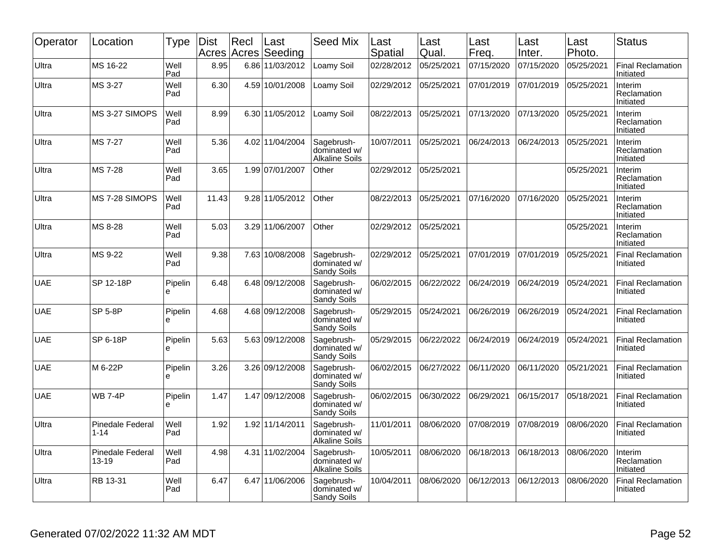| Operator   | Location                             | Type         | Dist<br>Acres | Recl | Last<br>Acres Seeding | <b>Seed Mix</b>                                     | Last<br>Spatial | Last<br>Qual. | Last<br>Freq. | Last<br>Inter. | Last<br>Photo. | <b>Status</b>                              |
|------------|--------------------------------------|--------------|---------------|------|-----------------------|-----------------------------------------------------|-----------------|---------------|---------------|----------------|----------------|--------------------------------------------|
| Ultra      | MS 16-22                             | Well<br>Pad  | 8.95          |      | 6.86 11/03/2012       | Loamy Soil                                          | 02/28/2012      | 05/25/2021    | 07/15/2020    | 07/15/2020     | 05/25/2021     | <b>Final Reclamation</b><br>Initiated      |
| Ultra      | MS 3-27                              | Well<br>Pad  | 6.30          |      | 4.59 10/01/2008       | Loamy Soil                                          | 02/29/2012      | 05/25/2021    | 07/01/2019    | 07/01/2019     | 05/25/2021     | Interim<br>Reclamation<br>Initiated        |
| Ultra      | MS 3-27 SIMOPS                       | Well<br>Pad  | 8.99          |      | 6.30 11/05/2012       | Loamy Soil                                          | 08/22/2013      | 05/25/2021    | 07/13/2020    | 07/13/2020     | 05/25/2021     | Interim<br>Reclamation<br>Initiated        |
| Ultra      | MS 7-27                              | Well<br>Pad  | 5.36          |      | 4.02 11/04/2004       | Sagebrush-<br>dominated w/<br><b>Alkaline Soils</b> | 10/07/2011      | 05/25/2021    | 06/24/2013    | 06/24/2013     | 05/25/2021     | Interim<br><b>Reclamation</b><br>Initiated |
| Ultra      | MS 7-28                              | Well<br>Pad  | 3.65          |      | 1.99 07/01/2007       | Other                                               | 02/29/2012      | 05/25/2021    |               |                | 05/25/2021     | Interim<br>Reclamation<br>Initiated        |
| Ultra      | MS 7-28 SIMOPS                       | Well<br>Pad  | 11.43         |      | 9.28 11/05/2012       | Other                                               | 08/22/2013      | 05/25/2021    | 07/16/2020    | 07/16/2020     | 05/25/2021     | Interim<br>Reclamation<br>Initiated        |
| Ultra      | MS 8-28                              | Well<br>Pad  | 5.03          |      | 3.29 11/06/2007       | Other                                               | 02/29/2012      | 05/25/2021    |               |                | 05/25/2021     | Interim<br>Reclamation<br>Initiated        |
| Ultra      | MS 9-22                              | Well<br>Pad  | 9.38          |      | 7.63 10/08/2008       | Sagebrush-<br>dominated w/<br>Sandy Soils           | 02/29/2012      | 05/25/2021    | 07/01/2019    | 07/01/2019     | 05/25/2021     | <b>Final Reclamation</b><br>Initiated      |
| <b>UAE</b> | SP 12-18P                            | Pipelin<br>e | 6.48          |      | 6.48 09/12/2008       | Sagebrush-<br>dominated w/<br>Sandy Soils           | 06/02/2015      | 06/22/2022    | 06/24/2019    | 06/24/2019     | 05/24/2021     | <b>Final Reclamation</b><br>Initiated      |
| <b>UAE</b> | <b>SP 5-8P</b>                       | Pipelin<br>e | 4.68          |      | 4.68 09/12/2008       | Sagebrush-<br>dominated w/<br>Sandy Soils           | 05/29/2015      | 05/24/2021    | 06/26/2019    | 06/26/2019     | 05/24/2021     | <b>Final Reclamation</b><br>Initiated      |
| <b>UAE</b> | SP 6-18P                             | Pipelin<br>e | 5.63          |      | 5.63 09/12/2008       | Sagebrush-<br>dominated w/<br>Sandy Soils           | 05/29/2015      | 06/22/2022    | 06/24/2019    | 06/24/2019     | 05/24/2021     | <b>Final Reclamation</b><br>Initiated      |
| <b>UAE</b> | M 6-22P                              | Pipelin<br>e | 3.26          |      | 3.26 09/12/2008       | Sagebrush-<br>dominated w/<br>Sandy Soils           | 06/02/2015      | 06/27/2022    | 06/11/2020    | 06/11/2020     | 05/21/2021     | <b>Final Reclamation</b><br>Initiated      |
| <b>UAE</b> | <b>WB 7-4P</b>                       | Pipelin<br>e | 1.47          |      | 1.47 09/12/2008       | Sagebrush-<br>dominated w/<br>Sandy Soils           | 06/02/2015      | 06/30/2022    | 06/29/2021    | 06/15/2017     | 05/18/2021     | <b>Final Reclamation</b><br>Initiated      |
| Ultra      | <b>Pinedale Federal</b><br>$1 - 14$  | Well<br>Pad  | 1.92          |      | 1.92 11/14/2011       | Sagebrush-<br>dominated w/<br><b>Alkaline Soils</b> | 11/01/2011      | 08/06/2020    | 07/08/2019    | 07/08/2019     | 08/06/2020     | <b>Final Reclamation</b><br>Initiated      |
| Ultra      | <b>Pinedale Federal</b><br>$13 - 19$ | Well<br>Pad  | 4.98          |      | 4.31 11/02/2004       | Sagebrush-<br>dominated w/<br><b>Alkaline Soils</b> | 10/05/2011      | 08/06/2020    | 06/18/2013    | 06/18/2013     | 08/06/2020     | Interim<br>Reclamation<br>Initiated        |
| Ultra      | RB 13-31                             | Well<br>Pad  | 6.47          |      | 6.47 11/06/2006       | Sagebrush-<br>dominated w/<br>Sandy Soils           | 10/04/2011      | 08/06/2020    | 06/12/2013    | 06/12/2013     | 08/06/2020     | Final Reclamation<br>Initiated             |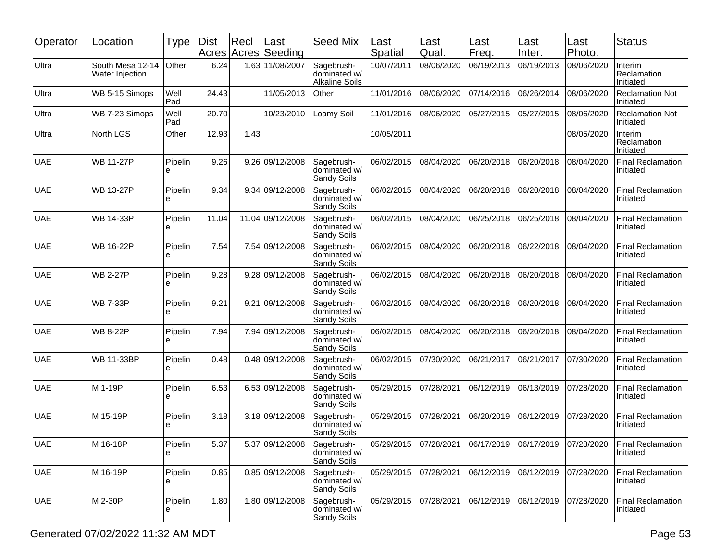| Operator   | Location                            | Type         | <b>Dist</b> | Recl<br>Acres Acres | Last<br>Seeding  | <b>Seed Mix</b>                                     | Last<br>Spatial | Last<br>Qual. | Last<br>Freq. | Last<br>Inter. | Last<br>Photo. | <b>Status</b>                         |
|------------|-------------------------------------|--------------|-------------|---------------------|------------------|-----------------------------------------------------|-----------------|---------------|---------------|----------------|----------------|---------------------------------------|
| Ultra      | South Mesa 12-14<br>Water Injection | Other        | 6.24        |                     | 1.63 11/08/2007  | Sagebrush-<br>dominated w/<br><b>Alkaline Soils</b> | 10/07/2011      | 08/06/2020    | 06/19/2013    | 06/19/2013     | 08/06/2020     | Interim<br>Reclamation<br>Initiated   |
| Ultra      | WB 5-15 Simops                      | Well<br>Pad  | 24.43       |                     | 11/05/2013       | Other                                               | 11/01/2016      | 08/06/2020    | 07/14/2016    | 06/26/2014     | 08/06/2020     | <b>Reclamation Not</b><br>Initiated   |
| Ultra      | WB 7-23 Simops                      | Well<br>Pad  | 20.70       |                     | 10/23/2010       | Loamy Soil                                          | 11/01/2016      | 08/06/2020    | 05/27/2015    | 05/27/2015     | 08/06/2020     | <b>Reclamation Not</b><br>Initiated   |
| Ultra      | North LGS                           | Other        | 12.93       | 1.43                |                  |                                                     | 10/05/2011      |               |               |                | 08/05/2020     | Interim<br>Reclamation<br>Initiated   |
| <b>UAE</b> | <b>WB 11-27P</b>                    | Pipelin<br>e | 9.26        |                     | 9.26 09/12/2008  | Sagebrush-<br>dominated w/<br>Sandy Soils           | 06/02/2015      | 08/04/2020    | 06/20/2018    | 06/20/2018     | 08/04/2020     | <b>Final Reclamation</b><br>Initiated |
| <b>UAE</b> | <b>WB 13-27P</b>                    | Pipelin<br>e | 9.34        |                     | 9.34 09/12/2008  | Sagebrush-<br>dominated w/<br>Sandy Soils           | 06/02/2015      | 08/04/2020    | 06/20/2018    | 06/20/2018     | 08/04/2020     | <b>Final Reclamation</b><br>Initiated |
| <b>UAE</b> | <b>WB 14-33P</b>                    | Pipelin<br>e | 11.04       |                     | 11.04 09/12/2008 | Sagebrush-<br>dominated w/<br>Sandy Soils           | 06/02/2015      | 08/04/2020    | 06/25/2018    | 06/25/2018     | 08/04/2020     | <b>Final Reclamation</b><br>Initiated |
| <b>UAE</b> | <b>WB 16-22P</b>                    | Pipelin<br>e | 7.54        |                     | 7.54 09/12/2008  | Sagebrush-<br>dominated w/<br><b>Sandy Soils</b>    | 06/02/2015      | 08/04/2020    | 06/20/2018    | 06/22/2018     | 08/04/2020     | <b>Final Reclamation</b><br>Initiated |
| <b>UAE</b> | <b>WB 2-27P</b>                     | Pipelin<br>е | 9.28        |                     | 9.28 09/12/2008  | Sagebrush-<br>dominated w/<br>Sandy Soils           | 06/02/2015      | 08/04/2020    | 06/20/2018    | 06/20/2018     | 08/04/2020     | <b>Final Reclamation</b><br>Initiated |
| <b>UAE</b> | <b>WB 7-33P</b>                     | Pipelin<br>е | 9.21        |                     | 9.21 09/12/2008  | Sagebrush-<br>dominated w/<br>Sandy Soils           | 06/02/2015      | 08/04/2020    | 06/20/2018    | 06/20/2018     | 08/04/2020     | <b>Final Reclamation</b><br>Initiated |
| <b>UAE</b> | <b>WB 8-22P</b>                     | Pipelin<br>e | 7.94        |                     | 7.94 09/12/2008  | Sagebrush-<br>dominated w/<br>Sandy Soils           | 06/02/2015      | 08/04/2020    | 06/20/2018    | 06/20/2018     | 08/04/2020     | <b>Final Reclamation</b><br>Initiated |
| <b>UAE</b> | <b>WB 11-33BP</b>                   | Pipelin<br>e | 0.48        |                     | 0.48 09/12/2008  | Sagebrush-<br>dominated w/<br>Sandy Soils           | 06/02/2015      | 07/30/2020    | 06/21/2017    | 06/21/2017     | 07/30/2020     | <b>Final Reclamation</b><br>Initiated |
| <b>UAE</b> | M 1-19P                             | Pipelin<br>e | 6.53        |                     | 6.53 09/12/2008  | Sagebrush-<br>dominated w/<br>Sandy Soils           | 05/29/2015      | 07/28/2021    | 06/12/2019    | 06/13/2019     | 07/28/2020     | <b>Final Reclamation</b><br>Initiated |
| <b>UAE</b> | M 15-19P                            | Pipelin<br>e | 3.18        |                     | 3.18 09/12/2008  | Sagebrush-<br>dominated w/<br><b>Sandy Soils</b>    | 05/29/2015      | 07/28/2021    | 06/20/2019    | 06/12/2019     | 07/28/2020     | <b>Final Reclamation</b><br>Initiated |
| <b>UAE</b> | M 16-18P                            | Pipelin<br>е | 5.37        |                     | 5.37 09/12/2008  | Sagebrush-<br>dominated w/<br>Sandy Soils           | 05/29/2015      | 07/28/2021    | 06/17/2019    | 06/17/2019     | 07/28/2020     | Final Reclamation<br>Initiated        |
| <b>UAE</b> | M 16-19P                            | Pipelin<br>e | 0.85        |                     | 0.85 09/12/2008  | Sagebrush-<br>dominated w/<br>Sandy Soils           | 05/29/2015      | 07/28/2021    | 06/12/2019    | 06/12/2019     | 07/28/2020     | <b>Final Reclamation</b><br>Initiated |
| <b>UAE</b> | M 2-30P                             | Pipelin<br>е | 1.80        |                     | 1.80 09/12/2008  | Sagebrush-<br>dominated w/<br><b>Sandy Soils</b>    | 05/29/2015      | 07/28/2021    | 06/12/2019    | 06/12/2019     | 07/28/2020     | <b>Final Reclamation</b><br>Initiated |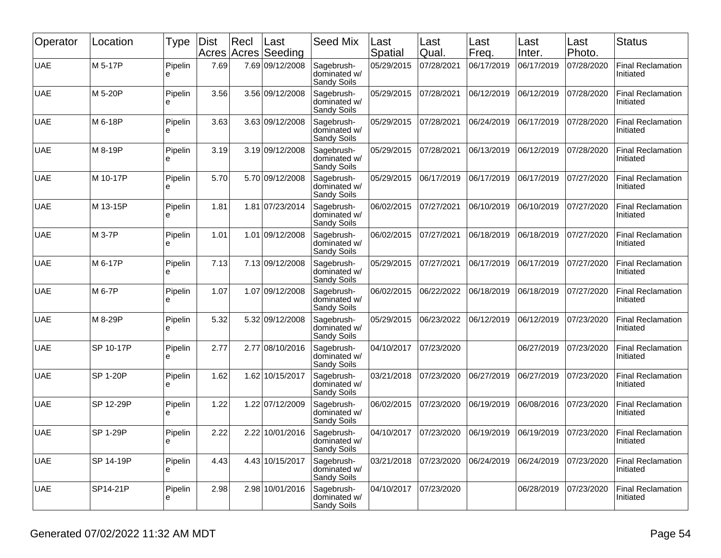| Operator   | Location        | <b>Type</b>   | Dist<br>Acres | Recl<br>Acres | Last<br>Seeding | <b>Seed Mix</b>                           | Last<br>Spatial | Last<br>Qual. | Last<br>Freq. | Last<br>Inter. | Last<br>Photo. | <b>Status</b>                         |
|------------|-----------------|---------------|---------------|---------------|-----------------|-------------------------------------------|-----------------|---------------|---------------|----------------|----------------|---------------------------------------|
| <b>UAE</b> | M 5-17P         | Pipelin<br>e  | 7.69          |               | 7.69 09/12/2008 | Sagebrush-<br>dominated w/<br>Sandy Soils | 05/29/2015      | 07/28/2021    | 06/17/2019    | 06/17/2019     | 07/28/2020     | <b>Final Reclamation</b><br>Initiated |
| <b>UAE</b> | M 5-20P         | Pipelin<br>е  | 3.56          |               | 3.56 09/12/2008 | Sagebrush-<br>dominated w/<br>Sandy Soils | 05/29/2015      | 07/28/2021    | 06/12/2019    | 06/12/2019     | 07/28/2020     | <b>Final Reclamation</b><br>Initiated |
| <b>UAE</b> | M 6-18P         | Pipelin<br>e  | 3.63          |               | 3.63 09/12/2008 | Sagebrush-<br>dominated w/<br>Sandy Soils | 05/29/2015      | 07/28/2021    | 06/24/2019    | 06/17/2019     | 07/28/2020     | <b>Final Reclamation</b><br>Initiated |
| <b>UAE</b> | M 8-19P         | Pipelin<br>e  | 3.19          |               | 3.19 09/12/2008 | Sagebrush-<br>dominated w/<br>Sandy Soils | 05/29/2015      | 07/28/2021    | 06/13/2019    | 06/12/2019     | 07/28/2020     | <b>Final Reclamation</b><br>Initiated |
| <b>UAE</b> | M 10-17P        | Pipelin<br>e  | 5.70          |               | 5.70 09/12/2008 | Sagebrush-<br>dominated w/<br>Sandy Soils | 05/29/2015      | 06/17/2019    | 06/17/2019    | 06/17/2019     | 07/27/2020     | <b>Final Reclamation</b><br>Initiated |
| <b>UAE</b> | M 13-15P        | Pipelin<br>e  | 1.81          |               | 1.81 07/23/2014 | Sagebrush-<br>dominated w/<br>Sandy Soils | 06/02/2015      | 07/27/2021    | 06/10/2019    | 06/10/2019     | 07/27/2020     | <b>Final Reclamation</b><br>Initiated |
| <b>UAE</b> | M 3-7P          | Pipelin<br>e  | 1.01          |               | 1.01 09/12/2008 | Sagebrush-<br>dominated w/<br>Sandy Soils | 06/02/2015      | 07/27/2021    | 06/18/2019    | 06/18/2019     | 07/27/2020     | <b>Final Reclamation</b><br>Initiated |
| <b>UAE</b> | M 6-17P         | Pipelin<br>e  | 7.13          |               | 7.13 09/12/2008 | Sagebrush-<br>dominated w/<br>Sandy Soils | 05/29/2015      | 07/27/2021    | 06/17/2019    | 06/17/2019     | 07/27/2020     | <b>Final Reclamation</b><br>Initiated |
| <b>UAE</b> | M 6-7P          | Pipelin<br>е  | 1.07          |               | 1.07 09/12/2008 | Sagebrush-<br>dominated w/<br>Sandy Soils | 06/02/2015      | 06/22/2022    | 06/18/2019    | 06/18/2019     | 07/27/2020     | <b>Final Reclamation</b><br>Initiated |
| <b>UAE</b> | M 8-29P         | Pipelin<br>e  | 5.32          |               | 5.32 09/12/2008 | Sagebrush-<br>dominated w/<br>Sandy Soils | 05/29/2015      | 06/23/2022    | 06/12/2019    | 06/12/2019     | 07/23/2020     | <b>Final Reclamation</b><br>Initiated |
| <b>UAE</b> | SP 10-17P       | Pipelin<br>e  | 2.77          |               | 2.77 08/10/2016 | Sagebrush-<br>dominated w/<br>Sandy Soils | 04/10/2017      | 07/23/2020    |               | 06/27/2019     | 07/23/2020     | <b>Final Reclamation</b><br>Initiated |
| <b>UAE</b> | <b>SP 1-20P</b> | Pipelin<br>e  | 1.62          |               | 1.62 10/15/2017 | Sagebrush-<br>dominated w/<br>Sandy Soils | 03/21/2018      | 07/23/2020    | 06/27/2019    | 06/27/2019     | 07/23/2020     | <b>Final Reclamation</b><br>Initiated |
| <b>UAE</b> | SP 12-29P       | Pipelin<br>le | 1.22          |               | 1.22 07/12/2009 | Sagebrush-<br>dominated w/<br>Sandy Soils | 06/02/2015      | 07/23/2020    | 06/19/2019    | 06/08/2016     | 07/23/2020     | <b>Final Reclamation</b><br>Initiated |
| <b>UAE</b> | <b>SP 1-29P</b> | Pipelin<br>႕  | 2.22          |               | 2.22 10/01/2016 | Sagebrush-<br>dominated w/<br>Sandy Soils | 04/10/2017      | 07/23/2020    | 06/19/2019    | 06/19/2019     | 07/23/2020     | <b>Final Reclamation</b><br>Initiated |
| <b>UAE</b> | SP 14-19P       | Pipelin<br>le | 4.43          |               | 4.43 10/15/2017 | Sagebrush-<br>dominated w/<br>Sandy Soils | 03/21/2018      | 07/23/2020    | 06/24/2019    | 06/24/2019     | 07/23/2020     | <b>Final Reclamation</b><br>Initiated |
| <b>UAE</b> | SP14-21P        | Pipelin<br>le | 2.98          |               | 2.98 10/01/2016 | Sagebrush-<br>dominated w/<br>Sandy Soils | 04/10/2017      | 07/23/2020    |               | 06/28/2019     | 07/23/2020     | <b>Final Reclamation</b><br>Initiated |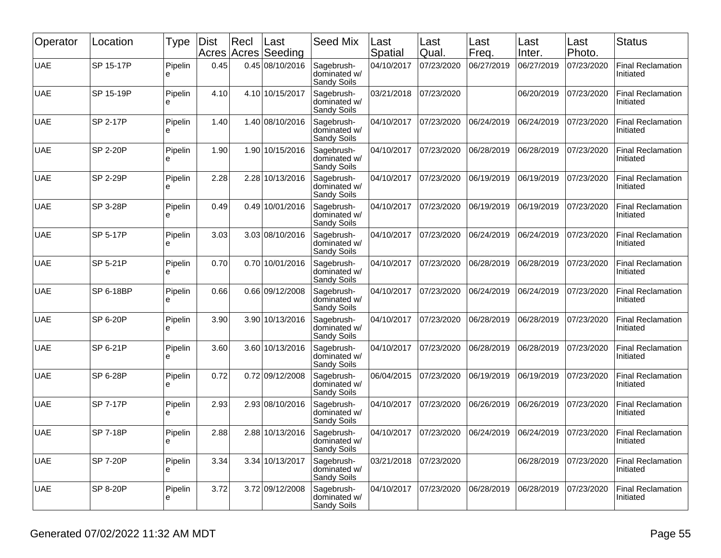| Operator   | Location        | <b>Type</b>   | Dist<br>Acres | Recl<br>Acres | Last<br>Seeding | <b>Seed Mix</b>                           | Last<br>Spatial | Last<br>Qual. | Last<br>Freq. | Last<br>Inter. | Last<br>Photo. | <b>Status</b>                         |
|------------|-----------------|---------------|---------------|---------------|-----------------|-------------------------------------------|-----------------|---------------|---------------|----------------|----------------|---------------------------------------|
| <b>UAE</b> | SP 15-17P       | Pipelin<br>e  | 0.45          |               | 0.45 08/10/2016 | Sagebrush-<br>dominated w/<br>Sandy Soils | 04/10/2017      | 07/23/2020    | 06/27/2019    | 06/27/2019     | 07/23/2020     | <b>Final Reclamation</b><br>Initiated |
| <b>UAE</b> | SP 15-19P       | Pipelin<br>е  | 4.10          |               | 4.10 10/15/2017 | Sagebrush-<br>dominated w/<br>Sandy Soils | 03/21/2018      | 07/23/2020    |               | 06/20/2019     | 07/23/2020     | <b>Final Reclamation</b><br>Initiated |
| <b>UAE</b> | SP 2-17P        | Pipelin<br>e  | 1.40          |               | 1.40 08/10/2016 | Sagebrush-<br>dominated w/<br>Sandy Soils | 04/10/2017      | 07/23/2020    | 06/24/2019    | 06/24/2019     | 07/23/2020     | <b>Final Reclamation</b><br>Initiated |
| <b>UAE</b> | <b>SP 2-20P</b> | Pipelin<br>e  | 1.90          |               | 1.90 10/15/2016 | Sagebrush-<br>dominated w/<br>Sandy Soils | 04/10/2017      | 07/23/2020    | 06/28/2019    | 06/28/2019     | 07/23/2020     | <b>Final Reclamation</b><br>Initiated |
| <b>UAE</b> | <b>SP 2-29P</b> | Pipelin<br>e  | 2.28          |               | 2.28 10/13/2016 | Sagebrush-<br>dominated w/<br>Sandy Soils | 04/10/2017      | 07/23/2020    | 06/19/2019    | 06/19/2019     | 07/23/2020     | <b>Final Reclamation</b><br>Initiated |
| <b>UAE</b> | SP 3-28P        | Pipelin<br>e  | 0.49          |               | 0.49 10/01/2016 | Sagebrush-<br>dominated w/<br>Sandy Soils | 04/10/2017      | 07/23/2020    | 06/19/2019    | 06/19/2019     | 07/23/2020     | <b>Final Reclamation</b><br>Initiated |
| <b>UAE</b> | SP 5-17P        | Pipelin<br>e  | 3.03          |               | 3.03 08/10/2016 | Sagebrush-<br>dominated w/<br>Sandy Soils | 04/10/2017      | 07/23/2020    | 06/24/2019    | 06/24/2019     | 07/23/2020     | <b>Final Reclamation</b><br>Initiated |
| <b>UAE</b> | SP 5-21P        | Pipelin<br>e  | 0.70          |               | 0.70 10/01/2016 | Sagebrush-<br>dominated w/<br>Sandy Soils | 04/10/2017      | 07/23/2020    | 06/28/2019    | 06/28/2019     | 07/23/2020     | <b>Final Reclamation</b><br>Initiated |
| <b>UAE</b> | SP 6-18BP       | Pipelin<br>e  | 0.66          |               | 0.66 09/12/2008 | Sagebrush-<br>dominated w/<br>Sandy Soils | 04/10/2017      | 07/23/2020    | 06/24/2019    | 06/24/2019     | 07/23/2020     | <b>Final Reclamation</b><br>Initiated |
| <b>UAE</b> | <b>SP 6-20P</b> | Pipelin<br>e  | 3.90          |               | 3.90 10/13/2016 | Sagebrush-<br>dominated w/<br>Sandy Soils | 04/10/2017      | 07/23/2020    | 06/28/2019    | 06/28/2019     | 07/23/2020     | <b>Final Reclamation</b><br>Initiated |
| <b>UAE</b> | SP 6-21P        | Pipelin<br>e  | 3.60          |               | 3.60 10/13/2016 | Sagebrush-<br>dominated w/<br>Sandy Soils | 04/10/2017      | 07/23/2020    | 06/28/2019    | 06/28/2019     | 07/23/2020     | <b>Final Reclamation</b><br>Initiated |
| <b>UAE</b> | SP 6-28P        | Pipelin<br>e  | 0.72          |               | 0.72 09/12/2008 | Sagebrush-<br>dominated w/<br>Sandy Soils | 06/04/2015      | 07/23/2020    | 06/19/2019    | 06/19/2019     | 07/23/2020     | <b>Final Reclamation</b><br>Initiated |
| <b>UAE</b> | <b>SP 7-17P</b> | Pipelin<br>le | 2.93          |               | 2.93 08/10/2016 | Sagebrush-<br>dominated w/<br>Sandy Soils | 04/10/2017      | 07/23/2020    | 06/26/2019    | 06/26/2019     | 07/23/2020     | <b>Final Reclamation</b><br>Initiated |
| <b>UAE</b> | <b>SP 7-18P</b> | Pipelin<br>႕  | 2.88          |               | 2.88 10/13/2016 | Sagebrush-<br>dominated w/<br>Sandy Soils | 04/10/2017      | 07/23/2020    | 06/24/2019    | 06/24/2019     | 07/23/2020     | <b>Final Reclamation</b><br>Initiated |
| <b>UAE</b> | <b>SP 7-20P</b> | Pipelin<br>le | 3.34          |               | 3.34 10/13/2017 | Sagebrush-<br>dominated w/<br>Sandy Soils | 03/21/2018      | 07/23/2020    |               | 06/28/2019     | 07/23/2020     | <b>Final Reclamation</b><br>Initiated |
| <b>UAE</b> | SP 8-20P        | Pipelin<br>le | 3.72          |               | 3.72 09/12/2008 | Sagebrush-<br>dominated w/<br>Sandy Soils | 04/10/2017      | 07/23/2020    | 06/28/2019    | 06/28/2019     | 07/23/2020     | <b>Final Reclamation</b><br>Initiated |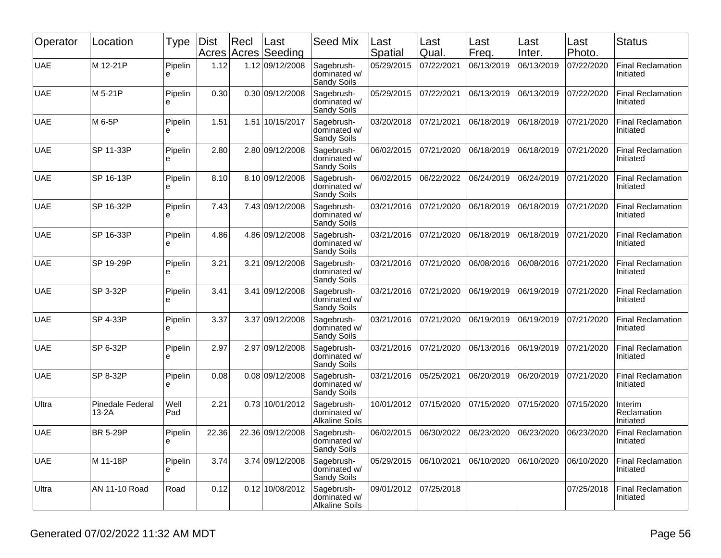| Operator   | Location                           | <b>Type</b>  | Dist<br>Acres | Recl<br>Acres | Last<br>Seeding  | <b>Seed Mix</b>                                     | Last<br>Spatial | Last<br>Qual. | Last<br>Freq. | Last<br>Inter. | Last<br>Photo. | <b>Status</b>                         |
|------------|------------------------------------|--------------|---------------|---------------|------------------|-----------------------------------------------------|-----------------|---------------|---------------|----------------|----------------|---------------------------------------|
| <b>UAE</b> | M 12-21P                           | Pipelin<br>e | 1.12          |               | 1.12 09/12/2008  | Sagebrush-<br>dominated w/<br>Sandy Soils           | 05/29/2015      | 07/22/2021    | 06/13/2019    | 06/13/2019     | 07/22/2020     | <b>Final Reclamation</b><br>Initiated |
| <b>UAE</b> | M 5-21P                            | Pipelin<br>е | 0.30          |               | 0.30 09/12/2008  | Sagebrush-<br>dominated w/<br>Sandy Soils           | 05/29/2015      | 07/22/2021    | 06/13/2019    | 06/13/2019     | 07/22/2020     | <b>Final Reclamation</b><br>Initiated |
| <b>UAE</b> | M 6-5P                             | Pipelin<br>e | 1.51          |               | 1.51 10/15/2017  | Sagebrush-<br>dominated w/<br>Sandy Soils           | 03/20/2018      | 07/21/2021    | 06/18/2019    | 06/18/2019     | 07/21/2020     | <b>Final Reclamation</b><br>Initiated |
| <b>UAE</b> | SP 11-33P                          | Pipelin<br>e | 2.80          |               | 2.80 09/12/2008  | Sagebrush-<br>dominated w/<br>Sandy Soils           | 06/02/2015      | 07/21/2020    | 06/18/2019    | 06/18/2019     | 07/21/2020     | <b>Final Reclamation</b><br>Initiated |
| <b>UAE</b> | SP 16-13P                          | Pipelin<br>e | 8.10          |               | 8.10 09/12/2008  | Sagebrush-<br>dominated w/<br>Sandy Soils           | 06/02/2015      | 06/22/2022    | 06/24/2019    | 06/24/2019     | 07/21/2020     | <b>Final Reclamation</b><br>Initiated |
| <b>UAE</b> | SP 16-32P                          | Pipelin<br>e | 7.43          |               | 7.43 09/12/2008  | Sagebrush-<br>dominated w/<br>Sandy Soils           | 03/21/2016      | 07/21/2020    | 06/18/2019    | 06/18/2019     | 07/21/2020     | <b>Final Reclamation</b><br>Initiated |
| <b>UAE</b> | SP 16-33P                          | Pipelin<br>e | 4.86          |               | 4.86 09/12/2008  | Sagebrush-<br>dominated w/<br>Sandy Soils           | 03/21/2016      | 07/21/2020    | 06/18/2019    | 06/18/2019     | 07/21/2020     | <b>Final Reclamation</b><br>Initiated |
| <b>UAE</b> | SP 19-29P                          | Pipelin<br>e | 3.21          |               | 3.21 09/12/2008  | Sagebrush-<br>dominated w/<br>Sandy Soils           | 03/21/2016      | 07/21/2020    | 06/08/2016    | 06/08/2016     | 07/21/2020     | <b>Final Reclamation</b><br>Initiated |
| <b>UAE</b> | SP 3-32P                           | Pipelin<br>е | 3.41          |               | 3.41 09/12/2008  | Sagebrush-<br>dominated w/<br>Sandy Soils           | 03/21/2016      | 07/21/2020    | 06/19/2019    | 06/19/2019     | 07/21/2020     | <b>Final Reclamation</b><br>Initiated |
| <b>UAE</b> | SP 4-33P                           | Pipelin<br>e | 3.37          |               | 3.37 09/12/2008  | Sagebrush-<br>dominated w/<br>Sandy Soils           | 03/21/2016      | 07/21/2020    | 06/19/2019    | 06/19/2019     | 07/21/2020     | <b>Final Reclamation</b><br>Initiated |
| <b>UAE</b> | SP 6-32P                           | Pipelin<br>e | 2.97          |               | 2.97 09/12/2008  | Sagebrush-<br>dominated w/<br>Sandy Soils           | 03/21/2016      | 07/21/2020    | 06/13/2016    | 06/19/2019     | 07/21/2020     | <b>Final Reclamation</b><br>Initiated |
| <b>UAE</b> | SP 8-32P                           | Pipelin<br>e | 0.08          |               | 0.08 09/12/2008  | Sagebrush-<br>dominated w/<br>Sandy Soils           | 03/21/2016      | 05/25/2021    | 06/20/2019    | 06/20/2019     | 07/21/2020     | <b>Final Reclamation</b><br>Initiated |
| Ultra      | <b>Pinedale Federal</b><br>$13-2A$ | Well<br>Pad  | 2.21          |               | 0.73 10/01/2012  | Sagebrush-<br>dominated w/<br><b>Alkaline Soils</b> | 10/01/2012      | 07/15/2020    | 07/15/2020    | 07/15/2020     | 07/15/2020     | Interim<br>Reclamation<br>Initiated   |
| <b>UAE</b> | <b>BR 5-29P</b>                    | Pipelin<br>႕ | 22.36         |               | 22.36 09/12/2008 | Sagebrush-<br>dominated w/<br>Sandy Soils           | 06/02/2015      | 06/30/2022    | 06/23/2020    | 06/23/2020     | 06/23/2020     | <b>Final Reclamation</b><br>Initiated |
| <b>UAE</b> | M 11-18P                           | Pipelin<br>e | 3.74          |               | 3.74 09/12/2008  | Sagebrush-<br>dominated w/<br>Sandy Soils           | 05/29/2015      | 06/10/2021    | 06/10/2020    | 06/10/2020     | 06/10/2020     | <b>Final Reclamation</b><br>Initiated |
| Ultra      | AN 11-10 Road                      | Road         | 0.12          |               | 0.12 10/08/2012  | Sagebrush-<br>dominated w/<br><b>Alkaline Soils</b> | 09/01/2012      | 07/25/2018    |               |                | 07/25/2018     | <b>Final Reclamation</b><br>Initiated |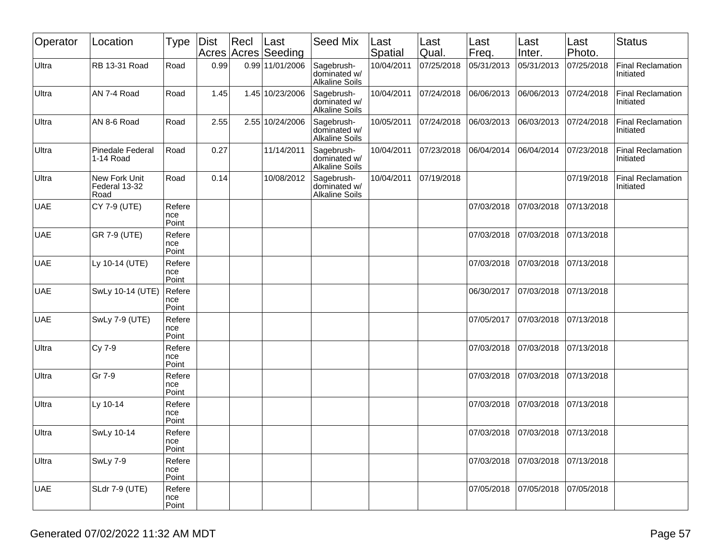| Operator   | Location                               | Type                   | Dist | Recl | Last<br>Acres Acres Seeding | <b>Seed Mix</b>                                     | Last<br>Spatial | Last<br>Qual. | Last<br>Freq. | Last<br>Inter. | Last<br>Photo. | <b>Status</b>                         |
|------------|----------------------------------------|------------------------|------|------|-----------------------------|-----------------------------------------------------|-----------------|---------------|---------------|----------------|----------------|---------------------------------------|
| Ultra      | RB 13-31 Road                          | Road                   | 0.99 |      | 0.99 11/01/2006             | Sagebrush-<br>dominated w/<br><b>Alkaline Soils</b> | 10/04/2011      | 07/25/2018    | 05/31/2013    | 05/31/2013     | 07/25/2018     | <b>Final Reclamation</b><br>Initiated |
| Ultra      | AN 7-4 Road                            | Road                   | 1.45 |      | 1.45 10/23/2006             | Sagebrush-<br>dominated w/<br><b>Alkaline Soils</b> | 10/04/2011      | 07/24/2018    | 06/06/2013    | 06/06/2013     | 07/24/2018     | <b>Final Reclamation</b><br>Initiated |
| Ultra      | AN 8-6 Road                            | Road                   | 2.55 |      | 2.55 10/24/2006             | Sagebrush-<br>dominated w/<br><b>Alkaline Soils</b> | 10/05/2011      | 07/24/2018    | 06/03/2013    | 06/03/2013     | 07/24/2018     | <b>Final Reclamation</b><br>Initiated |
| Ultra      | <b>Pinedale Federal</b><br>1-14 Road   | Road                   | 0.27 |      | 11/14/2011                  | Sagebrush-<br>dominated w/<br><b>Alkaline Soils</b> | 10/04/2011      | 07/23/2018    | 06/04/2014    | 06/04/2014     | 07/23/2018     | <b>Final Reclamation</b><br>Initiated |
| Ultra      | New Fork Unit<br>Federal 13-32<br>Road | Road                   | 0.14 |      | 10/08/2012                  | Sagebrush-<br>dominated w/<br><b>Alkaline Soils</b> | 10/04/2011      | 07/19/2018    |               |                | 07/19/2018     | <b>Final Reclamation</b><br>Initiated |
| <b>UAE</b> | CY 7-9 (UTE)                           | Refere<br>nce<br>Point |      |      |                             |                                                     |                 |               | 07/03/2018    | 07/03/2018     | 07/13/2018     |                                       |
| <b>UAE</b> | GR 7-9 (UTE)                           | Refere<br>nce<br>Point |      |      |                             |                                                     |                 |               | 07/03/2018    | 07/03/2018     | 07/13/2018     |                                       |
| <b>UAE</b> | Ly 10-14 (UTE)                         | Refere<br>nce<br>Point |      |      |                             |                                                     |                 |               | 07/03/2018    | 07/03/2018     | 07/13/2018     |                                       |
| <b>UAE</b> | SwLy 10-14 (UTE)                       | Refere<br>nce<br>Point |      |      |                             |                                                     |                 |               | 06/30/2017    | 07/03/2018     | 07/13/2018     |                                       |
| <b>UAE</b> | SwLy 7-9 (UTE)                         | Refere<br>nce<br>Point |      |      |                             |                                                     |                 |               | 07/05/2017    | 07/03/2018     | 07/13/2018     |                                       |
| Ultra      | Cy 7-9                                 | Refere<br>nce<br>Point |      |      |                             |                                                     |                 |               | 07/03/2018    | 07/03/2018     | 07/13/2018     |                                       |
| Ultra      | Gr 7-9                                 | Refere<br>nce<br>Point |      |      |                             |                                                     |                 |               | 07/03/2018    | 07/03/2018     | 07/13/2018     |                                       |
| Ultra      | Ly 10-14                               | Refere<br>nce<br>Point |      |      |                             |                                                     |                 |               | 07/03/2018    | 07/03/2018     | 07/13/2018     |                                       |
| Ultra      | SwLy 10-14                             | Refere<br>nce<br>Point |      |      |                             |                                                     |                 |               | 07/03/2018    | 07/03/2018     | 07/13/2018     |                                       |
| Ultra      | SwLy 7-9                               | Refere<br>nce<br>Point |      |      |                             |                                                     |                 |               | 07/03/2018    | 07/03/2018     | 07/13/2018     |                                       |
| <b>UAE</b> | <b>SLdr 7-9 (UTE)</b>                  | Refere<br>nce<br>Point |      |      |                             |                                                     |                 |               | 07/05/2018    | 07/05/2018     | 07/05/2018     |                                       |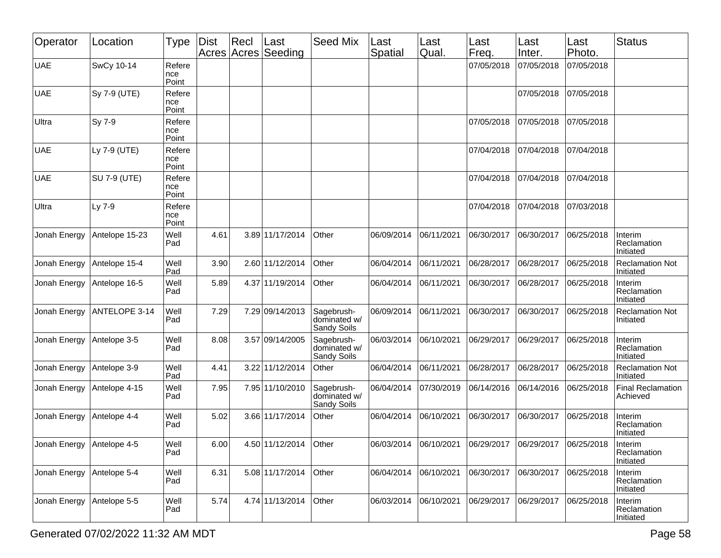| Operator     | Location            | <b>Type</b>            | Dist | Recl<br>Acres Acres | Last<br>Seeding | Seed Mix                                  | Last<br>Spatial        | Last<br>Qual. | Last<br>Freq. | Last<br>Inter. | Last<br>Photo. | <b>Status</b>                        |
|--------------|---------------------|------------------------|------|---------------------|-----------------|-------------------------------------------|------------------------|---------------|---------------|----------------|----------------|--------------------------------------|
| <b>UAE</b>   | SwCy 10-14          | Refere<br>nce<br>Point |      |                     |                 |                                           |                        |               | 07/05/2018    | 07/05/2018     | 07/05/2018     |                                      |
| <b>UAE</b>   | Sy 7-9 (UTE)        | Refere<br>nce<br>Point |      |                     |                 |                                           |                        |               |               | 07/05/2018     | 07/05/2018     |                                      |
| Ultra        | Sy 7-9              | Refere<br>nce<br>Point |      |                     |                 |                                           |                        |               | 07/05/2018    | 07/05/2018     | 07/05/2018     |                                      |
| <b>UAE</b>   | Ly 7-9 (UTE)        | Refere<br>nce<br>Point |      |                     |                 |                                           |                        |               | 07/04/2018    | 07/04/2018     | 07/04/2018     |                                      |
| <b>UAE</b>   | <b>SU 7-9 (UTE)</b> | Refere<br>nce<br>Point |      |                     |                 |                                           |                        |               | 07/04/2018    | 07/04/2018     | 07/04/2018     |                                      |
| Ultra        | Ly 7-9              | Refere<br>nce<br>Point |      |                     |                 |                                           |                        |               | 07/04/2018    | 07/04/2018     | 07/03/2018     |                                      |
| Jonah Energy | Antelope 15-23      | Well<br>Pad            | 4.61 |                     | 3.89 11/17/2014 | Other                                     | 06/09/2014             | 06/11/2021    | 06/30/2017    | 06/30/2017     | 06/25/2018     | Interim<br>Reclamation<br>Initiated  |
| Jonah Energy | Antelope 15-4       | Well<br>Pad            | 3.90 |                     | 2.60 11/12/2014 | Other                                     | 06/04/2014             | 06/11/2021    | 06/28/2017    | 06/28/2017     | 06/25/2018     | <b>Reclamation Not</b><br>Initiated  |
| Jonah Energy | Antelope 16-5       | Well<br>Pad            | 5.89 |                     | 4.37 11/19/2014 | Other                                     | 06/04/2014             | 06/11/2021    | 06/30/2017    | 06/28/2017     | 06/25/2018     | Interim<br>Reclamation<br>Initiated  |
| Jonah Energy | ANTELOPE 3-14       | Well<br>Pad            | 7.29 |                     | 7.29 09/14/2013 | Sagebrush-<br>dominated w/<br>Sandy Soils | 06/09/2014             | 06/11/2021    | 06/30/2017    | 06/30/2017     | 06/25/2018     | <b>Reclamation Not</b><br>Initiated  |
| Jonah Energy | Antelope 3-5        | Well<br>Pad            | 8.08 |                     | 3.57 09/14/2005 | Sagebrush-<br>dominated w/<br>Sandy Soils | 06/03/2014             | 06/10/2021    | 06/29/2017    | 06/29/2017     | 06/25/2018     | Interim<br>Reclamation<br>Initiated  |
| Jonah Energy | Antelope 3-9        | Well<br>Pad            | 4.41 |                     | 3.22 11/12/2014 | Other                                     | 06/04/2014             | 06/11/2021    | 06/28/2017    | 06/28/2017     | 06/25/2018     | <b>Reclamation Not</b><br>Initiated  |
| Jonah Energy | Antelope 4-15       | Well<br>Pad            | 7.95 |                     | 7.95 11/10/2010 | Sagebrush-<br>dominated w/<br>Sandy Soils | 06/04/2014             | 07/30/2019    | 06/14/2016    | 06/14/2016     | 06/25/2018     | <b>Final Reclamation</b><br>Achieved |
| Jonah Energy | Antelope 4-4        | Well<br>Pad            | 5.02 |                     | 3.66 11/17/2014 | Other                                     | 06/04/2014             | 06/10/2021    | 06/30/2017    | 06/30/2017     | 06/25/2018     | Interim<br>Reclamation<br>Initiated  |
| Jonah Energy | Antelope 4-5        | Well<br>Pad            | 6.00 |                     | 4.50 11/12/2014 | Other                                     | 06/03/2014  06/10/2021 |               | 06/29/2017    | 06/29/2017     | 06/25/2018     | Interim<br>Reclamation<br>Initiated  |
| Jonah Energy | Antelope 5-4        | Well<br>Pad            | 6.31 |                     | 5.08 11/17/2014 | Other                                     | 06/04/2014             | 06/10/2021    | 06/30/2017    | 06/30/2017     | 06/25/2018     | Interim<br>Reclamation<br>Initiated  |
| Jonah Energy | Antelope 5-5        | Well<br>Pad            | 5.74 |                     | 4.74 11/13/2014 | Other                                     | 06/03/2014             | 06/10/2021    | 06/29/2017    | 06/29/2017     | 06/25/2018     | Interim<br>Reclamation<br>Initiated  |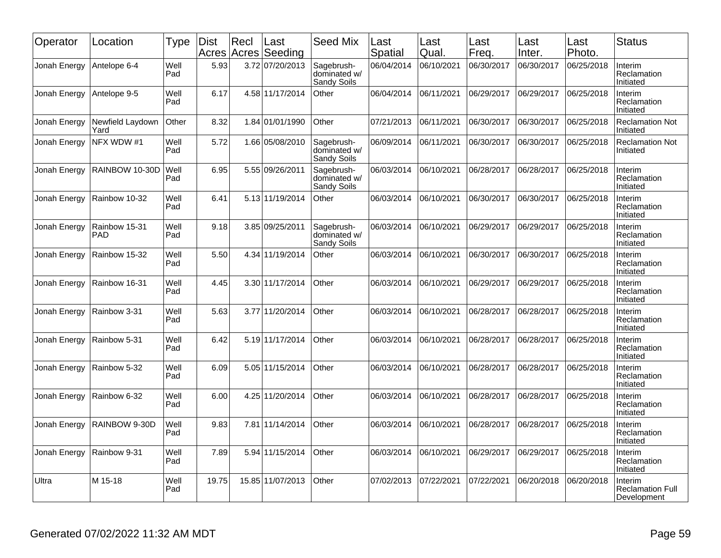| Operator     | Location                    | Type        | Dist<br>Acres | Recl | Last<br>Acres Seeding | Seed Mix                                  | Last<br>Spatial | Last<br>Qual. | Last<br>Freq. | Last<br>Inter. | Last<br>Photo. | <b>Status</b>                                     |
|--------------|-----------------------------|-------------|---------------|------|-----------------------|-------------------------------------------|-----------------|---------------|---------------|----------------|----------------|---------------------------------------------------|
| Jonah Energy | Antelope 6-4                | Well<br>Pad | 5.93          |      | 3.72 07/20/2013       | Sagebrush-<br>dominated w/<br>Sandy Soils | 06/04/2014      | 06/10/2021    | 06/30/2017    | 06/30/2017     | 06/25/2018     | Interim<br>Reclamation<br>Initiated               |
| Jonah Energy | Antelope 9-5                | Well<br>Pad | 6.17          |      | 4.58 11/17/2014       | Other                                     | 06/04/2014      | 06/11/2021    | 06/29/2017    | 06/29/2017     | 06/25/2018     | Interim<br>Reclamation<br>Initiated               |
| Jonah Energy | Newfield Laydown<br>Yard    | Other       | 8.32          |      | 1.84 01/01/1990       | Other                                     | 07/21/2013      | 06/11/2021    | 06/30/2017    | 06/30/2017     | 06/25/2018     | <b>Reclamation Not</b><br>Initiated               |
| Jonah Energy | NFX WDW #1                  | Well<br>Pad | 5.72          |      | 1.66 05/08/2010       | Sagebrush-<br>dominated w/<br>Sandy Soils | 06/09/2014      | 06/11/2021    | 06/30/2017    | 06/30/2017     | 06/25/2018     | <b>Reclamation Not</b><br>Initiated               |
| Jonah Energy | RAINBOW 10-30D              | Well<br>Pad | 6.95          |      | 5.55 09/26/2011       | Sagebrush-<br>dominated w/<br>Sandy Soils | 06/03/2014      | 06/10/2021    | 06/28/2017    | 06/28/2017     | 06/25/2018     | Interim<br>Reclamation<br>Initiated               |
| Jonah Energy | Rainbow 10-32               | Well<br>Pad | 6.41          |      | 5.13 11/19/2014       | Other                                     | 06/03/2014      | 06/10/2021    | 06/30/2017    | 06/30/2017     | 06/25/2018     | Interim<br>Reclamation<br>Initiated               |
| Jonah Energy | Rainbow 15-31<br><b>PAD</b> | Well<br>Pad | 9.18          |      | 3.85 09/25/2011       | Sagebrush-<br>dominated w/<br>Sandy Soils | 06/03/2014      | 06/10/2021    | 06/29/2017    | 06/29/2017     | 06/25/2018     | Interim<br>Reclamation<br>Initiated               |
| Jonah Energy | Rainbow 15-32               | Well<br>Pad | 5.50          |      | 4.34 11/19/2014       | Other                                     | 06/03/2014      | 06/10/2021    | 06/30/2017    | 06/30/2017     | 06/25/2018     | Interim<br>Reclamation<br>Initiated               |
| Jonah Energy | Rainbow 16-31               | Well<br>Pad | 4.45          |      | 3.30 11/17/2014       | Other                                     | 06/03/2014      | 06/10/2021    | 06/29/2017    | 06/29/2017     | 06/25/2018     | Interim<br>Reclamation<br>Initiated               |
| Jonah Energy | Rainbow 3-31                | Well<br>Pad | 5.63          |      | 3.77 11/20/2014       | Other                                     | 06/03/2014      | 06/10/2021    | 06/28/2017    | 06/28/2017     | 06/25/2018     | Interim<br>Reclamation<br>Initiated               |
| Jonah Energy | Rainbow 5-31                | Well<br>Pad | 6.42          |      | 5.19 11/17/2014       | Other                                     | 06/03/2014      | 06/10/2021    | 06/28/2017    | 06/28/2017     | 06/25/2018     | Interim<br>Reclamation<br>Initiated               |
| Jonah Energy | Rainbow 5-32                | Well<br>Pad | 6.09          |      | 5.05 11/15/2014       | Other                                     | 06/03/2014      | 06/10/2021    | 06/28/2017    | 06/28/2017     | 06/25/2018     | Interim<br>Reclamation<br>Initiated               |
| Jonah Energy | Rainbow 6-32                | Well<br>Pad | 6.00          |      | 4.25 11/20/2014       | Other                                     | 06/03/2014      | 06/10/2021    | 06/28/2017    | 06/28/2017     | 06/25/2018     | Interim<br>Reclamation<br>Initiated               |
| Jonah Energy | RAINBOW 9-30D               | Well<br>Pad | 9.83          |      | 7.81 11/14/2014       | Other                                     | 06/03/2014      | 06/10/2021    | 06/28/2017    | 06/28/2017     | 06/25/2018     | Interim<br>Reclamation<br>Initiated               |
| Jonah Energy | Rainbow 9-31                | Well<br>Pad | 7.89          |      | 5.94 11/15/2014       | Other                                     | 06/03/2014      | 06/10/2021    | 06/29/2017    | 06/29/2017     | 06/25/2018     | Interim<br>Reclamation<br>Initiated               |
| Ultra        | M 15-18                     | Well<br>Pad | 19.75         |      | 15.85 11/07/2013      | Other                                     | 07/02/2013      | 07/22/2021    | 07/22/2021    | 06/20/2018     | 06/20/2018     | Interim<br><b>Reclamation Full</b><br>Development |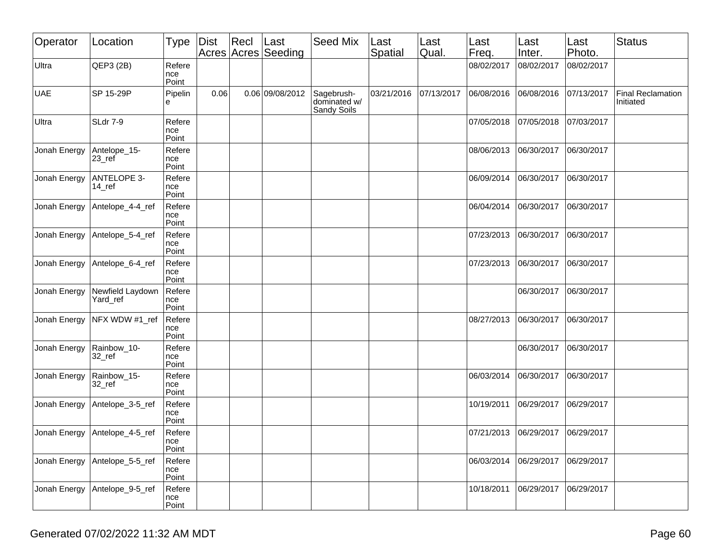| Operator     | Location                                   | <b>Type</b>            | Dist | $ $ Recl | Last<br>Acres Acres Seeding | <b>Seed Mix</b>                           | Last<br>Spatial | Last<br>Qual. | Last<br>Freq. | Last<br>Inter. | Last<br>Photo. | <b>Status</b>                         |
|--------------|--------------------------------------------|------------------------|------|----------|-----------------------------|-------------------------------------------|-----------------|---------------|---------------|----------------|----------------|---------------------------------------|
| Ultra        | QEP3 (2B)                                  | Refere<br>nce<br>Point |      |          |                             |                                           |                 |               | 08/02/2017    | 08/02/2017     | 08/02/2017     |                                       |
| <b>UAE</b>   | SP 15-29P                                  | Pipelin<br>е           | 0.06 |          | 0.06 09/08/2012             | Sagebrush-<br>dominated w/<br>Sandy Soils | 03/21/2016      | 07/13/2017    | 06/08/2016    | 06/08/2016     | 07/13/2017     | <b>Final Reclamation</b><br>Initiated |
| Ultra        | SLdr 7-9                                   | Refere<br>nce<br>Point |      |          |                             |                                           |                 |               | 07/05/2018    | 07/05/2018     | 07/03/2017     |                                       |
| Jonah Energy | Antelope_15-<br>$23$ <sub>_ref</sub>       | Refere<br>nce<br>Point |      |          |                             |                                           |                 |               | 08/06/2013    | 06/30/2017     | 06/30/2017     |                                       |
| Jonah Energy | <b>ANTELOPE 3-</b><br>$14$ <sub>_ref</sub> | Refere<br>nce<br>Point |      |          |                             |                                           |                 |               | 06/09/2014    | 06/30/2017     | 06/30/2017     |                                       |
| Jonah Energy | Antelope_4-4_ref                           | Refere<br>nce<br>Point |      |          |                             |                                           |                 |               | 06/04/2014    | 06/30/2017     | 06/30/2017     |                                       |
| Jonah Energy | Antelope_5-4_ref                           | Refere<br>nce<br>Point |      |          |                             |                                           |                 |               | 07/23/2013    | 06/30/2017     | 06/30/2017     |                                       |
| Jonah Energy | Antelope_6-4_ref                           | Refere<br>nce<br>Point |      |          |                             |                                           |                 |               | 07/23/2013    | 06/30/2017     | 06/30/2017     |                                       |
| Jonah Energy | Newfield Laydown<br>Yard_ref               | Refere<br>nce<br>Point |      |          |                             |                                           |                 |               |               | 06/30/2017     | 06/30/2017     |                                       |
| Jonah Energy | NFX WDW #1_ref                             | Refere<br>nce<br>Point |      |          |                             |                                           |                 |               | 08/27/2013    | 06/30/2017     | 06/30/2017     |                                       |
| Jonah Energy | Rainbow_10-<br>32_ref                      | Refere<br>nce<br>Point |      |          |                             |                                           |                 |               |               | 06/30/2017     | 06/30/2017     |                                       |
| Jonah Energy | Rainbow_15-<br>32_ref                      | Refere<br>nce<br>Point |      |          |                             |                                           |                 |               | 06/03/2014    | 06/30/2017     | 06/30/2017     |                                       |
| Jonah Energy | Antelope_3-5_ref                           | Refere<br>nce<br>Point |      |          |                             |                                           |                 |               | 10/19/2011    | 06/29/2017     | 06/29/2017     |                                       |
| Jonah Energy | Antelope_4-5_ref                           | Refere<br>nce<br>Point |      |          |                             |                                           |                 |               | 07/21/2013    | 06/29/2017     | 06/29/2017     |                                       |
| Jonah Energy | Antelope_5-5_ref                           | Refere<br>nce<br>Point |      |          |                             |                                           |                 |               | 06/03/2014    | 06/29/2017     | 06/29/2017     |                                       |
| Jonah Energy | Antelope_9-5_ref                           | Refere<br>nce<br>Point |      |          |                             |                                           |                 |               | 10/18/2011    | 06/29/2017     | 06/29/2017     |                                       |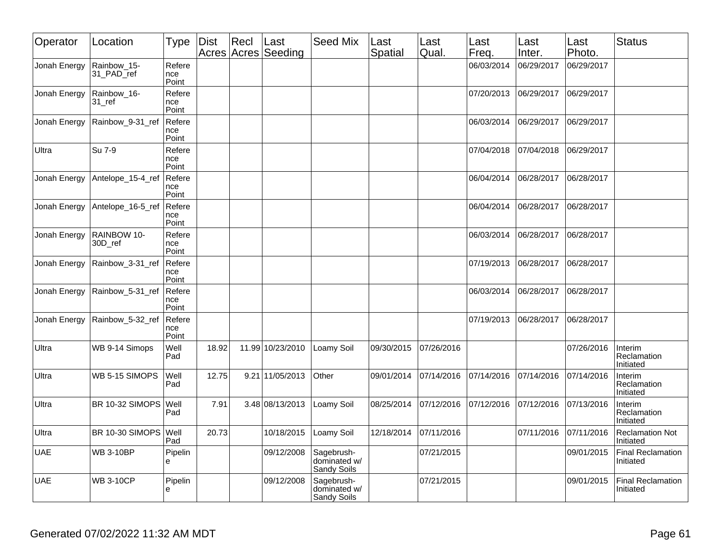| Operator     | Location                            | Type                   | <b>Dist</b> | Recl | ∣Last<br>Acres Acres Seeding | <b>Seed Mix</b>                           | Last<br>Spatial | Last<br>Qual. | Last<br>Freq. | Last<br>Inter. | Last<br>Photo. | <b>Status</b>                         |
|--------------|-------------------------------------|------------------------|-------------|------|------------------------------|-------------------------------------------|-----------------|---------------|---------------|----------------|----------------|---------------------------------------|
| Jonah Energy | Rainbow_15-<br>31_PAD_ref           | Refere<br>nce<br>Point |             |      |                              |                                           |                 |               | 06/03/2014    | 06/29/2017     | 06/29/2017     |                                       |
| Jonah Energy | Rainbow_16-<br>$31$ <sub>_ref</sub> | Refere<br>nce<br>Point |             |      |                              |                                           |                 |               | 07/20/2013    | 06/29/2017     | 06/29/2017     |                                       |
| Jonah Energy | Rainbow_9-31_ref                    | Refere<br>nce<br>Point |             |      |                              |                                           |                 |               | 06/03/2014    | 06/29/2017     | 06/29/2017     |                                       |
| Ultra        | Su 7-9                              | Refere<br>nce<br>Point |             |      |                              |                                           |                 |               | 07/04/2018    | 07/04/2018     | 106/29/2017    |                                       |
| Jonah Energy | Antelope_15-4_ref                   | Refere<br>nce<br>Point |             |      |                              |                                           |                 |               | 06/04/2014    | 06/28/2017     | 06/28/2017     |                                       |
| Jonah Energy | Antelope 16-5 ref                   | Refere<br>nce<br>Point |             |      |                              |                                           |                 |               | 06/04/2014    | 06/28/2017     | 06/28/2017     |                                       |
| Jonah Energy | RAINBOW 10-<br>30D ref              | Refere<br>nce<br>Point |             |      |                              |                                           |                 |               | 06/03/2014    | 06/28/2017     | 06/28/2017     |                                       |
| Jonah Energy | Rainbow_3-31_ref                    | Refere<br>nce<br>Point |             |      |                              |                                           |                 |               | 07/19/2013    | 06/28/2017     | 06/28/2017     |                                       |
| Jonah Energy | Rainbow_5-31_ref                    | Refere<br>nce<br>Point |             |      |                              |                                           |                 |               | 06/03/2014    | 06/28/2017     | 06/28/2017     |                                       |
| Jonah Energy | Rainbow 5-32 ref                    | Refere<br>nce<br>Point |             |      |                              |                                           |                 |               | 07/19/2013    | 06/28/2017     | 06/28/2017     |                                       |
| Ultra        | WB 9-14 Simops                      | Well<br>Pad            | 18.92       |      | 11.99 10/23/2010             | Loamy Soil                                | 09/30/2015      | 07/26/2016    |               |                | 07/26/2016     | Interim<br>Reclamation<br>Initiated   |
| Ultra        | WB 5-15 SIMOPS                      | Well<br>Pad            | 12.75       |      | 9.21 11/05/2013              | Other                                     | 09/01/2014      | 07/14/2016    | 07/14/2016    | 07/14/2016     | 07/14/2016     | Interim<br>Reclamation<br>Initiated   |
| Ultra        | BR 10-32 SIMOPS                     | Well<br>Pad            | 7.91        |      | 3.48 08/13/2013              | Loamy Soil                                | 08/25/2014      | 07/12/2016    | 07/12/2016    | 07/12/2016     | 07/13/2016     | Interim<br>Reclamation<br>Initiated   |
| Ultra        | BR 10-30 SIMOPS                     | Well<br>Pad            | 20.73       |      | 10/18/2015                   | Loamy Soil                                | 12/18/2014      | 07/11/2016    |               | 07/11/2016     | 07/11/2016     | <b>Reclamation Not</b><br>Initiated   |
| UAE          | <b>WB 3-10BP</b>                    | Pipelin<br>e           |             |      | 09/12/2008                   | Sagebrush-<br>dominated w/<br>Sandy Soils |                 | 07/21/2015    |               |                | 09/01/2015     | <b>Final Reclamation</b><br>Initiated |
| UAE          | <b>WB 3-10CP</b>                    | Pipelin<br>e           |             |      | 09/12/2008                   | Sagebrush-<br>dominated w/<br>Sandy Soils |                 | 07/21/2015    |               |                | 09/01/2015     | Final Reclamation<br>Initiated        |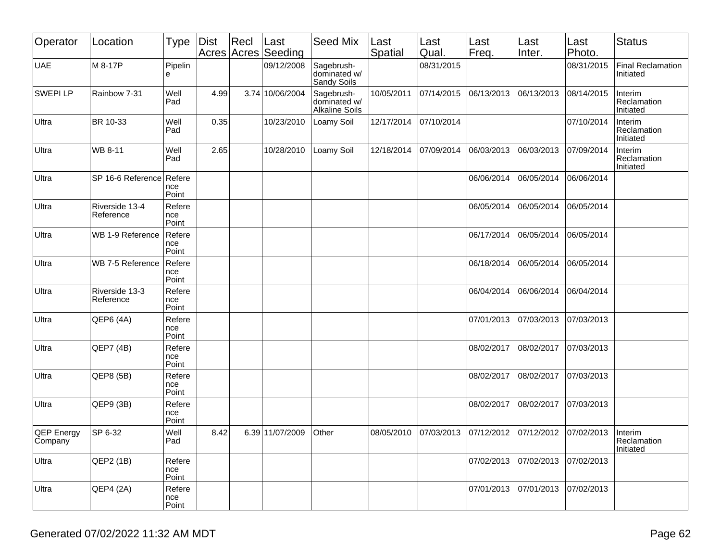| Operator              | Location                    | <b>Type</b>            | Dist | Recl | Last<br>Acres Acres Seeding | Seed Mix                                            | Last<br>Spatial | Last<br>Qual. | Last<br>Freq. | Last<br>Inter. | Last<br>Photo. | <b>Status</b>                         |
|-----------------------|-----------------------------|------------------------|------|------|-----------------------------|-----------------------------------------------------|-----------------|---------------|---------------|----------------|----------------|---------------------------------------|
| <b>UAE</b>            | M 8-17P                     | Pipelin<br>e           |      |      | 09/12/2008                  | Sagebrush-<br>dominated w/<br>Sandy Soils           |                 | 08/31/2015    |               |                | 08/31/2015     | <b>Final Reclamation</b><br>Initiated |
| <b>SWEPILP</b>        | Rainbow 7-31                | Well<br>Pad            | 4.99 |      | 3.74 10/06/2004             | Sagebrush-<br>dominated w/<br><b>Alkaline Soils</b> | 10/05/2011      | 07/14/2015    | 06/13/2013    | 06/13/2013     | 08/14/2015     | Interim<br>Reclamation<br>Initiated   |
| Ultra                 | BR 10-33                    | Well<br>Pad            | 0.35 |      | 10/23/2010                  | Loamy Soil                                          | 12/17/2014      | 07/10/2014    |               |                | 07/10/2014     | Interim<br>Reclamation<br>Initiated   |
| Ultra                 | WB 8-11                     | Well<br>Pad            | 2.65 |      | 10/28/2010                  | Loamy Soil                                          | 12/18/2014      | 07/09/2014    | 06/03/2013    | 06/03/2013     | 07/09/2014     | Interim<br>Reclamation<br>Initiated   |
| Ultra                 | SP 16-6 Reference           | Refere<br>nce<br>Point |      |      |                             |                                                     |                 |               | 06/06/2014    | 06/05/2014     | 06/06/2014     |                                       |
| Ultra                 | Riverside 13-4<br>Reference | Refere<br>nce<br>Point |      |      |                             |                                                     |                 |               | 06/05/2014    | 06/05/2014     | 06/05/2014     |                                       |
| Ultra                 | WB 1-9 Reference            | Refere<br>nce<br>Point |      |      |                             |                                                     |                 |               | 06/17/2014    | 06/05/2014     | 06/05/2014     |                                       |
| Ultra                 | WB 7-5 Reference            | Refere<br>nce<br>Point |      |      |                             |                                                     |                 |               | 06/18/2014    | 06/05/2014     | 06/05/2014     |                                       |
| Ultra                 | Riverside 13-3<br>Reference | Refere<br>nce<br>Point |      |      |                             |                                                     |                 |               | 06/04/2014    | 06/06/2014     | 06/04/2014     |                                       |
| Ultra                 | QEP6 (4A)                   | Refere<br>nce<br>Point |      |      |                             |                                                     |                 |               | 07/01/2013    | 07/03/2013     | 07/03/2013     |                                       |
| Ultra                 | QEP7 (4B)                   | Refere<br>nce<br>Point |      |      |                             |                                                     |                 |               | 08/02/2017    | 08/02/2017     | 07/03/2013     |                                       |
| Ultra                 | QEP8 (5B)                   | Refere<br>nce<br>Point |      |      |                             |                                                     |                 |               | 08/02/2017    | 08/02/2017     | 07/03/2013     |                                       |
| Ultra                 | QEP9 (3B)                   | Refere<br>nce<br>Point |      |      |                             |                                                     |                 |               | 08/02/2017    | 08/02/2017     | 07/03/2013     |                                       |
| QEP Energy<br>Company | SP 6-32                     | Well<br>Pad            | 8.42 |      | 6.39 11/07/2009             | Other                                               | 08/05/2010      | 07/03/2013    | 07/12/2012    | 07/12/2012     | 07/02/2013     | Interim<br>Reclamation<br>Initiated   |
| Ultra                 | QEP2 (1B)                   | Refere<br>nce<br>Point |      |      |                             |                                                     |                 |               | 07/02/2013    | 07/02/2013     | 07/02/2013     |                                       |
| Ultra                 | QEP4(2A)                    | Refere<br>nce<br>Point |      |      |                             |                                                     |                 |               | 07/01/2013    | 07/01/2013     | 07/02/2013     |                                       |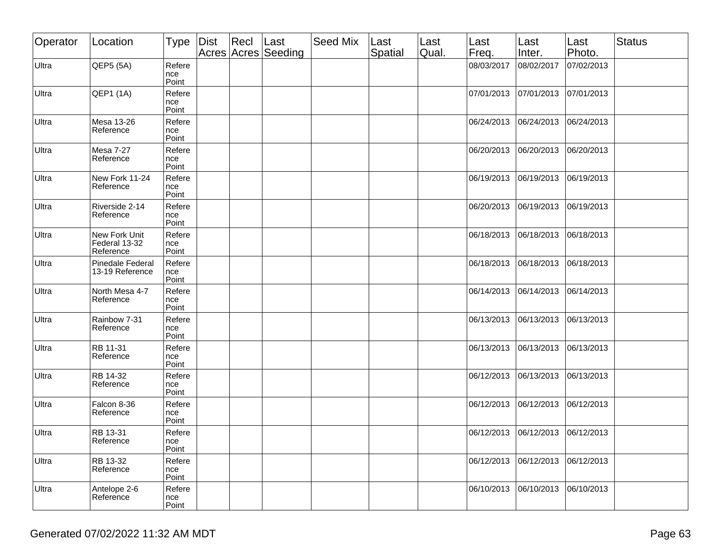| Operator | Location                                    | Type                   | Dist | $ $ Recl | ∣Last<br>Acres Acres Seeding | Seed Mix | Last<br>Spatial | Last<br>Qual. | Last<br>Freq. | Last<br>Inter. | Last<br>Photo. | <b>Status</b> |
|----------|---------------------------------------------|------------------------|------|----------|------------------------------|----------|-----------------|---------------|---------------|----------------|----------------|---------------|
| Ultra    | QEP5 (5A)                                   | Refere<br>nce<br>Point |      |          |                              |          |                 |               | 08/03/2017    | 08/02/2017     | 07/02/2013     |               |
| Ultra    | QEP1 (1A)                                   | Refere<br>nce<br>Point |      |          |                              |          |                 |               | 07/01/2013    | 07/01/2013     | 07/01/2013     |               |
| Ultra    | Mesa 13-26<br>Reference                     | Refere<br>nce<br>Point |      |          |                              |          |                 |               | 06/24/2013    | 06/24/2013     | 06/24/2013     |               |
| Ultra    | <b>Mesa 7-27</b><br>Reference               | Refere<br>nce<br>Point |      |          |                              |          |                 |               | 06/20/2013    | 06/20/2013     | 06/20/2013     |               |
| Ultra    | New Fork 11-24<br>Reference                 | Refere<br>nce<br>Point |      |          |                              |          |                 |               | 06/19/2013    | 06/19/2013     | 06/19/2013     |               |
| Ultra    | Riverside 2-14<br>Reference                 | Refere<br>nce<br>Point |      |          |                              |          |                 |               | 06/20/2013    | 06/19/2013     | 06/19/2013     |               |
| Ultra    | New Fork Unit<br>Federal 13-32<br>Reference | Refere<br>nce<br>Point |      |          |                              |          |                 |               | 06/18/2013    | 06/18/2013     | 06/18/2013     |               |
| Ultra    | <b>Pinedale Federal</b><br>13-19 Reference  | Refere<br>nce<br>Point |      |          |                              |          |                 |               | 06/18/2013    | 06/18/2013     | 06/18/2013     |               |
| Ultra    | North Mesa 4-7<br>Reference                 | Refere<br>nce<br>Point |      |          |                              |          |                 |               | 06/14/2013    | 06/14/2013     | 06/14/2013     |               |
| Ultra    | Rainbow 7-31<br>Reference                   | Refere<br>nce<br>Point |      |          |                              |          |                 |               | 06/13/2013    | 06/13/2013     | 06/13/2013     |               |
| Ultra    | RB 11-31<br>Reference                       | Refere<br>nce<br>Point |      |          |                              |          |                 |               | 06/13/2013    | 06/13/2013     | 06/13/2013     |               |
| Ultra    | RB 14-32<br>Reference                       | Refere<br>nce<br>Point |      |          |                              |          |                 |               | 06/12/2013    | 06/13/2013     | 06/13/2013     |               |
| Ultra    | Falcon 8-36<br>Reference                    | Refere<br>nce<br>Point |      |          |                              |          |                 |               | 06/12/2013    | 06/12/2013     | 06/12/2013     |               |
| Ultra    | RB 13-31<br>Reference                       | Refere<br>nce<br>Point |      |          |                              |          |                 |               | 06/12/2013    | 06/12/2013     | 06/12/2013     |               |
| Ultra    | RB 13-32<br>Reference                       | Refere<br>nce<br>Point |      |          |                              |          |                 |               | 06/12/2013    | 06/12/2013     | 06/12/2013     |               |
| Ultra    | Antelope 2-6<br>Reference                   | Refere<br>nce<br>Point |      |          |                              |          |                 |               | 06/10/2013    | 06/10/2013     | 06/10/2013     |               |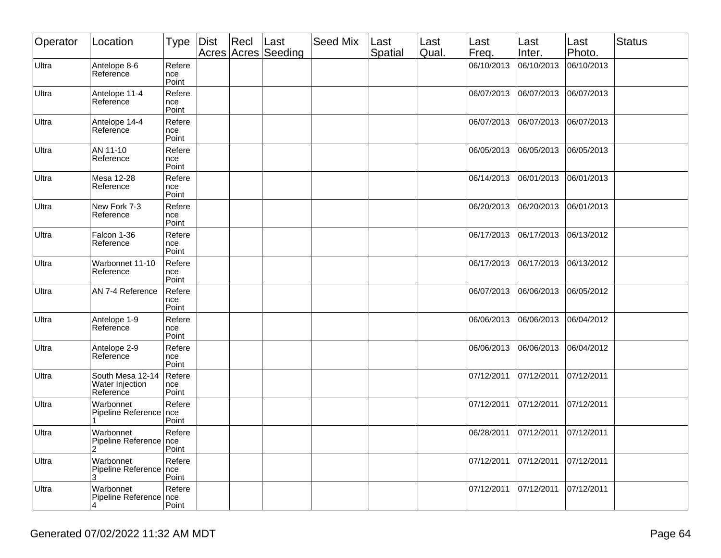| Operator | Location                                         | <b>Type</b>            | Dist | Recl | Last<br>Acres Acres Seeding | Seed Mix | Last<br>Spatial | Last<br>Qual. | Last<br>Freq. | Last<br>Inter. | Last<br>Photo. | <b>Status</b> |
|----------|--------------------------------------------------|------------------------|------|------|-----------------------------|----------|-----------------|---------------|---------------|----------------|----------------|---------------|
| Ultra    | Antelope 8-6<br>Reference                        | Refere<br>nce<br>Point |      |      |                             |          |                 |               | 06/10/2013    | 06/10/2013     | 06/10/2013     |               |
| Ultra    | Antelope 11-4<br>Reference                       | Refere<br>nce<br>Point |      |      |                             |          |                 |               | 06/07/2013    | 06/07/2013     | 06/07/2013     |               |
| Ultra    | Antelope 14-4<br>Reference                       | Refere<br>nce<br>Point |      |      |                             |          |                 |               | 06/07/2013    | 06/07/2013     | 06/07/2013     |               |
| Ultra    | AN 11-10<br>Reference                            | Refere<br>nce<br>Point |      |      |                             |          |                 |               | 06/05/2013    | 06/05/2013     | 06/05/2013     |               |
| Ultra    | Mesa 12-28<br>Reference                          | Refere<br>nce<br>Point |      |      |                             |          |                 |               | 06/14/2013    | 06/01/2013     | 06/01/2013     |               |
| Ultra    | New Fork 7-3<br>Reference                        | Refere<br>nce<br>Point |      |      |                             |          |                 |               | 06/20/2013    | 06/20/2013     | 06/01/2013     |               |
| Ultra    | Falcon 1-36<br>Reference                         | Refere<br>nce<br>Point |      |      |                             |          |                 |               | 06/17/2013    | 06/17/2013     | 06/13/2012     |               |
| Ultra    | Warbonnet 11-10<br>Reference                     | Refere<br>nce<br>Point |      |      |                             |          |                 |               | 06/17/2013    | 06/17/2013     | 06/13/2012     |               |
| Ultra    | AN 7-4 Reference                                 | Refere<br>nce<br>Point |      |      |                             |          |                 |               | 06/07/2013    | 06/06/2013     | 06/05/2012     |               |
| Ultra    | Antelope 1-9<br>Reference                        | Refere<br>nce<br>Point |      |      |                             |          |                 |               | 06/06/2013    | 06/06/2013     | 06/04/2012     |               |
| Ultra    | Antelope 2-9<br>Reference                        | Refere<br>nce<br>Point |      |      |                             |          |                 |               | 06/06/2013    | 06/06/2013     | 06/04/2012     |               |
| Ultra    | South Mesa 12-14<br>Water Injection<br>Reference | Refere<br>nce<br>Point |      |      |                             |          |                 |               | 07/12/2011    | 07/12/2011     | 07/12/2011     |               |
| Ultra    | Warbonnet<br>Pipeline Reference                  | Refere<br>nce<br>Point |      |      |                             |          |                 |               | 07/12/2011    | 07/12/2011     | 07/12/2011     |               |
| Ultra    | Warbonnet<br>Pipeline Reference   nce<br>2       | Refere<br>Point        |      |      |                             |          |                 |               | 06/28/2011    | 07/12/2011     | 07/12/2011     |               |
| Ultra    | Warbonnet<br>Pipeline Reference   nce<br>3       | Refere<br>Point        |      |      |                             |          |                 |               | 07/12/2011    | 07/12/2011     | 07/12/2011     |               |
| Ultra    | Warbonnet<br>Pipeline Reference   nce            | Refere<br>Point        |      |      |                             |          |                 |               | 07/12/2011    | 07/12/2011     | 07/12/2011     |               |